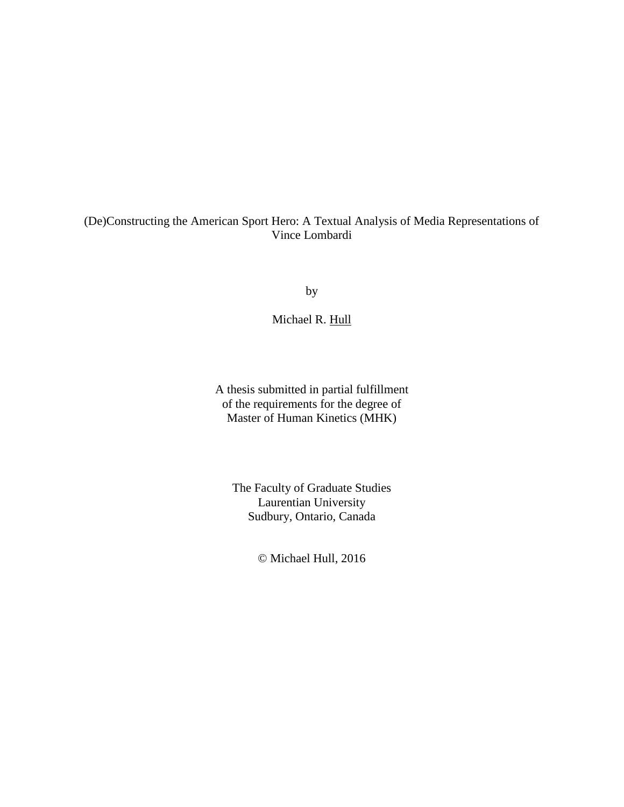### (De)Constructing the American Sport Hero: A Textual Analysis of Media Representations of Vince Lombardi

by

Michael R. Hull

A thesis submitted in partial fulfillment of the requirements for the degree of Master of Human Kinetics (MHK)

The Faculty of Graduate Studies Laurentian University Sudbury, Ontario, Canada

© Michael Hull, 2016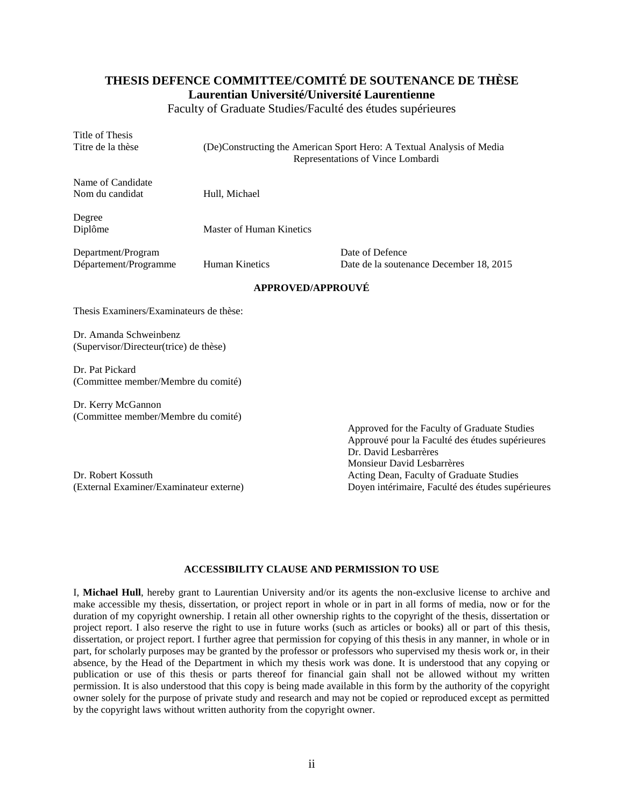### **THESIS DEFENCE COMMITTEE/COMITÉ DE SOUTENANCE DE THÈSE Laurentian Université/Université Laurentienne**

Faculty of Graduate Studies/Faculté des études supérieures

Title of Thesis

Titre de la thèse (De)Constructing the American Sport Hero: A Textual Analysis of Media Representations of Vince Lombardi

Name of Candidate Nom du candidat Hull, Michael

Degree

Diplôme Master of Human Kinetics

Department/Program Date of Defence

Département/Programme Human Kinetics Date de la soutenance December 18, 2015

#### **APPROVED/APPROUVÉ**

Thesis Examiners/Examinateurs de thèse:

Dr. Amanda Schweinbenz (Supervisor/Directeur(trice) de thèse)

Dr. Pat Pickard (Committee member/Membre du comité)

Dr. Kerry McGannon (Committee member/Membre du comité)

Dr. Robert Kossuth Acting Dean, Faculty of Graduate Studies

Approved for the Faculty of Graduate Studies Approuvé pour la Faculté des études supérieures Dr. David Lesbarrères Monsieur David Lesbarrères (External Examiner/Examinateur externe) Doyen intérimaire, Faculté des études supérieures

### **ACCESSIBILITY CLAUSE AND PERMISSION TO USE**

I, **Michael Hull**, hereby grant to Laurentian University and/or its agents the non-exclusive license to archive and make accessible my thesis, dissertation, or project report in whole or in part in all forms of media, now or for the duration of my copyright ownership. I retain all other ownership rights to the copyright of the thesis, dissertation or project report. I also reserve the right to use in future works (such as articles or books) all or part of this thesis, dissertation, or project report. I further agree that permission for copying of this thesis in any manner, in whole or in part, for scholarly purposes may be granted by the professor or professors who supervised my thesis work or, in their absence, by the Head of the Department in which my thesis work was done. It is understood that any copying or publication or use of this thesis or parts thereof for financial gain shall not be allowed without my written permission. It is also understood that this copy is being made available in this form by the authority of the copyright owner solely for the purpose of private study and research and may not be copied or reproduced except as permitted by the copyright laws without written authority from the copyright owner.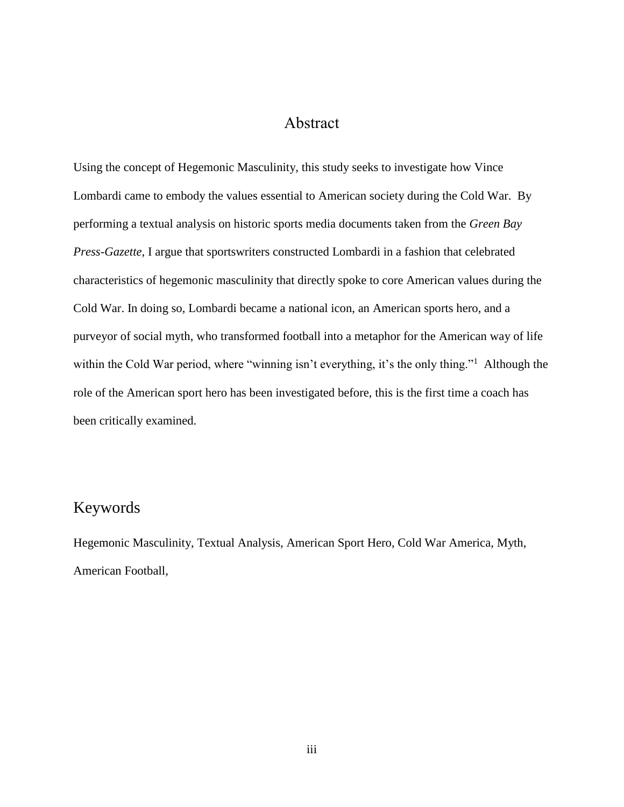### Abstract

Using the concept of Hegemonic Masculinity, this study seeks to investigate how Vince Lombardi came to embody the values essential to American society during the Cold War. By performing a textual analysis on historic sports media documents taken from the *Green Bay Press-Gazette*, I argue that sportswriters constructed Lombardi in a fashion that celebrated characteristics of hegemonic masculinity that directly spoke to core American values during the Cold War. In doing so, Lombardi became a national icon, an American sports hero, and a purveyor of social myth, who transformed football into a metaphor for the American way of life within the Cold War period, where "winning isn't everything, it's the only thing."<sup>1</sup> Although the role of the American sport hero has been investigated before, this is the first time a coach has been critically examined.

### Keywords

Hegemonic Masculinity, Textual Analysis, American Sport Hero, Cold War America, Myth, American Football,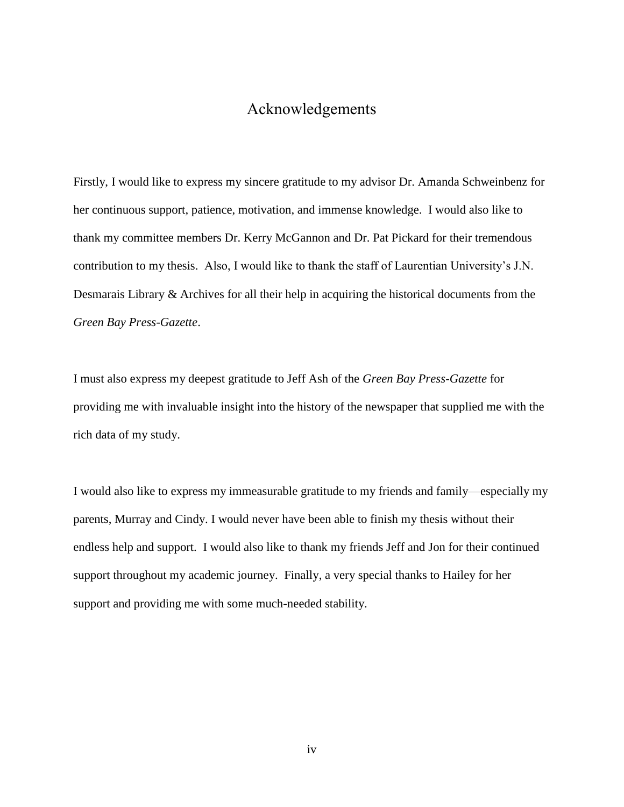## Acknowledgements

Firstly, I would like to express my sincere gratitude to my advisor Dr. Amanda Schweinbenz for her continuous support, patience, motivation, and immense knowledge. I would also like to thank my committee members Dr. Kerry McGannon and Dr. Pat Pickard for their tremendous contribution to my thesis. Also, I would like to thank the staff of Laurentian University's J.N. Desmarais Library & Archives for all their help in acquiring the historical documents from the *Green Bay Press-Gazette*.

I must also express my deepest gratitude to Jeff Ash of the *Green Bay Press-Gazette* for providing me with invaluable insight into the history of the newspaper that supplied me with the rich data of my study.

I would also like to express my immeasurable gratitude to my friends and family—especially my parents, Murray and Cindy. I would never have been able to finish my thesis without their endless help and support. I would also like to thank my friends Jeff and Jon for their continued support throughout my academic journey. Finally, a very special thanks to Hailey for her support and providing me with some much-needed stability.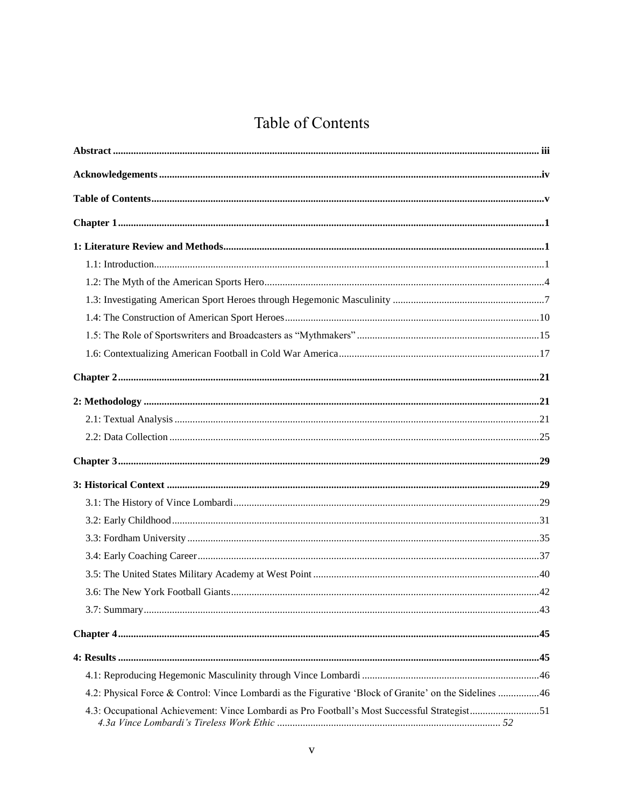# Table of Contents

| 4.2: Physical Force & Control: Vince Lombardi as the Figurative 'Block of Granite' on the Sidelines 46 |  |
|--------------------------------------------------------------------------------------------------------|--|
| 4.3: Occupational Achievement: Vince Lombardi as Pro Football's Most Successful Strategist51           |  |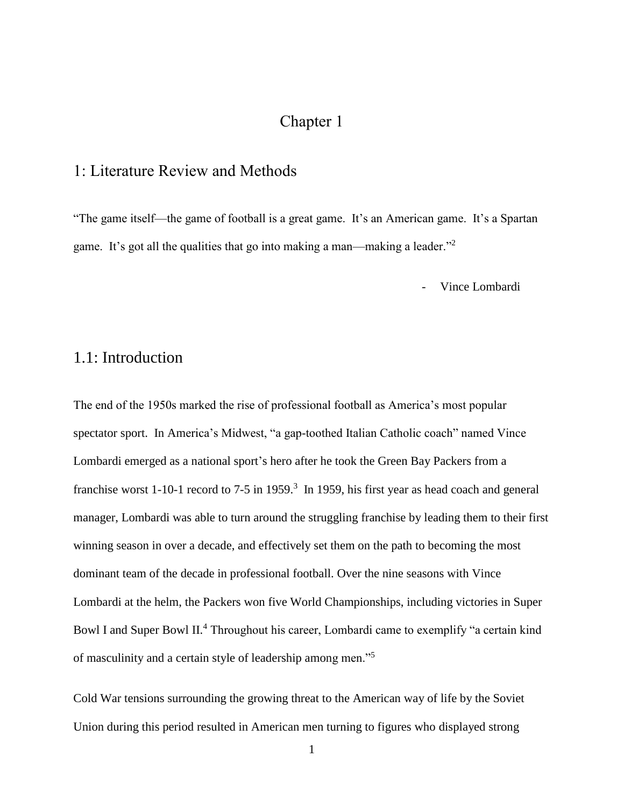## Chapter 1

## 1: Literature Review and Methods

"The game itself—the game of football is a great game. It's an American game. It's a Spartan game. It's got all the qualities that go into making a man—making a leader."<sup>2</sup>

Vince Lombardi

### 1.1: Introduction

The end of the 1950s marked the rise of professional football as America's most popular spectator sport. In America's Midwest, "a gap-toothed Italian Catholic coach" named Vince Lombardi emerged as a national sport's hero after he took the Green Bay Packers from a franchise worst 1-10-1 record to 7-5 in 1959.<sup>3</sup> In 1959, his first year as head coach and general manager, Lombardi was able to turn around the struggling franchise by leading them to their first winning season in over a decade, and effectively set them on the path to becoming the most dominant team of the decade in professional football. Over the nine seasons with Vince Lombardi at the helm, the Packers won five World Championships, including victories in Super Bowl I and Super Bowl II.<sup>4</sup> Throughout his career, Lombardi came to exemplify "a certain kind of masculinity and a certain style of leadership among men."<sup>5</sup>

Cold War tensions surrounding the growing threat to the American way of life by the Soviet Union during this period resulted in American men turning to figures who displayed strong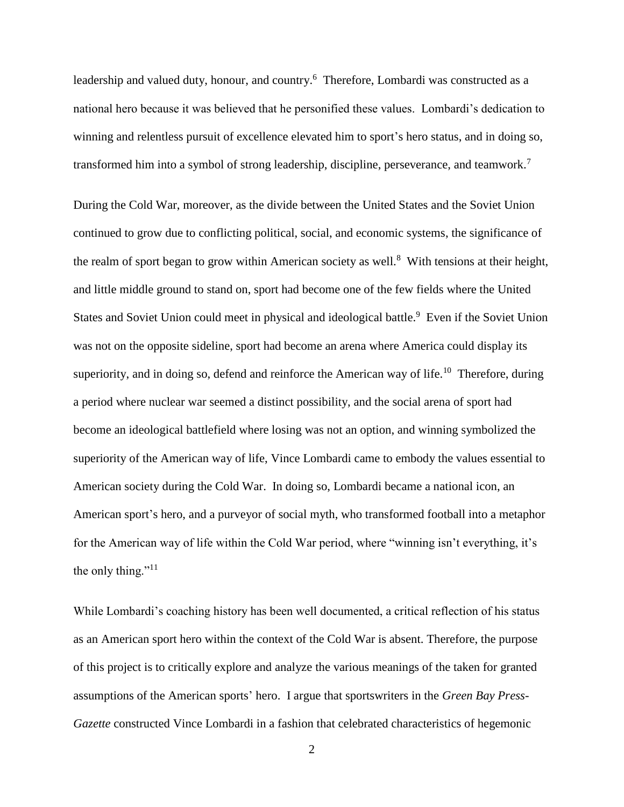leadership and valued duty, honour, and country.<sup>6</sup> Therefore, Lombardi was constructed as a national hero because it was believed that he personified these values. Lombardi's dedication to winning and relentless pursuit of excellence elevated him to sport's hero status, and in doing so, transformed him into a symbol of strong leadership, discipline, perseverance, and teamwork.<sup>7</sup>

During the Cold War, moreover, as the divide between the United States and the Soviet Union continued to grow due to conflicting political, social, and economic systems, the significance of the realm of sport began to grow within American society as well.<sup>8</sup> With tensions at their height, and little middle ground to stand on, sport had become one of the few fields where the United States and Soviet Union could meet in physical and ideological battle.<sup>9</sup> Even if the Soviet Union was not on the opposite sideline, sport had become an arena where America could display its superiority, and in doing so, defend and reinforce the American way of life.<sup>10</sup> Therefore, during a period where nuclear war seemed a distinct possibility, and the social arena of sport had become an ideological battlefield where losing was not an option, and winning symbolized the superiority of the American way of life, Vince Lombardi came to embody the values essential to American society during the Cold War. In doing so, Lombardi became a national icon, an American sport's hero, and a purveyor of social myth, who transformed football into a metaphor for the American way of life within the Cold War period, where "winning isn't everything, it's the only thing."<sup>11</sup>

While Lombardi's coaching history has been well documented, a critical reflection of his status as an American sport hero within the context of the Cold War is absent. Therefore, the purpose of this project is to critically explore and analyze the various meanings of the taken for granted assumptions of the American sports' hero. I argue that sportswriters in the *Green Bay Press-Gazette* constructed Vince Lombardi in a fashion that celebrated characteristics of hegemonic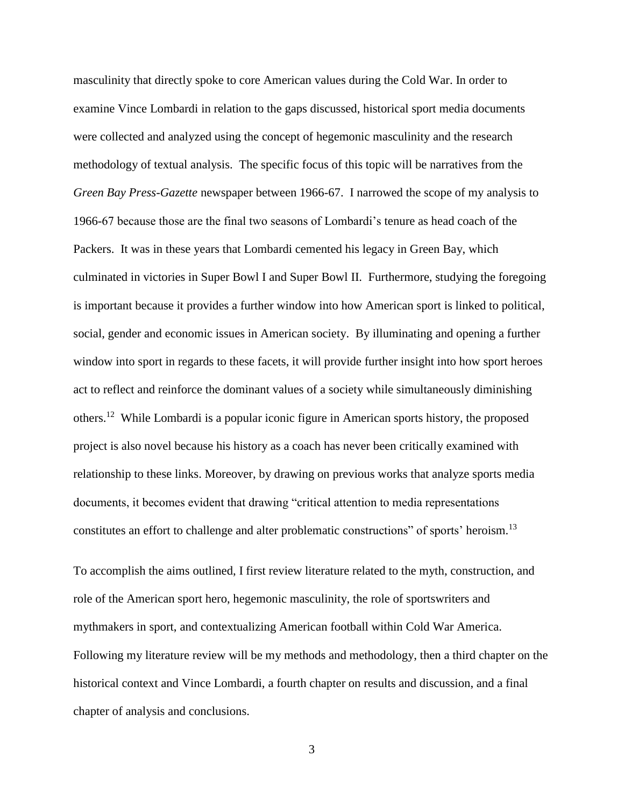masculinity that directly spoke to core American values during the Cold War. In order to examine Vince Lombardi in relation to the gaps discussed, historical sport media documents were collected and analyzed using the concept of hegemonic masculinity and the research methodology of textual analysis. The specific focus of this topic will be narratives from the *Green Bay Press-Gazette* newspaper between 1966-67. I narrowed the scope of my analysis to 1966-67 because those are the final two seasons of Lombardi's tenure as head coach of the Packers. It was in these years that Lombardi cemented his legacy in Green Bay, which culminated in victories in Super Bowl I and Super Bowl II. Furthermore, studying the foregoing is important because it provides a further window into how American sport is linked to political, social, gender and economic issues in American society. By illuminating and opening a further window into sport in regards to these facets, it will provide further insight into how sport heroes act to reflect and reinforce the dominant values of a society while simultaneously diminishing others.<sup>12</sup> While Lombardi is a popular iconic figure in American sports history, the proposed project is also novel because his history as a coach has never been critically examined with relationship to these links. Moreover, by drawing on previous works that analyze sports media documents, it becomes evident that drawing "critical attention to media representations constitutes an effort to challenge and alter problematic constructions" of sports' heroism.<sup>13</sup>

To accomplish the aims outlined, I first review literature related to the myth, construction, and role of the American sport hero, hegemonic masculinity, the role of sportswriters and mythmakers in sport, and contextualizing American football within Cold War America. Following my literature review will be my methods and methodology, then a third chapter on the historical context and Vince Lombardi, a fourth chapter on results and discussion, and a final chapter of analysis and conclusions.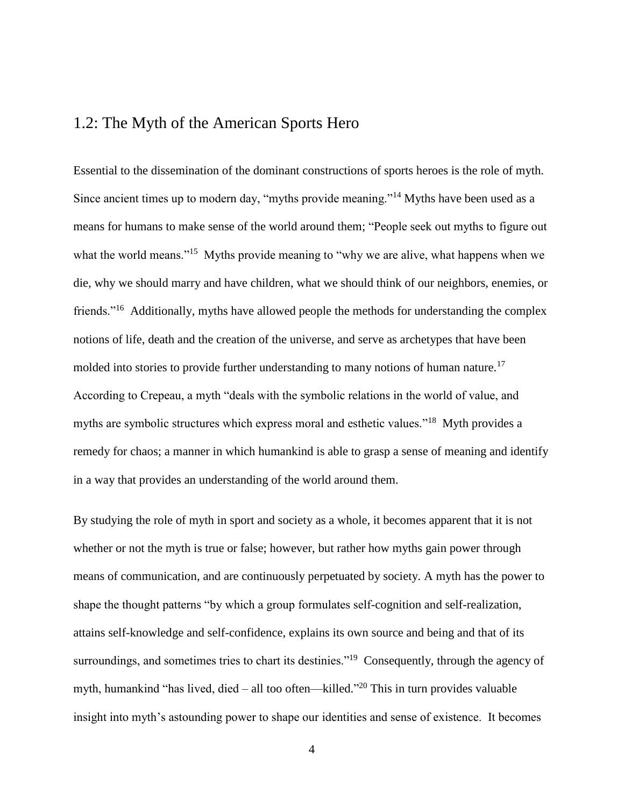### 1.2: The Myth of the American Sports Hero

Essential to the dissemination of the dominant constructions of sports heroes is the role of myth. Since ancient times up to modern day, "myths provide meaning."<sup>14</sup> Myths have been used as a means for humans to make sense of the world around them; "People seek out myths to figure out what the world means."<sup>15</sup> Myths provide meaning to "why we are alive, what happens when we die, why we should marry and have children, what we should think of our neighbors, enemies, or friends."<sup>16</sup> Additionally, myths have allowed people the methods for understanding the complex notions of life, death and the creation of the universe, and serve as archetypes that have been molded into stories to provide further understanding to many notions of human nature.<sup>17</sup> According to Crepeau, a myth "deals with the symbolic relations in the world of value, and myths are symbolic structures which express moral and esthetic values."<sup>18</sup> Myth provides a remedy for chaos; a manner in which humankind is able to grasp a sense of meaning and identify in a way that provides an understanding of the world around them.

By studying the role of myth in sport and society as a whole, it becomes apparent that it is not whether or not the myth is true or false; however, but rather how myths gain power through means of communication, and are continuously perpetuated by society. A myth has the power to shape the thought patterns "by which a group formulates self-cognition and self-realization, attains self-knowledge and self-confidence, explains its own source and being and that of its surroundings, and sometimes tries to chart its destinies."<sup>19</sup> Consequently, through the agency of myth, humankind "has lived, died – all too often—killed."<sup>20</sup> This in turn provides valuable insight into myth's astounding power to shape our identities and sense of existence. It becomes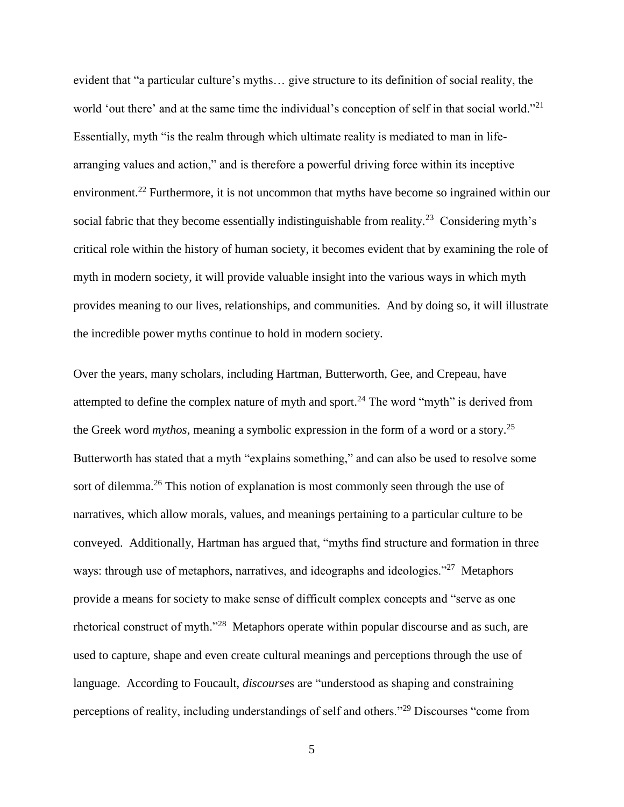evident that "a particular culture's myths… give structure to its definition of social reality, the world 'out there' and at the same time the individual's conception of self in that social world."<sup>21</sup> Essentially, myth "is the realm through which ultimate reality is mediated to man in lifearranging values and action," and is therefore a powerful driving force within its inceptive environment.<sup>22</sup> Furthermore, it is not uncommon that myths have become so ingrained within our social fabric that they become essentially indistinguishable from reality.<sup>23</sup> Considering myth's critical role within the history of human society, it becomes evident that by examining the role of myth in modern society, it will provide valuable insight into the various ways in which myth provides meaning to our lives, relationships, and communities. And by doing so, it will illustrate the incredible power myths continue to hold in modern society.

Over the years, many scholars, including Hartman, Butterworth, Gee, and Crepeau, have attempted to define the complex nature of myth and sport.<sup>24</sup> The word "myth" is derived from the Greek word *mythos*, meaning a symbolic expression in the form of a word or a story.<sup>25</sup> Butterworth has stated that a myth "explains something," and can also be used to resolve some sort of dilemma.<sup>26</sup> This notion of explanation is most commonly seen through the use of narratives, which allow morals, values, and meanings pertaining to a particular culture to be conveyed. Additionally, Hartman has argued that, "myths find structure and formation in three ways: through use of metaphors, narratives, and ideographs and ideologies."<sup>27</sup> Metaphors provide a means for society to make sense of difficult complex concepts and "serve as one rhetorical construct of myth."<sup>28</sup> Metaphors operate within popular discourse and as such, are used to capture, shape and even create cultural meanings and perceptions through the use of language. According to Foucault, *discourse*s are "understood as shaping and constraining perceptions of reality, including understandings of self and others."<sup>29</sup> Discourses "come from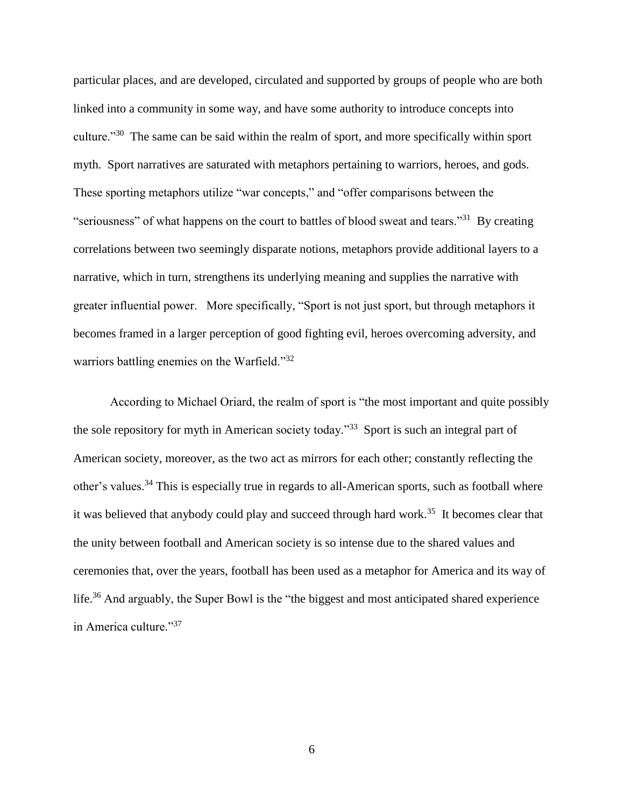particular places, and are developed, circulated and supported by groups of people who are both linked into a community in some way, and have some authority to introduce concepts into culture."<sup>30</sup> The same can be said within the realm of sport, and more specifically within sport myth. Sport narratives are saturated with metaphors pertaining to warriors, heroes, and gods. These sporting metaphors utilize "war concepts," and "offer comparisons between the "seriousness" of what happens on the court to battles of blood sweat and tears."<sup>31</sup> By creating correlations between two seemingly disparate notions, metaphors provide additional layers to a narrative, which in turn, strengthens its underlying meaning and supplies the narrative with greater influential power. More specifically, "Sport is not just sport, but through metaphors it becomes framed in a larger perception of good fighting evil, heroes overcoming adversity, and warriors battling enemies on the Warfield."<sup>32</sup>

According to Michael Oriard, the realm of sport is "the most important and quite possibly the sole repository for myth in American society today."<sup>33</sup> Sport is such an integral part of American society, moreover, as the two act as mirrors for each other; constantly reflecting the other's values.<sup>34</sup> This is especially true in regards to all-American sports, such as football where it was believed that anybody could play and succeed through hard work.<sup>35</sup> It becomes clear that the unity between football and American society is so intense due to the shared values and ceremonies that, over the years, football has been used as a metaphor for America and its way of life.<sup>36</sup> And arguably, the Super Bowl is the "the biggest and most anticipated shared experience in America culture."<sup>37</sup>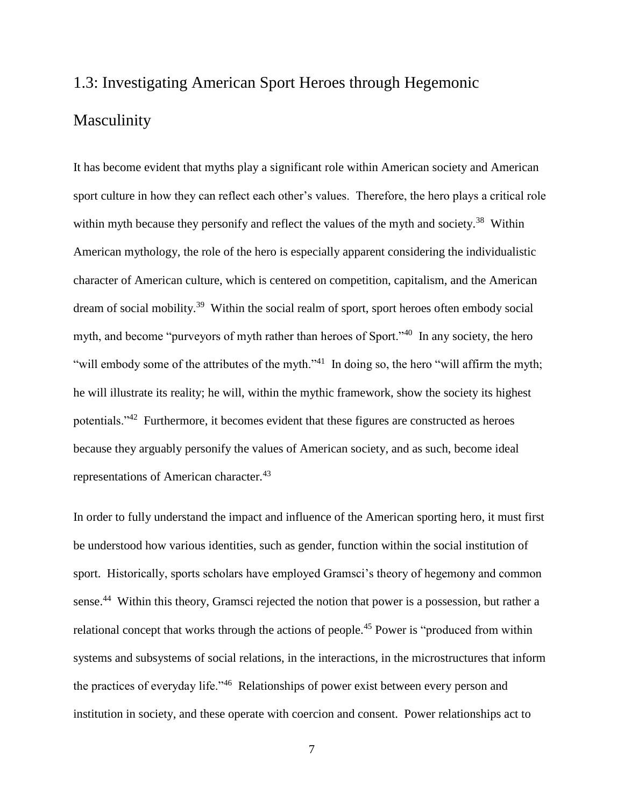# 1.3: Investigating American Sport Heroes through Hegemonic Masculinity

It has become evident that myths play a significant role within American society and American sport culture in how they can reflect each other's values. Therefore, the hero plays a critical role within myth because they personify and reflect the values of the myth and society.<sup>38</sup> Within American mythology, the role of the hero is especially apparent considering the individualistic character of American culture, which is centered on competition, capitalism, and the American dream of social mobility.<sup>39</sup> Within the social realm of sport, sport heroes often embody social myth, and become "purveyors of myth rather than heroes of Sport."<sup>40</sup> In any society, the hero "will embody some of the attributes of the myth."<sup>41</sup> In doing so, the hero "will affirm the myth; he will illustrate its reality; he will, within the mythic framework, show the society its highest potentials."<sup>42</sup> Furthermore, it becomes evident that these figures are constructed as heroes because they arguably personify the values of American society, and as such, become ideal representations of American character.<sup>43</sup>

In order to fully understand the impact and influence of the American sporting hero, it must first be understood how various identities, such as gender, function within the social institution of sport. Historically, sports scholars have employed Gramsci's theory of hegemony and common sense.<sup>44</sup> Within this theory, Gramsci rejected the notion that power is a possession, but rather a relational concept that works through the actions of people.<sup>45</sup> Power is "produced from within systems and subsystems of social relations, in the interactions, in the microstructures that inform the practices of everyday life."<sup>46</sup> Relationships of power exist between every person and institution in society, and these operate with coercion and consent. Power relationships act to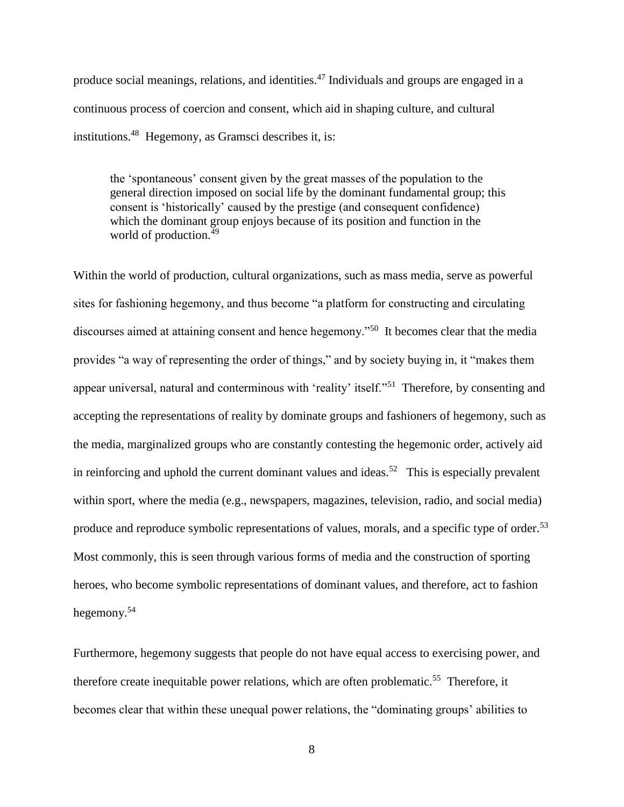produce social meanings, relations, and identities.<sup>47</sup> Individuals and groups are engaged in a continuous process of coercion and consent, which aid in shaping culture, and cultural institutions.<sup>48</sup> Hegemony, as Gramsci describes it, is:

the 'spontaneous' consent given by the great masses of the population to the general direction imposed on social life by the dominant fundamental group; this consent is 'historically' caused by the prestige (and consequent confidence) which the dominant group enjoys because of its position and function in the world of production.<sup>49</sup>

Within the world of production, cultural organizations, such as mass media, serve as powerful sites for fashioning hegemony, and thus become "a platform for constructing and circulating discourses aimed at attaining consent and hence hegemony."<sup>50</sup> It becomes clear that the media provides "a way of representing the order of things," and by society buying in, it "makes them appear universal, natural and conterminous with 'reality' itself."<sup>51</sup> Therefore, by consenting and accepting the representations of reality by dominate groups and fashioners of hegemony, such as the media, marginalized groups who are constantly contesting the hegemonic order, actively aid in reinforcing and uphold the current dominant values and ideas.<sup>52</sup> This is especially prevalent within sport, where the media (e.g., newspapers, magazines, television, radio, and social media) produce and reproduce symbolic representations of values, morals, and a specific type of order.<sup>53</sup> Most commonly, this is seen through various forms of media and the construction of sporting heroes, who become symbolic representations of dominant values, and therefore, act to fashion hegemony.<sup>54</sup>

Furthermore, hegemony suggests that people do not have equal access to exercising power, and therefore create inequitable power relations, which are often problematic.<sup>55</sup> Therefore, it becomes clear that within these unequal power relations, the "dominating groups' abilities to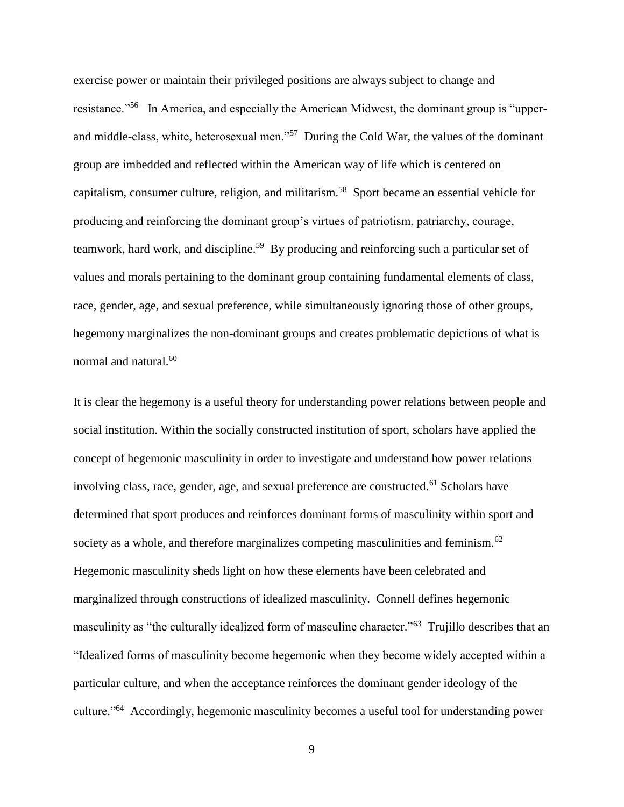exercise power or maintain their privileged positions are always subject to change and resistance."<sup>56</sup> In America, and especially the American Midwest, the dominant group is "upperand middle-class, white, heterosexual men."<sup>57</sup> During the Cold War, the values of the dominant group are imbedded and reflected within the American way of life which is centered on capitalism, consumer culture, religion, and militarism.<sup>58</sup> Sport became an essential vehicle for producing and reinforcing the dominant group's virtues of patriotism, patriarchy, courage, teamwork, hard work, and discipline.<sup>59</sup> By producing and reinforcing such a particular set of values and morals pertaining to the dominant group containing fundamental elements of class, race, gender, age, and sexual preference, while simultaneously ignoring those of other groups, hegemony marginalizes the non-dominant groups and creates problematic depictions of what is normal and natural.<sup>60</sup>

It is clear the hegemony is a useful theory for understanding power relations between people and social institution. Within the socially constructed institution of sport, scholars have applied the concept of hegemonic masculinity in order to investigate and understand how power relations involving class, race, gender, age, and sexual preference are constructed.<sup>61</sup> Scholars have determined that sport produces and reinforces dominant forms of masculinity within sport and society as a whole, and therefore marginalizes competing masculinities and feminism. $^{62}$ Hegemonic masculinity sheds light on how these elements have been celebrated and marginalized through constructions of idealized masculinity. Connell defines hegemonic masculinity as "the culturally idealized form of masculine character."<sup>63</sup> Trujillo describes that an "Idealized forms of masculinity become hegemonic when they become widely accepted within a particular culture, and when the acceptance reinforces the dominant gender ideology of the culture."<sup>64</sup> Accordingly, hegemonic masculinity becomes a useful tool for understanding power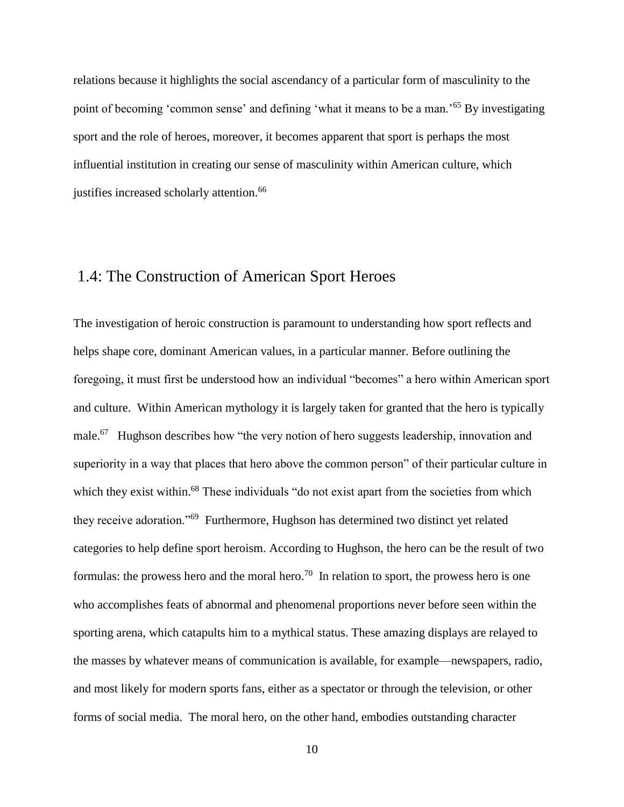relations because it highlights the social ascendancy of a particular form of masculinity to the point of becoming 'common sense' and defining 'what it means to be a man.'<sup>65</sup> By investigating sport and the role of heroes, moreover, it becomes apparent that sport is perhaps the most influential institution in creating our sense of masculinity within American culture, which justifies increased scholarly attention.<sup>66</sup>

## 1.4: The Construction of American Sport Heroes

The investigation of heroic construction is paramount to understanding how sport reflects and helps shape core, dominant American values, in a particular manner. Before outlining the foregoing, it must first be understood how an individual "becomes" a hero within American sport and culture. Within American mythology it is largely taken for granted that the hero is typically male.<sup>67</sup> Hughson describes how "the very notion of hero suggests leadership, innovation and superiority in a way that places that hero above the common person" of their particular culture in which they exist within.<sup>68</sup> These individuals "do not exist apart from the societies from which they receive adoration."<sup>69</sup> Furthermore, Hughson has determined two distinct yet related categories to help define sport heroism. According to Hughson, the hero can be the result of two formulas: the prowess hero and the moral hero.<sup>70</sup> In relation to sport, the prowess hero is one who accomplishes feats of abnormal and phenomenal proportions never before seen within the sporting arena, which catapults him to a mythical status. These amazing displays are relayed to the masses by whatever means of communication is available, for example—newspapers, radio, and most likely for modern sports fans, either as a spectator or through the television, or other forms of social media. The moral hero, on the other hand, embodies outstanding character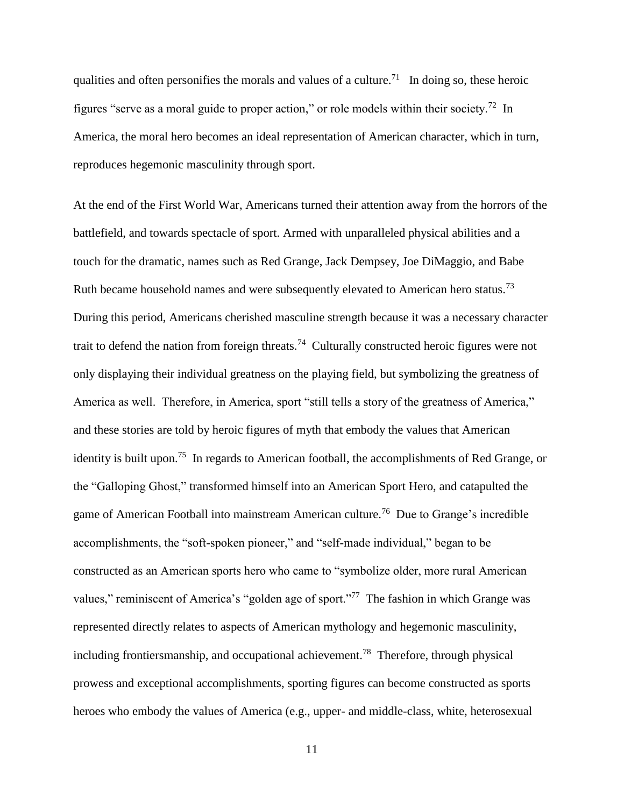qualities and often personifies the morals and values of a culture.<sup>71</sup> In doing so, these heroic figures "serve as a moral guide to proper action," or role models within their society.<sup>72</sup> In America, the moral hero becomes an ideal representation of American character, which in turn, reproduces hegemonic masculinity through sport.

At the end of the First World War, Americans turned their attention away from the horrors of the battlefield, and towards spectacle of sport. Armed with unparalleled physical abilities and a touch for the dramatic, names such as Red Grange, Jack Dempsey, Joe DiMaggio, and Babe Ruth became household names and were subsequently elevated to American hero status.<sup>73</sup> During this period, Americans cherished masculine strength because it was a necessary character trait to defend the nation from foreign threats.<sup>74</sup> Culturally constructed heroic figures were not only displaying their individual greatness on the playing field, but symbolizing the greatness of America as well. Therefore, in America, sport "still tells a story of the greatness of America," and these stories are told by heroic figures of myth that embody the values that American identity is built upon.<sup>75</sup> In regards to American football, the accomplishments of Red Grange, or the "Galloping Ghost," transformed himself into an American Sport Hero, and catapulted the game of American Football into mainstream American culture.<sup>76</sup> Due to Grange's incredible accomplishments, the "soft-spoken pioneer," and "self-made individual," began to be constructed as an American sports hero who came to "symbolize older, more rural American values," reminiscent of America's "golden age of sport."<sup>77</sup> The fashion in which Grange was represented directly relates to aspects of American mythology and hegemonic masculinity, including frontiersmanship, and occupational achievement.<sup>78</sup> Therefore, through physical prowess and exceptional accomplishments, sporting figures can become constructed as sports heroes who embody the values of America (e.g., upper- and middle-class, white, heterosexual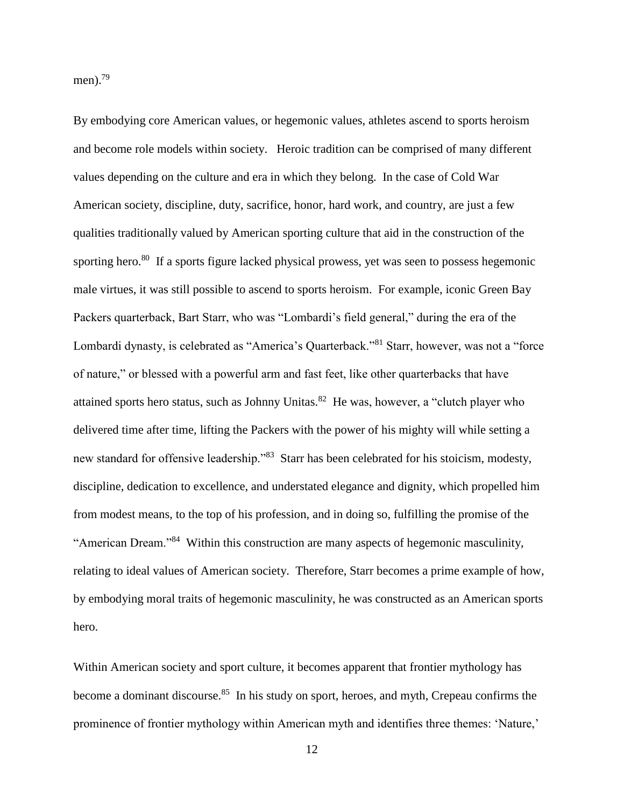men).<sup>79</sup>

By embodying core American values, or hegemonic values, athletes ascend to sports heroism and become role models within society. Heroic tradition can be comprised of many different values depending on the culture and era in which they belong. In the case of Cold War American society, discipline, duty, sacrifice, honor, hard work, and country, are just a few qualities traditionally valued by American sporting culture that aid in the construction of the sporting hero.<sup>80</sup> If a sports figure lacked physical prowess, yet was seen to possess hegemonic male virtues, it was still possible to ascend to sports heroism. For example, iconic Green Bay Packers quarterback, Bart Starr, who was "Lombardi's field general," during the era of the Lombardi dynasty, is celebrated as "America's Quarterback."<sup>81</sup> Starr, however, was not a "force of nature," or blessed with a powerful arm and fast feet, like other quarterbacks that have attained sports hero status, such as Johnny Unitas.<sup>82</sup> He was, however, a "clutch player who delivered time after time, lifting the Packers with the power of his mighty will while setting a new standard for offensive leadership."<sup>83</sup> Starr has been celebrated for his stoicism, modesty, discipline, dedication to excellence, and understated elegance and dignity, which propelled him from modest means, to the top of his profession, and in doing so, fulfilling the promise of the "American Dream."<sup>84</sup> Within this construction are many aspects of hegemonic masculinity, relating to ideal values of American society. Therefore, Starr becomes a prime example of how, by embodying moral traits of hegemonic masculinity, he was constructed as an American sports hero.

Within American society and sport culture, it becomes apparent that frontier mythology has become a dominant discourse.<sup>85</sup> In his study on sport, heroes, and myth, Crepeau confirms the prominence of frontier mythology within American myth and identifies three themes: 'Nature,'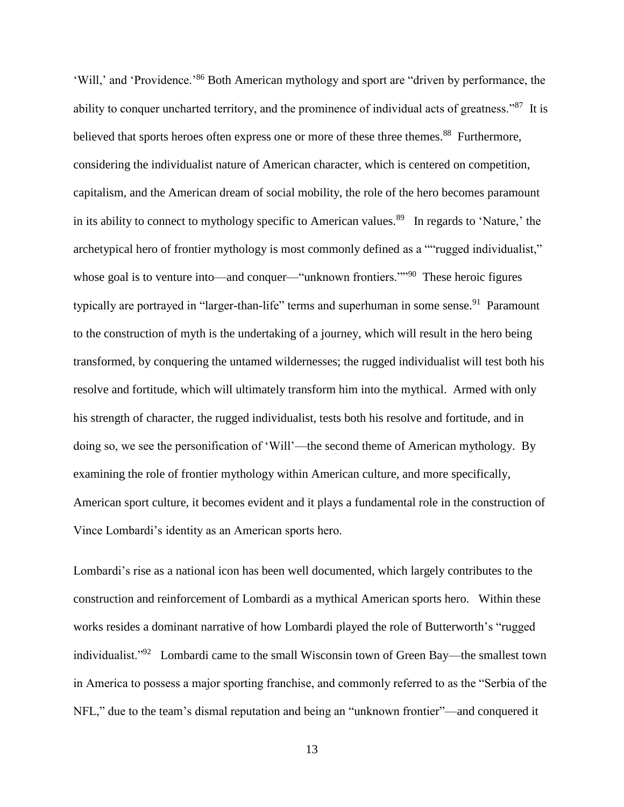'Will,' and 'Providence.'<sup>86</sup> Both American mythology and sport are "driven by performance, the ability to conquer uncharted territory, and the prominence of individual acts of greatness."<sup>87</sup> It is believed that sports heroes often express one or more of these three themes.<sup>88</sup> Furthermore, considering the individualist nature of American character, which is centered on competition, capitalism, and the American dream of social mobility, the role of the hero becomes paramount in its ability to connect to mythology specific to American values.<sup>89</sup> In regards to 'Nature,' the archetypical hero of frontier mythology is most commonly defined as a ""rugged individualist," whose goal is to venture into—and conquer—"unknown frontiers."<sup>90</sup> These heroic figures typically are portrayed in "larger-than-life" terms and superhuman in some sense.<sup>91</sup> Paramount to the construction of myth is the undertaking of a journey, which will result in the hero being transformed, by conquering the untamed wildernesses; the rugged individualist will test both his resolve and fortitude, which will ultimately transform him into the mythical. Armed with only his strength of character, the rugged individualist, tests both his resolve and fortitude, and in doing so, we see the personification of 'Will'—the second theme of American mythology. By examining the role of frontier mythology within American culture, and more specifically, American sport culture, it becomes evident and it plays a fundamental role in the construction of Vince Lombardi's identity as an American sports hero.

Lombardi's rise as a national icon has been well documented, which largely contributes to the construction and reinforcement of Lombardi as a mythical American sports hero. Within these works resides a dominant narrative of how Lombardi played the role of Butterworth's "rugged individualist."<sup>92</sup> Lombardi came to the small Wisconsin town of Green Bay—the smallest town in America to possess a major sporting franchise, and commonly referred to as the "Serbia of the NFL," due to the team's dismal reputation and being an "unknown frontier"—and conquered it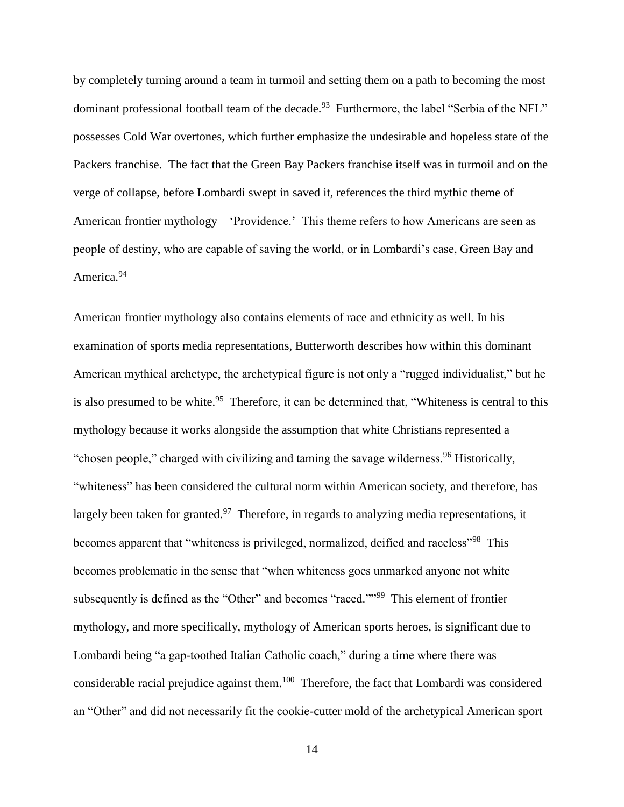by completely turning around a team in turmoil and setting them on a path to becoming the most dominant professional football team of the decade.<sup>93</sup> Furthermore, the label "Serbia of the NFL" possesses Cold War overtones, which further emphasize the undesirable and hopeless state of the Packers franchise. The fact that the Green Bay Packers franchise itself was in turmoil and on the verge of collapse, before Lombardi swept in saved it, references the third mythic theme of American frontier mythology—'Providence.' This theme refers to how Americans are seen as people of destiny, who are capable of saving the world, or in Lombardi's case, Green Bay and America.<sup>94</sup>

American frontier mythology also contains elements of race and ethnicity as well. In his examination of sports media representations, Butterworth describes how within this dominant American mythical archetype, the archetypical figure is not only a "rugged individualist," but he is also presumed to be white.<sup>95</sup> Therefore, it can be determined that, "Whiteness is central to this mythology because it works alongside the assumption that white Christians represented a "chosen people," charged with civilizing and taming the savage wilderness.<sup>96</sup> Historically, "whiteness" has been considered the cultural norm within American society, and therefore, has largely been taken for granted.<sup>97</sup> Therefore, in regards to analyzing media representations, it becomes apparent that "whiteness is privileged, normalized, deified and raceless"<sup>98</sup> This becomes problematic in the sense that "when whiteness goes unmarked anyone not white subsequently is defined as the "Other" and becomes "raced."<sup>99</sup> This element of frontier mythology, and more specifically, mythology of American sports heroes, is significant due to Lombardi being "a gap-toothed Italian Catholic coach," during a time where there was considerable racial prejudice against them.<sup>100</sup> Therefore, the fact that Lombardi was considered an "Other" and did not necessarily fit the cookie-cutter mold of the archetypical American sport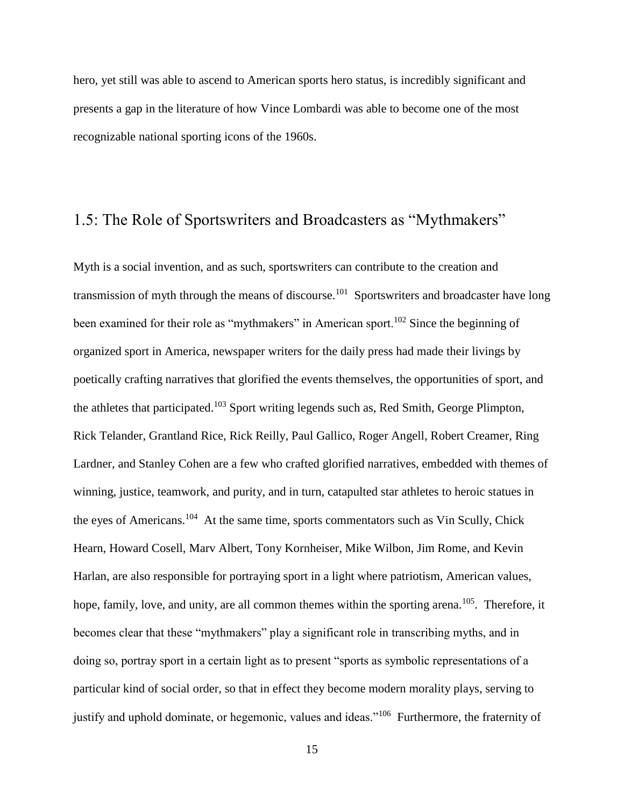hero, yet still was able to ascend to American sports hero status, is incredibly significant and presents a gap in the literature of how Vince Lombardi was able to become one of the most recognizable national sporting icons of the 1960s.

# 1.5: The Role of Sportswriters and Broadcasters as "Mythmakers"

Myth is a social invention, and as such, sportswriters can contribute to the creation and transmission of myth through the means of discourse.<sup>101</sup> Sportswriters and broadcaster have long been examined for their role as "mythmakers" in American sport.<sup>102</sup> Since the beginning of organized sport in America, newspaper writers for the daily press had made their livings by poetically crafting narratives that glorified the events themselves, the opportunities of sport, and the athletes that participated.<sup>103</sup> Sport writing legends such as, Red Smith, George Plimpton, Rick Telander, Grantland Rice, Rick Reilly, Paul Gallico, Roger Angell, Robert Creamer, Ring Lardner, and Stanley Cohen are a few who crafted glorified narratives, embedded with themes of winning, justice, teamwork, and purity, and in turn, catapulted star athletes to heroic statues in the eyes of Americans.<sup>104</sup> At the same time, sports commentators such as Vin Scully, Chick Hearn, Howard Cosell, Marv Albert, Tony Kornheiser, Mike Wilbon, Jim Rome, and Kevin Harlan, are also responsible for portraying sport in a light where patriotism, American values, hope, family, love, and unity, are all common themes within the sporting arena.<sup>105</sup>. Therefore, it becomes clear that these "mythmakers" play a significant role in transcribing myths, and in doing so, portray sport in a certain light as to present "sports as symbolic representations of a particular kind of social order, so that in effect they become modern morality plays, serving to justify and uphold dominate, or hegemonic, values and ideas."<sup>106</sup> Furthermore, the fraternity of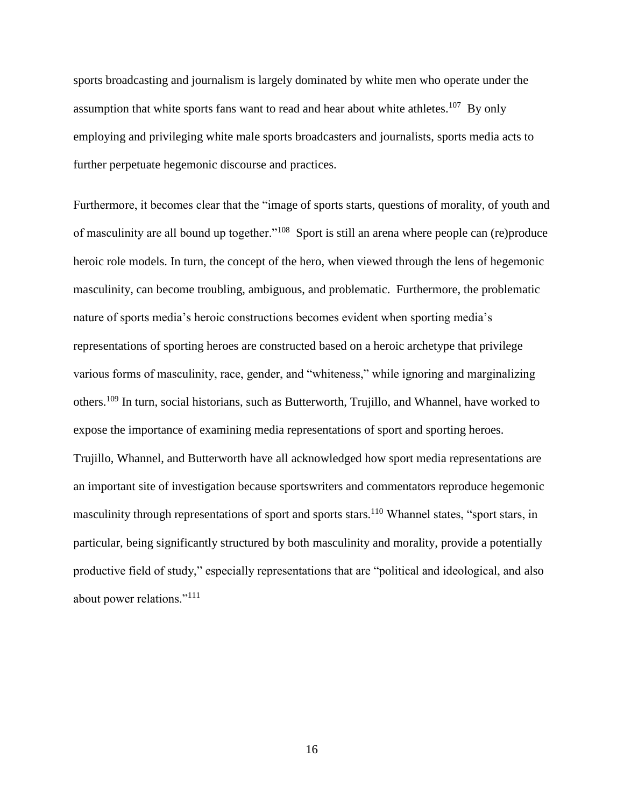sports broadcasting and journalism is largely dominated by white men who operate under the assumption that white sports fans want to read and hear about white athletes.<sup>107</sup> By only employing and privileging white male sports broadcasters and journalists, sports media acts to further perpetuate hegemonic discourse and practices.

Furthermore, it becomes clear that the "image of sports starts, questions of morality, of youth and of masculinity are all bound up together."<sup>108</sup> Sport is still an arena where people can (re)produce heroic role models. In turn, the concept of the hero, when viewed through the lens of hegemonic masculinity, can become troubling, ambiguous, and problematic. Furthermore, the problematic nature of sports media's heroic constructions becomes evident when sporting media's representations of sporting heroes are constructed based on a heroic archetype that privilege various forms of masculinity, race, gender, and "whiteness," while ignoring and marginalizing others.<sup>109</sup> In turn, social historians, such as Butterworth, Trujillo, and Whannel, have worked to expose the importance of examining media representations of sport and sporting heroes. Trujillo, Whannel, and Butterworth have all acknowledged how sport media representations are an important site of investigation because sportswriters and commentators reproduce hegemonic masculinity through representations of sport and sports stars.<sup>110</sup> Whannel states, "sport stars, in particular, being significantly structured by both masculinity and morality, provide a potentially productive field of study," especially representations that are "political and ideological, and also about power relations."<sup>111</sup>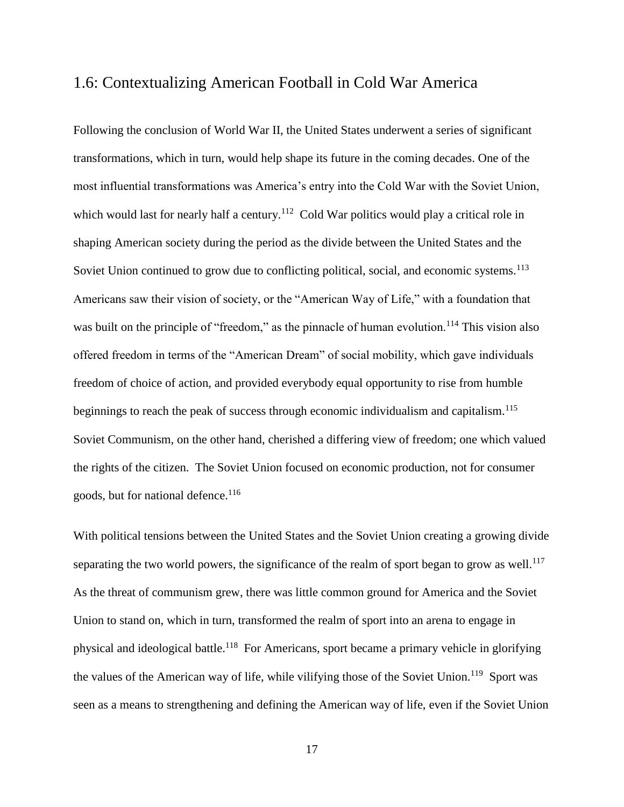## 1.6: Contextualizing American Football in Cold War America

Following the conclusion of World War II, the United States underwent a series of significant transformations, which in turn, would help shape its future in the coming decades. One of the most influential transformations was America's entry into the Cold War with the Soviet Union, which would last for nearly half a century.<sup>112</sup> Cold War politics would play a critical role in shaping American society during the period as the divide between the United States and the Soviet Union continued to grow due to conflicting political, social, and economic systems.<sup>113</sup> Americans saw their vision of society, or the "American Way of Life," with a foundation that was built on the principle of "freedom," as the pinnacle of human evolution.<sup>114</sup> This vision also offered freedom in terms of the "American Dream" of social mobility, which gave individuals freedom of choice of action, and provided everybody equal opportunity to rise from humble beginnings to reach the peak of success through economic individualism and capitalism.<sup>115</sup> Soviet Communism, on the other hand, cherished a differing view of freedom; one which valued the rights of the citizen. The Soviet Union focused on economic production, not for consumer goods, but for national defence.<sup>116</sup>

With political tensions between the United States and the Soviet Union creating a growing divide separating the two world powers, the significance of the realm of sport began to grow as well.<sup>117</sup> As the threat of communism grew, there was little common ground for America and the Soviet Union to stand on, which in turn, transformed the realm of sport into an arena to engage in physical and ideological battle.<sup>118</sup> For Americans, sport became a primary vehicle in glorifying the values of the American way of life, while vilifying those of the Soviet Union.<sup>119</sup> Sport was seen as a means to strengthening and defining the American way of life, even if the Soviet Union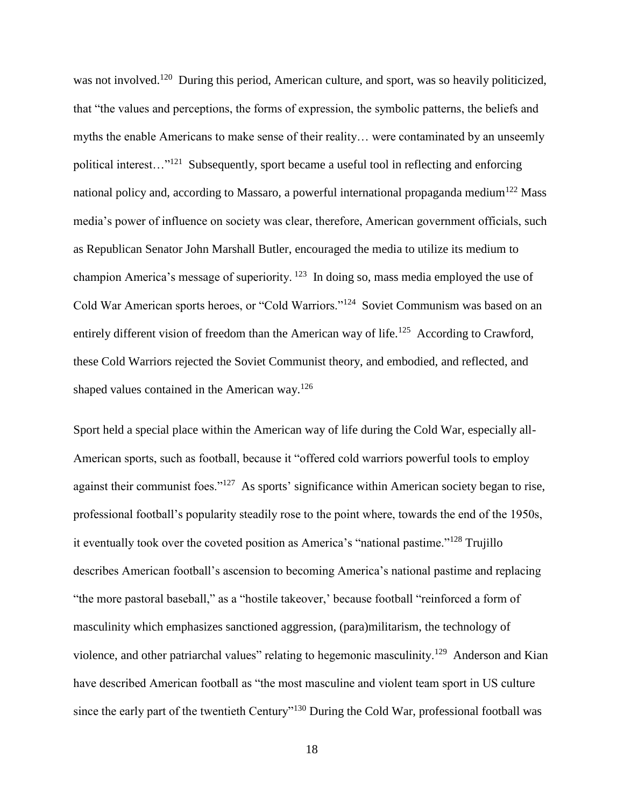was not involved.<sup>120</sup> During this period, American culture, and sport, was so heavily politicized, that "the values and perceptions, the forms of expression, the symbolic patterns, the beliefs and myths the enable Americans to make sense of their reality… were contaminated by an unseemly political interest..."<sup>121</sup> Subsequently, sport became a useful tool in reflecting and enforcing national policy and, according to Massaro, a powerful international propaganda medium<sup>122</sup> Mass media's power of influence on society was clear, therefore, American government officials, such as Republican Senator John Marshall Butler, encouraged the media to utilize its medium to champion America's message of superiority.<sup>123</sup> In doing so, mass media employed the use of Cold War American sports heroes, or "Cold Warriors."<sup>124</sup> Soviet Communism was based on an entirely different vision of freedom than the American way of life.<sup>125</sup> According to Crawford, these Cold Warriors rejected the Soviet Communist theory, and embodied, and reflected, and shaped values contained in the American way.<sup>126</sup>

Sport held a special place within the American way of life during the Cold War, especially all-American sports, such as football, because it "offered cold warriors powerful tools to employ against their communist foes."<sup>127</sup> As sports' significance within American society began to rise, professional football's popularity steadily rose to the point where, towards the end of the 1950s, it eventually took over the coveted position as America's "national pastime."<sup>128</sup> Trujillo describes American football's ascension to becoming America's national pastime and replacing "the more pastoral baseball," as a "hostile takeover,' because football "reinforced a form of masculinity which emphasizes sanctioned aggression, (para)militarism, the technology of violence, and other patriarchal values" relating to hegemonic masculinity.<sup>129</sup> Anderson and Kian have described American football as "the most masculine and violent team sport in US culture since the early part of the twentieth Century"<sup>130</sup> During the Cold War, professional football was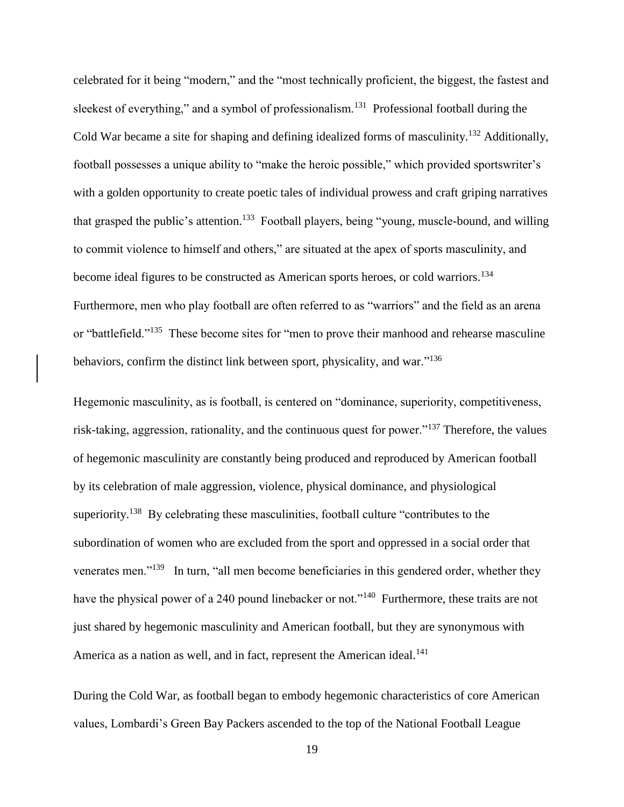celebrated for it being "modern," and the "most technically proficient, the biggest, the fastest and sleekest of everything," and a symbol of professionalism.<sup>131</sup> Professional football during the Cold War became a site for shaping and defining idealized forms of masculinity.<sup>132</sup> Additionally, football possesses a unique ability to "make the heroic possible," which provided sportswriter's with a golden opportunity to create poetic tales of individual prowess and craft griping narratives that grasped the public's attention.<sup>133</sup> Football players, being "young, muscle-bound, and willing to commit violence to himself and others," are situated at the apex of sports masculinity, and become ideal figures to be constructed as American sports heroes, or cold warriors.<sup>134</sup> Furthermore, men who play football are often referred to as "warriors" and the field as an arena or "battlefield."<sup>135</sup> These become sites for "men to prove their manhood and rehearse masculine behaviors, confirm the distinct link between sport, physicality, and war."<sup>136</sup>

Hegemonic masculinity, as is football, is centered on "dominance, superiority, competitiveness, risk-taking, aggression, rationality, and the continuous quest for power."<sup>137</sup> Therefore, the values of hegemonic masculinity are constantly being produced and reproduced by American football by its celebration of male aggression, violence, physical dominance, and physiological superiority.<sup>138</sup> By celebrating these masculinities, football culture "contributes to the subordination of women who are excluded from the sport and oppressed in a social order that venerates men."<sup>139</sup> In turn, "all men become beneficiaries in this gendered order, whether they have the physical power of a 240 pound linebacker or not."<sup>140</sup> Furthermore, these traits are not just shared by hegemonic masculinity and American football, but they are synonymous with America as a nation as well, and in fact, represent the American ideal.<sup>141</sup>

During the Cold War, as football began to embody hegemonic characteristics of core American values, Lombardi's Green Bay Packers ascended to the top of the National Football League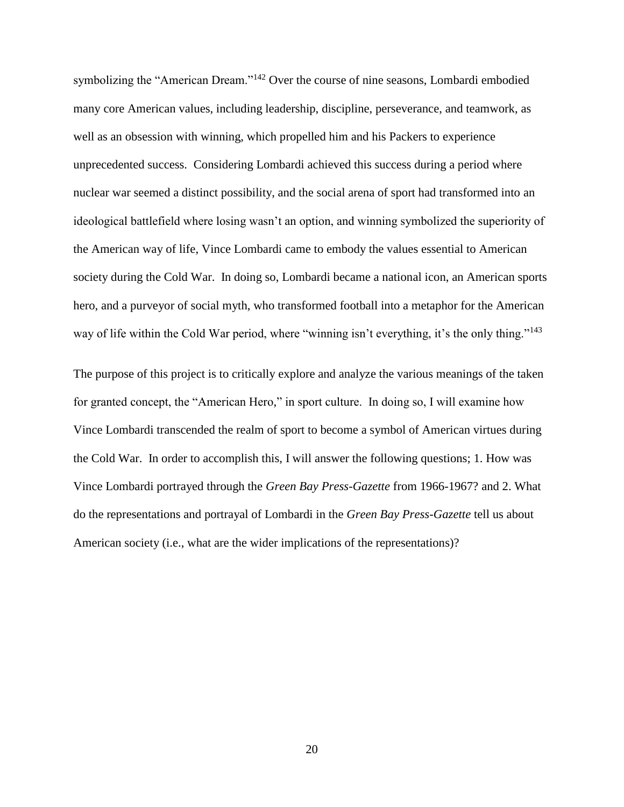symbolizing the "American Dream."<sup>142</sup> Over the course of nine seasons, Lombardi embodied many core American values, including leadership, discipline, perseverance, and teamwork, as well as an obsession with winning, which propelled him and his Packers to experience unprecedented success. Considering Lombardi achieved this success during a period where nuclear war seemed a distinct possibility, and the social arena of sport had transformed into an ideological battlefield where losing wasn't an option, and winning symbolized the superiority of the American way of life, Vince Lombardi came to embody the values essential to American society during the Cold War. In doing so, Lombardi became a national icon, an American sports hero, and a purveyor of social myth, who transformed football into a metaphor for the American way of life within the Cold War period, where "winning isn't everything, it's the only thing."<sup>143</sup>

The purpose of this project is to critically explore and analyze the various meanings of the taken for granted concept, the "American Hero," in sport culture. In doing so, I will examine how Vince Lombardi transcended the realm of sport to become a symbol of American virtues during the Cold War. In order to accomplish this, I will answer the following questions; 1. How was Vince Lombardi portrayed through the *Green Bay Press-Gazette* from 1966-1967? and 2. What do the representations and portrayal of Lombardi in the *Green Bay Press-Gazette* tell us about American society (i.e., what are the wider implications of the representations)?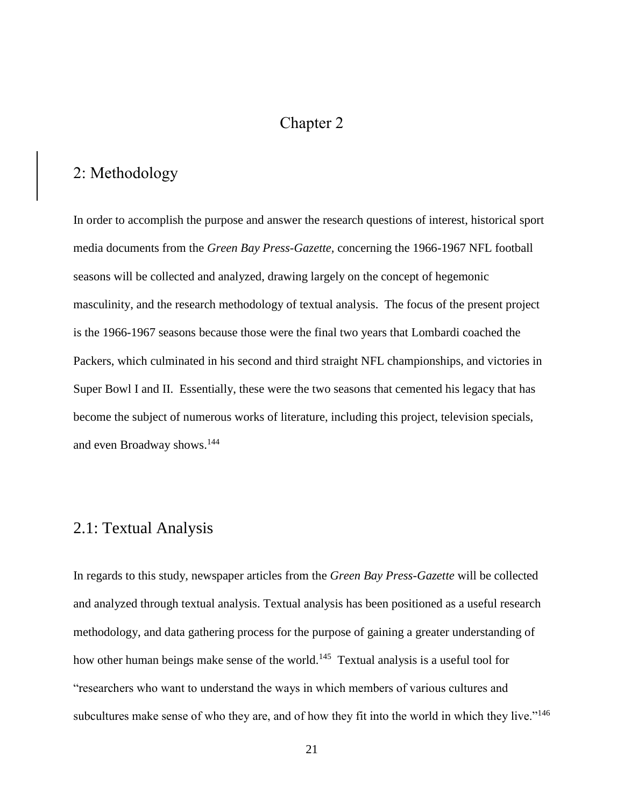## Chapter 2

## 2: Methodology

In order to accomplish the purpose and answer the research questions of interest, historical sport media documents from the *Green Bay Press-Gazette,* concerning the 1966-1967 NFL football seasons will be collected and analyzed, drawing largely on the concept of hegemonic masculinity, and the research methodology of textual analysis. The focus of the present project is the 1966-1967 seasons because those were the final two years that Lombardi coached the Packers, which culminated in his second and third straight NFL championships, and victories in Super Bowl I and II. Essentially, these were the two seasons that cemented his legacy that has become the subject of numerous works of literature, including this project, television specials, and even Broadway shows.<sup>144</sup>

## 2.1: Textual Analysis

In regards to this study, newspaper articles from the *Green Bay Press-Gazette* will be collected and analyzed through textual analysis. Textual analysis has been positioned as a useful research methodology, and data gathering process for the purpose of gaining a greater understanding of how other human beings make sense of the world.<sup>145</sup> Textual analysis is a useful tool for "researchers who want to understand the ways in which members of various cultures and subcultures make sense of who they are, and of how they fit into the world in which they live."<sup>146</sup>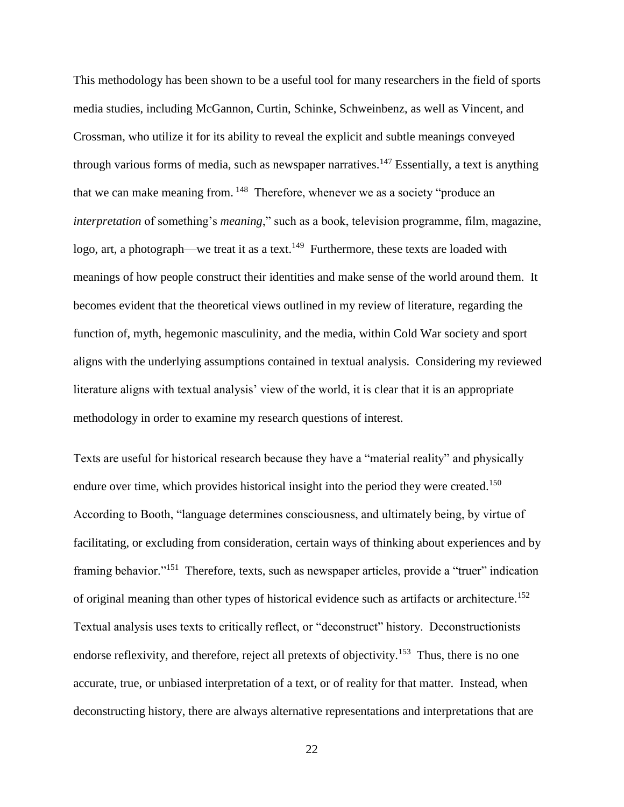This methodology has been shown to be a useful tool for many researchers in the field of sports media studies, including McGannon, Curtin, Schinke, Schweinbenz, as well as Vincent, and Crossman, who utilize it for its ability to reveal the explicit and subtle meanings conveyed through various forms of media, such as newspaper narratives.<sup>147</sup> Essentially, a text is anything that we can make meaning from. <sup>148</sup> Therefore, whenever we as a society "produce an *interpretation* of something's *meaning*," such as a book, television programme, film, magazine, logo, art, a photograph—we treat it as a text.<sup>149</sup> Furthermore, these texts are loaded with meanings of how people construct their identities and make sense of the world around them. It becomes evident that the theoretical views outlined in my review of literature, regarding the function of, myth, hegemonic masculinity, and the media, within Cold War society and sport aligns with the underlying assumptions contained in textual analysis. Considering my reviewed literature aligns with textual analysis' view of the world, it is clear that it is an appropriate methodology in order to examine my research questions of interest.

Texts are useful for historical research because they have a "material reality" and physically endure over time, which provides historical insight into the period they were created.<sup>150</sup> According to Booth, "language determines consciousness, and ultimately being, by virtue of facilitating, or excluding from consideration, certain ways of thinking about experiences and by framing behavior."<sup>151</sup> Therefore, texts, such as newspaper articles, provide a "truer" indication of original meaning than other types of historical evidence such as artifacts or architecture.<sup>152</sup> Textual analysis uses texts to critically reflect, or "deconstruct" history. Deconstructionists endorse reflexivity, and therefore, reject all pretexts of objectivity.<sup>153</sup> Thus, there is no one accurate, true, or unbiased interpretation of a text, or of reality for that matter. Instead, when deconstructing history, there are always alternative representations and interpretations that are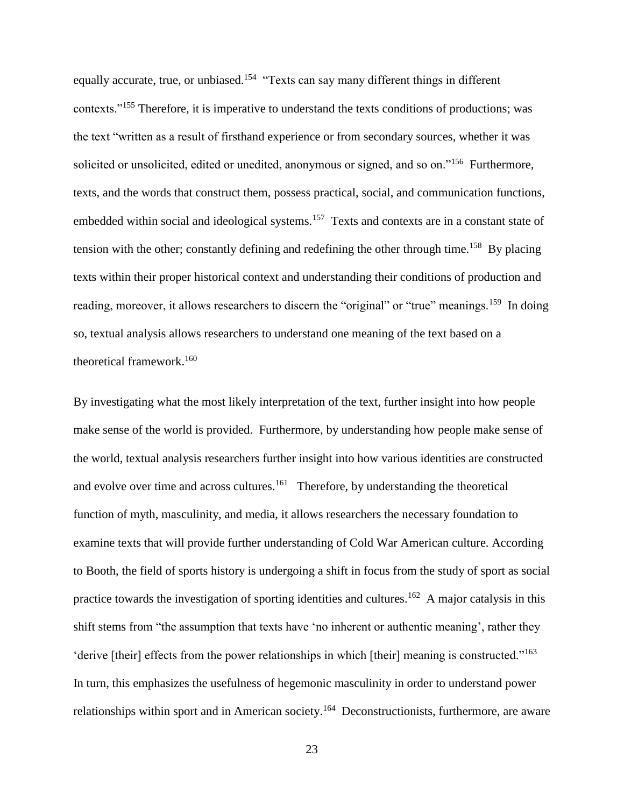equally accurate, true, or unbiased.<sup>154</sup> "Texts can say many different things in different contexts."<sup>155</sup> Therefore, it is imperative to understand the texts conditions of productions; was the text "written as a result of firsthand experience or from secondary sources, whether it was solicited or unsolicited, edited or unedited, anonymous or signed, and so on."<sup>156</sup> Furthermore, texts, and the words that construct them, possess practical, social, and communication functions, embedded within social and ideological systems.<sup>157</sup> Texts and contexts are in a constant state of tension with the other; constantly defining and redefining the other through time.<sup>158</sup> By placing texts within their proper historical context and understanding their conditions of production and reading, moreover, it allows researchers to discern the "original" or "true" meanings.<sup>159</sup> In doing so, textual analysis allows researchers to understand one meaning of the text based on a theoretical framework.<sup>160</sup>

By investigating what the most likely interpretation of the text, further insight into how people make sense of the world is provided. Furthermore, by understanding how people make sense of the world, textual analysis researchers further insight into how various identities are constructed and evolve over time and across cultures.<sup>161</sup> Therefore, by understanding the theoretical function of myth, masculinity, and media, it allows researchers the necessary foundation to examine texts that will provide further understanding of Cold War American culture. According to Booth, the field of sports history is undergoing a shift in focus from the study of sport as social practice towards the investigation of sporting identities and cultures.<sup>162</sup> A major catalysis in this shift stems from "the assumption that texts have 'no inherent or authentic meaning', rather they 'derive [their] effects from the power relationships in which [their] meaning is constructed."<sup>163</sup> In turn, this emphasizes the usefulness of hegemonic masculinity in order to understand power relationships within sport and in American society.<sup>164</sup> Deconstructionists, furthermore, are aware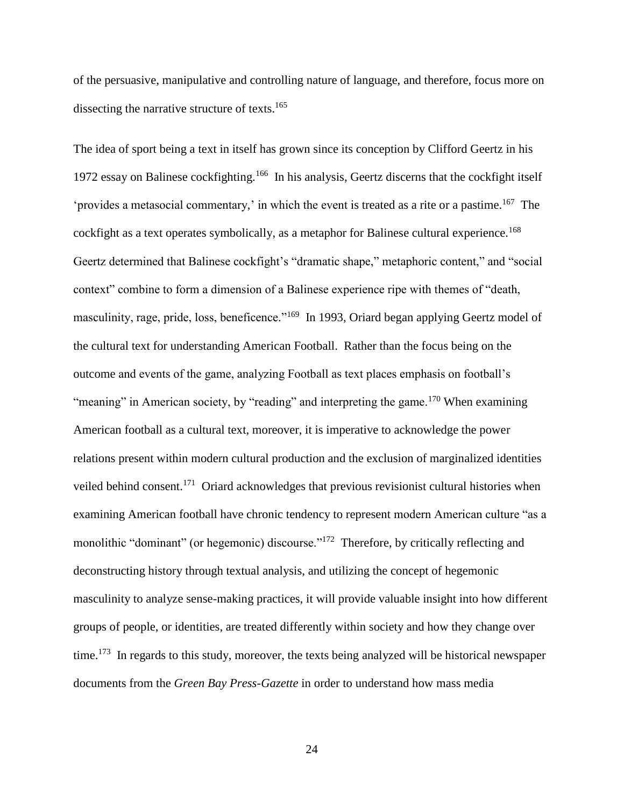of the persuasive, manipulative and controlling nature of language, and therefore, focus more on dissecting the narrative structure of texts.<sup>165</sup>

The idea of sport being a text in itself has grown since its conception by Clifford Geertz in his 1972 essay on Balinese cockfighting.<sup>166</sup> In his analysis, Geertz discerns that the cockfight itself 'provides a metasocial commentary,' in which the event is treated as a rite or a pastime.<sup>167</sup> The cockfight as a text operates symbolically, as a metaphor for Balinese cultural experience.<sup>168</sup> Geertz determined that Balinese cockfight's "dramatic shape," metaphoric content," and "social context" combine to form a dimension of a Balinese experience ripe with themes of "death, masculinity, rage, pride, loss, beneficence."<sup>169</sup> In 1993, Oriard began applying Geertz model of the cultural text for understanding American Football. Rather than the focus being on the outcome and events of the game, analyzing Football as text places emphasis on football's "meaning" in American society, by "reading" and interpreting the game.<sup>170</sup> When examining American football as a cultural text, moreover, it is imperative to acknowledge the power relations present within modern cultural production and the exclusion of marginalized identities veiled behind consent.<sup>171</sup> Oriard acknowledges that previous revisionist cultural histories when examining American football have chronic tendency to represent modern American culture "as a monolithic "dominant" (or hegemonic) discourse."<sup>172</sup> Therefore, by critically reflecting and deconstructing history through textual analysis, and utilizing the concept of hegemonic masculinity to analyze sense-making practices, it will provide valuable insight into how different groups of people, or identities, are treated differently within society and how they change over time.<sup>173</sup> In regards to this study, moreover, the texts being analyzed will be historical newspaper documents from the *Green Bay Press-Gazette* in order to understand how mass media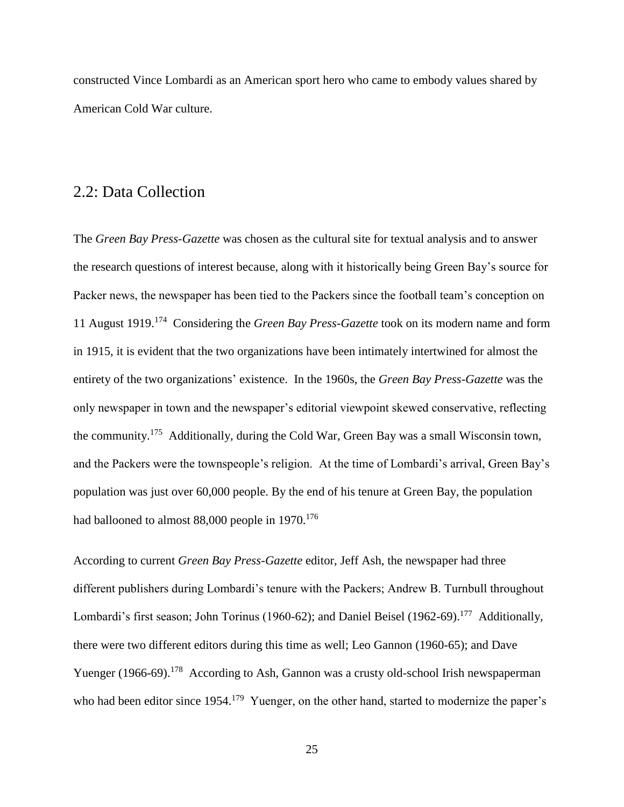constructed Vince Lombardi as an American sport hero who came to embody values shared by American Cold War culture.

### 2.2: Data Collection

The *Green Bay Press-Gazette* was chosen as the cultural site for textual analysis and to answer the research questions of interest because, along with it historically being Green Bay's source for Packer news, the newspaper has been tied to the Packers since the football team's conception on 11 August 1919.<sup>174</sup> Considering the *Green Bay Press-Gazette* took on its modern name and form in 1915, it is evident that the two organizations have been intimately intertwined for almost the entirety of the two organizations' existence. In the 1960s, the *Green Bay Press-Gazette* was the only newspaper in town and the newspaper's editorial viewpoint skewed conservative, reflecting the community.<sup>175</sup> Additionally, during the Cold War, Green Bay was a small Wisconsin town, and the Packers were the townspeople's religion. At the time of Lombardi's arrival, Green Bay's population was just over 60,000 people. By the end of his tenure at Green Bay, the population had ballooned to almost 88,000 people in 1970.<sup>176</sup>

According to current *Green Bay Press-Gazette* editor, Jeff Ash, the newspaper had three different publishers during Lombardi's tenure with the Packers; Andrew B. Turnbull throughout Lombardi's first season; John Torinus (1960-62); and Daniel Beisel (1962-69).<sup>177</sup> Additionally, there were two different editors during this time as well; Leo Gannon (1960-65); and Dave Yuenger (1966-69).<sup>178</sup> According to Ash, Gannon was a crusty old-school Irish newspaperman who had been editor since 1954.<sup>179</sup> Yuenger, on the other hand, started to modernize the paper's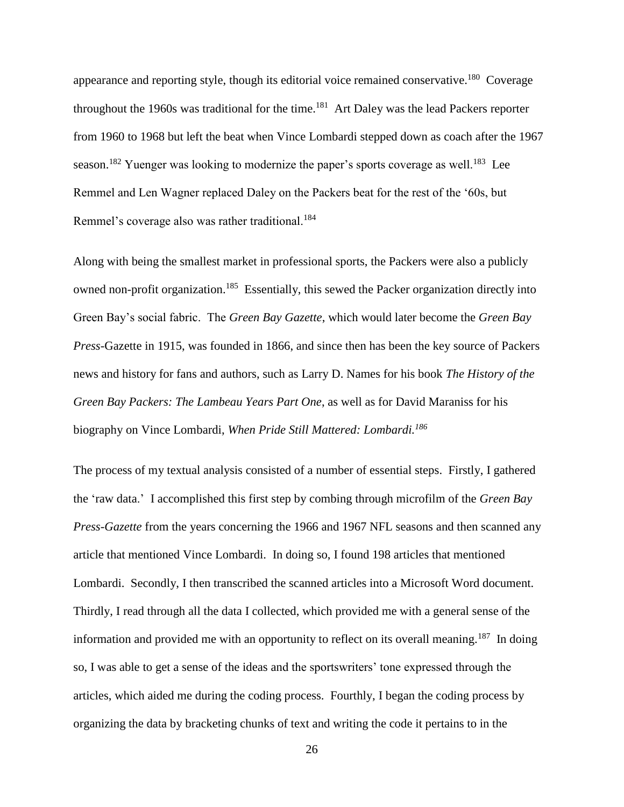appearance and reporting style, though its editorial voice remained conservative.<sup>180</sup> Coverage throughout the 1960s was traditional for the time.<sup>181</sup> Art Daley was the lead Packers reporter from 1960 to 1968 but left the beat when Vince Lombardi stepped down as coach after the 1967 season.<sup>182</sup> Yuenger was looking to modernize the paper's sports coverage as well.<sup>183</sup> Lee Remmel and Len Wagner replaced Daley on the Packers beat for the rest of the '60s, but Remmel's coverage also was rather traditional.<sup>184</sup>

Along with being the smallest market in professional sports, the Packers were also a publicly owned non-profit organization.<sup>185</sup> Essentially, this sewed the Packer organization directly into Green Bay's social fabric. The *Green Bay Gazette*, which would later become the *Green Bay Press-*Gazette in 1915, was founded in 1866, and since then has been the key source of Packers news and history for fans and authors, such as Larry D. Names for his book *The History of the Green Bay Packers: The Lambeau Years Part One*, as well as for David Maraniss for his biography on Vince Lombardi, *When Pride Still Mattered: Lombardi.<sup>186</sup>*

The process of my textual analysis consisted of a number of essential steps. Firstly, I gathered the 'raw data.' I accomplished this first step by combing through microfilm of the *Green Bay Press-Gazette* from the years concerning the 1966 and 1967 NFL seasons and then scanned any article that mentioned Vince Lombardi. In doing so, I found 198 articles that mentioned Lombardi. Secondly, I then transcribed the scanned articles into a Microsoft Word document. Thirdly, I read through all the data I collected, which provided me with a general sense of the information and provided me with an opportunity to reflect on its overall meaning.<sup>187</sup> In doing so, I was able to get a sense of the ideas and the sportswriters' tone expressed through the articles, which aided me during the coding process. Fourthly, I began the coding process by organizing the data by bracketing chunks of text and writing the code it pertains to in the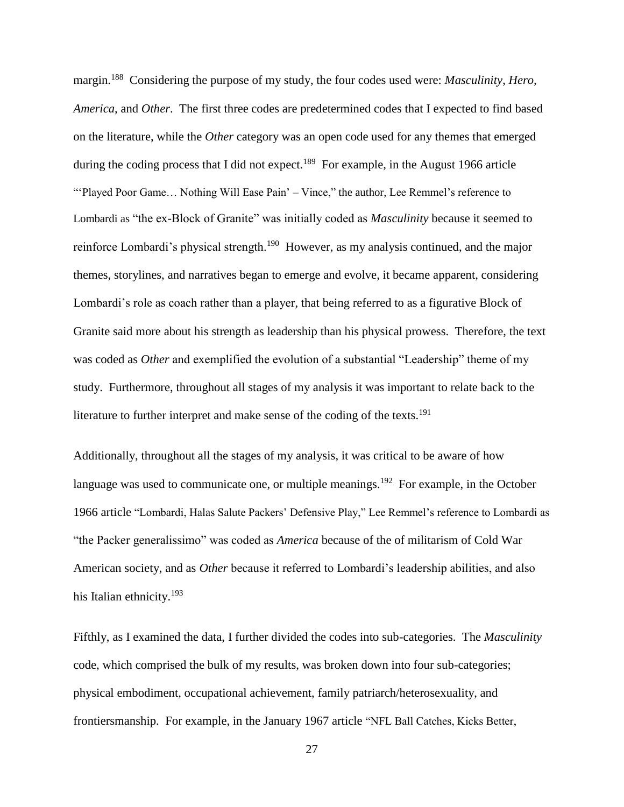margin.<sup>188</sup> Considering the purpose of my study, the four codes used were: *Masculinity*, *Hero, America*, and *Other*. The first three codes are predetermined codes that I expected to find based on the literature, while the *Other* category was an open code used for any themes that emerged during the coding process that I did not expect.<sup>189</sup> For example, in the August 1966 article "'Played Poor Game… Nothing Will Ease Pain' – Vince," the author, Lee Remmel's reference to Lombardi as "the ex-Block of Granite" was initially coded as *Masculinity* because it seemed to reinforce Lombardi's physical strength.<sup>190</sup> However, as my analysis continued, and the major themes, storylines, and narratives began to emerge and evolve, it became apparent, considering Lombardi's role as coach rather than a player, that being referred to as a figurative Block of Granite said more about his strength as leadership than his physical prowess. Therefore, the text was coded as *Other* and exemplified the evolution of a substantial "Leadership" theme of my study. Furthermore, throughout all stages of my analysis it was important to relate back to the literature to further interpret and make sense of the coding of the texts.<sup>191</sup>

Additionally, throughout all the stages of my analysis, it was critical to be aware of how language was used to communicate one, or multiple meanings.<sup>192</sup> For example, in the October 1966 article "Lombardi, Halas Salute Packers' Defensive Play," Lee Remmel's reference to Lombardi as "the Packer generalissimo" was coded as *America* because of the of militarism of Cold War American society, and as *Other* because it referred to Lombardi's leadership abilities, and also his Italian ethnicity.<sup>193</sup>

Fifthly, as I examined the data, I further divided the codes into sub-categories. The *Masculinity*  code, which comprised the bulk of my results, was broken down into four sub-categories; physical embodiment, occupational achievement, family patriarch/heterosexuality, and frontiersmanship. For example, in the January 1967 article "NFL Ball Catches, Kicks Better,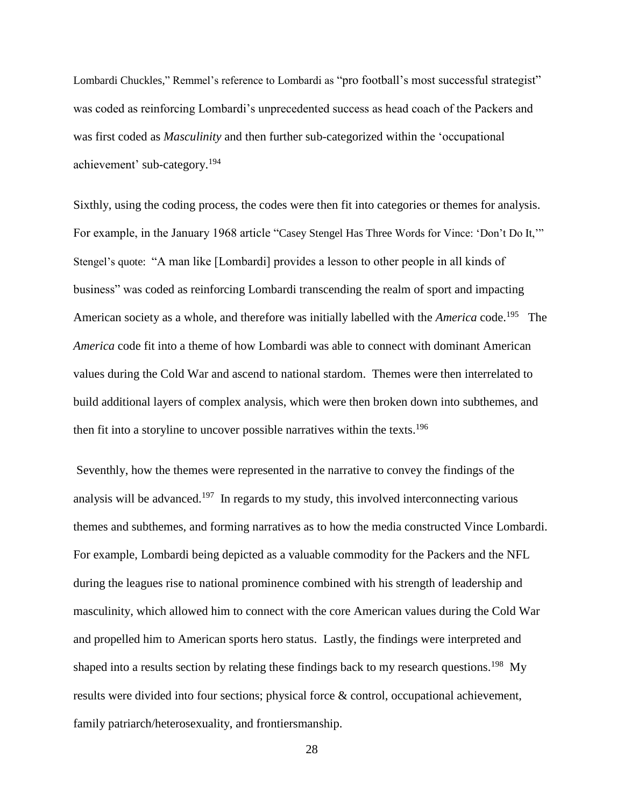Lombardi Chuckles," Remmel's reference to Lombardi as "pro football's most successful strategist" was coded as reinforcing Lombardi's unprecedented success as head coach of the Packers and was first coded as *Masculinity* and then further sub-categorized within the 'occupational achievement' sub-category.<sup>194</sup>

Sixthly, using the coding process, the codes were then fit into categories or themes for analysis. For example, in the January 1968 article "Casey Stengel Has Three Words for Vince: 'Don't Do It,'" Stengel's quote: "A man like [Lombardi] provides a lesson to other people in all kinds of business" was coded as reinforcing Lombardi transcending the realm of sport and impacting American society as a whole, and therefore was initially labelled with the *America* code.<sup>195</sup> The *America* code fit into a theme of how Lombardi was able to connect with dominant American values during the Cold War and ascend to national stardom. Themes were then interrelated to build additional layers of complex analysis, which were then broken down into subthemes, and then fit into a storyline to uncover possible narratives within the texts.<sup>196</sup>

Seventhly, how the themes were represented in the narrative to convey the findings of the analysis will be advanced.<sup>197</sup> In regards to my study, this involved interconnecting various themes and subthemes, and forming narratives as to how the media constructed Vince Lombardi. For example, Lombardi being depicted as a valuable commodity for the Packers and the NFL during the leagues rise to national prominence combined with his strength of leadership and masculinity, which allowed him to connect with the core American values during the Cold War and propelled him to American sports hero status. Lastly, the findings were interpreted and shaped into a results section by relating these findings back to my research questions.<sup>198</sup> My results were divided into four sections; physical force & control, occupational achievement, family patriarch/heterosexuality, and frontiersmanship.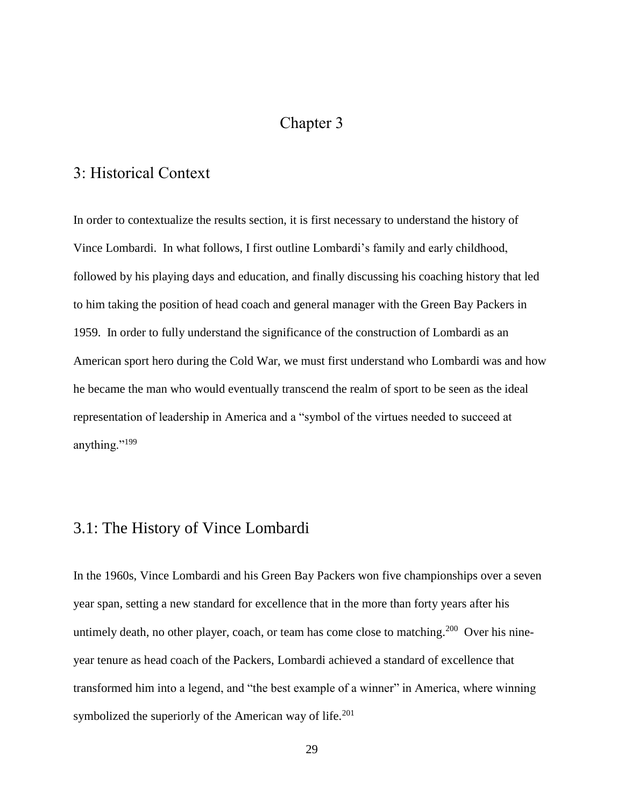## Chapter 3

## 3: Historical Context

In order to contextualize the results section, it is first necessary to understand the history of Vince Lombardi. In what follows, I first outline Lombardi's family and early childhood, followed by his playing days and education, and finally discussing his coaching history that led to him taking the position of head coach and general manager with the Green Bay Packers in 1959. In order to fully understand the significance of the construction of Lombardi as an American sport hero during the Cold War, we must first understand who Lombardi was and how he became the man who would eventually transcend the realm of sport to be seen as the ideal representation of leadership in America and a "symbol of the virtues needed to succeed at anything."<sup>199</sup>

## 3.1: The History of Vince Lombardi

In the 1960s, Vince Lombardi and his Green Bay Packers won five championships over a seven year span, setting a new standard for excellence that in the more than forty years after his untimely death, no other player, coach, or team has come close to matching.<sup>200</sup> Over his nineyear tenure as head coach of the Packers, Lombardi achieved a standard of excellence that transformed him into a legend, and "the best example of a winner" in America, where winning symbolized the superiorly of the American way of life.<sup>201</sup>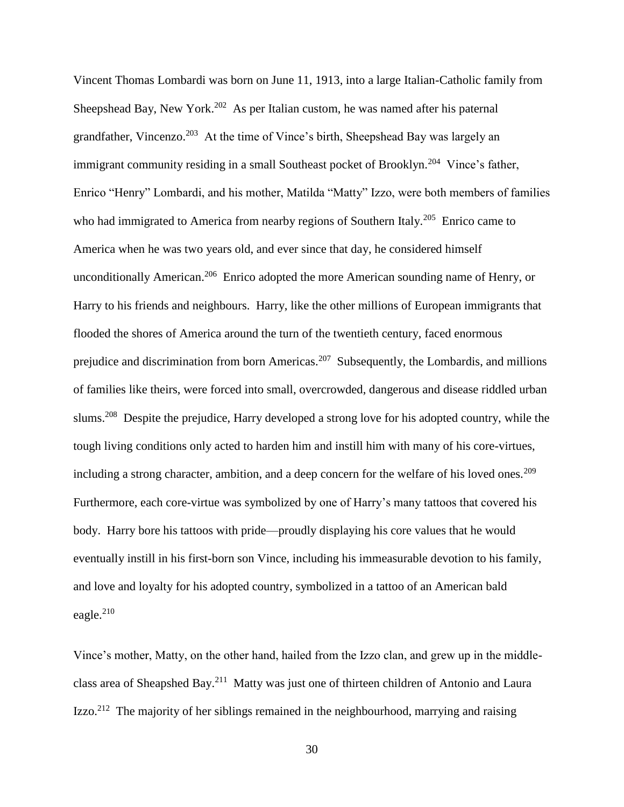Vincent Thomas Lombardi was born on June 11, 1913, into a large Italian-Catholic family from Sheepshead Bay, New York.<sup>202</sup> As per Italian custom, he was named after his paternal grandfather, Vincenzo.<sup>203</sup> At the time of Vince's birth, Sheepshead Bay was largely an immigrant community residing in a small Southeast pocket of Brooklyn.<sup>204</sup> Vince's father, Enrico "Henry" Lombardi, and his mother, Matilda "Matty" Izzo, were both members of families who had immigrated to America from nearby regions of Southern Italy.<sup>205</sup> Enrico came to America when he was two years old, and ever since that day, he considered himself unconditionally American.<sup>206</sup> Enrico adopted the more American sounding name of Henry, or Harry to his friends and neighbours. Harry, like the other millions of European immigrants that flooded the shores of America around the turn of the twentieth century, faced enormous prejudice and discrimination from born Americas.<sup>207</sup> Subsequently, the Lombardis, and millions of families like theirs, were forced into small, overcrowded, dangerous and disease riddled urban slums.<sup>208</sup> Despite the prejudice, Harry developed a strong love for his adopted country, while the tough living conditions only acted to harden him and instill him with many of his core-virtues, including a strong character, ambition, and a deep concern for the welfare of his loved ones.<sup>209</sup> Furthermore, each core-virtue was symbolized by one of Harry's many tattoos that covered his body. Harry bore his tattoos with pride—proudly displaying his core values that he would eventually instill in his first-born son Vince, including his immeasurable devotion to his family, and love and loyalty for his adopted country, symbolized in a tattoo of an American bald eagle. 210

Vince's mother, Matty, on the other hand, hailed from the Izzo clan, and grew up in the middleclass area of Sheapshed Bay.<sup>211</sup> Matty was just one of thirteen children of Antonio and Laura Izzo.<sup>212</sup> The majority of her siblings remained in the neighbourhood, marrying and raising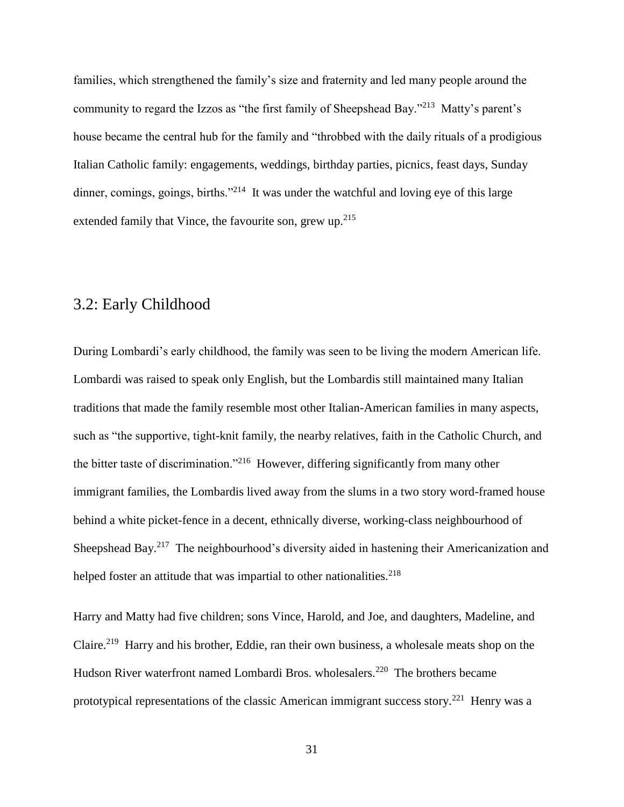families, which strengthened the family's size and fraternity and led many people around the community to regard the Izzos as "the first family of Sheepshead Bay."<sup>213</sup> Matty's parent's house became the central hub for the family and "throbbed with the daily rituals of a prodigious Italian Catholic family: engagements, weddings, birthday parties, picnics, feast days, Sunday dinner, comings, goings, births."<sup>214</sup> It was under the watchful and loving eye of this large extended family that Vince, the favourite son, grew up. $215$ 

## 3.2: Early Childhood

During Lombardi's early childhood, the family was seen to be living the modern American life. Lombardi was raised to speak only English, but the Lombardis still maintained many Italian traditions that made the family resemble most other Italian-American families in many aspects, such as "the supportive, tight-knit family, the nearby relatives, faith in the Catholic Church, and the bitter taste of discrimination."<sup>216</sup> However, differing significantly from many other immigrant families, the Lombardis lived away from the slums in a two story word-framed house behind a white picket-fence in a decent, ethnically diverse, working-class neighbourhood of Sheepshead Bay.<sup>217</sup> The neighbourhood's diversity aided in hastening their Americanization and helped foster an attitude that was impartial to other nationalities.<sup>218</sup>

Harry and Matty had five children; sons Vince, Harold, and Joe, and daughters, Madeline, and Claire.<sup>219</sup> Harry and his brother, Eddie, ran their own business, a wholesale meats shop on the Hudson River waterfront named Lombardi Bros. wholesalers.<sup>220</sup> The brothers became prototypical representations of the classic American immigrant success story.<sup>221</sup> Henry was a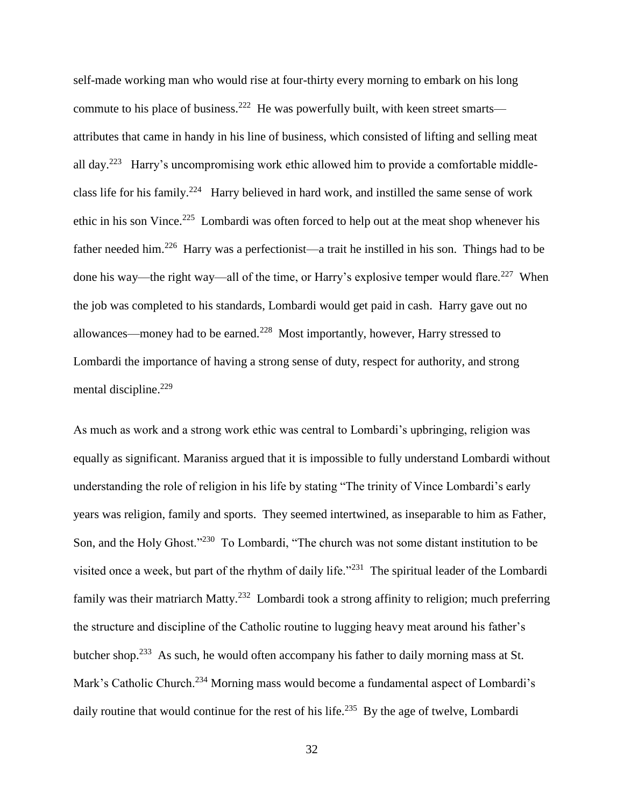self-made working man who would rise at four-thirty every morning to embark on his long commute to his place of business.<sup>222</sup> He was powerfully built, with keen street smarts attributes that came in handy in his line of business, which consisted of lifting and selling meat all day.<sup>223</sup> Harry's uncompromising work ethic allowed him to provide a comfortable middleclass life for his family.<sup>224</sup> Harry believed in hard work, and instilled the same sense of work ethic in his son Vince.<sup>225</sup> Lombardi was often forced to help out at the meat shop whenever his father needed him.<sup>226</sup> Harry was a perfectionist—a trait he instilled in his son. Things had to be done his way—the right way—all of the time, or Harry's explosive temper would flare.<sup>227</sup> When the job was completed to his standards, Lombardi would get paid in cash. Harry gave out no allowances—money had to be earned.<sup>228</sup> Most importantly, however, Harry stressed to Lombardi the importance of having a strong sense of duty, respect for authority, and strong mental discipline.<sup>229</sup>

As much as work and a strong work ethic was central to Lombardi's upbringing, religion was equally as significant. Maraniss argued that it is impossible to fully understand Lombardi without understanding the role of religion in his life by stating "The trinity of Vince Lombardi's early years was religion, family and sports. They seemed intertwined, as inseparable to him as Father, Son, and the Holy Ghost."<sup>230</sup> To Lombardi, "The church was not some distant institution to be visited once a week, but part of the rhythm of daily life."<sup>231</sup> The spiritual leader of the Lombardi family was their matriarch Matty.<sup>232</sup> Lombardi took a strong affinity to religion; much preferring the structure and discipline of the Catholic routine to lugging heavy meat around his father's butcher shop.<sup>233</sup> As such, he would often accompany his father to daily morning mass at St. Mark's Catholic Church.<sup>234</sup> Morning mass would become a fundamental aspect of Lombardi's daily routine that would continue for the rest of his life.<sup>235</sup> By the age of twelve, Lombardi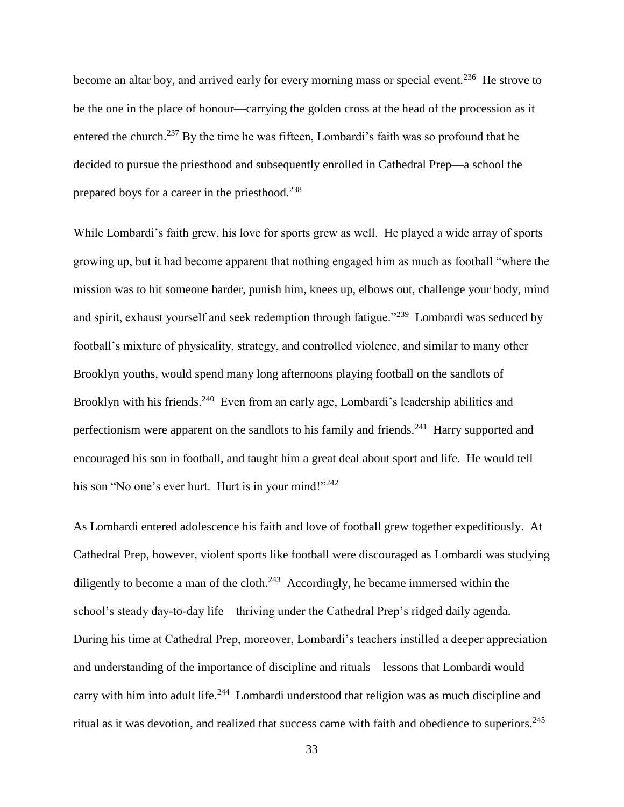become an altar boy, and arrived early for every morning mass or special event.<sup>236</sup> He strove to be the one in the place of honour—carrying the golden cross at the head of the procession as it entered the church.<sup>237</sup> By the time he was fifteen, Lombardi's faith was so profound that he decided to pursue the priesthood and subsequently enrolled in Cathedral Prep—a school the prepared boys for a career in the priesthood.<sup>238</sup>

While Lombardi's faith grew, his love for sports grew as well. He played a wide array of sports growing up, but it had become apparent that nothing engaged him as much as football "where the mission was to hit someone harder, punish him, knees up, elbows out, challenge your body, mind and spirit, exhaust yourself and seek redemption through fatigue."<sup>239</sup> Lombardi was seduced by football's mixture of physicality, strategy, and controlled violence, and similar to many other Brooklyn youths, would spend many long afternoons playing football on the sandlots of Brooklyn with his friends.<sup>240</sup> Even from an early age, Lombardi's leadership abilities and perfectionism were apparent on the sandlots to his family and friends.<sup>241</sup> Harry supported and encouraged his son in football, and taught him a great deal about sport and life. He would tell his son "No one's ever hurt. Hurt is in your mind!"<sup>242</sup>

As Lombardi entered adolescence his faith and love of football grew together expeditiously. At Cathedral Prep, however, violent sports like football were discouraged as Lombardi was studying diligently to become a man of the cloth.<sup>243</sup> Accordingly, he became immersed within the school's steady day-to-day life—thriving under the Cathedral Prep's ridged daily agenda. During his time at Cathedral Prep, moreover, Lombardi's teachers instilled a deeper appreciation and understanding of the importance of discipline and rituals—lessons that Lombardi would carry with him into adult life.<sup>244</sup> Lombardi understood that religion was as much discipline and ritual as it was devotion, and realized that success came with faith and obedience to superiors.<sup>245</sup>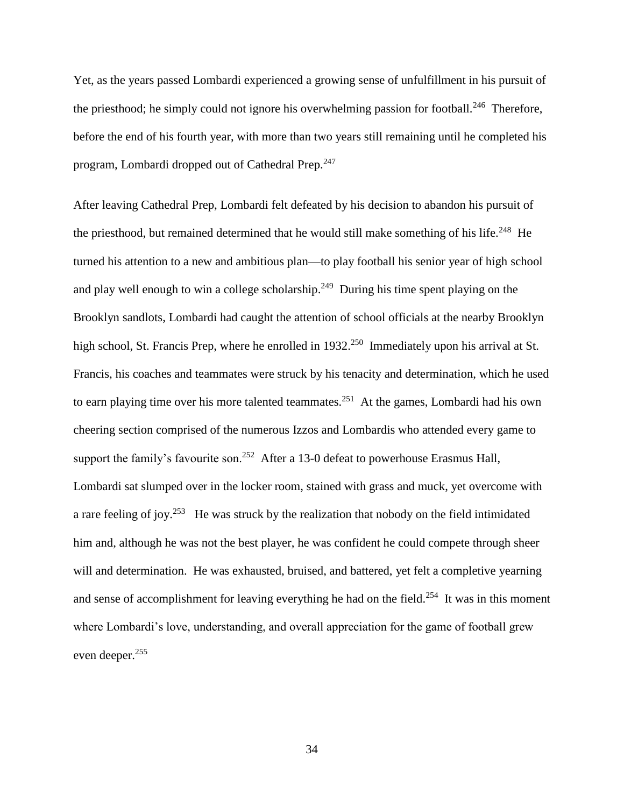Yet, as the years passed Lombardi experienced a growing sense of unfulfillment in his pursuit of the priesthood; he simply could not ignore his overwhelming passion for football.<sup>246</sup> Therefore, before the end of his fourth year, with more than two years still remaining until he completed his program, Lombardi dropped out of Cathedral Prep.<sup>247</sup>

After leaving Cathedral Prep, Lombardi felt defeated by his decision to abandon his pursuit of the priesthood, but remained determined that he would still make something of his life.<sup>248</sup> He turned his attention to a new and ambitious plan—to play football his senior year of high school and play well enough to win a college scholarship.<sup>249</sup> During his time spent playing on the Brooklyn sandlots, Lombardi had caught the attention of school officials at the nearby Brooklyn high school, St. Francis Prep, where he enrolled in 1932.<sup>250</sup> Immediately upon his arrival at St. Francis, his coaches and teammates were struck by his tenacity and determination, which he used to earn playing time over his more talented teammates.<sup>251</sup> At the games, Lombardi had his own cheering section comprised of the numerous Izzos and Lombardis who attended every game to support the family's favourite son.<sup>252</sup> After a 13-0 defeat to powerhouse Erasmus Hall, Lombardi sat slumped over in the locker room, stained with grass and muck, yet overcome with a rare feeling of joy.<sup>253</sup> He was struck by the realization that nobody on the field intimidated him and, although he was not the best player, he was confident he could compete through sheer will and determination. He was exhausted, bruised, and battered, yet felt a completive yearning and sense of accomplishment for leaving everything he had on the field.<sup>254</sup> It was in this moment where Lombardi's love, understanding, and overall appreciation for the game of football grew even deeper.<sup>255</sup>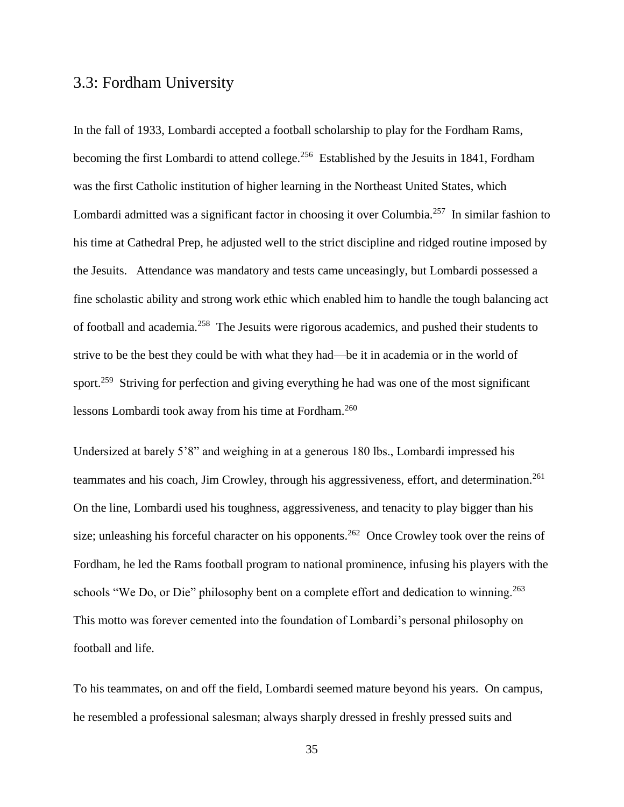### 3.3: Fordham University

In the fall of 1933, Lombardi accepted a football scholarship to play for the Fordham Rams, becoming the first Lombardi to attend college.<sup>256</sup> Established by the Jesuits in 1841, Fordham was the first Catholic institution of higher learning in the Northeast United States, which Lombardi admitted was a significant factor in choosing it over Columbia.<sup>257</sup> In similar fashion to his time at Cathedral Prep, he adjusted well to the strict discipline and ridged routine imposed by the Jesuits. Attendance was mandatory and tests came unceasingly, but Lombardi possessed a fine scholastic ability and strong work ethic which enabled him to handle the tough balancing act of football and academia.<sup>258</sup> The Jesuits were rigorous academics, and pushed their students to strive to be the best they could be with what they had—be it in academia or in the world of sport.<sup>259</sup> Striving for perfection and giving everything he had was one of the most significant lessons Lombardi took away from his time at Fordham.<sup>260</sup>

Undersized at barely 5'8" and weighing in at a generous 180 lbs., Lombardi impressed his teammates and his coach, Jim Crowley, through his aggressiveness, effort, and determination.<sup>261</sup> On the line, Lombardi used his toughness, aggressiveness, and tenacity to play bigger than his size; unleashing his forceful character on his opponents.<sup>262</sup> Once Crowley took over the reins of Fordham, he led the Rams football program to national prominence, infusing his players with the schools "We Do, or Die" philosophy bent on a complete effort and dedication to winning.<sup>263</sup> This motto was forever cemented into the foundation of Lombardi's personal philosophy on football and life.

To his teammates, on and off the field, Lombardi seemed mature beyond his years. On campus, he resembled a professional salesman; always sharply dressed in freshly pressed suits and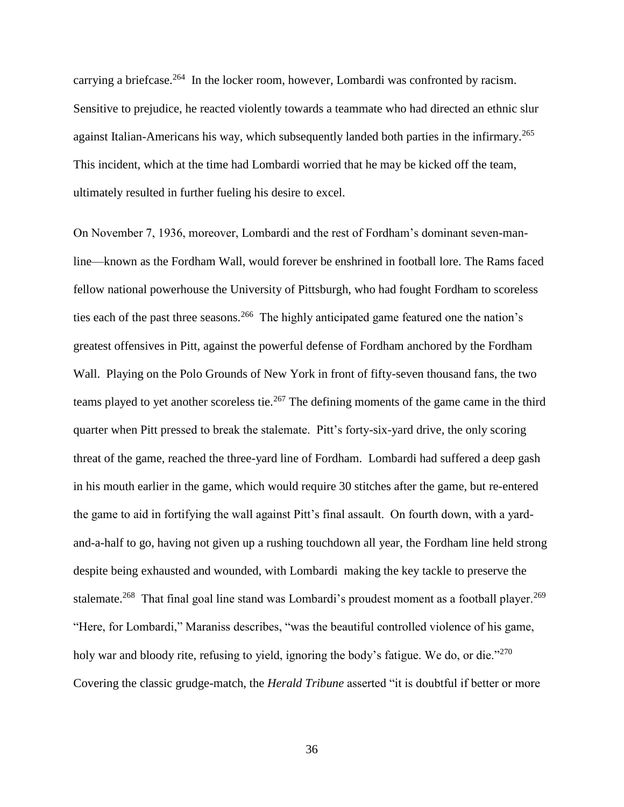carrying a briefcase.<sup>264</sup> In the locker room, however, Lombardi was confronted by racism. Sensitive to prejudice, he reacted violently towards a teammate who had directed an ethnic slur against Italian-Americans his way, which subsequently landed both parties in the infirmary.<sup>265</sup> This incident, which at the time had Lombardi worried that he may be kicked off the team, ultimately resulted in further fueling his desire to excel.

On November 7, 1936, moreover, Lombardi and the rest of Fordham's dominant seven-manline—known as the Fordham Wall, would forever be enshrined in football lore. The Rams faced fellow national powerhouse the University of Pittsburgh, who had fought Fordham to scoreless ties each of the past three seasons.<sup>266</sup> The highly anticipated game featured one the nation's greatest offensives in Pitt, against the powerful defense of Fordham anchored by the Fordham Wall. Playing on the Polo Grounds of New York in front of fifty-seven thousand fans, the two teams played to yet another scoreless tie.<sup>267</sup> The defining moments of the game came in the third quarter when Pitt pressed to break the stalemate. Pitt's forty-six-yard drive, the only scoring threat of the game, reached the three-yard line of Fordham. Lombardi had suffered a deep gash in his mouth earlier in the game, which would require 30 stitches after the game, but re-entered the game to aid in fortifying the wall against Pitt's final assault. On fourth down, with a yardand-a-half to go, having not given up a rushing touchdown all year, the Fordham line held strong despite being exhausted and wounded, with Lombardi making the key tackle to preserve the stalemate.<sup>268</sup> That final goal line stand was Lombardi's proudest moment as a football player.<sup>269</sup> "Here, for Lombardi," Maraniss describes, "was the beautiful controlled violence of his game, holy war and bloody rite, refusing to yield, ignoring the body's fatigue. We do, or die."<sup>270</sup> Covering the classic grudge-match, the *Herald Tribune* asserted "it is doubtful if better or more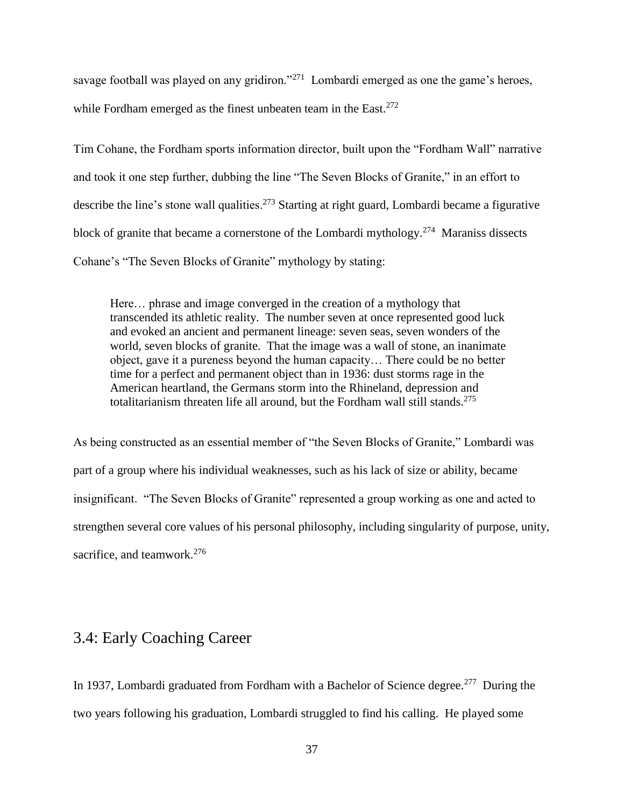savage football was played on any gridiron."<sup>271</sup> Lombardi emerged as one the game's heroes, while Fordham emerged as the finest unbeaten team in the East.<sup>272</sup>

Tim Cohane, the Fordham sports information director, built upon the "Fordham Wall" narrative and took it one step further, dubbing the line "The Seven Blocks of Granite," in an effort to describe the line's stone wall qualities.<sup>273</sup> Starting at right guard, Lombardi became a figurative block of granite that became a cornerstone of the Lombardi mythology.<sup>274</sup> Maraniss dissects Cohane's "The Seven Blocks of Granite" mythology by stating:

Here… phrase and image converged in the creation of a mythology that transcended its athletic reality. The number seven at once represented good luck and evoked an ancient and permanent lineage: seven seas, seven wonders of the world, seven blocks of granite. That the image was a wall of stone, an inanimate object, gave it a pureness beyond the human capacity… There could be no better time for a perfect and permanent object than in 1936: dust storms rage in the American heartland, the Germans storm into the Rhineland, depression and totalitarianism threaten life all around, but the Fordham wall still stands.<sup>275</sup>

As being constructed as an essential member of "the Seven Blocks of Granite," Lombardi was part of a group where his individual weaknesses, such as his lack of size or ability, became insignificant. "The Seven Blocks of Granite" represented a group working as one and acted to strengthen several core values of his personal philosophy, including singularity of purpose, unity, sacrifice, and teamwork.<sup>276</sup>

### 3.4: Early Coaching Career

In 1937, Lombardi graduated from Fordham with a Bachelor of Science degree.<sup>277</sup> During the two years following his graduation, Lombardi struggled to find his calling. He played some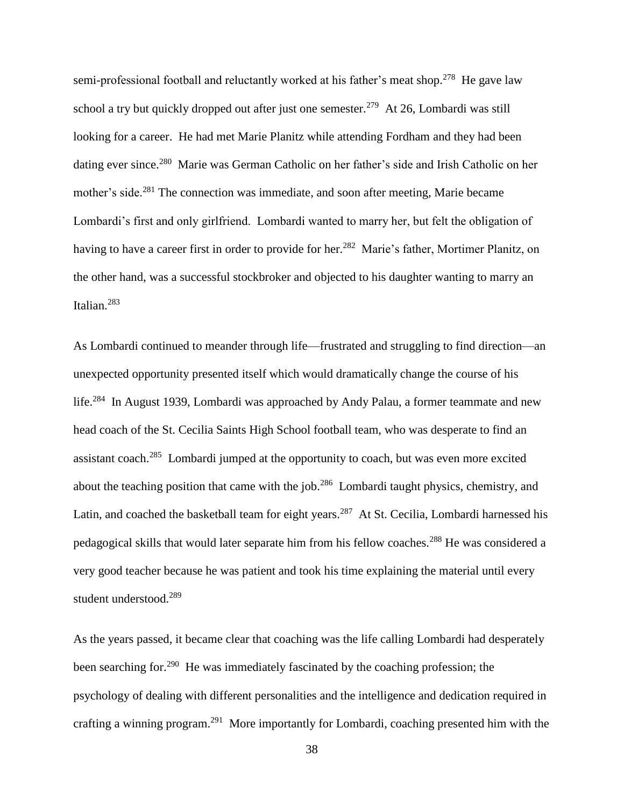semi-professional football and reluctantly worked at his father's meat shop.<sup>278</sup> He gave law school a try but quickly dropped out after just one semester.<sup>279</sup> At 26, Lombardi was still looking for a career. He had met Marie Planitz while attending Fordham and they had been dating ever since.<sup>280</sup> Marie was German Catholic on her father's side and Irish Catholic on her mother's side.<sup>281</sup> The connection was immediate, and soon after meeting, Marie became Lombardi's first and only girlfriend. Lombardi wanted to marry her, but felt the obligation of having to have a career first in order to provide for her.<sup>282</sup> Marie's father, Mortimer Planitz, on the other hand, was a successful stockbroker and objected to his daughter wanting to marry an Italian.<sup>283</sup>

As Lombardi continued to meander through life—frustrated and struggling to find direction—an unexpected opportunity presented itself which would dramatically change the course of his life.<sup>284</sup> In August 1939, Lombardi was approached by Andy Palau, a former teammate and new head coach of the St. Cecilia Saints High School football team, who was desperate to find an assistant coach.<sup>285</sup> Lombardi jumped at the opportunity to coach, but was even more excited about the teaching position that came with the job.<sup>286</sup> Lombardi taught physics, chemistry, and Latin, and coached the basketball team for eight years.<sup>287</sup> At St. Cecilia, Lombardi harnessed his pedagogical skills that would later separate him from his fellow coaches.<sup>288</sup> He was considered a very good teacher because he was patient and took his time explaining the material until every student understood.<sup>289</sup>

As the years passed, it became clear that coaching was the life calling Lombardi had desperately been searching for.<sup>290</sup> He was immediately fascinated by the coaching profession; the psychology of dealing with different personalities and the intelligence and dedication required in crafting a winning program.<sup>291</sup> More importantly for Lombardi, coaching presented him with the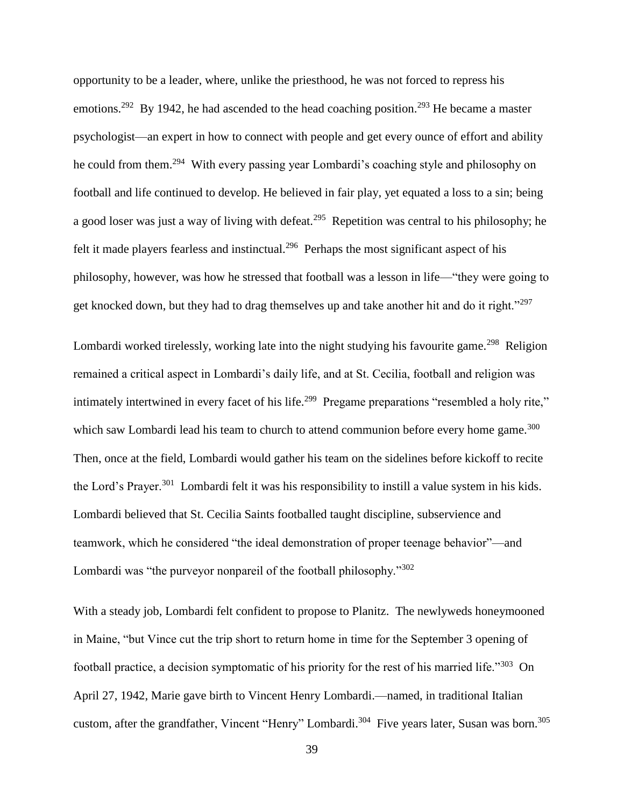opportunity to be a leader, where, unlike the priesthood, he was not forced to repress his emotions.<sup>292</sup> By 1942, he had ascended to the head coaching position.<sup>293</sup> He became a master psychologist—an expert in how to connect with people and get every ounce of effort and ability he could from them.<sup>294</sup> With every passing year Lombardi's coaching style and philosophy on football and life continued to develop. He believed in fair play, yet equated a loss to a sin; being a good loser was just a way of living with defeat.<sup>295</sup> Repetition was central to his philosophy; he felt it made players fearless and instinctual.<sup>296</sup> Perhaps the most significant aspect of his philosophy, however, was how he stressed that football was a lesson in life—"they were going to get knocked down, but they had to drag themselves up and take another hit and do it right."<sup>297</sup>

Lombardi worked tirelessly, working late into the night studying his favourite game.<sup>298</sup> Religion remained a critical aspect in Lombardi's daily life, and at St. Cecilia, football and religion was intimately intertwined in every facet of his life.<sup>299</sup> Pregame preparations "resembled a holy rite," which saw Lombardi lead his team to church to attend communion before every home game. $300$ Then, once at the field, Lombardi would gather his team on the sidelines before kickoff to recite the Lord's Prayer.<sup>301</sup> Lombardi felt it was his responsibility to instill a value system in his kids. Lombardi believed that St. Cecilia Saints footballed taught discipline, subservience and teamwork, which he considered "the ideal demonstration of proper teenage behavior"—and Lombardi was "the purveyor nonpareil of the football philosophy."<sup>302</sup>

With a steady job, Lombardi felt confident to propose to Planitz. The newlyweds honeymooned in Maine, "but Vince cut the trip short to return home in time for the September 3 opening of football practice, a decision symptomatic of his priority for the rest of his married life."<sup>303</sup> On April 27, 1942, Marie gave birth to Vincent Henry Lombardi.—named, in traditional Italian custom, after the grandfather, Vincent "Henry" Lombardi.<sup>304</sup> Five years later, Susan was born.<sup>305</sup>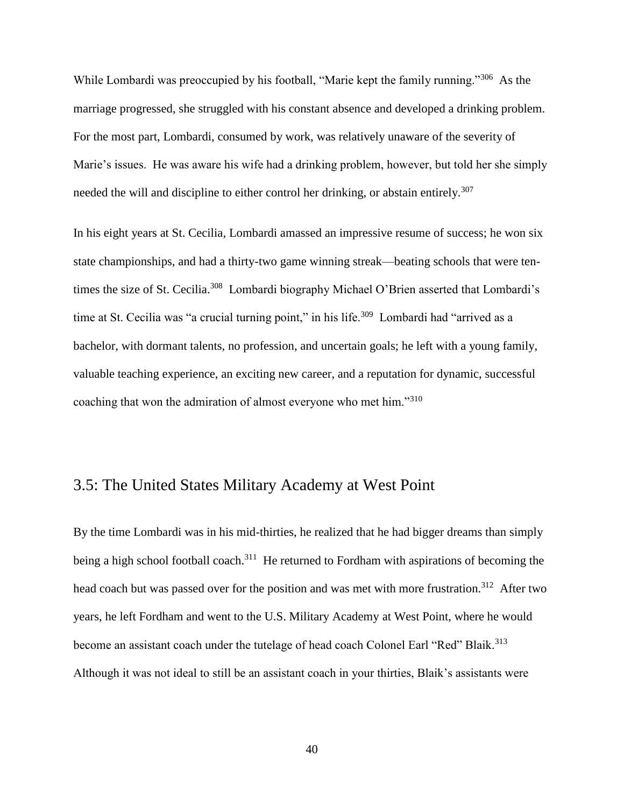While Lombardi was preoccupied by his football, "Marie kept the family running."<sup>306</sup> As the marriage progressed, she struggled with his constant absence and developed a drinking problem. For the most part, Lombardi, consumed by work, was relatively unaware of the severity of Marie's issues. He was aware his wife had a drinking problem, however, but told her she simply needed the will and discipline to either control her drinking, or abstain entirely.<sup>307</sup>

In his eight years at St. Cecilia, Lombardi amassed an impressive resume of success; he won six state championships, and had a thirty-two game winning streak—beating schools that were tentimes the size of St. Cecilia.<sup>308</sup> Lombardi biography Michael O'Brien asserted that Lombardi's time at St. Cecilia was "a crucial turning point," in his life.<sup>309</sup> Lombardi had "arrived as a bachelor, with dormant talents, no profession, and uncertain goals; he left with a young family, valuable teaching experience, an exciting new career, and a reputation for dynamic, successful coaching that won the admiration of almost everyone who met him."<sup>310</sup>

### 3.5: The United States Military Academy at West Point

By the time Lombardi was in his mid-thirties, he realized that he had bigger dreams than simply being a high school football coach.<sup>311</sup> He returned to Fordham with aspirations of becoming the head coach but was passed over for the position and was met with more frustration.<sup>312</sup> After two years, he left Fordham and went to the U.S. Military Academy at West Point, where he would become an assistant coach under the tutelage of head coach Colonel Earl "Red" Blaik.<sup>313</sup> Although it was not ideal to still be an assistant coach in your thirties, Blaik's assistants were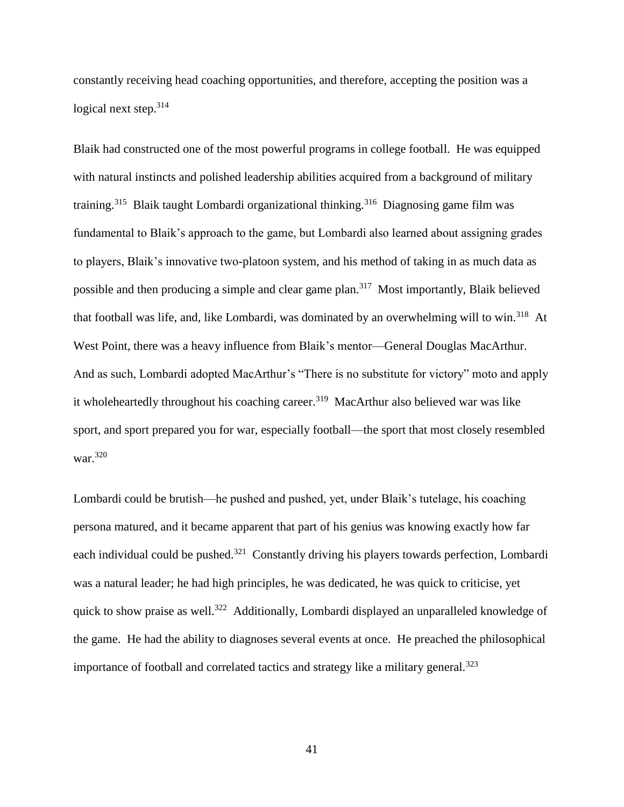constantly receiving head coaching opportunities, and therefore, accepting the position was a logical next step.<sup>314</sup>

Blaik had constructed one of the most powerful programs in college football. He was equipped with natural instincts and polished leadership abilities acquired from a background of military training.<sup>315</sup> Blaik taught Lombardi organizational thinking.<sup>316</sup> Diagnosing game film was fundamental to Blaik's approach to the game, but Lombardi also learned about assigning grades to players, Blaik's innovative two-platoon system, and his method of taking in as much data as possible and then producing a simple and clear game plan.<sup>317</sup> Most importantly, Blaik believed that football was life, and, like Lombardi, was dominated by an overwhelming will to win.<sup>318</sup> At West Point, there was a heavy influence from Blaik's mentor—General Douglas MacArthur. And as such, Lombardi adopted MacArthur's "There is no substitute for victory" moto and apply it wholeheartedly throughout his coaching career.<sup>319</sup> MacArthur also believed war was like sport, and sport prepared you for war, especially football—the sport that most closely resembled war.<sup>320</sup>

Lombardi could be brutish—he pushed and pushed, yet, under Blaik's tutelage, his coaching persona matured, and it became apparent that part of his genius was knowing exactly how far each individual could be pushed.<sup>321</sup> Constantly driving his players towards perfection, Lombardi was a natural leader; he had high principles, he was dedicated, he was quick to criticise, yet quick to show praise as well.<sup>322</sup> Additionally, Lombardi displayed an unparalleled knowledge of the game. He had the ability to diagnoses several events at once. He preached the philosophical importance of football and correlated tactics and strategy like a military general.<sup>323</sup>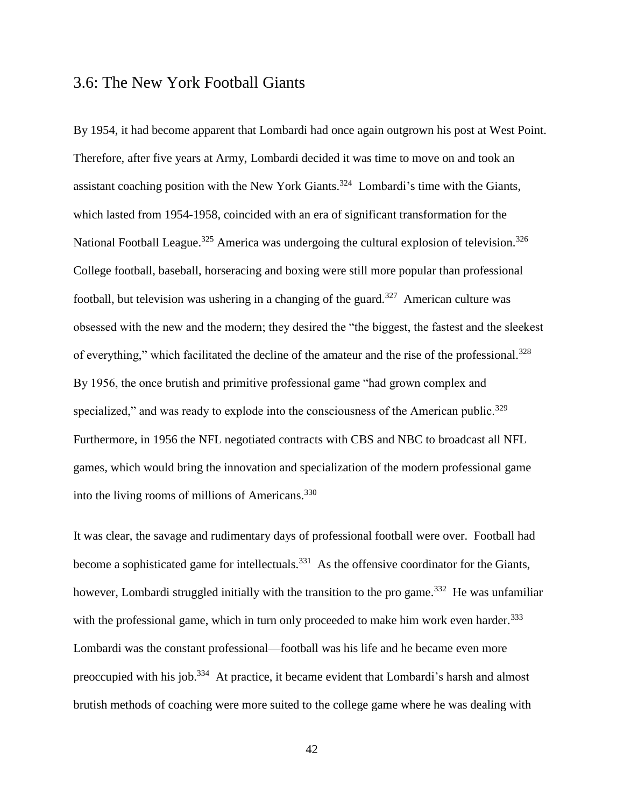#### 3.6: The New York Football Giants

By 1954, it had become apparent that Lombardi had once again outgrown his post at West Point. Therefore, after five years at Army, Lombardi decided it was time to move on and took an assistant coaching position with the New York Giants.<sup>324</sup> Lombardi's time with the Giants, which lasted from 1954-1958, coincided with an era of significant transformation for the National Football League.<sup>325</sup> America was undergoing the cultural explosion of television.<sup>326</sup> College football, baseball, horseracing and boxing were still more popular than professional football, but television was ushering in a changing of the guard.<sup>327</sup> American culture was obsessed with the new and the modern; they desired the "the biggest, the fastest and the sleekest of everything," which facilitated the decline of the amateur and the rise of the professional.<sup>328</sup> By 1956, the once brutish and primitive professional game "had grown complex and specialized," and was ready to explode into the consciousness of the American public.<sup>329</sup> Furthermore, in 1956 the NFL negotiated contracts with CBS and NBC to broadcast all NFL games, which would bring the innovation and specialization of the modern professional game into the living rooms of millions of Americans.<sup>330</sup>

It was clear, the savage and rudimentary days of professional football were over. Football had become a sophisticated game for intellectuals.<sup>331</sup> As the offensive coordinator for the Giants, however, Lombardi struggled initially with the transition to the pro game.<sup>332</sup> He was unfamiliar with the professional game, which in turn only proceeded to make him work even harder.<sup>333</sup> Lombardi was the constant professional—football was his life and he became even more preoccupied with his job.<sup>334</sup> At practice, it became evident that Lombardi's harsh and almost brutish methods of coaching were more suited to the college game where he was dealing with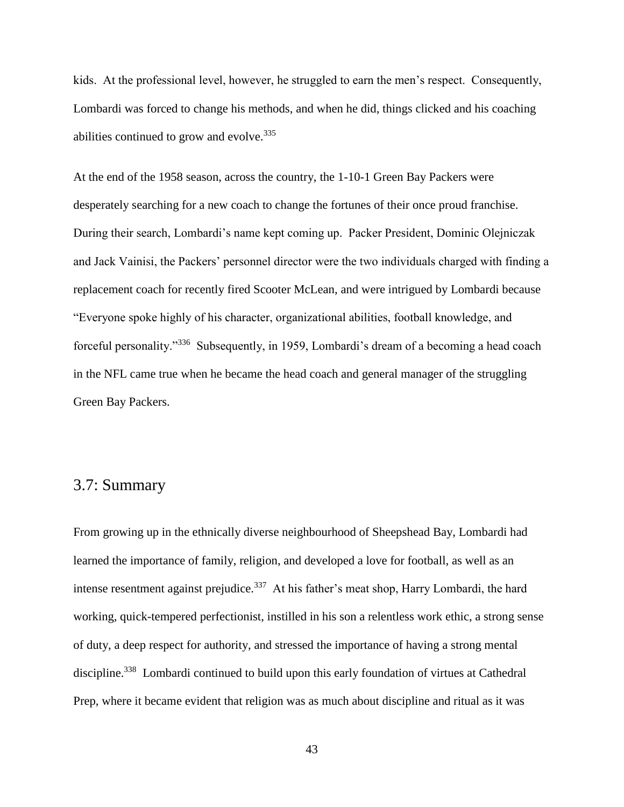kids. At the professional level, however, he struggled to earn the men's respect. Consequently, Lombardi was forced to change his methods, and when he did, things clicked and his coaching abilities continued to grow and evolve.<sup>335</sup>

At the end of the 1958 season, across the country, the 1-10-1 Green Bay Packers were desperately searching for a new coach to change the fortunes of their once proud franchise. During their search, Lombardi's name kept coming up. Packer President, Dominic Olejniczak and Jack Vainisi, the Packers' personnel director were the two individuals charged with finding a replacement coach for recently fired Scooter McLean, and were intrigued by Lombardi because "Everyone spoke highly of his character, organizational abilities, football knowledge, and forceful personality."<sup>336</sup> Subsequently, in 1959, Lombardi's dream of a becoming a head coach in the NFL came true when he became the head coach and general manager of the struggling Green Bay Packers.

#### 3.7: Summary

From growing up in the ethnically diverse neighbourhood of Sheepshead Bay, Lombardi had learned the importance of family, religion, and developed a love for football, as well as an intense resentment against prejudice.<sup>337</sup> At his father's meat shop, Harry Lombardi, the hard working, quick-tempered perfectionist, instilled in his son a relentless work ethic, a strong sense of duty, a deep respect for authority, and stressed the importance of having a strong mental discipline.<sup>338</sup> Lombardi continued to build upon this early foundation of virtues at Cathedral Prep, where it became evident that religion was as much about discipline and ritual as it was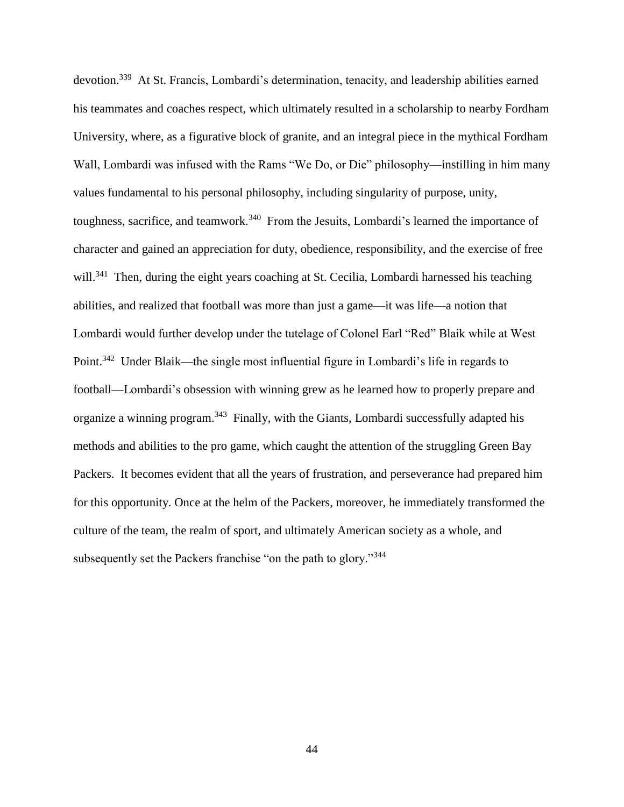devotion.<sup>339</sup> At St. Francis, Lombardi's determination, tenacity, and leadership abilities earned his teammates and coaches respect, which ultimately resulted in a scholarship to nearby Fordham University, where, as a figurative block of granite, and an integral piece in the mythical Fordham Wall, Lombardi was infused with the Rams "We Do, or Die" philosophy—instilling in him many values fundamental to his personal philosophy, including singularity of purpose, unity, toughness, sacrifice, and teamwork.<sup>340</sup> From the Jesuits, Lombardi's learned the importance of character and gained an appreciation for duty, obedience, responsibility, and the exercise of free will.<sup>341</sup> Then, during the eight years coaching at St. Cecilia, Lombardi harnessed his teaching abilities, and realized that football was more than just a game—it was life—a notion that Lombardi would further develop under the tutelage of Colonel Earl "Red" Blaik while at West Point.<sup>342</sup> Under Blaik—the single most influential figure in Lombardi's life in regards to football—Lombardi's obsession with winning grew as he learned how to properly prepare and organize a winning program.<sup>343</sup> Finally, with the Giants, Lombardi successfully adapted his methods and abilities to the pro game, which caught the attention of the struggling Green Bay Packers. It becomes evident that all the years of frustration, and perseverance had prepared him for this opportunity. Once at the helm of the Packers, moreover, he immediately transformed the culture of the team, the realm of sport, and ultimately American society as a whole, and subsequently set the Packers franchise "on the path to glory."<sup>344</sup>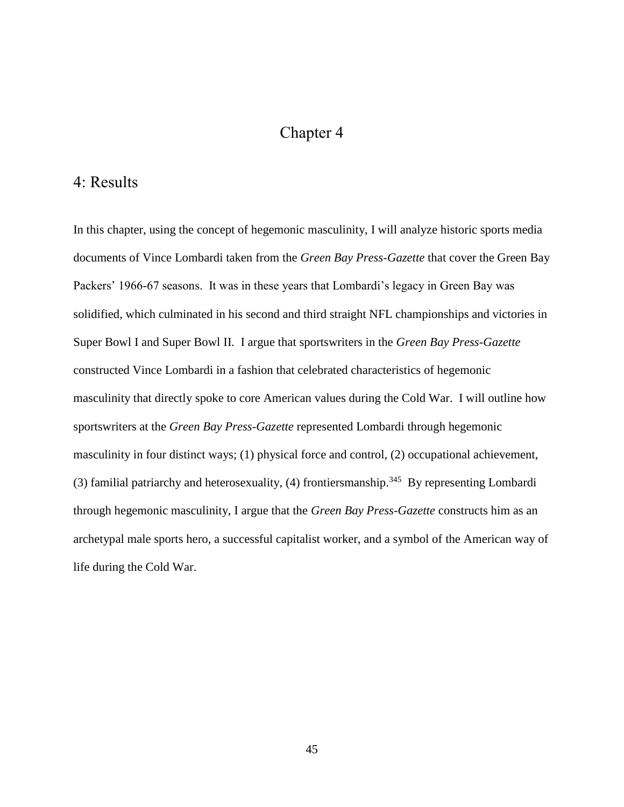### Chapter 4

#### 4: Results

In this chapter, using the concept of hegemonic masculinity, I will analyze historic sports media documents of Vince Lombardi taken from the *Green Bay Press-Gazette* that cover the Green Bay Packers' 1966-67 seasons. It was in these years that Lombardi's legacy in Green Bay was solidified, which culminated in his second and third straight NFL championships and victories in Super Bowl I and Super Bowl II. I argue that sportswriters in the *Green Bay Press-Gazette*  constructed Vince Lombardi in a fashion that celebrated characteristics of hegemonic masculinity that directly spoke to core American values during the Cold War. I will outline how sportswriters at the *Green Bay Press-Gazette* represented Lombardi through hegemonic masculinity in four distinct ways; (1) physical force and control, (2) occupational achievement, (3) familial patriarchy and heterosexuality,  $(4)$  frontiersmanship.<sup>345</sup> By representing Lombardi through hegemonic masculinity, I argue that the *Green Bay Press-Gazette* constructs him as an archetypal male sports hero, a successful capitalist worker, and a symbol of the American way of life during the Cold War.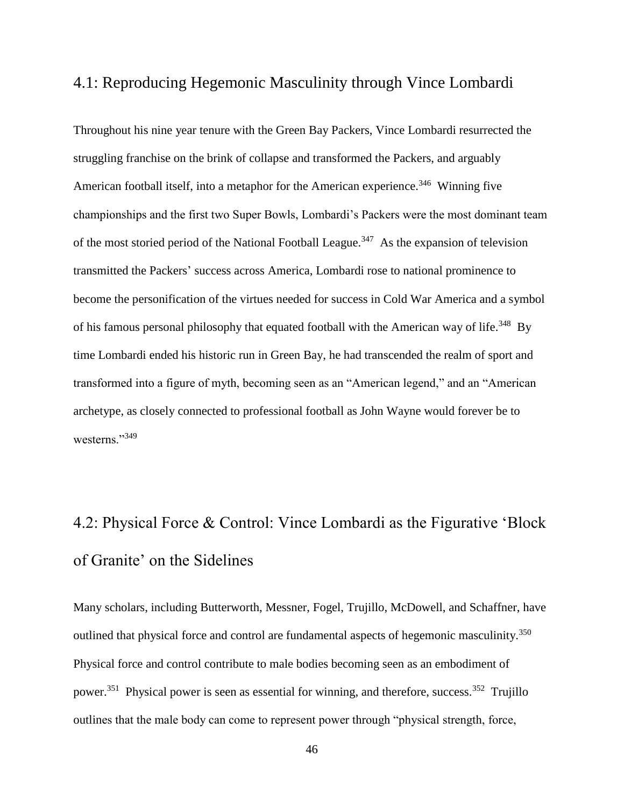#### 4.1: Reproducing Hegemonic Masculinity through Vince Lombardi

Throughout his nine year tenure with the Green Bay Packers, Vince Lombardi resurrected the struggling franchise on the brink of collapse and transformed the Packers, and arguably American football itself, into a metaphor for the American experience.<sup>346</sup> Winning five championships and the first two Super Bowls, Lombardi's Packers were the most dominant team of the most storied period of the National Football League.<sup>347</sup> As the expansion of television transmitted the Packers' success across America, Lombardi rose to national prominence to become the personification of the virtues needed for success in Cold War America and a symbol of his famous personal philosophy that equated football with the American way of life.<sup>348</sup> By time Lombardi ended his historic run in Green Bay, he had transcended the realm of sport and transformed into a figure of myth, becoming seen as an "American legend," and an "American archetype, as closely connected to professional football as John Wayne would forever be to westerns."<sup>349</sup>

# 4.2: Physical Force & Control: Vince Lombardi as the Figurative 'Block of Granite' on the Sidelines

Many scholars, including Butterworth, Messner, Fogel, Trujillo, McDowell, and Schaffner, have outlined that physical force and control are fundamental aspects of hegemonic masculinity.<sup>350</sup> Physical force and control contribute to male bodies becoming seen as an embodiment of power.<sup>351</sup> Physical power is seen as essential for winning, and therefore, success.<sup>352</sup> Trujillo outlines that the male body can come to represent power through "physical strength, force,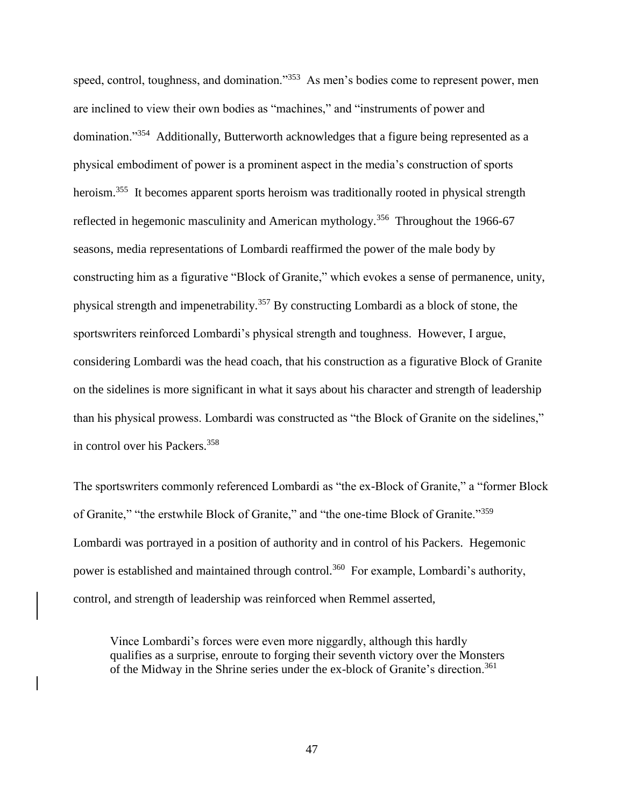speed, control, toughness, and domination."<sup>353</sup> As men's bodies come to represent power, men are inclined to view their own bodies as "machines," and "instruments of power and domination."<sup>354</sup> Additionally, Butterworth acknowledges that a figure being represented as a physical embodiment of power is a prominent aspect in the media's construction of sports heroism.<sup>355</sup> It becomes apparent sports heroism was traditionally rooted in physical strength reflected in hegemonic masculinity and American mythology.<sup>356</sup> Throughout the 1966-67 seasons, media representations of Lombardi reaffirmed the power of the male body by constructing him as a figurative "Block of Granite," which evokes a sense of permanence, unity, physical strength and impenetrability.<sup>357</sup> By constructing Lombardi as a block of stone, the sportswriters reinforced Lombardi's physical strength and toughness. However, I argue, considering Lombardi was the head coach, that his construction as a figurative Block of Granite on the sidelines is more significant in what it says about his character and strength of leadership than his physical prowess. Lombardi was constructed as "the Block of Granite on the sidelines," in control over his Packers.<sup>358</sup>

The sportswriters commonly referenced Lombardi as "the ex-Block of Granite," a "former Block of Granite," "the erstwhile Block of Granite," and "the one-time Block of Granite."<sup>359</sup> Lombardi was portrayed in a position of authority and in control of his Packers. Hegemonic power is established and maintained through control.<sup>360</sup> For example, Lombardi's authority, control, and strength of leadership was reinforced when Remmel asserted,

Vince Lombardi's forces were even more niggardly, although this hardly qualifies as a surprise, enroute to forging their seventh victory over the Monsters of the Midway in the Shrine series under the ex-block of Granite's direction.<sup>361</sup>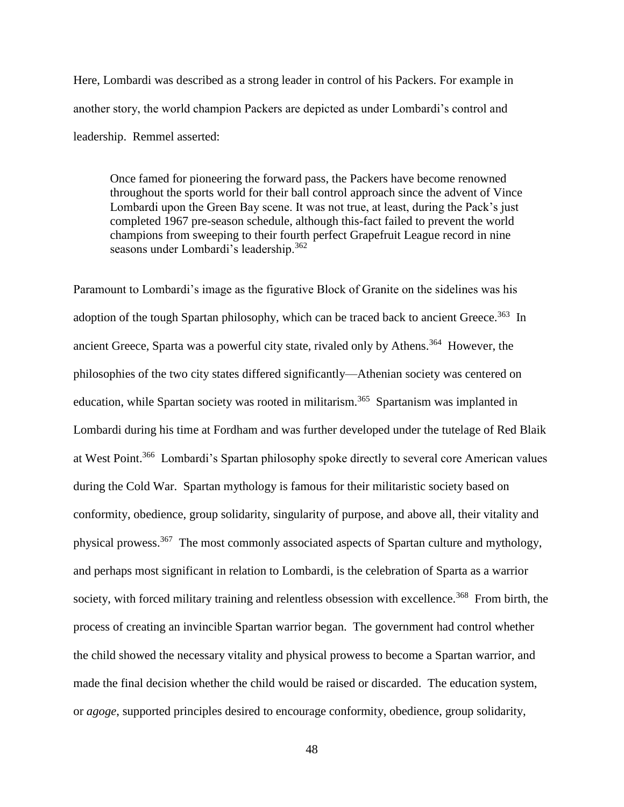Here, Lombardi was described as a strong leader in control of his Packers. For example in another story, the world champion Packers are depicted as under Lombardi's control and leadership. Remmel asserted:

Once famed for pioneering the forward pass, the Packers have become renowned throughout the sports world for their ball control approach since the advent of Vince Lombardi upon the Green Bay scene. It was not true, at least, during the Pack's just completed 1967 pre-season schedule, although this-fact failed to prevent the world champions from sweeping to their fourth perfect Grapefruit League record in nine seasons under Lombardi's leadership.<sup>362</sup>

Paramount to Lombardi's image as the figurative Block of Granite on the sidelines was his adoption of the tough Spartan philosophy, which can be traced back to ancient Greece.<sup>363</sup> In ancient Greece, Sparta was a powerful city state, rivaled only by Athens.<sup>364</sup> However, the philosophies of the two city states differed significantly—Athenian society was centered on education, while Spartan society was rooted in militarism.<sup>365</sup> Spartanism was implanted in Lombardi during his time at Fordham and was further developed under the tutelage of Red Blaik at West Point.<sup>366</sup> Lombardi's Spartan philosophy spoke directly to several core American values during the Cold War. Spartan mythology is famous for their militaristic society based on conformity, obedience, group solidarity, singularity of purpose, and above all, their vitality and physical prowess.<sup>367</sup> The most commonly associated aspects of Spartan culture and mythology, and perhaps most significant in relation to Lombardi, is the celebration of Sparta as a warrior society, with forced military training and relentless obsession with excellence.<sup>368</sup> From birth, the process of creating an invincible Spartan warrior began. The government had control whether the child showed the necessary vitality and physical prowess to become a Spartan warrior, and made the final decision whether the child would be raised or discarded. The education system, or *agoge*, supported principles desired to encourage conformity, obedience, group solidarity,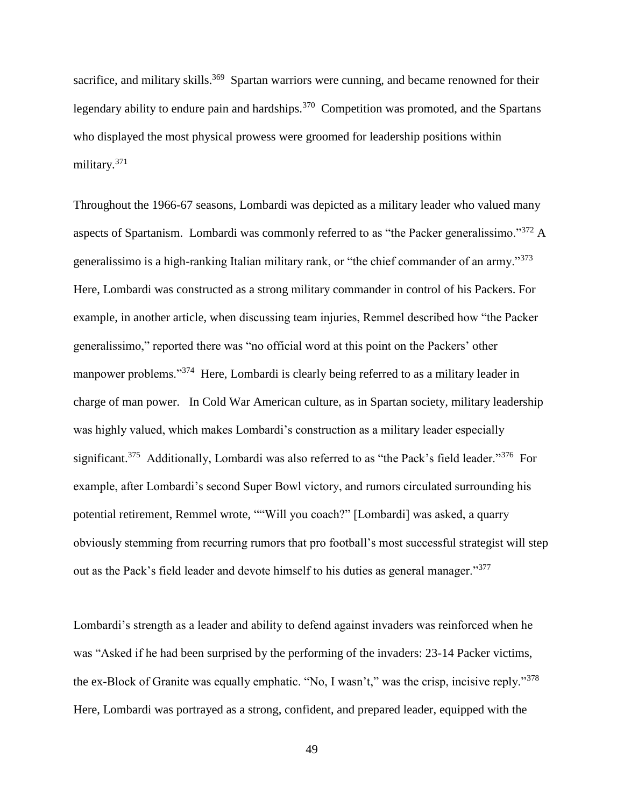sacrifice, and military skills.<sup>369</sup> Spartan warriors were cunning, and became renowned for their legendary ability to endure pain and hardships.<sup>370</sup> Competition was promoted, and the Spartans who displayed the most physical prowess were groomed for leadership positions within military.<sup>371</sup>

Throughout the 1966-67 seasons, Lombardi was depicted as a military leader who valued many aspects of Spartanism. Lombardi was commonly referred to as "the Packer generalissimo."<sup>372</sup> A generalissimo is a high-ranking Italian military rank, or "the chief commander of an army."<sup>373</sup> Here, Lombardi was constructed as a strong military commander in control of his Packers. For example, in another article, when discussing team injuries, Remmel described how "the Packer generalissimo," reported there was "no official word at this point on the Packers' other manpower problems."<sup>374</sup> Here, Lombardi is clearly being referred to as a military leader in charge of man power. In Cold War American culture, as in Spartan society, military leadership was highly valued, which makes Lombardi's construction as a military leader especially significant.<sup>375</sup> Additionally, Lombardi was also referred to as "the Pack's field leader."<sup>376</sup> For example, after Lombardi's second Super Bowl victory, and rumors circulated surrounding his potential retirement, Remmel wrote, ""Will you coach?" [Lombardi] was asked, a quarry obviously stemming from recurring rumors that pro football's most successful strategist will step out as the Pack's field leader and devote himself to his duties as general manager."<sup>377</sup>

Lombardi's strength as a leader and ability to defend against invaders was reinforced when he was "Asked if he had been surprised by the performing of the invaders: 23-14 Packer victims, the ex-Block of Granite was equally emphatic. "No, I wasn't," was the crisp, incisive reply."<sup>378</sup> Here, Lombardi was portrayed as a strong, confident, and prepared leader, equipped with the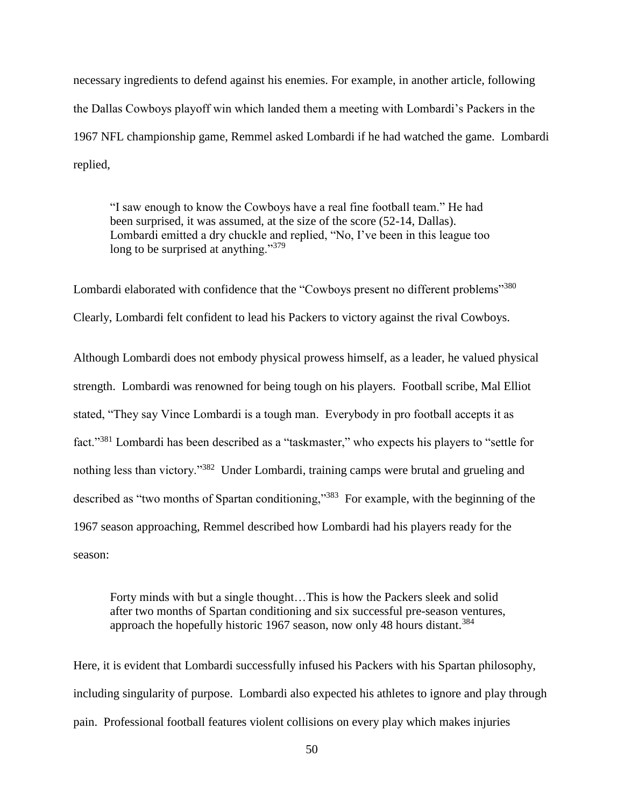necessary ingredients to defend against his enemies. For example, in another article, following the Dallas Cowboys playoff win which landed them a meeting with Lombardi's Packers in the 1967 NFL championship game, Remmel asked Lombardi if he had watched the game. Lombardi replied,

"I saw enough to know the Cowboys have a real fine football team." He had been surprised, it was assumed, at the size of the score (52-14, Dallas). Lombardi emitted a dry chuckle and replied, "No, I've been in this league too long to be surprised at anything."<sup>379</sup>

Lombardi elaborated with confidence that the "Cowboys present no different problems"<sup>380</sup> Clearly, Lombardi felt confident to lead his Packers to victory against the rival Cowboys.

Although Lombardi does not embody physical prowess himself, as a leader, he valued physical strength. Lombardi was renowned for being tough on his players. Football scribe, Mal Elliot stated, "They say Vince Lombardi is a tough man. Everybody in pro football accepts it as fact."<sup>381</sup> Lombardi has been described as a "taskmaster," who expects his players to "settle for nothing less than victory."<sup>382</sup> Under Lombardi, training camps were brutal and grueling and described as "two months of Spartan conditioning,"<sup>383</sup> For example, with the beginning of the 1967 season approaching, Remmel described how Lombardi had his players ready for the season:

Forty minds with but a single thought…This is how the Packers sleek and solid after two months of Spartan conditioning and six successful pre-season ventures, approach the hopefully historic 1967 season, now only 48 hours distant.<sup>384</sup>

Here, it is evident that Lombardi successfully infused his Packers with his Spartan philosophy, including singularity of purpose. Lombardi also expected his athletes to ignore and play through pain. Professional football features violent collisions on every play which makes injuries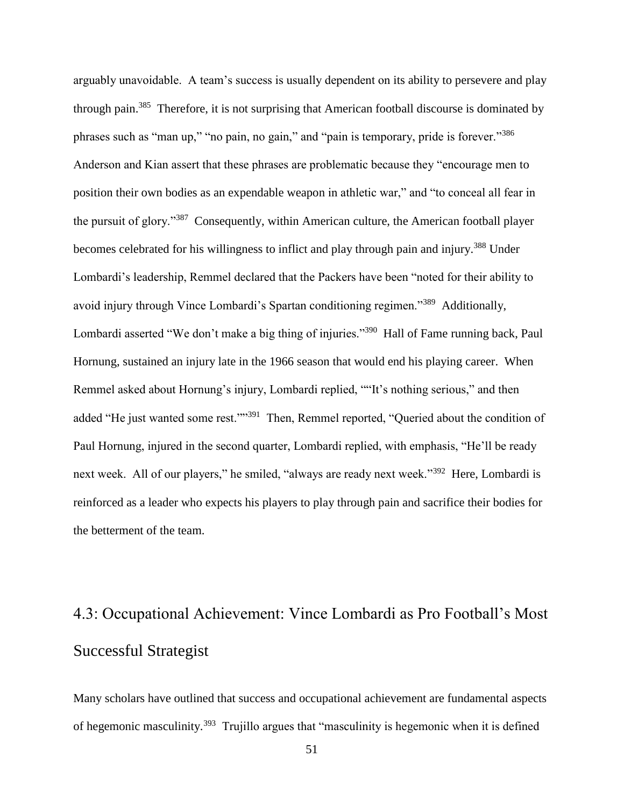arguably unavoidable. A team's success is usually dependent on its ability to persevere and play through pain.<sup>385</sup> Therefore, it is not surprising that American football discourse is dominated by phrases such as "man up," "no pain, no gain," and "pain is temporary, pride is forever."<sup>386</sup> Anderson and Kian assert that these phrases are problematic because they "encourage men to position their own bodies as an expendable weapon in athletic war," and "to conceal all fear in the pursuit of glory."<sup>387</sup> Consequently, within American culture, the American football player becomes celebrated for his willingness to inflict and play through pain and injury.<sup>388</sup> Under Lombardi's leadership, Remmel declared that the Packers have been "noted for their ability to avoid injury through Vince Lombardi's Spartan conditioning regimen."<sup>389</sup> Additionally, Lombardi asserted "We don't make a big thing of injuries."<sup>390</sup> Hall of Fame running back, Paul Hornung, sustained an injury late in the 1966 season that would end his playing career. When Remmel asked about Hornung's injury, Lombardi replied, ""It's nothing serious," and then added "He just wanted some rest.""<sup>391</sup> Then, Remmel reported, "Queried about the condition of Paul Hornung, injured in the second quarter, Lombardi replied, with emphasis, "He'll be ready next week. All of our players," he smiled, "always are ready next week."<sup>392</sup> Here, Lombardi is reinforced as a leader who expects his players to play through pain and sacrifice their bodies for the betterment of the team.

# 4.3: Occupational Achievement: Vince Lombardi as Pro Football's Most Successful Strategist

Many scholars have outlined that success and occupational achievement are fundamental aspects of hegemonic masculinity.<sup>393</sup> Trujillo argues that "masculinity is hegemonic when it is defined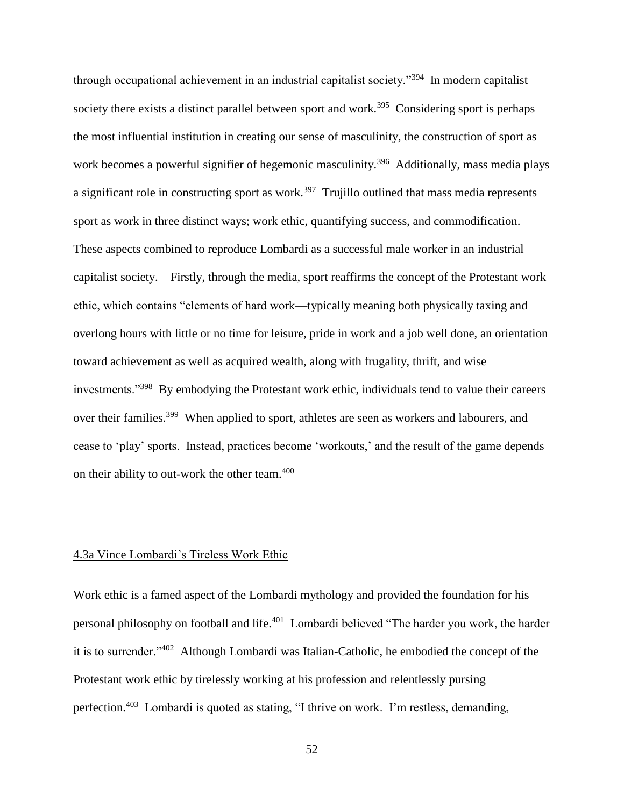through occupational achievement in an industrial capitalist society."<sup>394</sup> In modern capitalist society there exists a distinct parallel between sport and work.<sup>395</sup> Considering sport is perhaps the most influential institution in creating our sense of masculinity, the construction of sport as work becomes a powerful signifier of hegemonic masculinity.<sup>396</sup> Additionally, mass media plays a significant role in constructing sport as work.<sup>397</sup> Trujillo outlined that mass media represents sport as work in three distinct ways; work ethic, quantifying success, and commodification. These aspects combined to reproduce Lombardi as a successful male worker in an industrial capitalist society. Firstly, through the media, sport reaffirms the concept of the Protestant work ethic, which contains "elements of hard work—typically meaning both physically taxing and overlong hours with little or no time for leisure, pride in work and a job well done, an orientation toward achievement as well as acquired wealth, along with frugality, thrift, and wise investments."<sup>398</sup> By embodying the Protestant work ethic, individuals tend to value their careers over their families.<sup>399</sup> When applied to sport, athletes are seen as workers and labourers, and cease to 'play' sports. Instead, practices become 'workouts,' and the result of the game depends on their ability to out-work the other team.<sup>400</sup>

#### 4.3a Vince Lombardi's Tireless Work Ethic

Work ethic is a famed aspect of the Lombardi mythology and provided the foundation for his personal philosophy on football and life.<sup>401</sup> Lombardi believed "The harder you work, the harder it is to surrender."<sup>402</sup> Although Lombardi was Italian-Catholic, he embodied the concept of the Protestant work ethic by tirelessly working at his profession and relentlessly pursing perfection.<sup>403</sup> Lombardi is quoted as stating, "I thrive on work. I'm restless, demanding,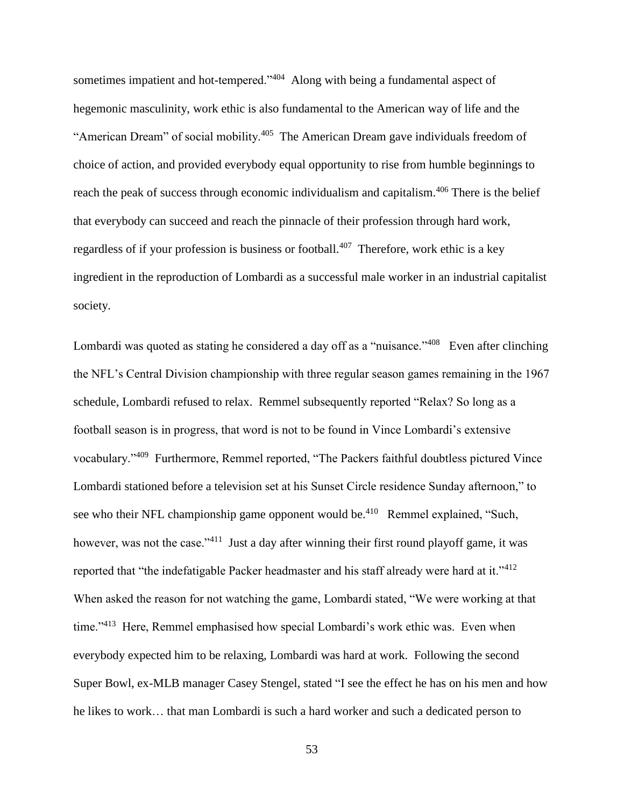sometimes impatient and hot-tempered."<sup>404</sup> Along with being a fundamental aspect of hegemonic masculinity, work ethic is also fundamental to the American way of life and the "American Dream" of social mobility.<sup>405</sup> The American Dream gave individuals freedom of choice of action, and provided everybody equal opportunity to rise from humble beginnings to reach the peak of success through economic individualism and capitalism.<sup>406</sup> There is the belief that everybody can succeed and reach the pinnacle of their profession through hard work, regardless of if your profession is business or football.<sup>407</sup> Therefore, work ethic is a key ingredient in the reproduction of Lombardi as a successful male worker in an industrial capitalist society.

Lombardi was quoted as stating he considered a day off as a "nuisance."<sup>408</sup> Even after clinching the NFL's Central Division championship with three regular season games remaining in the 1967 schedule, Lombardi refused to relax. Remmel subsequently reported "Relax? So long as a football season is in progress, that word is not to be found in Vince Lombardi's extensive vocabulary."<sup>409</sup> Furthermore, Remmel reported, "The Packers faithful doubtless pictured Vince Lombardi stationed before a television set at his Sunset Circle residence Sunday afternoon," to see who their NFL championship game opponent would be.<sup>410</sup> Remmel explained, "Such, however, was not the case."<sup>411</sup> Just a day after winning their first round playoff game, it was reported that "the indefatigable Packer headmaster and his staff already were hard at it."<sup>412</sup> When asked the reason for not watching the game, Lombardi stated, "We were working at that time."<sup>413</sup> Here, Remmel emphasised how special Lombardi's work ethic was. Even when everybody expected him to be relaxing, Lombardi was hard at work. Following the second Super Bowl, ex-MLB manager Casey Stengel, stated "I see the effect he has on his men and how he likes to work… that man Lombardi is such a hard worker and such a dedicated person to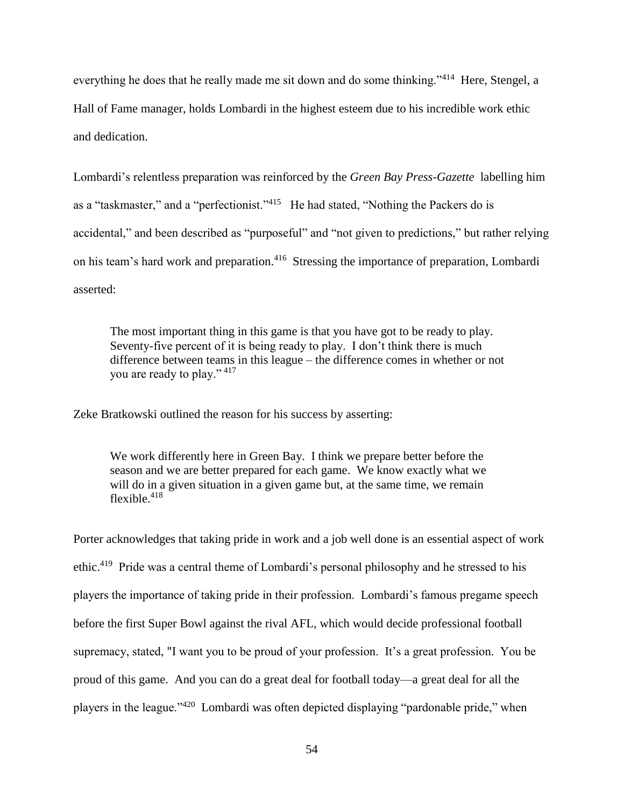everything he does that he really made me sit down and do some thinking."<sup>414</sup> Here, Stengel, a Hall of Fame manager, holds Lombardi in the highest esteem due to his incredible work ethic and dedication.

Lombardi's relentless preparation was reinforced by the *Green Bay Press-Gazette* labelling him as a "taskmaster," and a "perfectionist."<sup>415</sup> He had stated, "Nothing the Packers do is accidental," and been described as "purposeful" and "not given to predictions," but rather relying on his team's hard work and preparation.<sup>416</sup> Stressing the importance of preparation, Lombardi asserted:

The most important thing in this game is that you have got to be ready to play. Seventy-five percent of it is being ready to play. I don't think there is much difference between teams in this league – the difference comes in whether or not you are ready to play." <sup>417</sup>

Zeke Bratkowski outlined the reason for his success by asserting:

We work differently here in Green Bay. I think we prepare better before the season and we are better prepared for each game. We know exactly what we will do in a given situation in a given game but, at the same time, we remain flexible. $418$ 

Porter acknowledges that taking pride in work and a job well done is an essential aspect of work ethic.<sup>419</sup> Pride was a central theme of Lombardi's personal philosophy and he stressed to his players the importance of taking pride in their profession. Lombardi's famous pregame speech before the first Super Bowl against the rival AFL, which would decide professional football supremacy, stated, "I want you to be proud of your profession. It's a great profession. You be proud of this game. And you can do a great deal for football today—a great deal for all the players in the league."<sup>420</sup> Lombardi was often depicted displaying "pardonable pride," when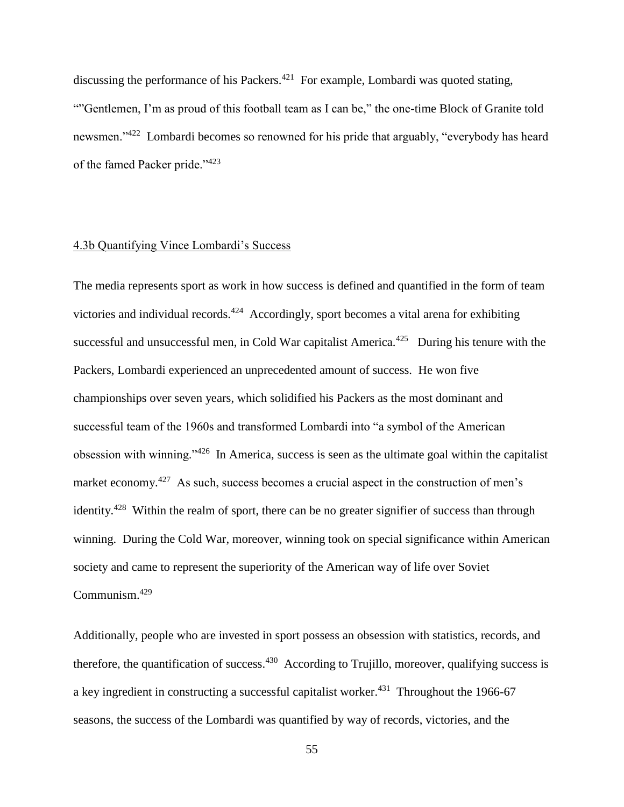discussing the performance of his Packers. $421$  For example, Lombardi was quoted stating, ""Gentlemen, I'm as proud of this football team as I can be," the one-time Block of Granite told newsmen."<sup>422</sup> Lombardi becomes so renowned for his pride that arguably, "everybody has heard of the famed Packer pride."<sup>423</sup>

#### 4.3b Quantifying Vince Lombardi's Success

The media represents sport as work in how success is defined and quantified in the form of team victories and individual records.<sup>424</sup> Accordingly, sport becomes a vital arena for exhibiting successful and unsuccessful men, in Cold War capitalist America.<sup>425</sup> During his tenure with the Packers, Lombardi experienced an unprecedented amount of success. He won five championships over seven years, which solidified his Packers as the most dominant and successful team of the 1960s and transformed Lombardi into "a symbol of the American obsession with winning."<sup>426</sup> In America, success is seen as the ultimate goal within the capitalist market economy.<sup>427</sup> As such, success becomes a crucial aspect in the construction of men's identity.<sup>428</sup> Within the realm of sport, there can be no greater signifier of success than through winning. During the Cold War, moreover, winning took on special significance within American society and came to represent the superiority of the American way of life over Soviet Communism.<sup>429</sup>

Additionally, people who are invested in sport possess an obsession with statistics, records, and therefore, the quantification of success.<sup>430</sup> According to Trujillo, moreover, qualifying success is a key ingredient in constructing a successful capitalist worker. $431$  Throughout the 1966-67 seasons, the success of the Lombardi was quantified by way of records, victories, and the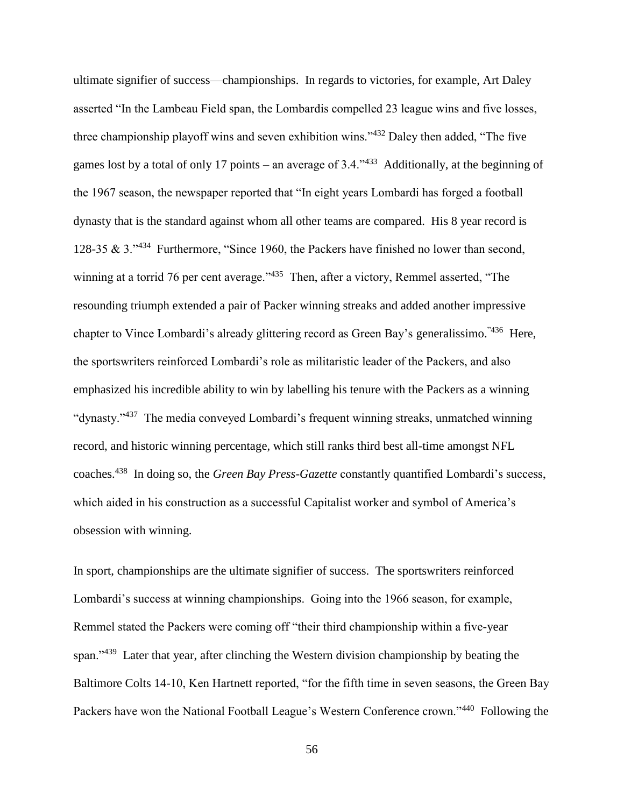ultimate signifier of success—championships. In regards to victories, for example, Art Daley asserted "In the Lambeau Field span, the Lombardis compelled 23 league wins and five losses, three championship playoff wins and seven exhibition wins."<sup>432</sup> Daley then added, "The five games lost by a total of only 17 points – an average of 3.4.<sup> $3$ </sup> Additionally, at the beginning of the 1967 season, the newspaper reported that "In eight years Lombardi has forged a football dynasty that is the standard against whom all other teams are compared. His 8 year record is 128-35 & 3."<sup>434</sup> Furthermore, "Since 1960, the Packers have finished no lower than second, winning at a torrid 76 per cent average."<sup>435</sup> Then, after a victory, Remmel asserted, "The resounding triumph extended a pair of Packer winning streaks and added another impressive chapter to Vince Lombardi's already glittering record as Green Bay's generalissimo.<sup>"436</sup> Here, the sportswriters reinforced Lombardi's role as militaristic leader of the Packers, and also emphasized his incredible ability to win by labelling his tenure with the Packers as a winning "dynasty."<sup>437</sup> The media conveyed Lombardi's frequent winning streaks, unmatched winning record, and historic winning percentage, which still ranks third best all-time amongst NFL coaches. 438 In doing so, the *Green Bay Press-Gazette* constantly quantified Lombardi's success, which aided in his construction as a successful Capitalist worker and symbol of America's obsession with winning.

In sport, championships are the ultimate signifier of success. The sportswriters reinforced Lombardi's success at winning championships. Going into the 1966 season, for example, Remmel stated the Packers were coming off "their third championship within a five-year span."<sup>439</sup> Later that year, after clinching the Western division championship by beating the Baltimore Colts 14-10, Ken Hartnett reported, "for the fifth time in seven seasons, the Green Bay Packers have won the National Football League's Western Conference crown."<sup>440</sup> Following the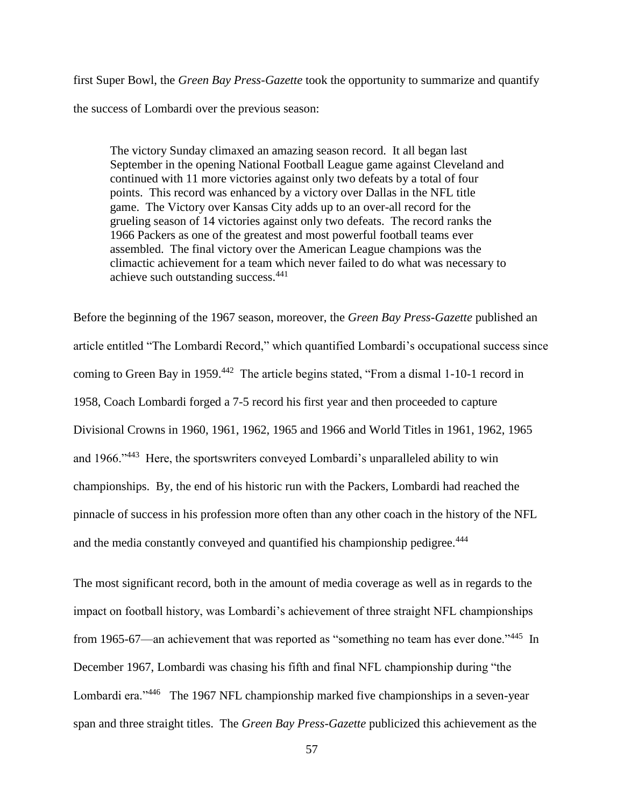first Super Bowl, the *Green Bay Press-Gazette* took the opportunity to summarize and quantify the success of Lombardi over the previous season:

The victory Sunday climaxed an amazing season record. It all began last September in the opening National Football League game against Cleveland and continued with 11 more victories against only two defeats by a total of four points. This record was enhanced by a victory over Dallas in the NFL title game. The Victory over Kansas City adds up to an over-all record for the grueling season of 14 victories against only two defeats. The record ranks the 1966 Packers as one of the greatest and most powerful football teams ever assembled. The final victory over the American League champions was the climactic achievement for a team which never failed to do what was necessary to achieve such outstanding success.<sup>441</sup>

Before the beginning of the 1967 season, moreover, the *Green Bay Press-Gazette* published an article entitled "The Lombardi Record," which quantified Lombardi's occupational success since coming to Green Bay in 1959.<sup>442</sup> The article begins stated, "From a dismal 1-10-1 record in 1958, Coach Lombardi forged a 7-5 record his first year and then proceeded to capture Divisional Crowns in 1960, 1961, 1962, 1965 and 1966 and World Titles in 1961, 1962, 1965 and 1966."<sup>443</sup> Here, the sportswriters conveyed Lombardi's unparalleled ability to win championships. By, the end of his historic run with the Packers, Lombardi had reached the pinnacle of success in his profession more often than any other coach in the history of the NFL and the media constantly conveyed and quantified his championship pedigree.<sup>444</sup>

The most significant record, both in the amount of media coverage as well as in regards to the impact on football history, was Lombardi's achievement of three straight NFL championships from 1965-67—an achievement that was reported as "something no team has ever done."<sup>445</sup> In December 1967, Lombardi was chasing his fifth and final NFL championship during "the Lombardi era."<sup>446</sup> The 1967 NFL championship marked five championships in a seven-year span and three straight titles. The *Green Bay Press-Gazette* publicized this achievement as the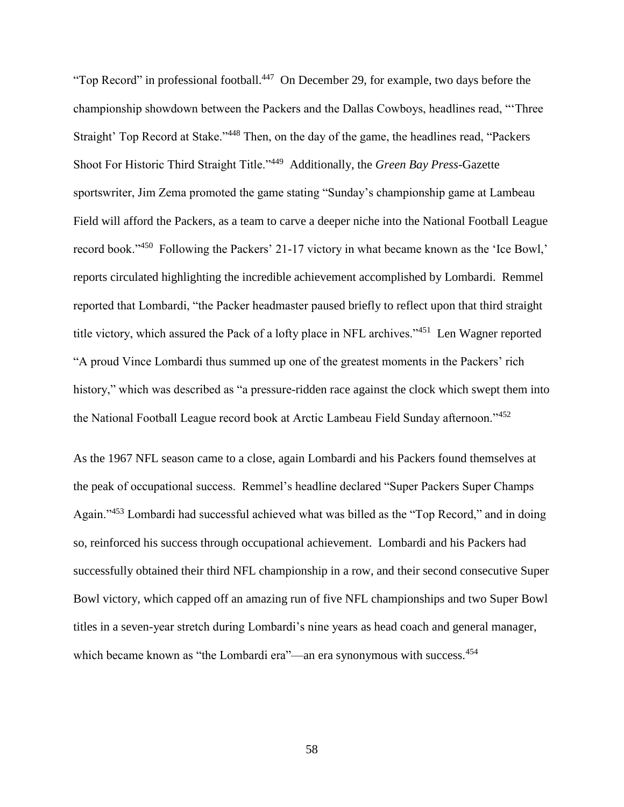"Top Record" in professional football.<sup>447</sup> On December 29, for example, two days before the championship showdown between the Packers and the Dallas Cowboys, headlines read, "'Three Straight' Top Record at Stake."<sup>448</sup> Then, on the day of the game, the headlines read, "Packers Shoot For Historic Third Straight Title."<sup>449</sup> Additionally, the *Green Bay Press-*Gazette sportswriter, Jim Zema promoted the game stating "Sunday's championship game at Lambeau Field will afford the Packers, as a team to carve a deeper niche into the National Football League record book."<sup>450</sup> Following the Packers' 21-17 victory in what became known as the 'Ice Bowl,' reports circulated highlighting the incredible achievement accomplished by Lombardi. Remmel reported that Lombardi, "the Packer headmaster paused briefly to reflect upon that third straight title victory, which assured the Pack of a lofty place in NFL archives."<sup>451</sup> Len Wagner reported "A proud Vince Lombardi thus summed up one of the greatest moments in the Packers' rich history," which was described as "a pressure-ridden race against the clock which swept them into the National Football League record book at Arctic Lambeau Field Sunday afternoon."<sup>452</sup>

As the 1967 NFL season came to a close, again Lombardi and his Packers found themselves at the peak of occupational success. Remmel's headline declared "Super Packers Super Champs Again."<sup>453</sup> Lombardi had successful achieved what was billed as the "Top Record," and in doing so, reinforced his success through occupational achievement. Lombardi and his Packers had successfully obtained their third NFL championship in a row, and their second consecutive Super Bowl victory, which capped off an amazing run of five NFL championships and two Super Bowl titles in a seven-year stretch during Lombardi's nine years as head coach and general manager, which became known as "the Lombardi era"—an era synonymous with success.<sup>454</sup>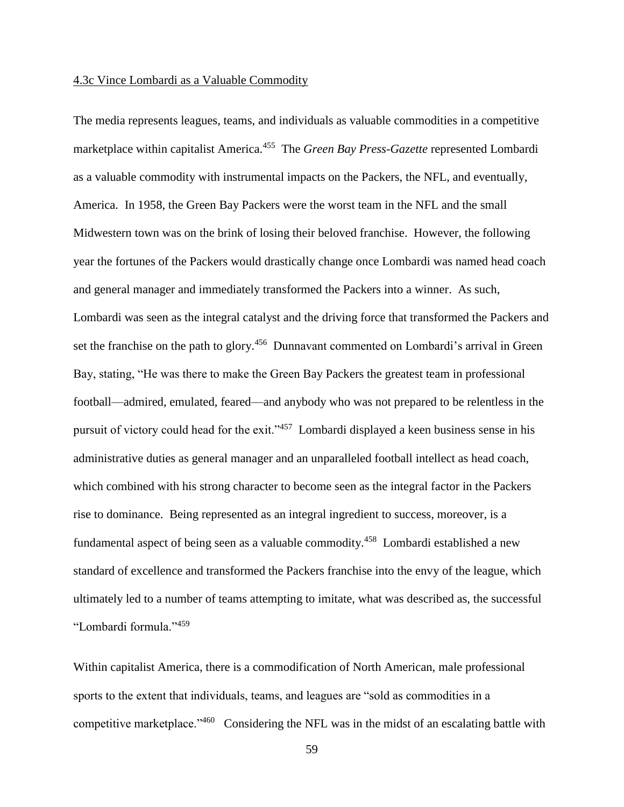#### 4.3c Vince Lombardi as a Valuable Commodity

The media represents leagues, teams, and individuals as valuable commodities in a competitive marketplace within capitalist America.<sup>455</sup> The *Green Bay Press-Gazette* represented Lombardi as a valuable commodity with instrumental impacts on the Packers, the NFL, and eventually, America. In 1958, the Green Bay Packers were the worst team in the NFL and the small Midwestern town was on the brink of losing their beloved franchise. However, the following year the fortunes of the Packers would drastically change once Lombardi was named head coach and general manager and immediately transformed the Packers into a winner. As such, Lombardi was seen as the integral catalyst and the driving force that transformed the Packers and set the franchise on the path to glory.<sup>456</sup> Dunnavant commented on Lombardi's arrival in Green Bay, stating, "He was there to make the Green Bay Packers the greatest team in professional football—admired, emulated, feared—and anybody who was not prepared to be relentless in the pursuit of victory could head for the exit."<sup>457</sup> Lombardi displayed a keen business sense in his administrative duties as general manager and an unparalleled football intellect as head coach, which combined with his strong character to become seen as the integral factor in the Packers rise to dominance. Being represented as an integral ingredient to success, moreover, is a fundamental aspect of being seen as a valuable commodity.<sup>458</sup> Lombardi established a new standard of excellence and transformed the Packers franchise into the envy of the league, which ultimately led to a number of teams attempting to imitate, what was described as, the successful "Lombardi formula."<sup>459</sup>

Within capitalist America, there is a commodification of North American, male professional sports to the extent that individuals, teams, and leagues are "sold as commodities in a competitive marketplace."<sup>460</sup> Considering the NFL was in the midst of an escalating battle with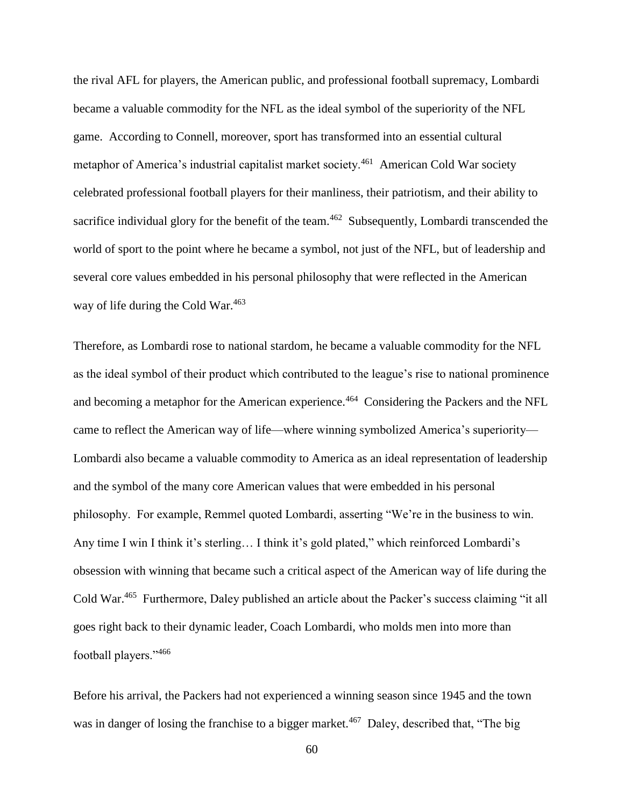the rival AFL for players, the American public, and professional football supremacy, Lombardi became a valuable commodity for the NFL as the ideal symbol of the superiority of the NFL game. According to Connell, moreover, sport has transformed into an essential cultural metaphor of America's industrial capitalist market society.<sup>461</sup> American Cold War society celebrated professional football players for their manliness, their patriotism, and their ability to sacrifice individual glory for the benefit of the team.<sup>462</sup> Subsequently, Lombardi transcended the world of sport to the point where he became a symbol, not just of the NFL, but of leadership and several core values embedded in his personal philosophy that were reflected in the American way of life during the Cold War.<sup>463</sup>

Therefore, as Lombardi rose to national stardom, he became a valuable commodity for the NFL as the ideal symbol of their product which contributed to the league's rise to national prominence and becoming a metaphor for the American experience.<sup>464</sup> Considering the Packers and the NFL came to reflect the American way of life—where winning symbolized America's superiority— Lombardi also became a valuable commodity to America as an ideal representation of leadership and the symbol of the many core American values that were embedded in his personal philosophy. For example, Remmel quoted Lombardi, asserting "We're in the business to win. Any time I win I think it's sterling… I think it's gold plated," which reinforced Lombardi's obsession with winning that became such a critical aspect of the American way of life during the Cold War.<sup>465</sup> Furthermore, Daley published an article about the Packer's success claiming "it all goes right back to their dynamic leader, Coach Lombardi, who molds men into more than football players."<sup>466</sup>

Before his arrival, the Packers had not experienced a winning season since 1945 and the town was in danger of losing the franchise to a bigger market.<sup>467</sup> Daley, described that, "The big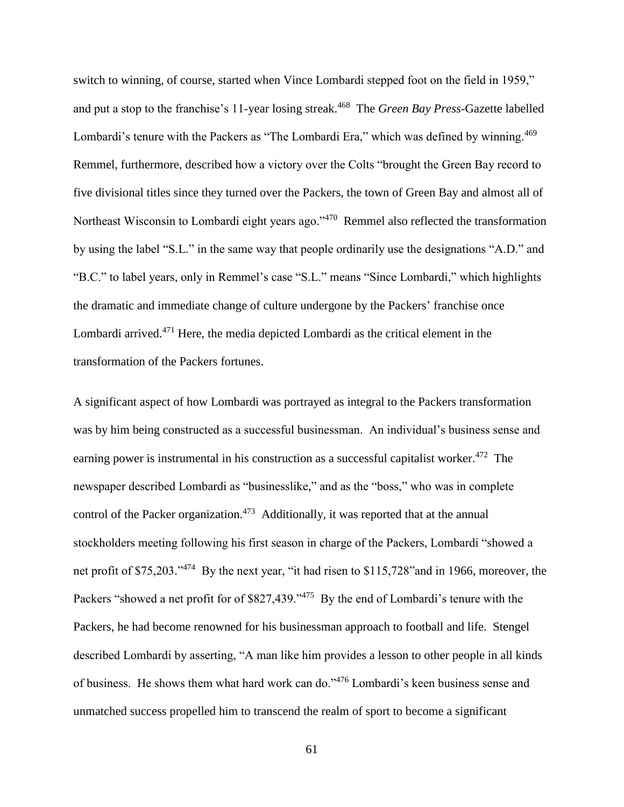switch to winning, of course, started when Vince Lombardi stepped foot on the field in 1959," and put a stop to the franchise's 11-year losing streak.<sup>468</sup> The *Green Bay Press*-Gazette labelled Lombardi's tenure with the Packers as "The Lombardi Era," which was defined by winning.<sup>469</sup> Remmel, furthermore, described how a victory over the Colts "brought the Green Bay record to five divisional titles since they turned over the Packers, the town of Green Bay and almost all of Northeast Wisconsin to Lombardi eight years ago."<sup>470</sup> Remmel also reflected the transformation by using the label "S.L." in the same way that people ordinarily use the designations "A.D." and "B.C." to label years, only in Remmel's case "S.L." means "Since Lombardi," which highlights the dramatic and immediate change of culture undergone by the Packers' franchise once Lombardi arrived.<sup>471</sup> Here, the media depicted Lombardi as the critical element in the transformation of the Packers fortunes.

A significant aspect of how Lombardi was portrayed as integral to the Packers transformation was by him being constructed as a successful businessman. An individual's business sense and earning power is instrumental in his construction as a successful capitalist worker.<sup>472</sup> The newspaper described Lombardi as "businesslike," and as the "boss," who was in complete control of the Packer organization.<sup>473</sup> Additionally, it was reported that at the annual stockholders meeting following his first season in charge of the Packers, Lombardi "showed a net profit of \$75,203."<sup>474</sup> By the next year, "it had risen to \$115,728" and in 1966, moreover, the Packers "showed a net profit for of \$827,439."<sup>475</sup> By the end of Lombardi's tenure with the Packers, he had become renowned for his businessman approach to football and life. Stengel described Lombardi by asserting, "A man like him provides a lesson to other people in all kinds of business. He shows them what hard work can do."<sup>476</sup> Lombardi's keen business sense and unmatched success propelled him to transcend the realm of sport to become a significant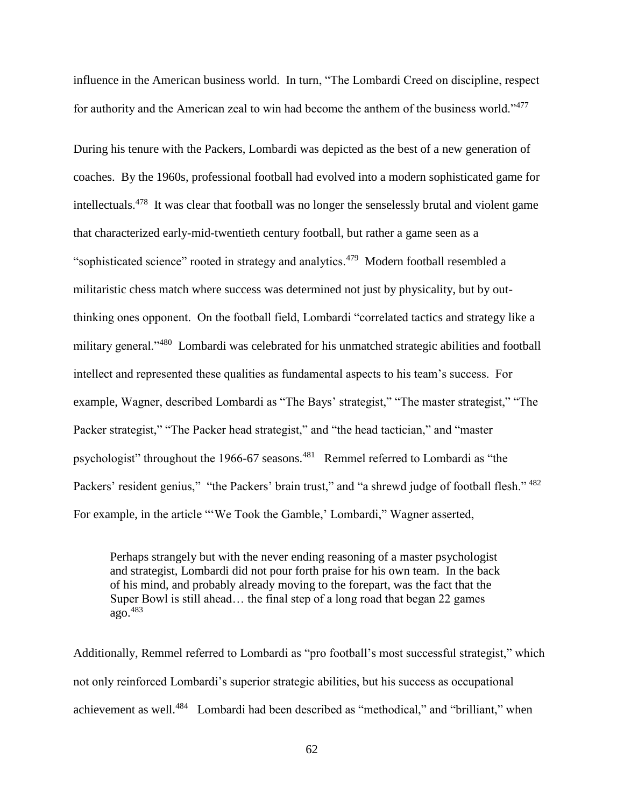influence in the American business world. In turn, "The Lombardi Creed on discipline, respect for authority and the American zeal to win had become the anthem of the business world."<sup>477</sup> 

During his tenure with the Packers, Lombardi was depicted as the best of a new generation of coaches. By the 1960s, professional football had evolved into a modern sophisticated game for intellectuals.<sup>478</sup> It was clear that football was no longer the senselessly brutal and violent game that characterized early-mid-twentieth century football, but rather a game seen as a "sophisticated science" rooted in strategy and analytics. $479$  Modern football resembled a militaristic chess match where success was determined not just by physicality, but by outthinking ones opponent. On the football field, Lombardi "correlated tactics and strategy like a military general."<sup>480</sup> Lombardi was celebrated for his unmatched strategic abilities and football intellect and represented these qualities as fundamental aspects to his team's success. For example, Wagner, described Lombardi as "The Bays' strategist," "The master strategist," "The Packer strategist," "The Packer head strategist," and "the head tactician," and "master psychologist" throughout the 1966-67 seasons.<sup>481</sup> Remmel referred to Lombardi as "the Packers' resident genius," "the Packers' brain trust," and "a shrewd judge of football flesh." <sup>482</sup> For example, in the article "'We Took the Gamble,' Lombardi," Wagner asserted,

Perhaps strangely but with the never ending reasoning of a master psychologist and strategist, Lombardi did not pour forth praise for his own team. In the back of his mind, and probably already moving to the forepart, was the fact that the Super Bowl is still ahead… the final step of a long road that began 22 games  $a\overline{q}$ <sup>483</sup>

Additionally, Remmel referred to Lombardi as "pro football's most successful strategist," which not only reinforced Lombardi's superior strategic abilities, but his success as occupational achievement as well.<sup>484</sup> Lombardi had been described as "methodical," and "brilliant," when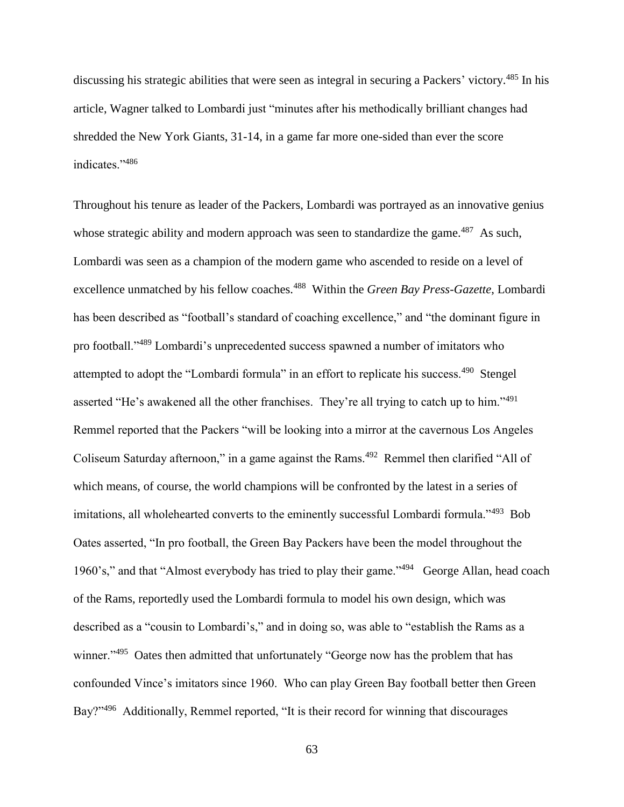discussing his strategic abilities that were seen as integral in securing a Packers' victory.<sup>485</sup> In his article, Wagner talked to Lombardi just "minutes after his methodically brilliant changes had shredded the New York Giants, 31-14, in a game far more one-sided than ever the score indicates."<sup>486</sup>

Throughout his tenure as leader of the Packers, Lombardi was portrayed as an innovative genius whose strategic ability and modern approach was seen to standardize the game.<sup>487</sup> As such, Lombardi was seen as a champion of the modern game who ascended to reside on a level of excellence unmatched by his fellow coaches.<sup>488</sup> Within the *Green Bay Press-Gazette*, Lombardi has been described as "football's standard of coaching excellence," and "the dominant figure in pro football."<sup>489</sup> Lombardi's unprecedented success spawned a number of imitators who attempted to adopt the "Lombardi formula" in an effort to replicate his success.<sup>490</sup> Stengel asserted "He's awakened all the other franchises. They're all trying to catch up to him."<sup>491</sup> Remmel reported that the Packers "will be looking into a mirror at the cavernous Los Angeles Coliseum Saturday afternoon," in a game against the Rams.<sup>492</sup> Remmel then clarified "All of which means, of course, the world champions will be confronted by the latest in a series of imitations, all wholehearted converts to the eminently successful Lombardi formula."<sup>493</sup> Bob Oates asserted, "In pro football, the Green Bay Packers have been the model throughout the 1960's," and that "Almost everybody has tried to play their game."<sup>494</sup> George Allan, head coach of the Rams, reportedly used the Lombardi formula to model his own design, which was described as a "cousin to Lombardi's," and in doing so, was able to "establish the Rams as a winner."<sup>495</sup> Oates then admitted that unfortunately "George now has the problem that has confounded Vince's imitators since 1960. Who can play Green Bay football better then Green Bay?"<sup>496</sup> Additionally, Remmel reported, "It is their record for winning that discourages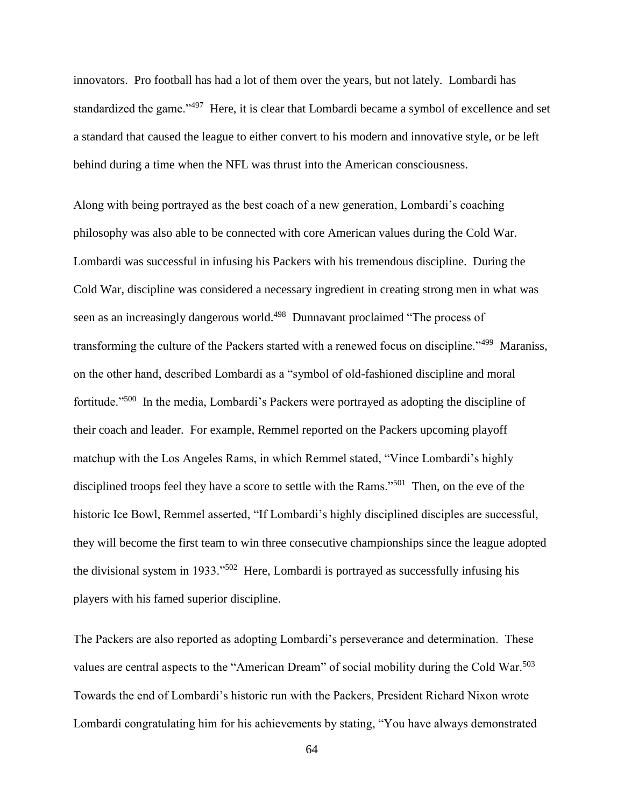innovators. Pro football has had a lot of them over the years, but not lately. Lombardi has standardized the game."<sup>497</sup> Here, it is clear that Lombardi became a symbol of excellence and set a standard that caused the league to either convert to his modern and innovative style, or be left behind during a time when the NFL was thrust into the American consciousness.

Along with being portrayed as the best coach of a new generation, Lombardi's coaching philosophy was also able to be connected with core American values during the Cold War. Lombardi was successful in infusing his Packers with his tremendous discipline. During the Cold War, discipline was considered a necessary ingredient in creating strong men in what was seen as an increasingly dangerous world.<sup>498</sup> Dunnavant proclaimed "The process of transforming the culture of the Packers started with a renewed focus on discipline."<sup>499</sup> Maraniss, on the other hand, described Lombardi as a "symbol of old-fashioned discipline and moral fortitude."<sup>500</sup> In the media, Lombardi's Packers were portrayed as adopting the discipline of their coach and leader. For example, Remmel reported on the Packers upcoming playoff matchup with the Los Angeles Rams, in which Remmel stated, "Vince Lombardi's highly disciplined troops feel they have a score to settle with the Rams."<sup>501</sup> Then, on the eve of the historic Ice Bowl, Remmel asserted, "If Lombardi's highly disciplined disciples are successful, they will become the first team to win three consecutive championships since the league adopted the divisional system in 1933."<sup>502</sup> Here, Lombardi is portrayed as successfully infusing his players with his famed superior discipline.

The Packers are also reported as adopting Lombardi's perseverance and determination. These values are central aspects to the "American Dream" of social mobility during the Cold War.<sup>503</sup> Towards the end of Lombardi's historic run with the Packers, President Richard Nixon wrote Lombardi congratulating him for his achievements by stating, "You have always demonstrated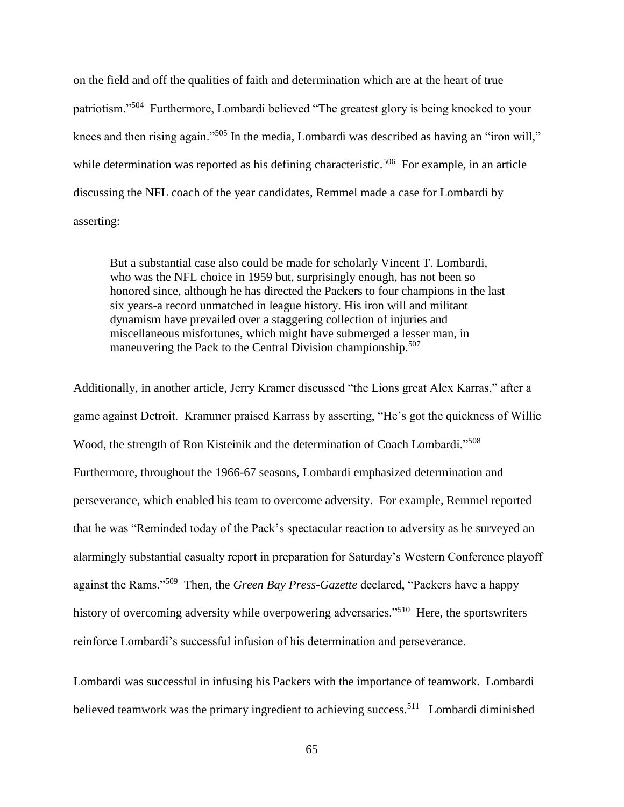on the field and off the qualities of faith and determination which are at the heart of true patriotism."<sup>504</sup> Furthermore, Lombardi believed "The greatest glory is being knocked to your knees and then rising again."<sup>505</sup> In the media, Lombardi was described as having an "iron will," while determination was reported as his defining characteristic.<sup>506</sup> For example, in an article discussing the NFL coach of the year candidates, Remmel made a case for Lombardi by asserting:

But a substantial case also could be made for scholarly Vincent T. Lombardi, who was the NFL choice in 1959 but, surprisingly enough, has not been so honored since, although he has directed the Packers to four champions in the last six years-a record unmatched in league history. His iron will and militant dynamism have prevailed over a staggering collection of injuries and miscellaneous misfortunes, which might have submerged a lesser man, in maneuvering the Pack to the Central Division championship.<sup>507</sup>

Additionally, in another article, Jerry Kramer discussed "the Lions great Alex Karras," after a game against Detroit. Krammer praised Karrass by asserting, "He's got the quickness of Willie Wood, the strength of Ron Kisteinik and the determination of Coach Lombardi."<sup>508</sup> Furthermore, throughout the 1966-67 seasons, Lombardi emphasized determination and perseverance, which enabled his team to overcome adversity. For example, Remmel reported that he was "Reminded today of the Pack's spectacular reaction to adversity as he surveyed an alarmingly substantial casualty report in preparation for Saturday's Western Conference playoff against the Rams."<sup>509</sup> Then, the *Green Bay Press-Gazette* declared, "Packers have a happy history of overcoming adversity while overpowering adversaries."<sup>510</sup> Here, the sportswriters reinforce Lombardi's successful infusion of his determination and perseverance.

Lombardi was successful in infusing his Packers with the importance of teamwork. Lombardi believed teamwork was the primary ingredient to achieving success.<sup>511</sup> Lombardi diminished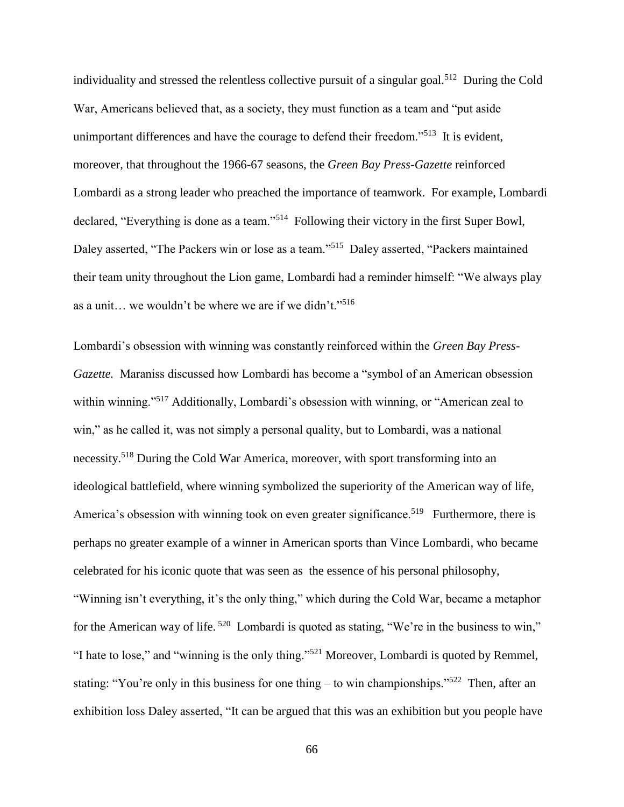individuality and stressed the relentless collective pursuit of a singular goal.<sup>512</sup> During the Cold War, Americans believed that, as a society, they must function as a team and "put aside unimportant differences and have the courage to defend their freedom."<sup>513</sup> It is evident, moreover, that throughout the 1966-67 seasons, the *Green Bay Press-Gazette* reinforced Lombardi as a strong leader who preached the importance of teamwork. For example, Lombardi declared, "Everything is done as a team."<sup>514</sup> Following their victory in the first Super Bowl, Daley asserted, "The Packers win or lose as a team."<sup>515</sup> Daley asserted, "Packers maintained their team unity throughout the Lion game, Lombardi had a reminder himself: "We always play as a unit… we wouldn't be where we are if we didn't."<sup>516</sup>

Lombardi's obsession with winning was constantly reinforced within the *Green Bay Press-Gazette.* Maraniss discussed how Lombardi has become a "symbol of an American obsession within winning."<sup>517</sup> Additionally, Lombardi's obsession with winning, or "American zeal to win," as he called it, was not simply a personal quality, but to Lombardi, was a national necessity.<sup>518</sup> During the Cold War America, moreover, with sport transforming into an ideological battlefield, where winning symbolized the superiority of the American way of life, America's obsession with winning took on even greater significance.<sup>519</sup> Furthermore, there is perhaps no greater example of a winner in American sports than Vince Lombardi, who became celebrated for his iconic quote that was seen as the essence of his personal philosophy, "Winning isn't everything, it's the only thing," which during the Cold War, became a metaphor for the American way of life.<sup>520</sup> Lombardi is quoted as stating, "We're in the business to win," "I hate to lose," and "winning is the only thing."<sup>521</sup> Moreover, Lombardi is quoted by Remmel, stating: "You're only in this business for one thing  $-$  to win championships."<sup>522</sup> Then, after an exhibition loss Daley asserted, "It can be argued that this was an exhibition but you people have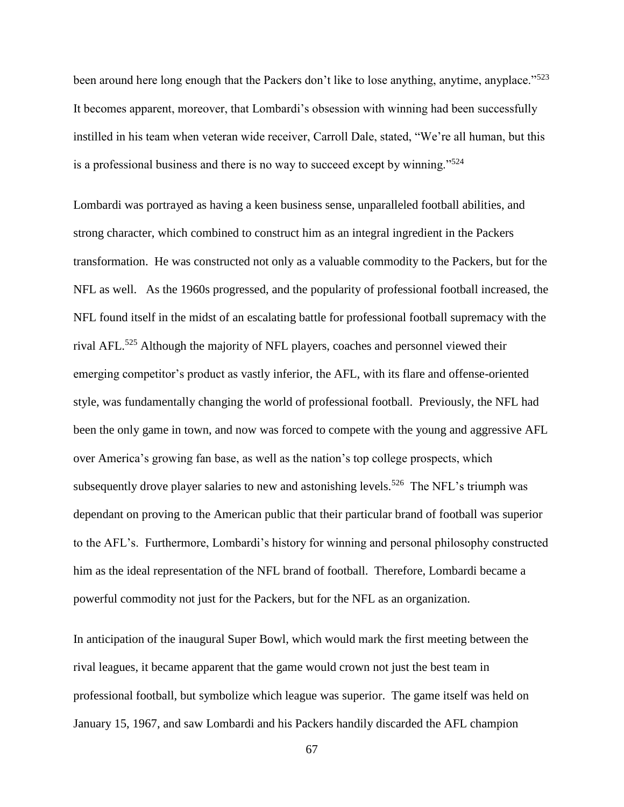been around here long enough that the Packers don't like to lose anything, anytime, anyplace."<sup>523</sup> It becomes apparent, moreover, that Lombardi's obsession with winning had been successfully instilled in his team when veteran wide receiver, Carroll Dale, stated, "We're all human, but this is a professional business and there is no way to succeed except by winning."<sup>524</sup>

Lombardi was portrayed as having a keen business sense, unparalleled football abilities, and strong character, which combined to construct him as an integral ingredient in the Packers transformation. He was constructed not only as a valuable commodity to the Packers, but for the NFL as well. As the 1960s progressed, and the popularity of professional football increased, the NFL found itself in the midst of an escalating battle for professional football supremacy with the rival AFL.<sup>525</sup> Although the majority of NFL players, coaches and personnel viewed their emerging competitor's product as vastly inferior, the AFL, with its flare and offense-oriented style, was fundamentally changing the world of professional football. Previously, the NFL had been the only game in town, and now was forced to compete with the young and aggressive AFL over America's growing fan base, as well as the nation's top college prospects, which subsequently drove player salaries to new and astonishing levels.<sup>526</sup> The NFL's triumph was dependant on proving to the American public that their particular brand of football was superior to the AFL's. Furthermore, Lombardi's history for winning and personal philosophy constructed him as the ideal representation of the NFL brand of football. Therefore, Lombardi became a powerful commodity not just for the Packers, but for the NFL as an organization.

In anticipation of the inaugural Super Bowl, which would mark the first meeting between the rival leagues, it became apparent that the game would crown not just the best team in professional football, but symbolize which league was superior. The game itself was held on January 15, 1967, and saw Lombardi and his Packers handily discarded the AFL champion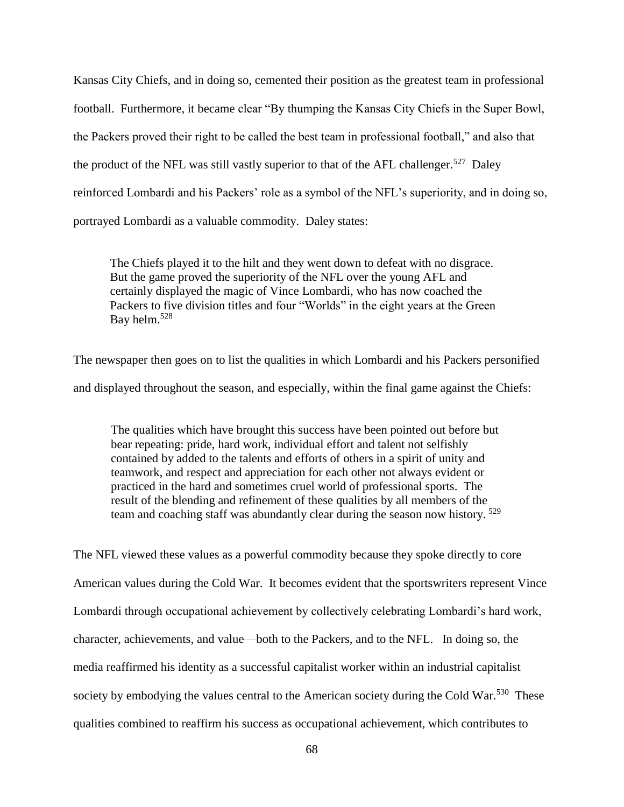Kansas City Chiefs, and in doing so, cemented their position as the greatest team in professional football. Furthermore, it became clear "By thumping the Kansas City Chiefs in the Super Bowl, the Packers proved their right to be called the best team in professional football," and also that the product of the NFL was still vastly superior to that of the AFL challenger.<sup>527</sup> Daley reinforced Lombardi and his Packers' role as a symbol of the NFL's superiority, and in doing so, portrayed Lombardi as a valuable commodity. Daley states:

The Chiefs played it to the hilt and they went down to defeat with no disgrace. But the game proved the superiority of the NFL over the young AFL and certainly displayed the magic of Vince Lombardi, who has now coached the Packers to five division titles and four "Worlds" in the eight years at the Green Bay helm.<sup>528</sup>

The newspaper then goes on to list the qualities in which Lombardi and his Packers personified and displayed throughout the season, and especially, within the final game against the Chiefs:

The qualities which have brought this success have been pointed out before but bear repeating: pride, hard work, individual effort and talent not selfishly contained by added to the talents and efforts of others in a spirit of unity and teamwork, and respect and appreciation for each other not always evident or practiced in the hard and sometimes cruel world of professional sports. The result of the blending and refinement of these qualities by all members of the team and coaching staff was abundantly clear during the season now history. <sup>529</sup>

The NFL viewed these values as a powerful commodity because they spoke directly to core American values during the Cold War. It becomes evident that the sportswriters represent Vince Lombardi through occupational achievement by collectively celebrating Lombardi's hard work, character, achievements, and value—both to the Packers, and to the NFL. In doing so, the media reaffirmed his identity as a successful capitalist worker within an industrial capitalist society by embodying the values central to the American society during the Cold War.<sup>530</sup> These qualities combined to reaffirm his success as occupational achievement, which contributes to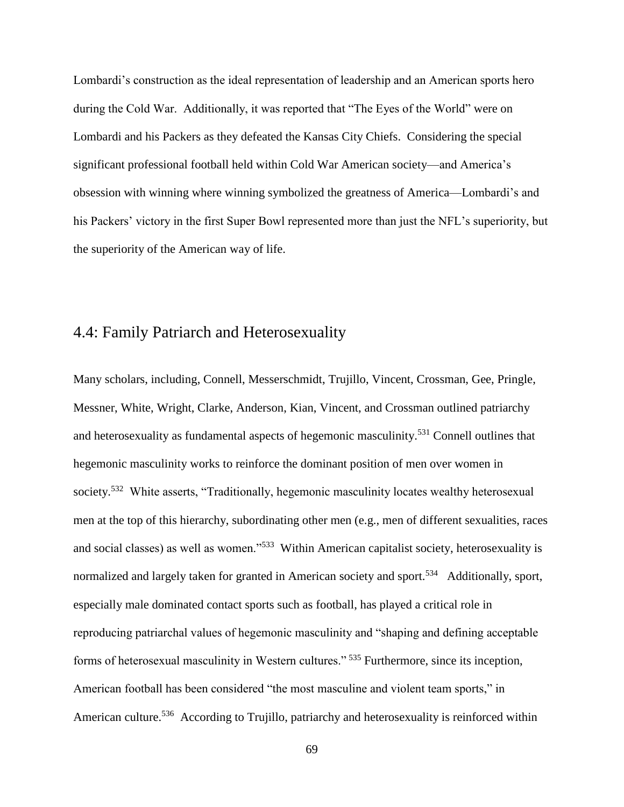Lombardi's construction as the ideal representation of leadership and an American sports hero during the Cold War. Additionally, it was reported that "The Eyes of the World" were on Lombardi and his Packers as they defeated the Kansas City Chiefs. Considering the special significant professional football held within Cold War American society—and America's obsession with winning where winning symbolized the greatness of America—Lombardi's and his Packers' victory in the first Super Bowl represented more than just the NFL's superiority, but the superiority of the American way of life.

## 4.4: Family Patriarch and Heterosexuality

Many scholars, including, Connell, Messerschmidt, Trujillo, Vincent, Crossman, Gee, Pringle, Messner, White, Wright, Clarke, Anderson, Kian, Vincent, and Crossman outlined patriarchy and heterosexuality as fundamental aspects of hegemonic masculinity.<sup>531</sup> Connell outlines that hegemonic masculinity works to reinforce the dominant position of men over women in society.<sup>532</sup> White asserts, "Traditionally, hegemonic masculinity locates wealthy heterosexual men at the top of this hierarchy, subordinating other men (e.g., men of different sexualities, races and social classes) as well as women."<sup>533</sup> Within American capitalist society, heterosexuality is normalized and largely taken for granted in American society and sport.<sup>534</sup> Additionally, sport, especially male dominated contact sports such as football, has played a critical role in reproducing patriarchal values of hegemonic masculinity and "shaping and defining acceptable forms of heterosexual masculinity in Western cultures." <sup>535</sup> Furthermore, since its inception, American football has been considered "the most masculine and violent team sports," in American culture.<sup>536</sup> According to Trujillo, patriarchy and heterosexuality is reinforced within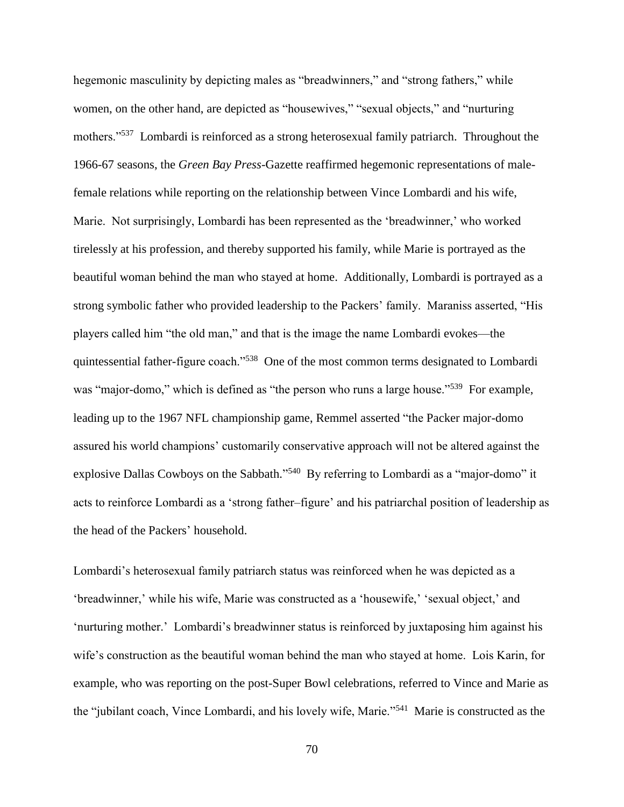hegemonic masculinity by depicting males as "breadwinners," and "strong fathers," while women, on the other hand, are depicted as "housewives," "sexual objects," and "nurturing mothers."<sup>537</sup> Lombardi is reinforced as a strong heterosexual family patriarch. Throughout the 1966-67 seasons, the *Green Bay Press-*Gazette reaffirmed hegemonic representations of malefemale relations while reporting on the relationship between Vince Lombardi and his wife, Marie. Not surprisingly, Lombardi has been represented as the 'breadwinner,' who worked tirelessly at his profession, and thereby supported his family, while Marie is portrayed as the beautiful woman behind the man who stayed at home. Additionally, Lombardi is portrayed as a strong symbolic father who provided leadership to the Packers' family. Maraniss asserted, "His players called him "the old man," and that is the image the name Lombardi evokes—the quintessential father-figure coach."<sup>538</sup> One of the most common terms designated to Lombardi was "major-domo," which is defined as "the person who runs a large house."<sup>539</sup> For example, leading up to the 1967 NFL championship game, Remmel asserted "the Packer major-domo assured his world champions' customarily conservative approach will not be altered against the explosive Dallas Cowboys on the Sabbath."<sup>540</sup> By referring to Lombardi as a "major-domo" it acts to reinforce Lombardi as a 'strong father–figure' and his patriarchal position of leadership as the head of the Packers' household.

Lombardi's heterosexual family patriarch status was reinforced when he was depicted as a 'breadwinner,' while his wife, Marie was constructed as a 'housewife,' 'sexual object,' and 'nurturing mother.' Lombardi's breadwinner status is reinforced by juxtaposing him against his wife's construction as the beautiful woman behind the man who stayed at home. Lois Karin, for example, who was reporting on the post-Super Bowl celebrations, referred to Vince and Marie as the "jubilant coach, Vince Lombardi, and his lovely wife, Marie."<sup>541</sup> Marie is constructed as the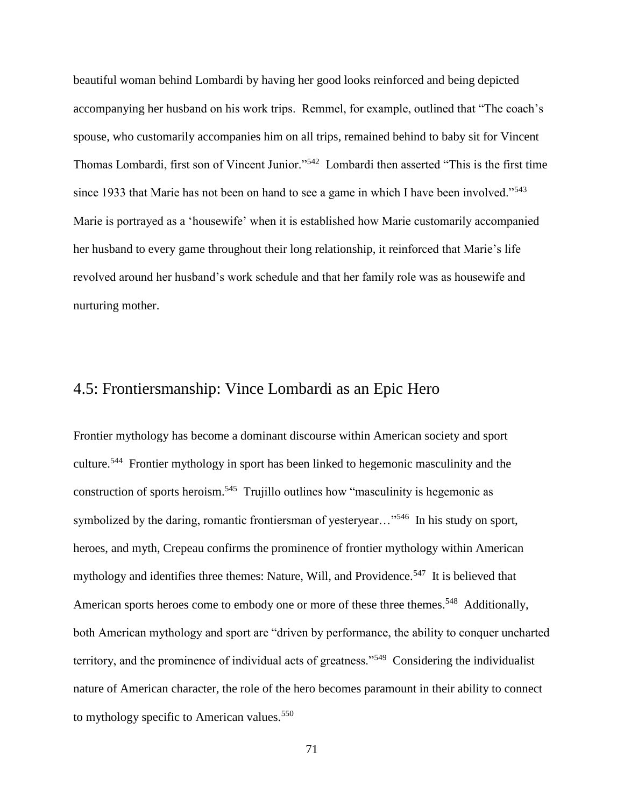beautiful woman behind Lombardi by having her good looks reinforced and being depicted accompanying her husband on his work trips. Remmel, for example, outlined that "The coach's spouse, who customarily accompanies him on all trips, remained behind to baby sit for Vincent Thomas Lombardi, first son of Vincent Junior."<sup>542</sup> Lombardi then asserted "This is the first time since 1933 that Marie has not been on hand to see a game in which I have been involved."<sup>543</sup> Marie is portrayed as a 'housewife' when it is established how Marie customarily accompanied her husband to every game throughout their long relationship, it reinforced that Marie's life revolved around her husband's work schedule and that her family role was as housewife and nurturing mother.

## 4.5: Frontiersmanship: Vince Lombardi as an Epic Hero

Frontier mythology has become a dominant discourse within American society and sport culture.<sup>544</sup> Frontier mythology in sport has been linked to hegemonic masculinity and the construction of sports heroism.<sup>545</sup> Trujillo outlines how "masculinity is hegemonic as symbolized by the daring, romantic frontiersman of yesteryear..."<sup>546</sup> In his study on sport, heroes, and myth, Crepeau confirms the prominence of frontier mythology within American mythology and identifies three themes: Nature, Will, and Providence.<sup>547</sup> It is believed that American sports heroes come to embody one or more of these three themes.<sup>548</sup> Additionally, both American mythology and sport are "driven by performance, the ability to conquer uncharted territory, and the prominence of individual acts of greatness."<sup>549</sup> Considering the individualist nature of American character, the role of the hero becomes paramount in their ability to connect to mythology specific to American values.<sup>550</sup>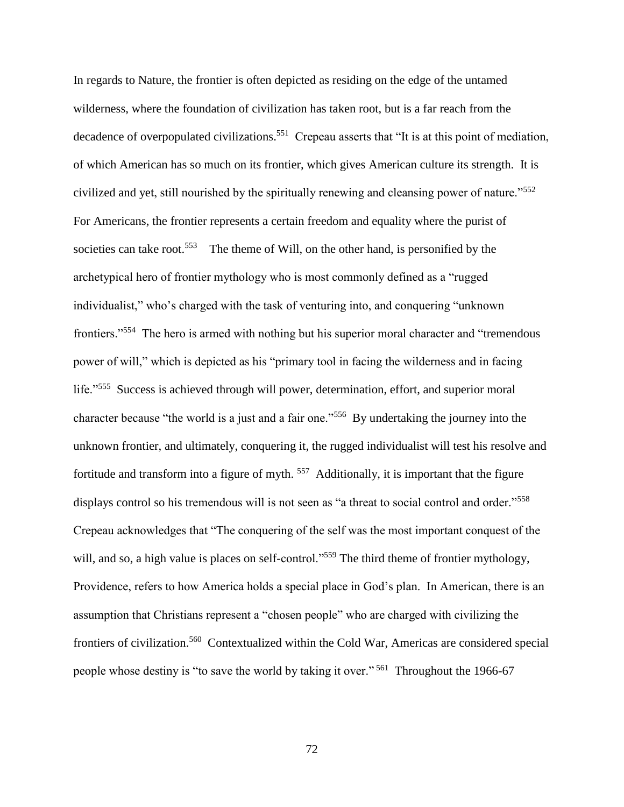In regards to Nature, the frontier is often depicted as residing on the edge of the untamed wilderness, where the foundation of civilization has taken root, but is a far reach from the decadence of overpopulated civilizations.<sup>551</sup> Crepeau asserts that "It is at this point of mediation, of which American has so much on its frontier, which gives American culture its strength. It is civilized and yet, still nourished by the spiritually renewing and cleansing power of nature."<sup>552</sup> For Americans, the frontier represents a certain freedom and equality where the purist of societies can take root.<sup>553</sup> The theme of Will, on the other hand, is personified by the archetypical hero of frontier mythology who is most commonly defined as a "rugged individualist," who's charged with the task of venturing into, and conquering "unknown frontiers."<sup>554</sup> The hero is armed with nothing but his superior moral character and "tremendous power of will," which is depicted as his "primary tool in facing the wilderness and in facing life."<sup>555</sup> Success is achieved through will power, determination, effort, and superior moral character because "the world is a just and a fair one."<sup>556</sup> By undertaking the journey into the unknown frontier, and ultimately, conquering it, the rugged individualist will test his resolve and fortitude and transform into a figure of myth.<sup>557</sup> Additionally, it is important that the figure displays control so his tremendous will is not seen as "a threat to social control and order."<sup>558</sup> Crepeau acknowledges that "The conquering of the self was the most important conquest of the will, and so, a high value is places on self-control."<sup>559</sup> The third theme of frontier mythology, Providence, refers to how America holds a special place in God's plan. In American, there is an assumption that Christians represent a "chosen people" who are charged with civilizing the frontiers of civilization.<sup>560</sup> Contextualized within the Cold War, Americas are considered special people whose destiny is "to save the world by taking it over."<sup>561</sup> Throughout the 1966-67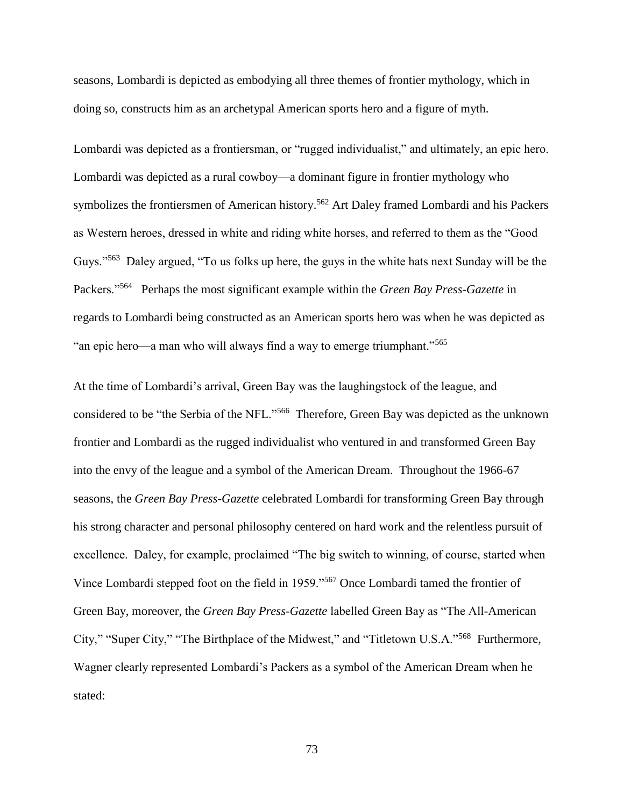seasons, Lombardi is depicted as embodying all three themes of frontier mythology, which in doing so, constructs him as an archetypal American sports hero and a figure of myth.

Lombardi was depicted as a frontiersman, or "rugged individualist," and ultimately, an epic hero. Lombardi was depicted as a rural cowboy—a dominant figure in frontier mythology who symbolizes the frontiersmen of American history.<sup>562</sup> Art Daley framed Lombardi and his Packers as Western heroes, dressed in white and riding white horses, and referred to them as the "Good Guys."<sup>563</sup> Daley argued, "To us folks up here, the guys in the white hats next Sunday will be the Packers."<sup>564</sup> Perhaps the most significant example within the *Green Bay Press-Gazette* in regards to Lombardi being constructed as an American sports hero was when he was depicted as "an epic hero—a man who will always find a way to emerge triumphant."<sup>565</sup>

At the time of Lombardi's arrival, Green Bay was the laughingstock of the league, and considered to be "the Serbia of the NFL."<sup>566</sup> Therefore, Green Bay was depicted as the unknown frontier and Lombardi as the rugged individualist who ventured in and transformed Green Bay into the envy of the league and a symbol of the American Dream. Throughout the 1966-67 seasons, the *Green Bay Press-Gazette* celebrated Lombardi for transforming Green Bay through his strong character and personal philosophy centered on hard work and the relentless pursuit of excellence. Daley, for example, proclaimed "The big switch to winning, of course, started when Vince Lombardi stepped foot on the field in 1959."<sup>567</sup> Once Lombardi tamed the frontier of Green Bay, moreover, the *Green Bay Press-Gazette* labelled Green Bay as "The All-American City," "Super City," "The Birthplace of the Midwest," and "Titletown U.S.A."<sup>568</sup> Furthermore, Wagner clearly represented Lombardi's Packers as a symbol of the American Dream when he stated: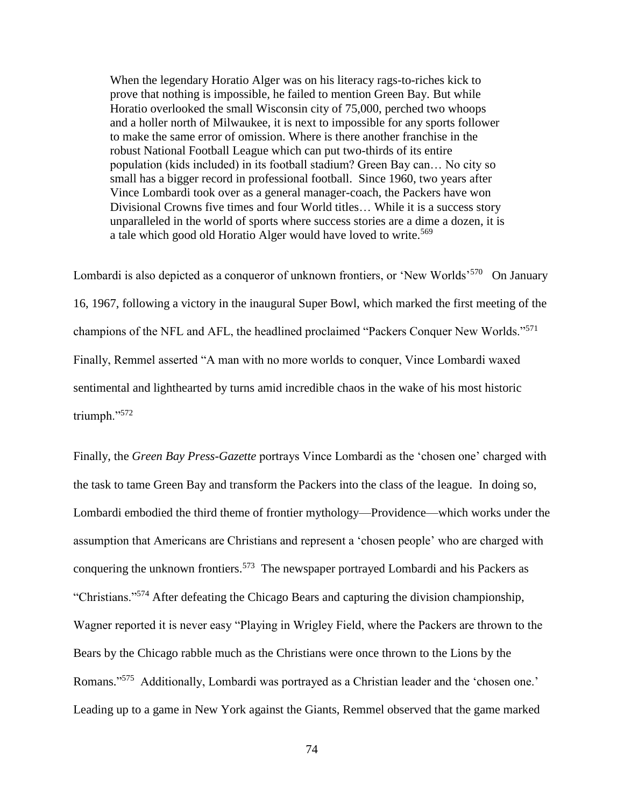When the legendary Horatio Alger was on his literacy rags-to-riches kick to prove that nothing is impossible, he failed to mention Green Bay. But while Horatio overlooked the small Wisconsin city of 75,000, perched two whoops and a holler north of Milwaukee, it is next to impossible for any sports follower to make the same error of omission. Where is there another franchise in the robust National Football League which can put two-thirds of its entire population (kids included) in its football stadium? Green Bay can… No city so small has a bigger record in professional football. Since 1960, two years after Vince Lombardi took over as a general manager-coach, the Packers have won Divisional Crowns five times and four World titles… While it is a success story unparalleled in the world of sports where success stories are a dime a dozen, it is a tale which good old Horatio Alger would have loved to write.<sup>569</sup>

Lombardi is also depicted as a conqueror of unknown frontiers, or 'New Worlds'<sup>570</sup> On January 16, 1967, following a victory in the inaugural Super Bowl, which marked the first meeting of the champions of the NFL and AFL, the headlined proclaimed "Packers Conquer New Worlds."<sup>571</sup> Finally, Remmel asserted "A man with no more worlds to conquer, Vince Lombardi waxed sentimental and lighthearted by turns amid incredible chaos in the wake of his most historic triumph."<sup>572</sup>

Finally, the *Green Bay Press-Gazette* portrays Vince Lombardi as the 'chosen one' charged with the task to tame Green Bay and transform the Packers into the class of the league. In doing so, Lombardi embodied the third theme of frontier mythology—Providence—which works under the assumption that Americans are Christians and represent a 'chosen people' who are charged with conquering the unknown frontiers.<sup>573</sup> The newspaper portrayed Lombardi and his Packers as "Christians."<sup>574</sup> After defeating the Chicago Bears and capturing the division championship, Wagner reported it is never easy "Playing in Wrigley Field, where the Packers are thrown to the Bears by the Chicago rabble much as the Christians were once thrown to the Lions by the Romans."<sup>575</sup> Additionally, Lombardi was portrayed as a Christian leader and the 'chosen one.' Leading up to a game in New York against the Giants, Remmel observed that the game marked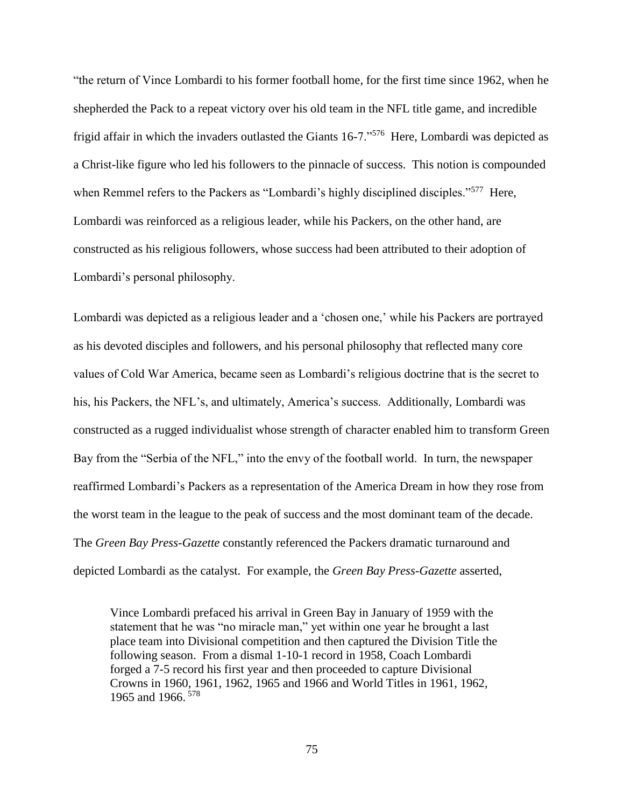"the return of Vince Lombardi to his former football home, for the first time since 1962, when he shepherded the Pack to a repeat victory over his old team in the NFL title game, and incredible frigid affair in which the invaders outlasted the Giants 16-7."<sup>576</sup> Here, Lombardi was depicted as a Christ-like figure who led his followers to the pinnacle of success. This notion is compounded when Remmel refers to the Packers as "Lombardi's highly disciplined disciples."<sup>577</sup> Here, Lombardi was reinforced as a religious leader, while his Packers, on the other hand, are constructed as his religious followers, whose success had been attributed to their adoption of Lombardi's personal philosophy.

Lombardi was depicted as a religious leader and a 'chosen one,' while his Packers are portrayed as his devoted disciples and followers, and his personal philosophy that reflected many core values of Cold War America, became seen as Lombardi's religious doctrine that is the secret to his, his Packers, the NFL's, and ultimately, America's success. Additionally, Lombardi was constructed as a rugged individualist whose strength of character enabled him to transform Green Bay from the "Serbia of the NFL," into the envy of the football world. In turn, the newspaper reaffirmed Lombardi's Packers as a representation of the America Dream in how they rose from the worst team in the league to the peak of success and the most dominant team of the decade. The *Green Bay Press-Gazette* constantly referenced the Packers dramatic turnaround and depicted Lombardi as the catalyst. For example, the *Green Bay Press-Gazette* asserted,

Vince Lombardi prefaced his arrival in Green Bay in January of 1959 with the statement that he was "no miracle man," yet within one year he brought a last place team into Divisional competition and then captured the Division Title the following season. From a dismal 1-10-1 record in 1958, Coach Lombardi forged a 7-5 record his first year and then proceeded to capture Divisional Crowns in 1960, 1961, 1962, 1965 and 1966 and World Titles in 1961, 1962, 1965 and 1966. <sup>578</sup>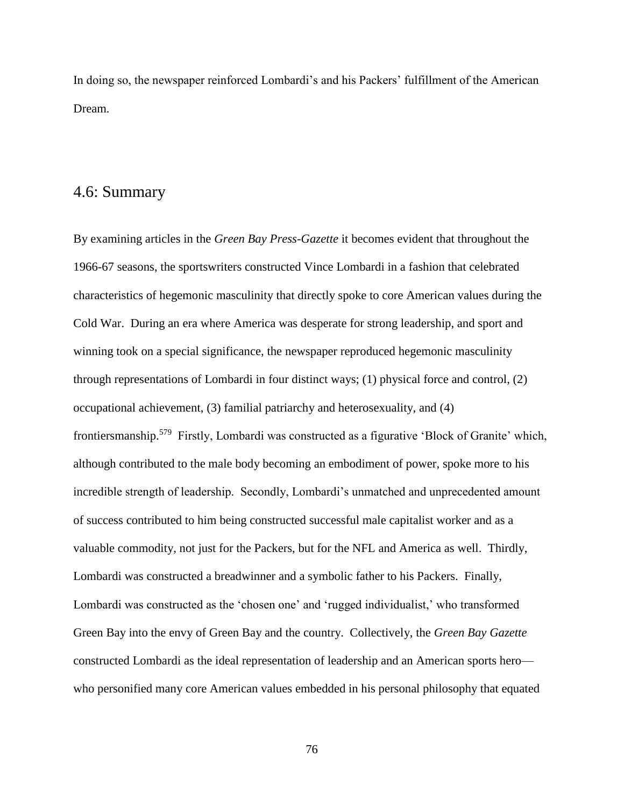In doing so, the newspaper reinforced Lombardi's and his Packers' fulfillment of the American Dream.

## 4.6: Summary

By examining articles in the *Green Bay Press-Gazette* it becomes evident that throughout the 1966-67 seasons, the sportswriters constructed Vince Lombardi in a fashion that celebrated characteristics of hegemonic masculinity that directly spoke to core American values during the Cold War. During an era where America was desperate for strong leadership, and sport and winning took on a special significance, the newspaper reproduced hegemonic masculinity through representations of Lombardi in four distinct ways; (1) physical force and control, (2) occupational achievement, (3) familial patriarchy and heterosexuality, and (4) frontiersmanship.<sup>579</sup> Firstly, Lombardi was constructed as a figurative 'Block of Granite' which, although contributed to the male body becoming an embodiment of power, spoke more to his incredible strength of leadership. Secondly, Lombardi's unmatched and unprecedented amount of success contributed to him being constructed successful male capitalist worker and as a valuable commodity, not just for the Packers, but for the NFL and America as well. Thirdly, Lombardi was constructed a breadwinner and a symbolic father to his Packers. Finally, Lombardi was constructed as the 'chosen one' and 'rugged individualist,' who transformed Green Bay into the envy of Green Bay and the country. Collectively, the *Green Bay Gazette* constructed Lombardi as the ideal representation of leadership and an American sports hero who personified many core American values embedded in his personal philosophy that equated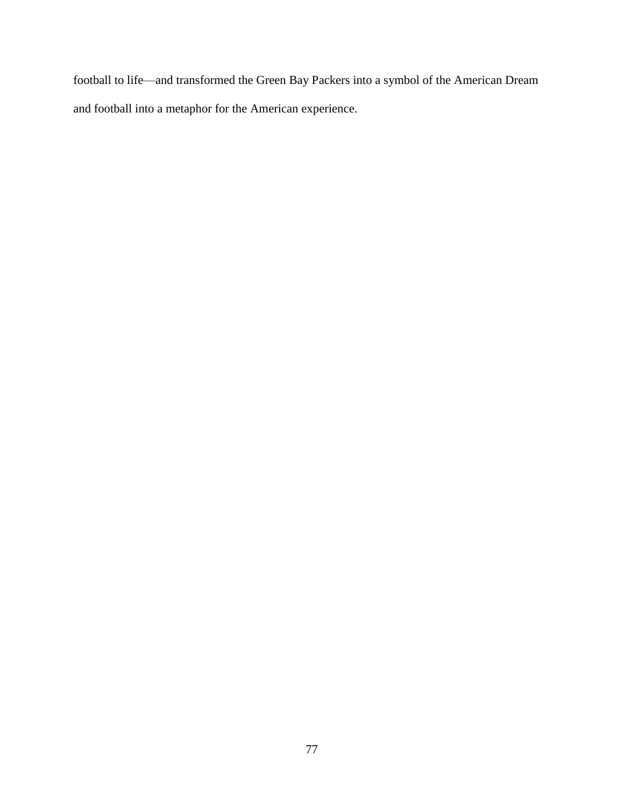football to life—and transformed the Green Bay Packers into a symbol of the American Dream and football into a metaphor for the American experience.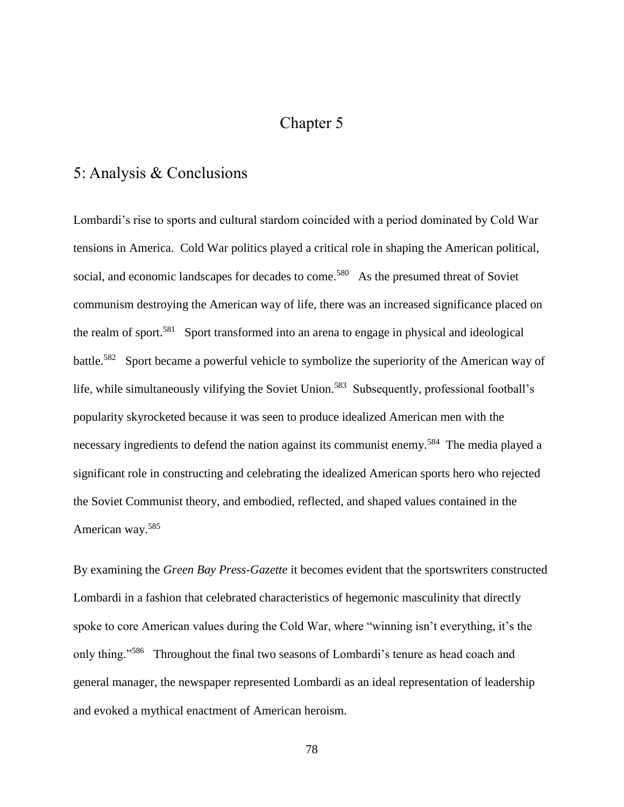## Chapter 5

## 5: Analysis & Conclusions

Lombardi's rise to sports and cultural stardom coincided with a period dominated by Cold War tensions in America. Cold War politics played a critical role in shaping the American political, social, and economic landscapes for decades to come.<sup>580</sup> As the presumed threat of Soviet communism destroying the American way of life, there was an increased significance placed on the realm of sport.<sup>581</sup> Sport transformed into an arena to engage in physical and ideological battle.<sup>582</sup> Sport became a powerful vehicle to symbolize the superiority of the American way of life, while simultaneously vilifying the Soviet Union.<sup>583</sup> Subsequently, professional football's popularity skyrocketed because it was seen to produce idealized American men with the necessary ingredients to defend the nation against its communist enemy.<sup>584</sup> The media played a significant role in constructing and celebrating the idealized American sports hero who rejected the Soviet Communist theory, and embodied, reflected, and shaped values contained in the American way.<sup>585</sup>

By examining the *Green Bay Press-Gazette* it becomes evident that the sportswriters constructed Lombardi in a fashion that celebrated characteristics of hegemonic masculinity that directly spoke to core American values during the Cold War, where "winning isn't everything, it's the only thing."<sup>586</sup> Throughout the final two seasons of Lombardi's tenure as head coach and general manager, the newspaper represented Lombardi as an ideal representation of leadership and evoked a mythical enactment of American heroism.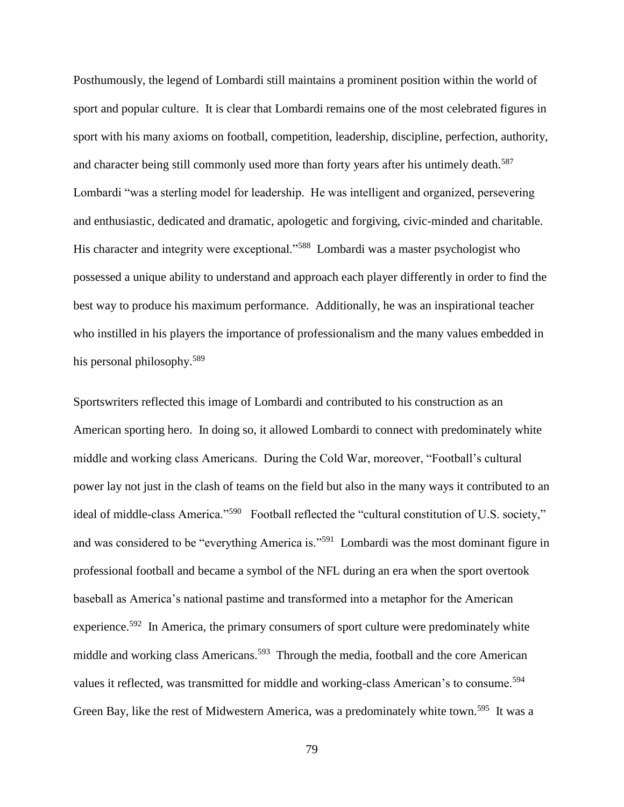Posthumously, the legend of Lombardi still maintains a prominent position within the world of sport and popular culture. It is clear that Lombardi remains one of the most celebrated figures in sport with his many axioms on football, competition, leadership, discipline, perfection, authority, and character being still commonly used more than forty years after his untimely death.<sup>587</sup> Lombardi "was a sterling model for leadership. He was intelligent and organized, persevering and enthusiastic, dedicated and dramatic, apologetic and forgiving, civic-minded and charitable. His character and integrity were exceptional."<sup>588</sup> Lombardi was a master psychologist who possessed a unique ability to understand and approach each player differently in order to find the best way to produce his maximum performance. Additionally, he was an inspirational teacher who instilled in his players the importance of professionalism and the many values embedded in his personal philosophy.<sup>589</sup>

Sportswriters reflected this image of Lombardi and contributed to his construction as an American sporting hero. In doing so, it allowed Lombardi to connect with predominately white middle and working class Americans. During the Cold War, moreover, "Football's cultural power lay not just in the clash of teams on the field but also in the many ways it contributed to an ideal of middle-class America."<sup>590</sup> Football reflected the "cultural constitution of U.S. society," and was considered to be "everything America is."<sup>591</sup> Lombardi was the most dominant figure in professional football and became a symbol of the NFL during an era when the sport overtook baseball as America's national pastime and transformed into a metaphor for the American experience.<sup>592</sup> In America, the primary consumers of sport culture were predominately white middle and working class Americans.<sup>593</sup> Through the media, football and the core American values it reflected, was transmitted for middle and working-class American's to consume.<sup>594</sup> Green Bay, like the rest of Midwestern America, was a predominately white town.<sup>595</sup> It was a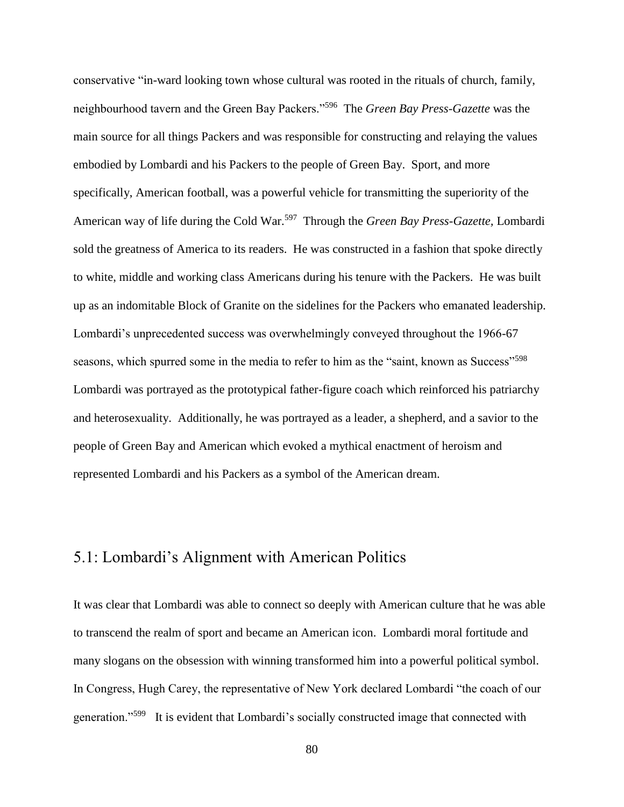conservative "in-ward looking town whose cultural was rooted in the rituals of church, family, neighbourhood tavern and the Green Bay Packers."<sup>596</sup> The *Green Bay Press-Gazette* was the main source for all things Packers and was responsible for constructing and relaying the values embodied by Lombardi and his Packers to the people of Green Bay. Sport, and more specifically, American football, was a powerful vehicle for transmitting the superiority of the American way of life during the Cold War.<sup>597</sup> Through the *Green Bay Press-Gazette*, Lombardi sold the greatness of America to its readers. He was constructed in a fashion that spoke directly to white, middle and working class Americans during his tenure with the Packers. He was built up as an indomitable Block of Granite on the sidelines for the Packers who emanated leadership. Lombardi's unprecedented success was overwhelmingly conveyed throughout the 1966-67 seasons, which spurred some in the media to refer to him as the "saint, known as Success"<sup>598</sup> Lombardi was portrayed as the prototypical father-figure coach which reinforced his patriarchy and heterosexuality. Additionally, he was portrayed as a leader, a shepherd, and a savior to the people of Green Bay and American which evoked a mythical enactment of heroism and represented Lombardi and his Packers as a symbol of the American dream.

## 5.1: Lombardi's Alignment with American Politics

It was clear that Lombardi was able to connect so deeply with American culture that he was able to transcend the realm of sport and became an American icon. Lombardi moral fortitude and many slogans on the obsession with winning transformed him into a powerful political symbol. In Congress, Hugh Carey, the representative of New York declared Lombardi "the coach of our generation."<sup>599</sup> It is evident that Lombardi's socially constructed image that connected with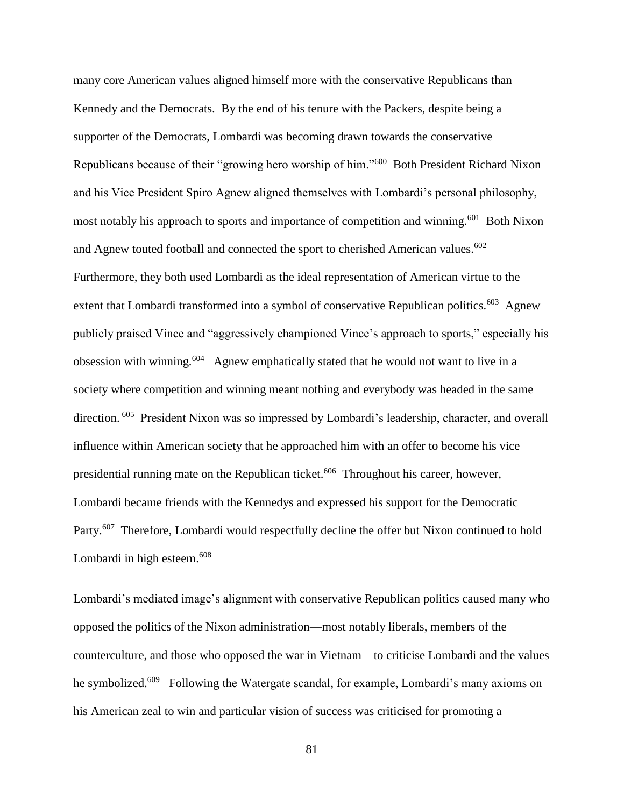many core American values aligned himself more with the conservative Republicans than Kennedy and the Democrats. By the end of his tenure with the Packers, despite being a supporter of the Democrats, Lombardi was becoming drawn towards the conservative Republicans because of their "growing hero worship of him."<sup>600</sup> Both President Richard Nixon and his Vice President Spiro Agnew aligned themselves with Lombardi's personal philosophy, most notably his approach to sports and importance of competition and winning.<sup>601</sup> Both Nixon and Agnew touted football and connected the sport to cherished American values. $602$ Furthermore, they both used Lombardi as the ideal representation of American virtue to the extent that Lombardi transformed into a symbol of conservative Republican politics.<sup>603</sup> Agnew publicly praised Vince and "aggressively championed Vince's approach to sports," especially his obsession with winning.<sup>604</sup> Agnew emphatically stated that he would not want to live in a society where competition and winning meant nothing and everybody was headed in the same direction. <sup>605</sup> President Nixon was so impressed by Lombardi's leadership, character, and overall influence within American society that he approached him with an offer to become his vice presidential running mate on the Republican ticket.<sup>606</sup> Throughout his career, however, Lombardi became friends with the Kennedys and expressed his support for the Democratic Party.<sup>607</sup> Therefore, Lombardi would respectfully decline the offer but Nixon continued to hold Lombardi in high esteem.<sup>608</sup>

Lombardi's mediated image's alignment with conservative Republican politics caused many who opposed the politics of the Nixon administration—most notably liberals, members of the counterculture, and those who opposed the war in Vietnam—to criticise Lombardi and the values he symbolized.<sup>609</sup> Following the Watergate scandal, for example, Lombardi's many axioms on his American zeal to win and particular vision of success was criticised for promoting a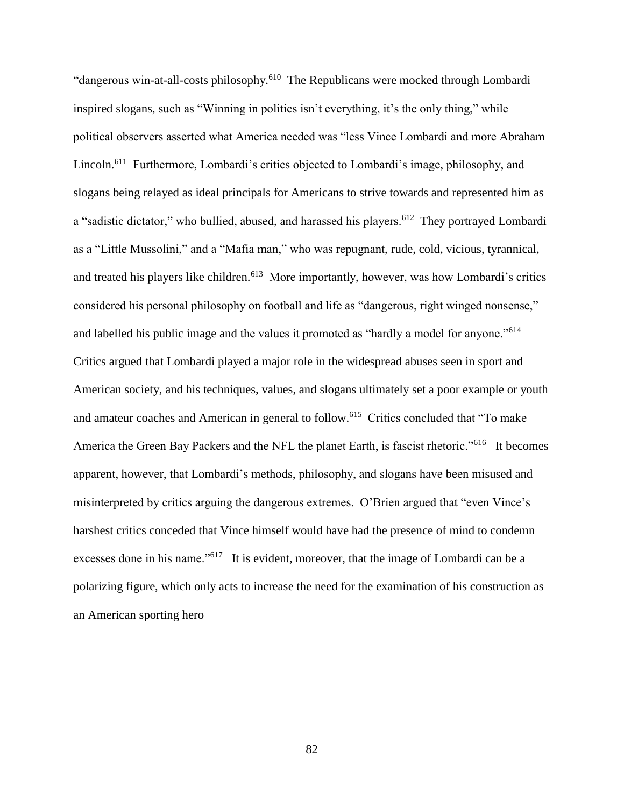"dangerous win-at-all-costs philosophy.<sup>610</sup> The Republicans were mocked through Lombardi inspired slogans, such as "Winning in politics isn't everything, it's the only thing," while political observers asserted what America needed was "less Vince Lombardi and more Abraham Lincoln.<sup>611</sup> Furthermore, Lombardi's critics objected to Lombardi's image, philosophy, and slogans being relayed as ideal principals for Americans to strive towards and represented him as a "sadistic dictator," who bullied, abused, and harassed his players.<sup>612</sup> They portrayed Lombardi as a "Little Mussolini," and a "Mafia man," who was repugnant, rude, cold, vicious, tyrannical, and treated his players like children.<sup>613</sup> More importantly, however, was how Lombardi's critics considered his personal philosophy on football and life as "dangerous, right winged nonsense," and labelled his public image and the values it promoted as "hardly a model for anyone."<sup>614</sup> Critics argued that Lombardi played a major role in the widespread abuses seen in sport and American society, and his techniques, values, and slogans ultimately set a poor example or youth and amateur coaches and American in general to follow.<sup>615</sup> Critics concluded that "To make America the Green Bay Packers and the NFL the planet Earth, is fascist rhetoric."<sup>616</sup> It becomes apparent, however, that Lombardi's methods, philosophy, and slogans have been misused and misinterpreted by critics arguing the dangerous extremes. O'Brien argued that "even Vince's harshest critics conceded that Vince himself would have had the presence of mind to condemn excesses done in his name."<sup>617</sup> It is evident, moreover, that the image of Lombardi can be a polarizing figure, which only acts to increase the need for the examination of his construction as an American sporting hero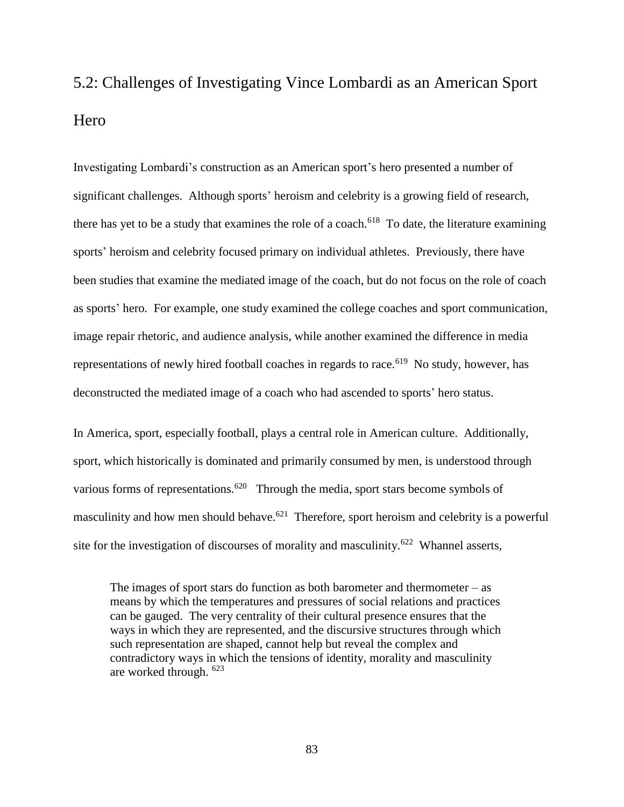# 5.2: Challenges of Investigating Vince Lombardi as an American Sport **H**ero

Investigating Lombardi's construction as an American sport's hero presented a number of significant challenges. Although sports' heroism and celebrity is a growing field of research, there has yet to be a study that examines the role of a coach.<sup>618</sup> To date, the literature examining sports' heroism and celebrity focused primary on individual athletes. Previously, there have been studies that examine the mediated image of the coach, but do not focus on the role of coach as sports' hero. For example, one study examined the college coaches and sport communication, image repair rhetoric, and audience analysis, while another examined the difference in media representations of newly hired football coaches in regards to race.<sup>619</sup> No study, however, has deconstructed the mediated image of a coach who had ascended to sports' hero status.

In America, sport, especially football, plays a central role in American culture. Additionally, sport, which historically is dominated and primarily consumed by men, is understood through various forms of representations.<sup>620</sup> Through the media, sport stars become symbols of masculinity and how men should behave.<sup>621</sup> Therefore, sport heroism and celebrity is a powerful site for the investigation of discourses of morality and masculinity.<sup>622</sup> Whannel asserts,

The images of sport stars do function as both barometer and thermometer  $-$  as means by which the temperatures and pressures of social relations and practices can be gauged. The very centrality of their cultural presence ensures that the ways in which they are represented, and the discursive structures through which such representation are shaped, cannot help but reveal the complex and contradictory ways in which the tensions of identity, morality and masculinity are worked through. <sup>623</sup>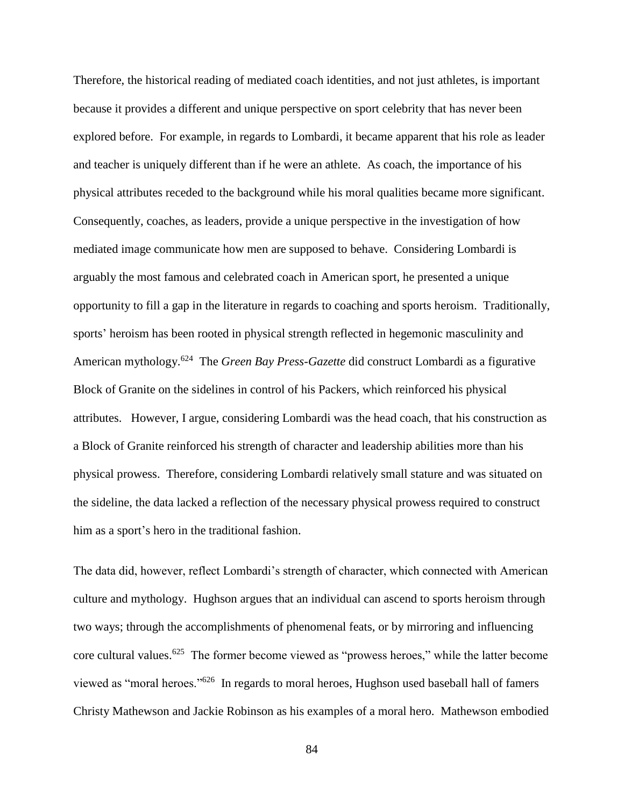Therefore, the historical reading of mediated coach identities, and not just athletes, is important because it provides a different and unique perspective on sport celebrity that has never been explored before. For example, in regards to Lombardi, it became apparent that his role as leader and teacher is uniquely different than if he were an athlete. As coach, the importance of his physical attributes receded to the background while his moral qualities became more significant. Consequently, coaches, as leaders, provide a unique perspective in the investigation of how mediated image communicate how men are supposed to behave. Considering Lombardi is arguably the most famous and celebrated coach in American sport, he presented a unique opportunity to fill a gap in the literature in regards to coaching and sports heroism. Traditionally, sports' heroism has been rooted in physical strength reflected in hegemonic masculinity and American mythology.<sup>624</sup> The *Green Bay Press-Gazette* did construct Lombardi as a figurative Block of Granite on the sidelines in control of his Packers, which reinforced his physical attributes. However, I argue, considering Lombardi was the head coach, that his construction as a Block of Granite reinforced his strength of character and leadership abilities more than his physical prowess. Therefore, considering Lombardi relatively small stature and was situated on the sideline, the data lacked a reflection of the necessary physical prowess required to construct him as a sport's hero in the traditional fashion.

The data did, however, reflect Lombardi's strength of character, which connected with American culture and mythology. Hughson argues that an individual can ascend to sports heroism through two ways; through the accomplishments of phenomenal feats, or by mirroring and influencing core cultural values.<sup>625</sup> The former become viewed as "prowess heroes," while the latter become viewed as "moral heroes."<sup>626</sup> In regards to moral heroes, Hughson used baseball hall of famers Christy Mathewson and Jackie Robinson as his examples of a moral hero. Mathewson embodied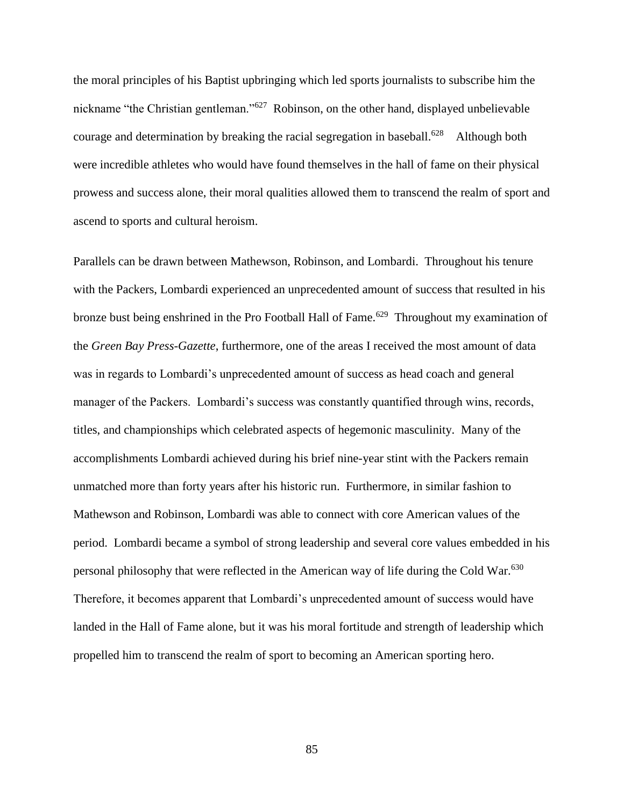the moral principles of his Baptist upbringing which led sports journalists to subscribe him the nickname "the Christian gentleman."<sup>627</sup> Robinson, on the other hand, displayed unbelievable courage and determination by breaking the racial segregation in baseball.<sup>628</sup> Although both were incredible athletes who would have found themselves in the hall of fame on their physical prowess and success alone, their moral qualities allowed them to transcend the realm of sport and ascend to sports and cultural heroism.

Parallels can be drawn between Mathewson, Robinson, and Lombardi. Throughout his tenure with the Packers, Lombardi experienced an unprecedented amount of success that resulted in his bronze bust being enshrined in the Pro Football Hall of Fame.<sup>629</sup> Throughout my examination of the *Green Bay Press-Gazette*, furthermore, one of the areas I received the most amount of data was in regards to Lombardi's unprecedented amount of success as head coach and general manager of the Packers. Lombardi's success was constantly quantified through wins, records, titles, and championships which celebrated aspects of hegemonic masculinity. Many of the accomplishments Lombardi achieved during his brief nine-year stint with the Packers remain unmatched more than forty years after his historic run. Furthermore, in similar fashion to Mathewson and Robinson, Lombardi was able to connect with core American values of the period. Lombardi became a symbol of strong leadership and several core values embedded in his personal philosophy that were reflected in the American way of life during the Cold War.<sup>630</sup> Therefore, it becomes apparent that Lombardi's unprecedented amount of success would have landed in the Hall of Fame alone, but it was his moral fortitude and strength of leadership which propelled him to transcend the realm of sport to becoming an American sporting hero.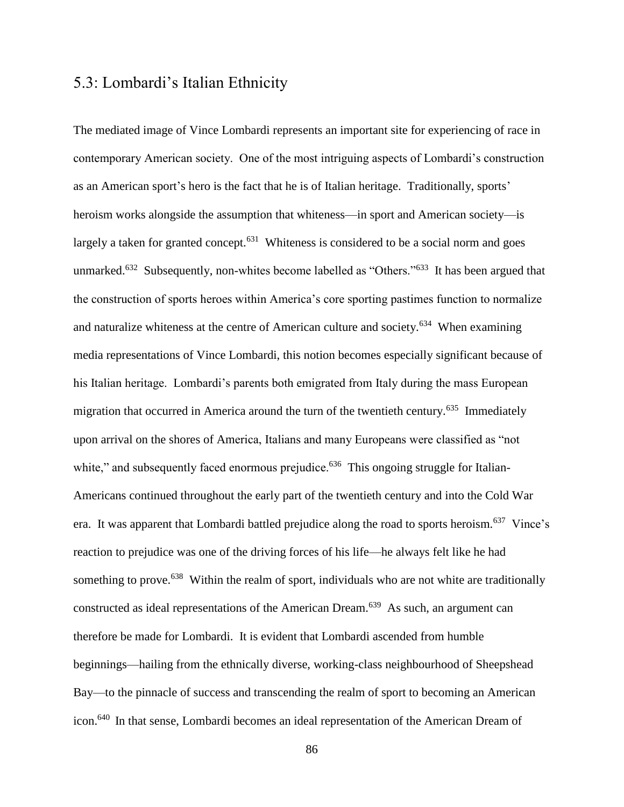## 5.3: Lombardi's Italian Ethnicity

The mediated image of Vince Lombardi represents an important site for experiencing of race in contemporary American society. One of the most intriguing aspects of Lombardi's construction as an American sport's hero is the fact that he is of Italian heritage. Traditionally, sports' heroism works alongside the assumption that whiteness—in sport and American society—is largely a taken for granted concept.<sup>631</sup> Whiteness is considered to be a social norm and goes unmarked.<sup>632</sup> Subsequently, non-whites become labelled as "Others."<sup>633</sup> It has been argued that the construction of sports heroes within America's core sporting pastimes function to normalize and naturalize whiteness at the centre of American culture and society.<sup>634</sup> When examining media representations of Vince Lombardi, this notion becomes especially significant because of his Italian heritage. Lombardi's parents both emigrated from Italy during the mass European migration that occurred in America around the turn of the twentieth century.<sup>635</sup> Immediately upon arrival on the shores of America, Italians and many Europeans were classified as "not white," and subsequently faced enormous prejudice.<sup>636</sup> This ongoing struggle for Italian-Americans continued throughout the early part of the twentieth century and into the Cold War era. It was apparent that Lombardi battled prejudice along the road to sports heroism.<sup>637</sup> Vince's reaction to prejudice was one of the driving forces of his life—he always felt like he had something to prove.<sup>638</sup> Within the realm of sport, individuals who are not white are traditionally constructed as ideal representations of the American Dream.<sup>639</sup> As such, an argument can therefore be made for Lombardi. It is evident that Lombardi ascended from humble beginnings—hailing from the ethnically diverse, working-class neighbourhood of Sheepshead Bay—to the pinnacle of success and transcending the realm of sport to becoming an American icon.<sup>640</sup> In that sense, Lombardi becomes an ideal representation of the American Dream of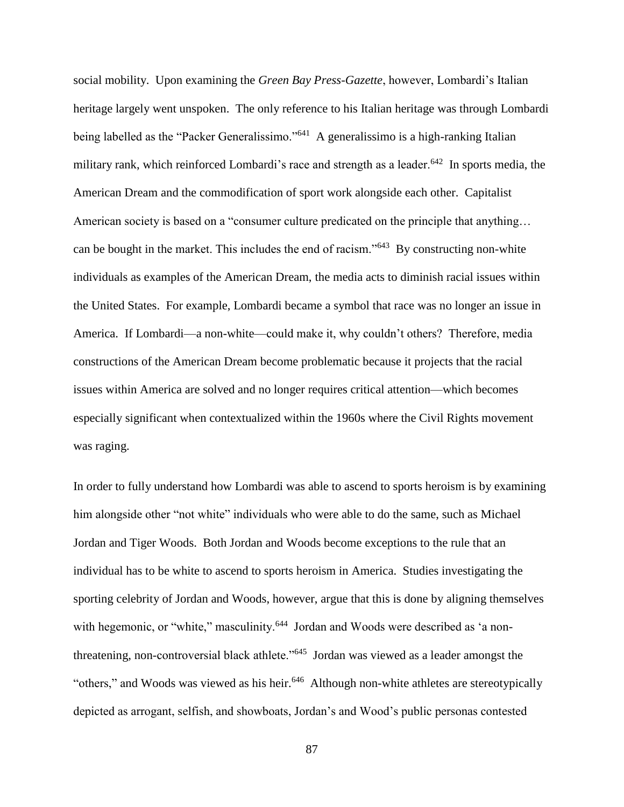social mobility. Upon examining the *Green Bay Press-Gazette*, however, Lombardi's Italian heritage largely went unspoken. The only reference to his Italian heritage was through Lombardi being labelled as the "Packer Generalissimo."<sup>641</sup> A generalissimo is a high-ranking Italian military rank, which reinforced Lombardi's race and strength as a leader.<sup>642</sup> In sports media, the American Dream and the commodification of sport work alongside each other. Capitalist American society is based on a "consumer culture predicated on the principle that anything… can be bought in the market. This includes the end of racism."<sup>643</sup> By constructing non-white individuals as examples of the American Dream, the media acts to diminish racial issues within the United States. For example, Lombardi became a symbol that race was no longer an issue in America. If Lombardi—a non-white—could make it, why couldn't others? Therefore, media constructions of the American Dream become problematic because it projects that the racial issues within America are solved and no longer requires critical attention—which becomes especially significant when contextualized within the 1960s where the Civil Rights movement was raging.

In order to fully understand how Lombardi was able to ascend to sports heroism is by examining him alongside other "not white" individuals who were able to do the same, such as Michael Jordan and Tiger Woods. Both Jordan and Woods become exceptions to the rule that an individual has to be white to ascend to sports heroism in America. Studies investigating the sporting celebrity of Jordan and Woods, however, argue that this is done by aligning themselves with hegemonic, or "white," masculinity.<sup>644</sup> Jordan and Woods were described as 'a nonthreatening, non-controversial black athlete."<sup>645</sup> Jordan was viewed as a leader amongst the "others," and Woods was viewed as his heir.<sup>646</sup> Although non-white athletes are stereotypically depicted as arrogant, selfish, and showboats, Jordan's and Wood's public personas contested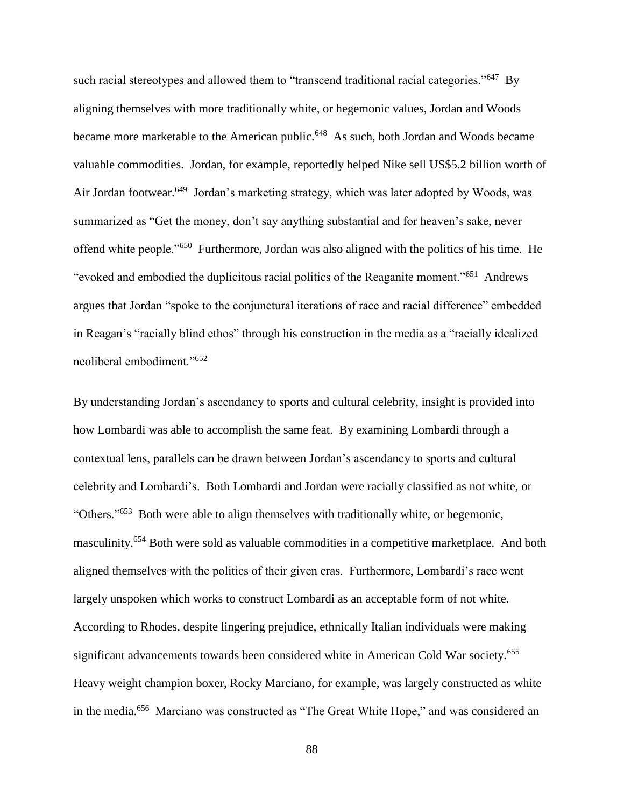such racial stereotypes and allowed them to "transcend traditional racial categories."<sup>647</sup> By aligning themselves with more traditionally white, or hegemonic values, Jordan and Woods became more marketable to the American public.<sup>648</sup> As such, both Jordan and Woods became valuable commodities. Jordan, for example, reportedly helped Nike sell US\$5.2 billion worth of Air Jordan footwear.<sup>649</sup> Jordan's marketing strategy, which was later adopted by Woods, was summarized as "Get the money, don't say anything substantial and for heaven's sake, never offend white people."<sup>650</sup> Furthermore, Jordan was also aligned with the politics of his time. He "evoked and embodied the duplicitous racial politics of the Reaganite moment."<sup>651</sup> Andrews argues that Jordan "spoke to the conjunctural iterations of race and racial difference" embedded in Reagan's "racially blind ethos" through his construction in the media as a "racially idealized neoliberal embodiment."<sup>652</sup>

By understanding Jordan's ascendancy to sports and cultural celebrity, insight is provided into how Lombardi was able to accomplish the same feat. By examining Lombardi through a contextual lens, parallels can be drawn between Jordan's ascendancy to sports and cultural celebrity and Lombardi's. Both Lombardi and Jordan were racially classified as not white, or "Others."<sup>653</sup> Both were able to align themselves with traditionally white, or hegemonic, masculinity.<sup>654</sup> Both were sold as valuable commodities in a competitive marketplace. And both aligned themselves with the politics of their given eras. Furthermore, Lombardi's race went largely unspoken which works to construct Lombardi as an acceptable form of not white. According to Rhodes, despite lingering prejudice, ethnically Italian individuals were making significant advancements towards been considered white in American Cold War society.<sup>655</sup> Heavy weight champion boxer, Rocky Marciano, for example, was largely constructed as white in the media.<sup>656</sup> Marciano was constructed as "The Great White Hope," and was considered an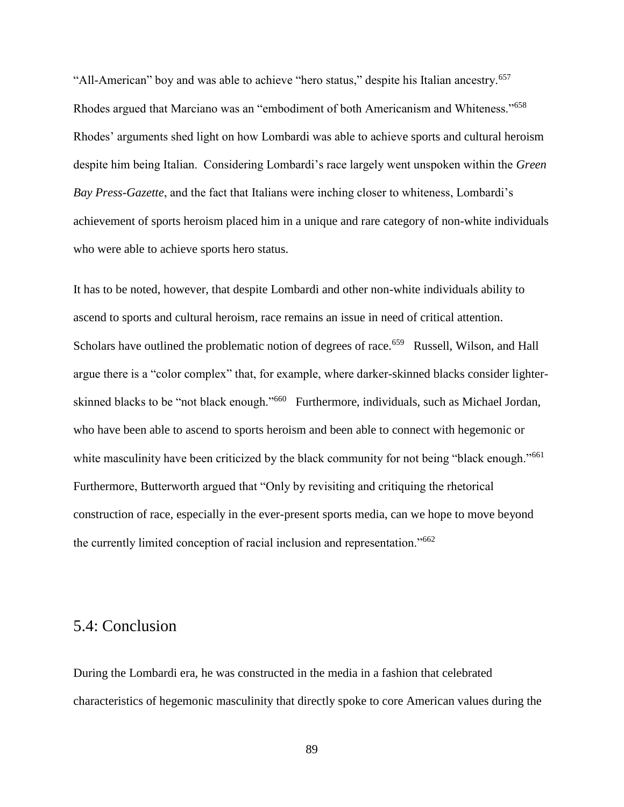"All-American" boy and was able to achieve "hero status," despite his Italian ancestry.<sup>657</sup> Rhodes argued that Marciano was an "embodiment of both Americanism and Whiteness."<sup>658</sup> Rhodes' arguments shed light on how Lombardi was able to achieve sports and cultural heroism despite him being Italian. Considering Lombardi's race largely went unspoken within the *Green Bay Press-Gazette*, and the fact that Italians were inching closer to whiteness, Lombardi's achievement of sports heroism placed him in a unique and rare category of non-white individuals who were able to achieve sports hero status.

It has to be noted, however, that despite Lombardi and other non-white individuals ability to ascend to sports and cultural heroism, race remains an issue in need of critical attention. Scholars have outlined the problematic notion of degrees of race.<sup>659</sup> Russell, Wilson, and Hall argue there is a "color complex" that, for example, where darker-skinned blacks consider lighterskinned blacks to be "not black enough."<sup>660</sup> Furthermore, individuals, such as Michael Jordan, who have been able to ascend to sports heroism and been able to connect with hegemonic or white masculinity have been criticized by the black community for not being "black enough."<sup>661</sup> Furthermore, Butterworth argued that "Only by revisiting and critiquing the rhetorical construction of race, especially in the ever-present sports media, can we hope to move beyond the currently limited conception of racial inclusion and representation."<sup>662</sup>

#### 5.4: Conclusion

During the Lombardi era, he was constructed in the media in a fashion that celebrated characteristics of hegemonic masculinity that directly spoke to core American values during the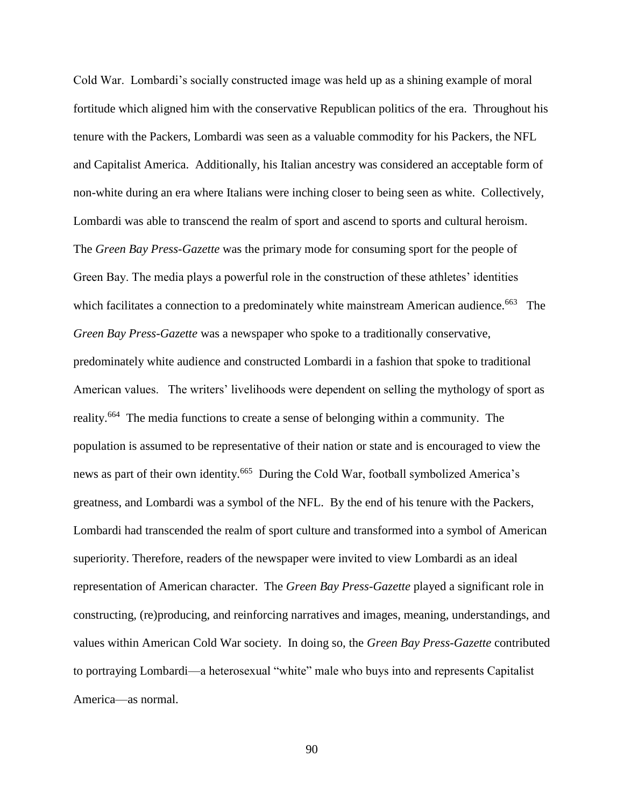Cold War. Lombardi's socially constructed image was held up as a shining example of moral fortitude which aligned him with the conservative Republican politics of the era. Throughout his tenure with the Packers, Lombardi was seen as a valuable commodity for his Packers, the NFL and Capitalist America. Additionally, his Italian ancestry was considered an acceptable form of non-white during an era where Italians were inching closer to being seen as white. Collectively, Lombardi was able to transcend the realm of sport and ascend to sports and cultural heroism. The *Green Bay Press-Gazette* was the primary mode for consuming sport for the people of Green Bay. The media plays a powerful role in the construction of these athletes' identities which facilitates a connection to a predominately white mainstream American audience.<sup>663</sup> The *Green Bay Press-Gazette* was a newspaper who spoke to a traditionally conservative, predominately white audience and constructed Lombardi in a fashion that spoke to traditional American values. The writers' livelihoods were dependent on selling the mythology of sport as reality.<sup>664</sup> The media functions to create a sense of belonging within a community. The population is assumed to be representative of their nation or state and is encouraged to view the news as part of their own identity.<sup>665</sup> During the Cold War, football symbolized America's greatness, and Lombardi was a symbol of the NFL. By the end of his tenure with the Packers, Lombardi had transcended the realm of sport culture and transformed into a symbol of American superiority. Therefore, readers of the newspaper were invited to view Lombardi as an ideal representation of American character. The *Green Bay Press-Gazette* played a significant role in constructing, (re)producing, and reinforcing narratives and images, meaning, understandings, and values within American Cold War society. In doing so, the *Green Bay Press-Gazette* contributed to portraying Lombardi—a heterosexual "white" male who buys into and represents Capitalist America—as normal.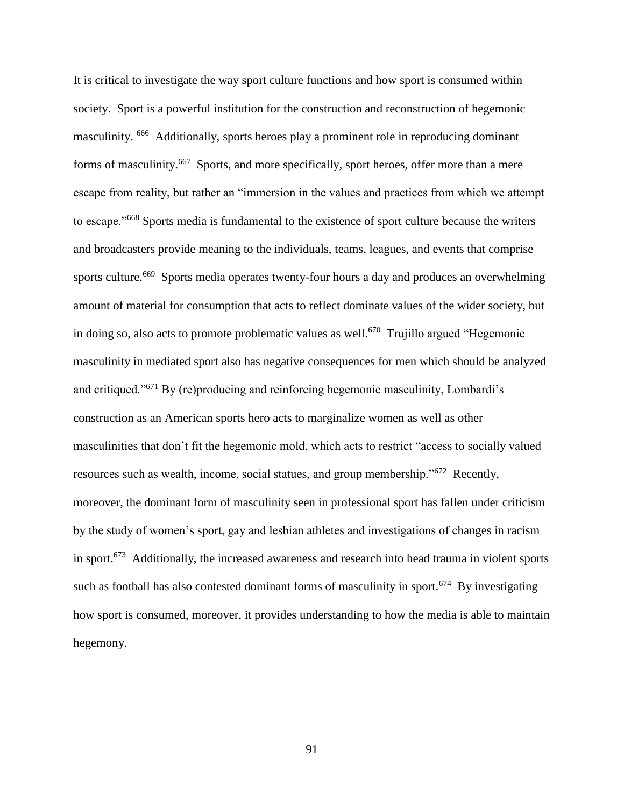It is critical to investigate the way sport culture functions and how sport is consumed within society. Sport is a powerful institution for the construction and reconstruction of hegemonic masculinity. <sup>666</sup> Additionally, sports heroes play a prominent role in reproducing dominant forms of masculinity.<sup>667</sup> Sports, and more specifically, sport heroes, offer more than a mere escape from reality, but rather an "immersion in the values and practices from which we attempt to escape."<sup>668</sup> Sports media is fundamental to the existence of sport culture because the writers and broadcasters provide meaning to the individuals, teams, leagues, and events that comprise sports culture.<sup>669</sup> Sports media operates twenty-four hours a day and produces an overwhelming amount of material for consumption that acts to reflect dominate values of the wider society, but in doing so, also acts to promote problematic values as well.<sup>670</sup> Trujillo argued "Hegemonic masculinity in mediated sport also has negative consequences for men which should be analyzed and critiqued."<sup>671</sup> By (re)producing and reinforcing hegemonic masculinity, Lombardi's construction as an American sports hero acts to marginalize women as well as other masculinities that don't fit the hegemonic mold, which acts to restrict "access to socially valued resources such as wealth, income, social statues, and group membership."<sup>672</sup> Recently, moreover, the dominant form of masculinity seen in professional sport has fallen under criticism by the study of women's sport, gay and lesbian athletes and investigations of changes in racism in sport.<sup>673</sup> Additionally, the increased awareness and research into head trauma in violent sports such as football has also contested dominant forms of masculinity in sport.<sup>674</sup> By investigating how sport is consumed, moreover, it provides understanding to how the media is able to maintain hegemony.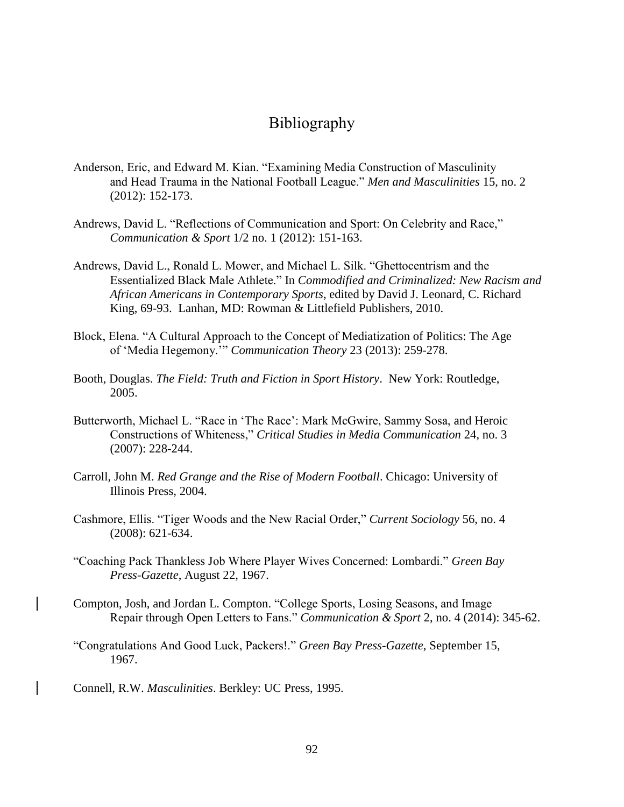## Bibliography

- Anderson, Eric, and Edward M. Kian. "Examining Media Construction of Masculinity and Head Trauma in the National Football League." *Men and Masculinities* 15, no. 2 (2012): 152-173.
- Andrews, David L. "Reflections of Communication and Sport: On Celebrity and Race," *Communication & Sport* 1/2 no. 1 (2012): 151-163.
- Andrews, David L., Ronald L. Mower, and Michael L. Silk. "Ghettocentrism and the Essentialized Black Male Athlete." In *Commodified and Criminalized: New Racism and African Americans in Contemporary Sports*, edited by David J. Leonard, C. Richard King, 69-93. Lanhan, MD: Rowman & Littlefield Publishers, 2010.
- Block, Elena. "A Cultural Approach to the Concept of Mediatization of Politics: The Age of 'Media Hegemony.'" *Communication Theory* 23 (2013): 259-278.
- Booth, Douglas. *The Field: Truth and Fiction in Sport History*. New York: Routledge, 2005.
- Butterworth, Michael L. "Race in 'The Race': Mark McGwire, Sammy Sosa, and Heroic Constructions of Whiteness," *Critical Studies in Media Communication* 24, no. 3 (2007): 228-244.
- Carroll, John M. *Red Grange and the Rise of Modern Football*. Chicago: University of Illinois Press, 2004.
- Cashmore, Ellis. "Tiger Woods and the New Racial Order," *Current Sociology* 56, no. 4 (2008): 621-634.
- "Coaching Pack Thankless Job Where Player Wives Concerned: Lombardi." *Green Bay Press-Gazette*, August 22, 1967.
- Compton, Josh, and Jordan L. Compton. "College Sports, Losing Seasons, and Image Repair through Open Letters to Fans." *Communication & Sport* 2, no. 4 (2014): 345-62.
- "Congratulations And Good Luck, Packers!." *Green Bay Press-Gazette*, September 15, 1967.
- Connell, R.W. *Masculinities*. Berkley: UC Press, 1995.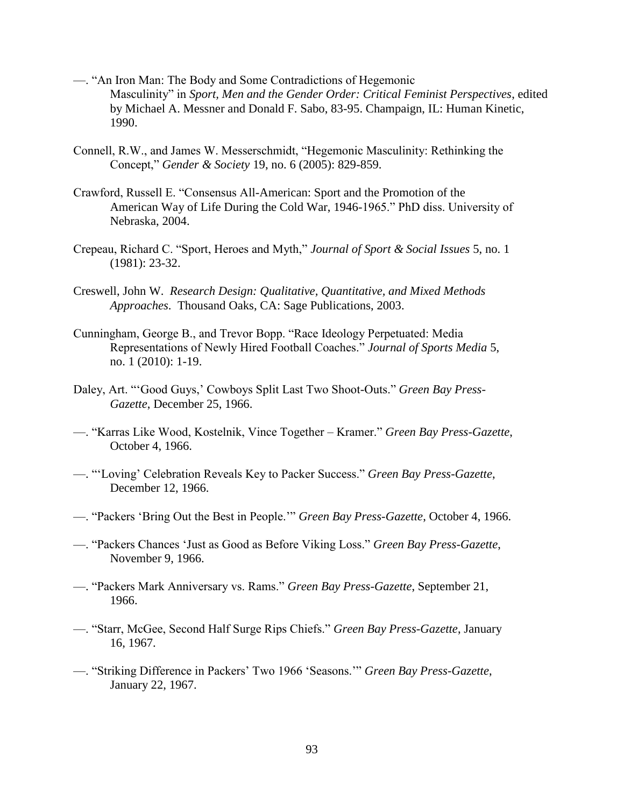- —. "An Iron Man: The Body and Some Contradictions of Hegemonic Masculinity" in *Sport, Men and the Gender Order: Critical Feminist Perspectives*, edited by Michael A. Messner and Donald F. Sabo, 83-95. Champaign, IL: Human Kinetic, 1990.
- Connell, R.W., and James W. Messerschmidt, "Hegemonic Masculinity: Rethinking the Concept," *Gender & Society* 19, no. 6 (2005): 829-859.
- Crawford, Russell E. "Consensus All-American: Sport and the Promotion of the American Way of Life During the Cold War, 1946-1965." PhD diss. University of Nebraska, 2004.
- Crepeau, Richard C. "Sport, Heroes and Myth," *Journal of Sport & Social Issues* 5, no. 1 (1981): 23-32.
- Creswell, John W. *Research Design: Qualitative, Quantitative, and Mixed Methods Approaches*. Thousand Oaks, CA: Sage Publications, 2003.
- Cunningham, George B., and Trevor Bopp. "Race Ideology Perpetuated: Media Representations of Newly Hired Football Coaches." *Journal of Sports Media* 5, no. 1 (2010): 1-19.
- Daley, Art. "'Good Guys,' Cowboys Split Last Two Shoot-Outs." *Green Bay Press-Gazette*, December 25, 1966.
- —. "Karras Like Wood, Kostelnik, Vince Together Kramer." *Green Bay Press-Gazette*, October 4, 1966.
- —. "'Loving' Celebration Reveals Key to Packer Success." *Green Bay Press-Gazette*, December 12, 1966.
- —. "Packers 'Bring Out the Best in People.'" *Green Bay Press-Gazette*, October 4, 1966.
- —. "Packers Chances 'Just as Good as Before Viking Loss." *Green Bay Press-Gazette*, November 9, 1966.
- —. "Packers Mark Anniversary vs. Rams." *Green Bay Press-Gazette*, September 21, 1966.
- —. "Starr, McGee, Second Half Surge Rips Chiefs." *Green Bay Press-Gazette*, January 16, 1967.
- —. "Striking Difference in Packers' Two 1966 'Seasons.'" *Green Bay Press-Gazette*, January 22, 1967.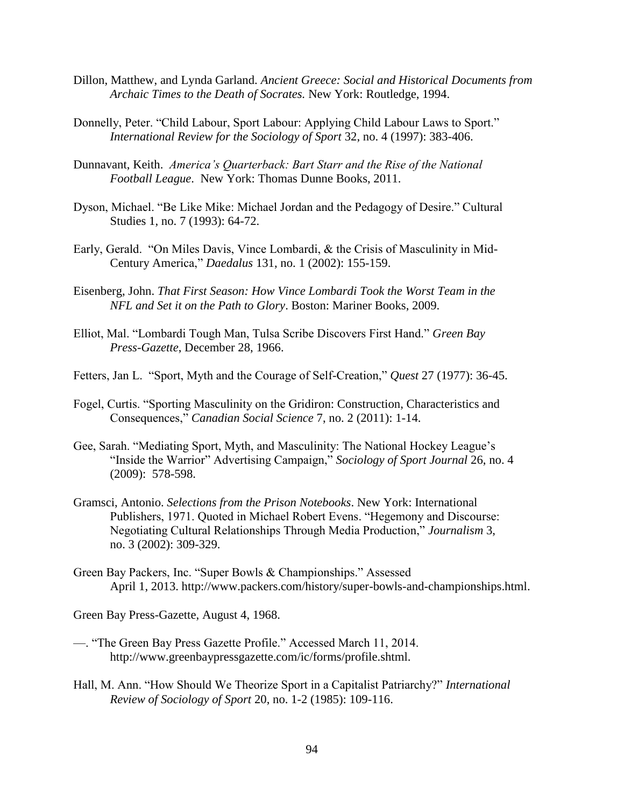- Dillon, Matthew, and Lynda Garland. *Ancient Greece: Social and Historical Documents from Archaic Times to the Death of Socrates.* New York: Routledge, 1994.
- Donnelly, Peter. "Child Labour, Sport Labour: Applying Child Labour Laws to Sport." *International Review for the Sociology of Sport* 32, no. 4 (1997): 383-406.
- Dunnavant, Keith. *America's Quarterback: Bart Starr and the Rise of the National Football League*. New York: Thomas Dunne Books, 2011.
- Dyson, Michael. "Be Like Mike: Michael Jordan and the Pedagogy of Desire." Cultural Studies 1, no. 7 (1993): 64-72.
- Early, Gerald. "On Miles Davis, Vince Lombardi, & the Crisis of Masculinity in Mid-Century America," *Daedalus* 131, no. 1 (2002): 155-159.
- Eisenberg, John. *That First Season: How Vince Lombardi Took the Worst Team in the NFL and Set it on the Path to Glory*. Boston: Mariner Books, 2009.
- Elliot, Mal. "Lombardi Tough Man, Tulsa Scribe Discovers First Hand." *Green Bay Press-Gazette*, December 28, 1966.
- Fetters, Jan L. "Sport, Myth and the Courage of Self-Creation," *Quest* 27 (1977): 36-45.
- Fogel, Curtis. "Sporting Masculinity on the Gridiron: Construction, Characteristics and Consequences," *Canadian Social Science* 7, no. 2 (2011): 1-14.
- Gee, Sarah. "Mediating Sport, Myth, and Masculinity: The National Hockey League's "Inside the Warrior" Advertising Campaign," *Sociology of Sport Journal* 26, no. 4 (2009): 578-598.
- Gramsci, Antonio. *Selections from the Prison Notebooks*. New York: International Publishers, 1971. Quoted in Michael Robert Evens. "Hegemony and Discourse: Negotiating Cultural Relationships Through Media Production," *Journalism* 3, no. 3 (2002): 309-329.
- Green Bay Packers, Inc. "Super Bowls & Championships." Assessed April 1, 2013. http://www.packers.com/history/super-bowls-and-championships.html.

Green Bay Press-Gazette, August 4, 1968.

- —. "The Green Bay Press Gazette Profile." Accessed March 11, 2014. http://www.greenbaypressgazette.com/ic/forms/profile.shtml.
- Hall, M. Ann. "How Should We Theorize Sport in a Capitalist Patriarchy?" *International Review of Sociology of Sport* 20, no. 1-2 (1985): 109-116.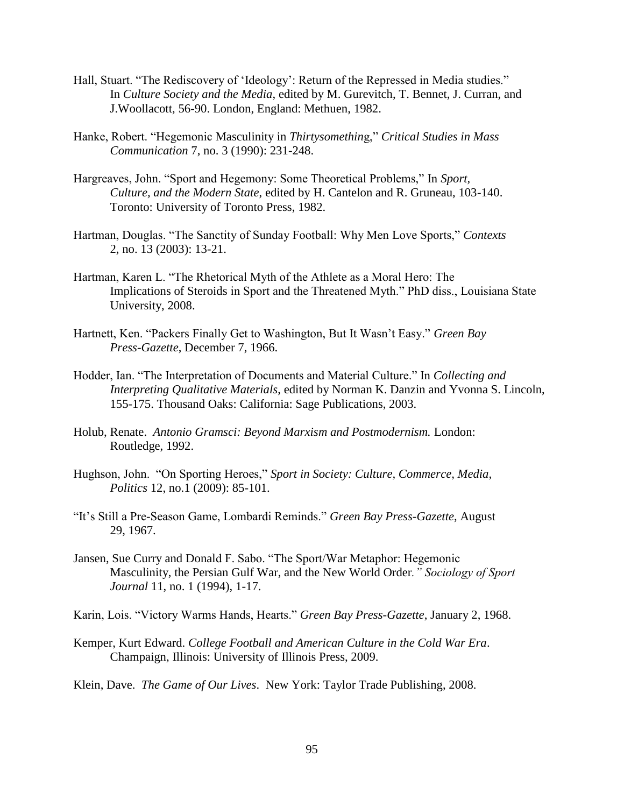- Hall, Stuart. "The Rediscovery of 'Ideology': Return of the Repressed in Media studies." In *Culture Society and the Media*, edited by M. Gurevitch, T. Bennet, J. Curran, and J.Woollacott, 56-90. London, England: Methuen, 1982.
- Hanke, Robert. "Hegemonic Masculinity in *Thirtysomethin*g," *Critical Studies in Mass Communication* 7, no. 3 (1990): 231-248.
- Hargreaves, John. "Sport and Hegemony: Some Theoretical Problems," In *Sport, Culture, and the Modern State*, edited by H. Cantelon and R. Gruneau, 103-140. Toronto: University of Toronto Press, 1982.
- Hartman, Douglas. "The Sanctity of Sunday Football: Why Men Love Sports," *Contexts* 2, no. 13 (2003): 13-21.
- Hartman, Karen L. "The Rhetorical Myth of the Athlete as a Moral Hero: The Implications of Steroids in Sport and the Threatened Myth." PhD diss., Louisiana State University, 2008.
- Hartnett, Ken. "Packers Finally Get to Washington, But It Wasn't Easy." *Green Bay Press-Gazette*, December 7, 1966.
- Hodder, Ian. "The Interpretation of Documents and Material Culture." In *Collecting and Interpreting Qualitative Materials*, edited by Norman K. Danzin and Yvonna S. Lincoln, 155-175. Thousand Oaks: California: Sage Publications, 2003.
- Holub, Renate. *Antonio Gramsci: Beyond Marxism and Postmodernism.* London: Routledge, 1992.
- Hughson, John. "On Sporting Heroes," *Sport in Society: Culture, Commerce, Media, Politics* 12, no.1 (2009): 85-101.
- "It's Still a Pre-Season Game, Lombardi Reminds." *Green Bay Press-Gazette*, August 29, 1967.
- Jansen, Sue Curry and Donald F. Sabo. "The Sport/War Metaphor: Hegemonic Masculinity, the Persian Gulf War, and the New World Order*." Sociology of Sport Journal* 11, no. 1 (1994), 1-17.
- Karin, Lois. "Victory Warms Hands, Hearts." *Green Bay Press-Gazette*, January 2, 1968.
- Kemper, Kurt Edward. *College Football and American Culture in the Cold War Era*. Champaign, Illinois: University of Illinois Press, 2009.
- Klein, Dave. *The Game of Our Lives*. New York: Taylor Trade Publishing, 2008.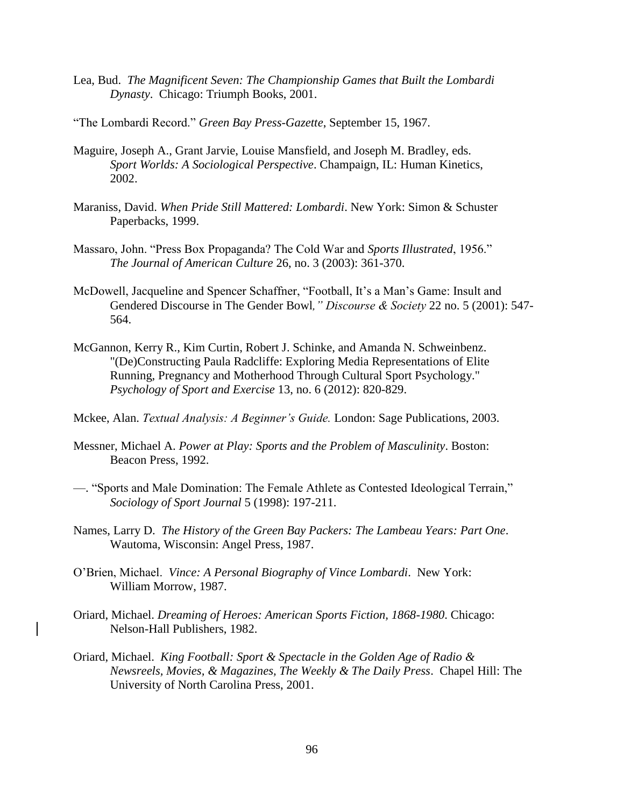- Lea, Bud. *The Magnificent Seven: The Championship Games that Built the Lombardi Dynasty*. Chicago: Triumph Books, 2001.
- "The Lombardi Record." *Green Bay Press-Gazette*, September 15, 1967.
- Maguire, Joseph A., Grant Jarvie, Louise Mansfield, and Joseph M. Bradley, eds. *Sport Worlds: A Sociological Perspective*. Champaign, IL: Human Kinetics, 2002.
- Maraniss, David. *When Pride Still Mattered: Lombardi*. New York: Simon & Schuster Paperbacks, 1999.
- Massaro, John. "Press Box Propaganda? The Cold War and *Sports Illustrated*, 1956." *The Journal of American Culture* 26, no. 3 (2003): 361-370.
- McDowell, Jacqueline and Spencer Schaffner, "Football, It's a Man's Game: Insult and Gendered Discourse in The Gender Bowl*," Discourse & Society* 22 no. 5 (2001): 547- 564.
- McGannon, Kerry R., Kim Curtin, Robert J. Schinke, and Amanda N. Schweinbenz. "(De)Constructing Paula Radcliffe: Exploring Media Representations of Elite Running, Pregnancy and Motherhood Through Cultural Sport Psychology." *Psychology of Sport and Exercise* 13, no. 6 (2012): 820-829.
- Mckee, Alan. *Textual Analysis: A Beginner's Guide.* London: Sage Publications, 2003.
- Messner, Michael A. *Power at Play: Sports and the Problem of Masculinity*. Boston: Beacon Press, 1992.
- —. "Sports and Male Domination: The Female Athlete as Contested Ideological Terrain," *Sociology of Sport Journal* 5 (1998): 197-211.
- Names, Larry D. *The History of the Green Bay Packers: The Lambeau Years: Part One*. Wautoma, Wisconsin: Angel Press, 1987.
- O'Brien, Michael. *Vince: A Personal Biography of Vince Lombardi*. New York: William Morrow, 1987.
- Oriard, Michael. *Dreaming of Heroes: American Sports Fiction, 1868-1980*. Chicago: Nelson-Hall Publishers, 1982.
- Oriard, Michael. *King Football: Sport & Spectacle in the Golden Age of Radio & Newsreels, Movies, & Magazines, The Weekly & The Daily Press*. Chapel Hill: The University of North Carolina Press, 2001.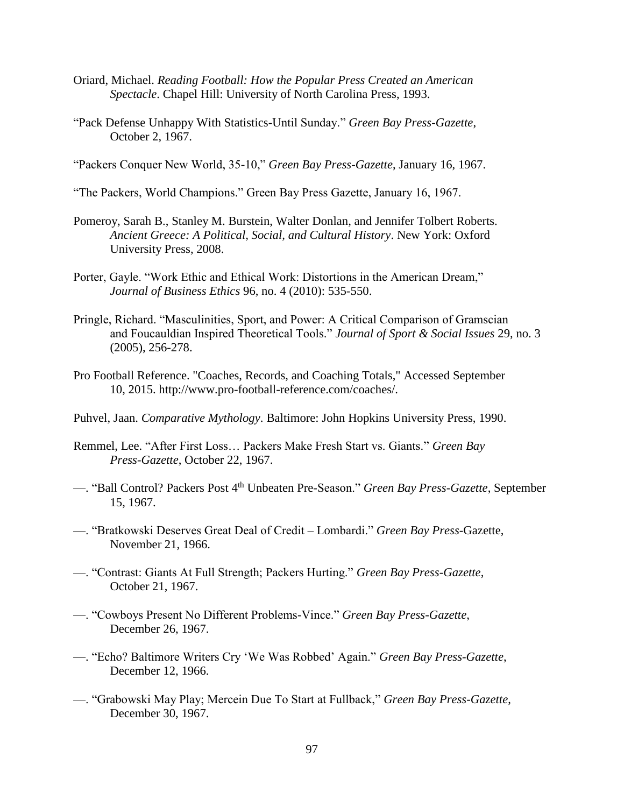- Oriard, Michael. *Reading Football: How the Popular Press Created an American Spectacle*. Chapel Hill: University of North Carolina Press, 1993.
- "Pack Defense Unhappy With Statistics-Until Sunday." *Green Bay Press-Gazette*, October 2, 1967.

"Packers Conquer New World, 35-10," *Green Bay Press-Gazette*, January 16, 1967.

- "The Packers, World Champions." Green Bay Press Gazette, January 16, 1967.
- Pomeroy, Sarah B., Stanley M. Burstein, Walter Donlan, and Jennifer Tolbert Roberts. *Ancient Greece: A Political, Social, and Cultural History*. New York: Oxford University Press, 2008.
- Porter, Gayle. "Work Ethic and Ethical Work: Distortions in the American Dream," *Journal of Business Ethics* 96, no. 4 (2010): 535-550.
- Pringle, Richard. "Masculinities, Sport, and Power: A Critical Comparison of Gramscian and Foucauldian Inspired Theoretical Tools." *Journal of Sport & Social Issues* 29, no. 3 (2005), 256-278.
- Pro Football Reference. "Coaches, Records, and Coaching Totals," Accessed September 10, 2015. http://www.pro-football-reference.com/coaches/.
- Puhvel, Jaan. *Comparative Mythology*. Baltimore: John Hopkins University Press, 1990.
- Remmel, Lee. "After First Loss… Packers Make Fresh Start vs. Giants." *Green Bay Press-Gazette*, October 22, 1967.
- —. "Ball Control? Packers Post 4th Unbeaten Pre-Season." *Green Bay Press-Gazette*, September 15, 1967.
- —. "Bratkowski Deserves Great Deal of Credit Lombardi." *Green Bay Press-*Gazette, November 21, 1966.
- —. "Contrast: Giants At Full Strength; Packers Hurting." *Green Bay Press-Gazette*, October 21, 1967.
- —. "Cowboys Present No Different Problems-Vince." *Green Bay Press-Gazette*, December 26, 1967.
- —. "Echo? Baltimore Writers Cry 'We Was Robbed' Again." *Green Bay Press-Gazette*, December 12, 1966.
- —. "Grabowski May Play; Mercein Due To Start at Fullback," *Green Bay Press-Gazette*, December 30, 1967.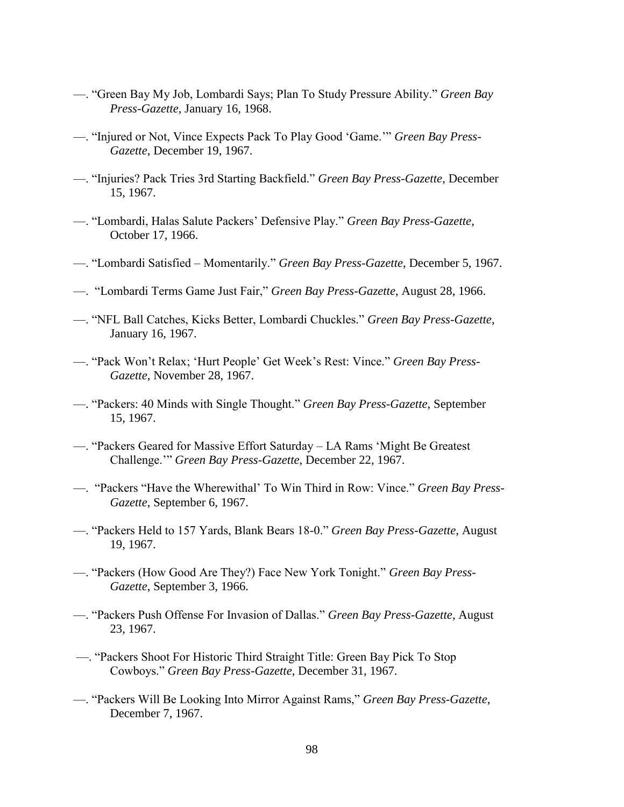- —. "Green Bay My Job, Lombardi Says; Plan To Study Pressure Ability." *Green Bay Press-Gazette*, January 16, 1968.
- —. "Injured or Not, Vince Expects Pack To Play Good 'Game.'" *Green Bay Press-Gazette*, December 19, 1967.
- —. "Injuries? Pack Tries 3rd Starting Backfield." *Green Bay Press-Gazette*, December 15, 1967.
- —. "Lombardi, Halas Salute Packers' Defensive Play." *Green Bay Press-Gazette*, October 17, 1966.
- —. "Lombardi Satisfied Momentarily." *Green Bay Press-Gazette*, December 5, 1967.
- —. "Lombardi Terms Game Just Fair," *Green Bay Press-Gazette*, August 28, 1966.
- —. "NFL Ball Catches, Kicks Better, Lombardi Chuckles." *Green Bay Press-Gazette*, January 16, 1967.
- —. "Pack Won't Relax; 'Hurt People' Get Week's Rest: Vince." *Green Bay Press-Gazette*, November 28, 1967.
- —. "Packers: 40 Minds with Single Thought." *Green Bay Press-Gazette*, September 15, 1967.
- —. "Packers Geared for Massive Effort Saturday LA Rams 'Might Be Greatest Challenge.'" *Green Bay Press-Gazette*, December 22, 1967.
- —. "Packers "Have the Wherewithal' To Win Third in Row: Vince." *Green Bay Press-Gazette*, September 6, 1967.
- —. "Packers Held to 157 Yards, Blank Bears 18-0." *Green Bay Press-Gazette*, August 19, 1967.
- —. "Packers (How Good Are They?) Face New York Tonight." *Green Bay Press-Gazette*, September 3, 1966.
- —. "Packers Push Offense For Invasion of Dallas." *Green Bay Press-Gazette*, August 23, 1967.
- —. "Packers Shoot For Historic Third Straight Title: Green Bay Pick To Stop Cowboys." *Green Bay Press-Gazette*, December 31, 1967.
- —. "Packers Will Be Looking Into Mirror Against Rams," *Green Bay Press-Gazette*, December 7, 1967.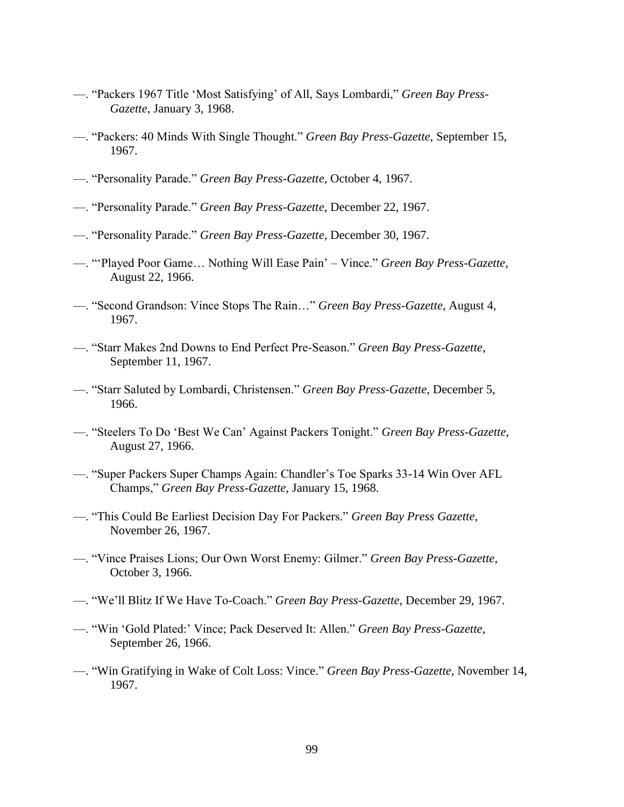- —. "Packers 1967 Title 'Most Satisfying' of All, Says Lombardi," *Green Bay Press-Gazette*, January 3, 1968.
- —. "Packers: 40 Minds With Single Thought." *Green Bay Press-Gazette*, September 15, 1967.
- —. "Personality Parade." *Green Bay Press-Gazette*, October 4, 1967.
- —. "Personality Parade." *Green Bay Press-Gazette*, December 22, 1967.
- —. "Personality Parade." *Green Bay Press-Gazette*, December 30, 1967.
- —. "'Played Poor Game… Nothing Will Ease Pain' Vince." *Green Bay Press-Gazette*, August 22, 1966.
- —. "Second Grandson: Vince Stops The Rain…" *Green Bay Press-Gazette*, August 4, 1967.
- —. "Starr Makes 2nd Downs to End Perfect Pre-Season." *Green Bay Press-Gazette*, September 11, 1967.
- —. "Starr Saluted by Lombardi, Christensen." *Green Bay Press-Gazette*, December 5, 1966.
- —. "Steelers To Do 'Best We Can' Against Packers Tonight." *Green Bay Press-Gazette*, August 27, 1966.
- —. "Super Packers Super Champs Again: Chandler's Toe Sparks 33-14 Win Over AFL Champs," *Green Bay Press-Gazette*, January 15, 1968.
- —. "This Could Be Earliest Decision Day For Packers." *Green Bay Press Gazette*, November 26, 1967.
- —. "Vince Praises Lions; Our Own Worst Enemy: Gilmer." *Green Bay Press-Gazette*, October 3, 1966.
- —. "We'll Blitz If We Have To-Coach." *Green Bay Press-Gazette*, December 29, 1967.
- —. "Win 'Gold Plated:' Vince; Pack Deserved It: Allen." *Green Bay Press-Gazette*, September 26, 1966.
- —. "Win Gratifying in Wake of Colt Loss: Vince." *Green Bay Press-Gazette*, November 14, 1967.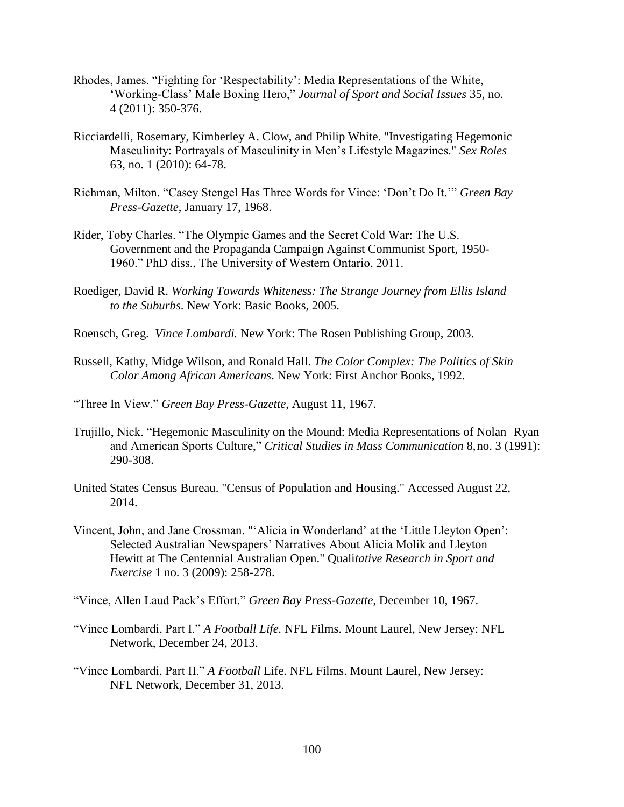- Rhodes, James. "Fighting for 'Respectability': Media Representations of the White, 'Working-Class' Male Boxing Hero," *Journal of Sport and Social Issues* 35, no. 4 (2011): 350-376.
- Ricciardelli, Rosemary, Kimberley A. Clow, and Philip White. "Investigating Hegemonic Masculinity: Portrayals of Masculinity in Men's Lifestyle Magazines." *Sex Roles* 63, no. 1 (2010): 64-78.
- Richman, Milton. "Casey Stengel Has Three Words for Vince: 'Don't Do It.'" *Green Bay Press-Gazette*, January 17, 1968.
- Rider, Toby Charles. "The Olympic Games and the Secret Cold War: The U.S. Government and the Propaganda Campaign Against Communist Sport, 1950- 1960." PhD diss., The University of Western Ontario, 2011.
- Roediger, David R. *Working Towards Whiteness: The Strange Journey from Ellis Island to the Suburbs*. New York: Basic Books, 2005.
- Roensch, Greg. *Vince Lombardi.* New York: The Rosen Publishing Group, 2003.
- Russell, Kathy, Midge Wilson, and Ronald Hall. *The Color Complex: The Politics of Skin Color Among African Americans*. New York: First Anchor Books, 1992.
- "Three In View." *Green Bay Press-Gazette*, August 11, 1967.
- Trujillo, Nick. "Hegemonic Masculinity on the Mound: Media Representations of Nolan Ryan and American Sports Culture," *Critical Studies in Mass Communication* 8,no. 3 (1991): 290-308.
- [United States Census Bureau.](https://en.wikipedia.org/wiki/United_States_Census_Bureau) ["Census of Population and Housing."](http://www.census.gov/prod/www/decennial.html) Accessed August 22, 2014.
- Vincent, John, and Jane Crossman. "'Alicia in Wonderland' at the 'Little Lleyton Open': Selected Australian Newspapers' Narratives About Alicia Molik and Lleyton Hewitt at The Centennial Australian Open." Quali*tative Research in Sport and Exercise* 1 no. 3 (2009): 258-278.
- "Vince, Allen Laud Pack's Effort." *Green Bay Press-Gazette*, December 10, 1967.
- "Vince Lombardi, Part I." *A Football Life.* NFL Films. Mount Laurel, New Jersey: NFL Network, December 24, 2013.
- "Vince Lombardi, Part II." *A Football* Life. NFL Films. Mount Laurel, New Jersey: NFL Network, December 31, 2013.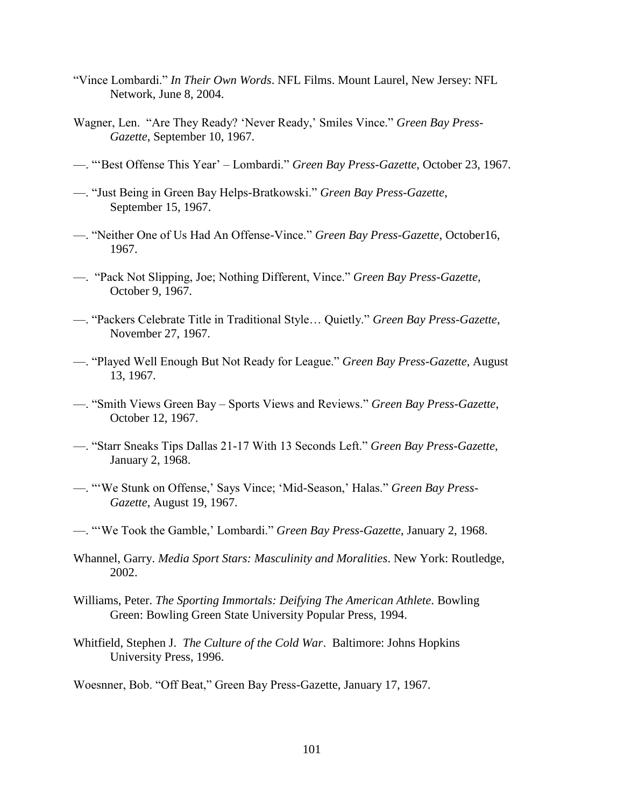- "Vince Lombardi." *In Their Own Words*. NFL Films. Mount Laurel, New Jersey: NFL Network, June 8, 2004.
- Wagner, Len. "Are They Ready? 'Never Ready,' Smiles Vince." *Green Bay Press-Gazette*, September 10, 1967.
- —. "'Best Offense This Year' Lombardi." *Green Bay Press-Gazette*, October 23, 1967.
- —. "Just Being in Green Bay Helps-Bratkowski." *Green Bay Press-Gazette*, September 15, 1967.
- —. "Neither One of Us Had An Offense-Vince." *Green Bay Press-Gazette*, October16, 1967.
- —. "Pack Not Slipping, Joe; Nothing Different, Vince." *Green Bay Press-Gazette*, October 9, 1967.
- —. "Packers Celebrate Title in Traditional Style… Quietly." *Green Bay Press-Gazette*, November 27, 1967.
- —. "Played Well Enough But Not Ready for League." *Green Bay Press-Gazette*, August 13, 1967.
- —. "Smith Views Green Bay Sports Views and Reviews." *Green Bay Press-Gazette*, October 12, 1967.
- —. "Starr Sneaks Tips Dallas 21-17 With 13 Seconds Left." *Green Bay Press-Gazette*, January 2, 1968.
- —. "'We Stunk on Offense,' Says Vince; 'Mid-Season,' Halas." *Green Bay Press-Gazette*, August 19, 1967.
- —. "'We Took the Gamble,' Lombardi." *Green Bay Press-Gazette*, January 2, 1968.
- Whannel, Garry. *Media Sport Stars: Masculinity and Moralities*. New York: Routledge, 2002.
- Williams, Peter. *The Sporting Immortals: Deifying The American Athlete*. Bowling Green: Bowling Green State University Popular Press, 1994.
- Whitfield, Stephen J. *The Culture of the Cold War*. Baltimore: Johns Hopkins University Press, 1996.
- Woesnner, Bob. "Off Beat," Green Bay Press-Gazette, January 17, 1967.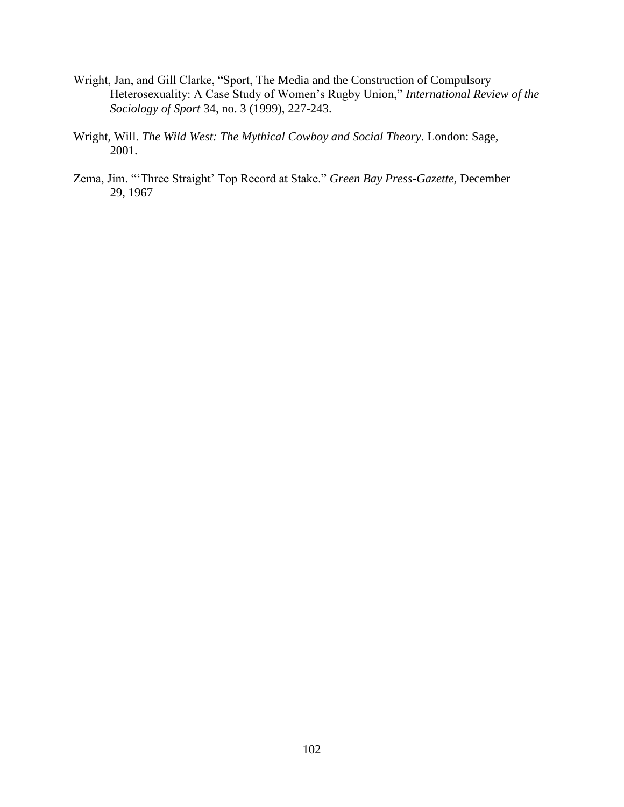- Wright, Jan, and Gill Clarke, "Sport, The Media and the Construction of Compulsory Heterosexuality: A Case Study of Women's Rugby Union," *International Review of the Sociology of Sport* 34, no. 3 (1999), 227-243.
- Wright, Will. *The Wild West: The Mythical Cowboy and Social Theory*. London: Sage, 2001.
- Zema, Jim. "'Three Straight' Top Record at Stake." *Green Bay Press-Gazette*, December 29, 1967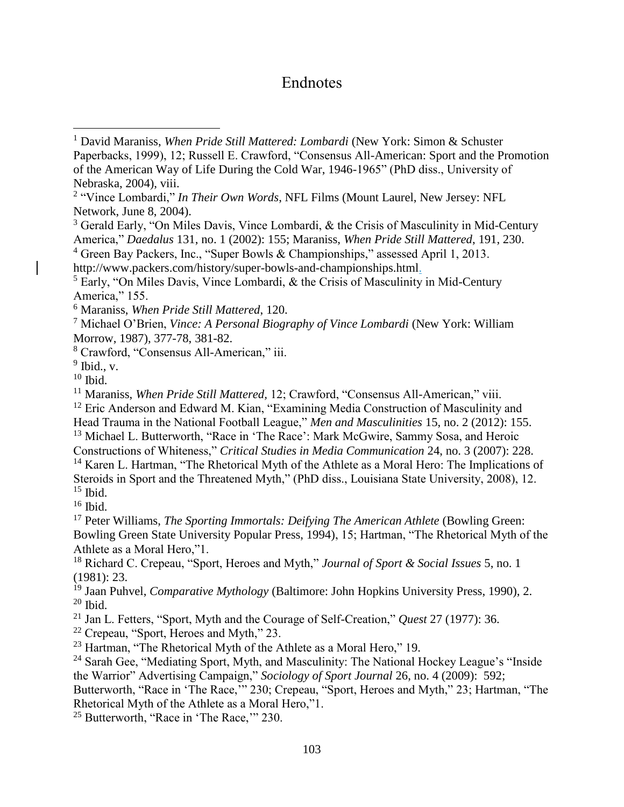## Endnotes

 $\overline{a}$ 

 $15$  Ibid.

 $16$  Ibid.

<sup>17</sup> Peter Williams, *The Sporting Immortals: Deifying The American Athlete* (Bowling Green: Bowling Green State University Popular Press, 1994), 15; Hartman, "The Rhetorical Myth of the Athlete as a Moral Hero,"1.

<sup>18</sup> Richard C. Crepeau, "Sport, Heroes and Myth," *Journal of Sport & Social Issues* 5, no. 1 (1981): 23.

<sup>19</sup> Jaan Puhvel, *Comparative Mythology* (Baltimore: John Hopkins University Press, 1990), 2.  $20$  Ibid.

<sup>21</sup> Jan L. Fetters, "Sport, Myth and the Courage of Self-Creation," *Quest* 27 (1977): 36.

<sup>22</sup> Crepeau, "Sport, Heroes and Myth," 23.

<sup>25</sup> Butterworth, "Race in 'The Race," 230.

<sup>1</sup> David Maraniss, *When Pride Still Mattered: Lombardi* (New York: Simon & Schuster Paperbacks, 1999), 12; Russell E. Crawford, "Consensus All-American: Sport and the Promotion of the American Way of Life During the Cold War, 1946-1965" (PhD diss., University of Nebraska, 2004), viii.

<sup>&</sup>lt;sup>2</sup> "Vince Lombardi," *In Their Own Words*, NFL Films (Mount Laurel, New Jersey: NFL Network, June 8, 2004).

<sup>3</sup> Gerald Early, "On Miles Davis, Vince Lombardi, & the Crisis of Masculinity in Mid-Century America," *Daedalus* 131, no. 1 (2002): 155; Maraniss, *When Pride Still Mattered*, 191, 230.

<sup>4</sup> Green Bay Packers, Inc., "Super Bowls & Championships," assessed April 1, 2013.

http://www.packers.com/history/super-bowls-and-championships.html.

<sup>5</sup> Early, "On Miles Davis, Vince Lombardi, & the Crisis of Masculinity in Mid-Century America," 155.

<sup>6</sup> Maraniss, *When Pride Still Mattered*, 120.

<sup>7</sup> Michael O'Brien, *Vince: A Personal Biography of Vince Lombardi* (New York: William Morrow, 1987), 377-78, 381-82.

<sup>8</sup> Crawford, "Consensus All-American," iii.

 $<sup>9</sup>$  Ibid., v.</sup>

 $10$  Ibid.

<sup>&</sup>lt;sup>11</sup> Maraniss, *When Pride Still Mattered*, 12; Crawford, "Consensus All-American," viii.

<sup>&</sup>lt;sup>12</sup> Eric Anderson and Edward M. Kian, "Examining Media Construction of Masculinity and

Head Trauma in the National Football League," *Men and Masculinities* 15, no. 2 (2012): 155.

<sup>&</sup>lt;sup>13</sup> Michael L. Butterworth, "Race in 'The Race': Mark McGwire, Sammy Sosa, and Heroic

Constructions of Whiteness," *Critical Studies in Media Communication* 24, no. 3 (2007): 228. <sup>14</sup> Karen L. Hartman, "The Rhetorical Myth of the Athlete as a Moral Hero: The Implications of Steroids in Sport and the Threatened Myth," (PhD diss., Louisiana State University, 2008), 12.

 $23$  Hartman, "The Rhetorical Myth of the Athlete as a Moral Hero," 19.

<sup>&</sup>lt;sup>24</sup> Sarah Gee, "Mediating Sport, Myth, and Masculinity: The National Hockey League's "Inside the Warrior" Advertising Campaign," *Sociology of Sport Journal* 26, no. 4 (2009): 592;

Butterworth, "Race in 'The Race," 230; Crepeau, "Sport, Heroes and Myth," 23; Hartman, "The Rhetorical Myth of the Athlete as a Moral Hero,"1.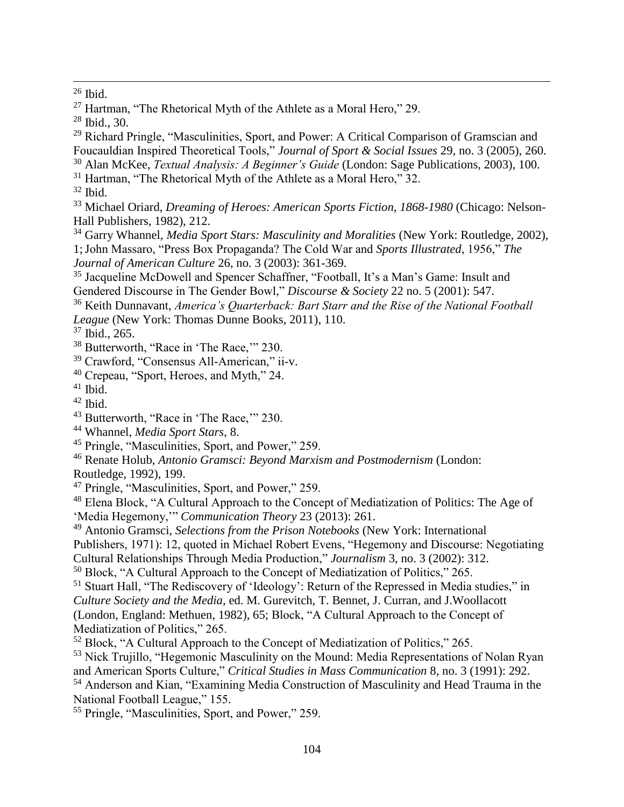$28$  Ibid., 30.

<sup>29</sup> Richard Pringle, "Masculinities, Sport, and Power: A Critical Comparison of Gramscian and Foucauldian Inspired Theoretical Tools," *Journal of Sport & Social Issues* 29, no. 3 (2005), 260. <sup>30</sup> Alan McKee, *Textual Analysis: A Beginner's Guide* (London: Sage Publications, 2003), 100.

<sup>31</sup> Hartman, "The Rhetorical Myth of the Athlete as a Moral Hero," 32.

 $32$  Ibid.

<sup>33</sup> Michael Oriard, *Dreaming of Heroes: American Sports Fiction, 1868-1980* (Chicago: Nelson-Hall Publishers, 1982), 212.

<sup>34</sup> Garry Whannel, *Media Sport Stars: Masculinity and Moralities* (New York: Routledge, 2002), 1;John Massaro, "Press Box Propaganda? The Cold War and *Sports Illustrated*, 1956," *The Journal of American Culture* 26, no. 3 (2003): 361-369.

<sup>35</sup> Jacqueline McDowell and Spencer Schaffner, "Football, It's a Man's Game: Insult and Gendered Discourse in The Gender Bowl," *Discourse & Society* 22 no. 5 (2001): 547.

<sup>36</sup> Keith Dunnavant, *America's Quarterback: Bart Starr and the Rise of the National Football League* (New York: Thomas Dunne Books, 2011), 110.

<sup>37</sup> Ibid., 265.

<sup>38</sup> Butterworth, "Race in 'The Race,'" 230.

<sup>39</sup> Crawford, "Consensus All-American," ii-v.

<sup>40</sup> Crepeau, "Sport, Heroes, and Myth," 24.

 $41$  Ibid.

 $42$  Ibid.

<sup>46</sup> Renate Holub, *Antonio Gramsci: Beyond Marxism and Postmodernism* (London: Routledge, 1992), 199.

<sup>47</sup> Pringle, "Masculinities, Sport, and Power," 259.

<sup>48</sup> Elena Block, "A Cultural Approach to the Concept of Mediatization of Politics: The Age of 'Media Hegemony,'" *Communication Theory* 23 (2013): 261.

<sup>49</sup> Antonio Gramsci*, Selections from the Prison Notebooks* (New York: International Publishers, 1971): 12, quoted in Michael Robert Evens, "Hegemony and Discourse: Negotiating Cultural Relationships Through Media Production," *Journalism* 3, no. 3 (2002): 312.

<sup>50</sup> Block, "A Cultural Approach to the Concept of Mediatization of Politics," 265.

<sup>51</sup> Stuart Hall, "The Rediscovery of 'Ideology': Return of the Repressed in Media studies," in *Culture Society and the Media,* ed. M. Gurevitch, T. Bennet, J. Curran, and J.Woollacott (London, England: Methuen, 1982), 65; Block, "A Cultural Approach to the Concept of Mediatization of Politics," 265.

<sup>52</sup> Block, "A Cultural Approach to the Concept of Mediatization of Politics," 265.

<sup>53</sup> Nick Trujillo, "Hegemonic Masculinity on the Mound: Media Representations of Nolan Ryan and American Sports Culture," *Critical Studies in Mass Communication* 8, no. 3 (1991): 292. <sup>54</sup> Anderson and Kian, "Examining Media Construction of Masculinity and Head Trauma in the National Football League," 155.

<sup>55</sup> Pringle, "Masculinities, Sport, and Power," 259.

 $\overline{a}$  $26$  Ibid.

<sup>&</sup>lt;sup>27</sup> Hartman, "The Rhetorical Myth of the Athlete as a Moral Hero," 29.

<sup>43</sup> Butterworth, "Race in 'The Race,'" 230.

<sup>44</sup> Whannel, *Media Sport Stars*, 8.

<sup>45</sup> Pringle, "Masculinities, Sport, and Power," 259.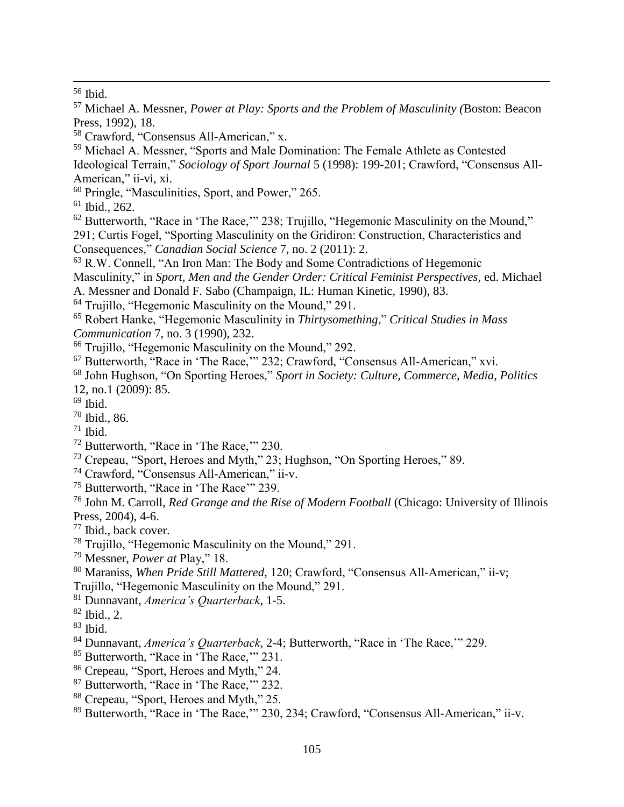Ibid.

 $\overline{a}$ 

 Michael A. Messner, "Sports and Male Domination: The Female Athlete as Contested Ideological Terrain," *Sociology of Sport Journal* 5 (1998): 199-201; Crawford, "Consensus All-American," ii-vi, xi.

Pringle, "Masculinities, Sport, and Power," 265.

Ibid., 262.

 Butterworth, "Race in 'The Race,'" 238; Trujillo, "Hegemonic Masculinity on the Mound," 291; Curtis Fogel, "Sporting Masculinity on the Gridiron: Construction, Characteristics and Consequences," *Canadian Social Science* 7, no. 2 (2011): 2.

R.W. Connell, "An Iron Man: The Body and Some Contradictions of Hegemonic

Masculinity," in *Sport, Men and the Gender Order: Critical Feminist Perspectives,* ed. Michael A. Messner and Donald F. Sabo (Champaign, IL: Human Kinetic, 1990), 83.

- Trujillo, "Hegemonic Masculinity on the Mound," 291.
- Robert Hanke, "Hegemonic Masculinity in *Thirtysomething*," *Critical Studies in Mass Communication* 7, no. 3 (1990), 232.
- <sup>66</sup> Trujillo, "Hegemonic Masculinity on the Mound," 292.
- Butterworth, "Race in 'The Race,'" 232; Crawford, "Consensus All-American," xvi.
- John Hughson, "On Sporting Heroes," *Sport in Society: Culture, Commerce, Media, Politics* 12, no.1 (2009): 85.
- Ibid.
- Ibid., 86.
- Ibid.
- Butterworth, "Race in 'The Race,'" 230.
- Crepeau, "Sport, Heroes and Myth," 23; Hughson, "On Sporting Heroes," 89.
- Crawford, "Consensus All-American," ii-v.
- Butterworth, "Race in 'The Race'" 239.

 John M. Carroll, *Red Grange and the Rise of Modern Football* (Chicago: University of Illinois Press, 2004), 4-6.

Ibid., back cover.

- Trujillo, "Hegemonic Masculinity on the Mound," 291.
- Messner, *Power at* Play," 18.

Maraniss, *When Pride Still Mattered,* 120; Crawford, "Consensus All-American," ii-v;

Trujillo, "Hegemonic Masculinity on the Mound," 291.

Dunnavant, *America's Quarterback*, 1-5.

Ibid.

- Dunnavant, *America's Quarterback*, 2-4; Butterworth, "Race in 'The Race,'" 229.
- Butterworth, "Race in 'The Race,'" 231.
- Crepeau, "Sport, Heroes and Myth," 24.
- Butterworth, "Race in 'The Race,'" 232.
- Crepeau, "Sport, Heroes and Myth," 25.

Butterworth, "Race in 'The Race,'" 230, 234; Crawford, "Consensus All-American," ii-v.

 Michael A. Messner, *Power at Play: Sports and the Problem of Masculinity (*Boston: Beacon Press, 1992), 18.

Crawford, "Consensus All-American," x.

Ibid., 2.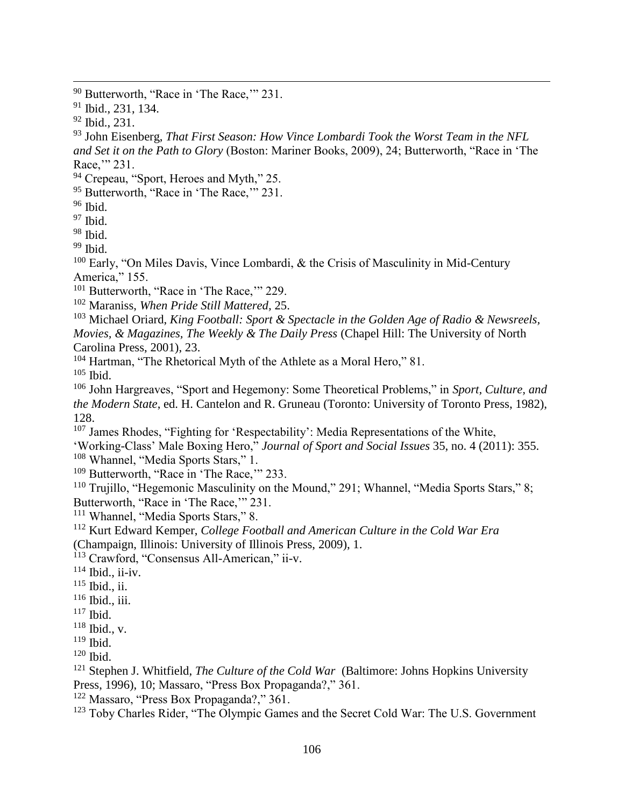<sup>93</sup> John Eisenberg, *That First Season: How Vince Lombardi Took the Worst Team in the NFL and Set it on the Path to Glory* (Boston: Mariner Books, 2009), 24; Butterworth, "Race in 'The Race," 231.

- <sup>94</sup> Crepeau, "Sport, Heroes and Myth," 25.
- <sup>95</sup> Butterworth, "Race in 'The Race," 231.
- <sup>96</sup> Ibid.
- <sup>97</sup> Ibid.
- $98$  Ibid.

 $99$  Ibid.

<sup>100</sup> Early, "On Miles Davis, Vince Lombardi, & the Crisis of Masculinity in Mid-Century America," 155.

- <sup>101</sup> Butterworth, "Race in 'The Race," 229.
- <sup>102</sup> Maraniss, *When Pride Still Mattered,* 25.

<sup>103</sup> Michael Oriard, *King Football: Sport & Spectacle in the Golden Age of Radio & Newsreels, Movies, & Magazines, The Weekly & The Daily Press* (Chapel Hill: The University of North Carolina Press, 2001), 23.

<sup>104</sup> Hartman, "The Rhetorical Myth of the Athlete as a Moral Hero," 81.

 $105$  Ibid.

<sup>106</sup> John Hargreaves, "Sport and Hegemony: Some Theoretical Problems," in *Sport, Culture, and the Modern State*, ed. H. Cantelon and R. Gruneau (Toronto: University of Toronto Press, 1982), 128.

<sup>107</sup> James Rhodes, "Fighting for 'Respectability': Media Representations of the White, 'Working-Class' Male Boxing Hero," *Journal of Sport and Social Issues* 35, no. 4 (2011): 355. <sup>108</sup> Whannel, "Media Sports Stars," 1.

<sup>109</sup> Butterworth, "Race in 'The Race," 233.

<sup>110</sup> Trujillo, "Hegemonic Masculinity on the Mound," 291; Whannel, "Media Sports Stars," 8; Butterworth, "Race in 'The Race,'" 231.

<sup>111</sup> Whannel, "Media Sports Stars," 8.

<sup>112</sup> Kurt Edward Kemper, *College Football and American Culture in the Cold War Era* 

(Champaign, Illinois: University of Illinois Press, 2009), 1.

<sup>113</sup> Crawford, "Consensus All-American," ii-v.

- $114$  Ibid., ii-iv.
- $115$  Ibid., ii.
- $116$  Ibid., iii.
- $117$  Ibid.
- $118$  Ibid., v.
- $119$  Ibid.
- <sup>120</sup> Ibid.
- <sup>121</sup> Stephen J. Whitfield, *The Culture of the Cold War* (Baltimore: Johns Hopkins University Press, 1996), 10; Massaro, "Press Box Propaganda?," 361.
- <sup>122</sup> Massaro, "Press Box Propaganda?," 361.

<sup>123</sup> Toby Charles Rider, "The Olympic Games and the Secret Cold War: The U.S. Government

<sup>&</sup>lt;sup>90</sup> Butterworth, "Race in 'The Race," 231.

<sup>91</sup> Ibid., 231, 134.

 $92$  Ibid., 231.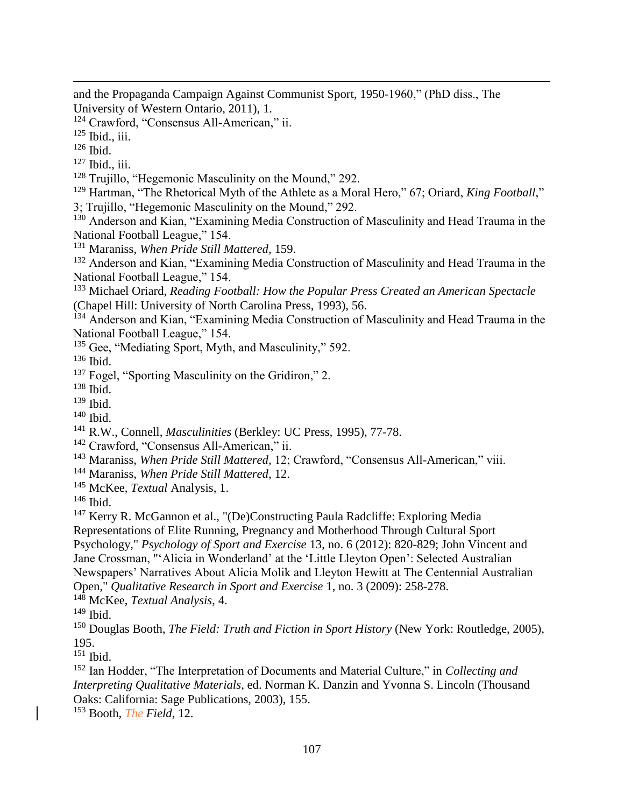and the Propaganda Campaign Against Communist Sport, 1950-1960," (PhD diss., The University of Western Ontario, 2011), 1.

<sup>124</sup> Crawford, "Consensus All-American," ii.

 $125$  Ibid., iii.

 $126$  Ibid.

 $\overline{a}$ 

- $127$  Ibid., iii.
- <sup>128</sup> Trujillo, "Hegemonic Masculinity on the Mound," 292.
- <sup>129</sup> Hartman, "The Rhetorical Myth of the Athlete as a Moral Hero," 67; Oriard, *King Football*,"
- 3; Trujillo, "Hegemonic Masculinity on the Mound," 292.
- <sup>130</sup> Anderson and Kian, "Examining Media Construction of Masculinity and Head Trauma in the National Football League," 154.
- <sup>131</sup> Maraniss, *When Pride Still Mattered,* 159.

<sup>132</sup> Anderson and Kian, "Examining Media Construction of Masculinity and Head Trauma in the National Football League," 154.

<sup>133</sup> Michael Oriard, *Reading Football: How the Popular Press Created an American Spectacle* (Chapel Hill: University of North Carolina Press, 1993), 56.

- <sup>134</sup> Anderson and Kian, "Examining Media Construction of Masculinity and Head Trauma in the National Football League," 154.
- <sup>135</sup> Gee, "Mediating Sport, Myth, and Masculinity," 592.

<sup>136</sup> Ibid.

<sup>137</sup> Fogel, "Sporting Masculinity on the Gridiron," 2.

<sup>138</sup> Ibid.

<sup>139</sup> Ibid.

- <sup>140</sup> Ibid.
- <sup>141</sup> R.W., Connell, *Masculinities* (Berkley: UC Press, 1995), 77-78.
- <sup>142</sup> Crawford, "Consensus All-American," ii.
- <sup>143</sup> Maraniss, *When Pride Still Mattered,* 12; Crawford, "Consensus All-American," viii.
- <sup>144</sup> Maraniss, *When Pride Still Mattered*, 12.
- <sup>145</sup> McKee, *Textual* Analysis, 1.

<sup>146</sup> Ibid.

<sup>147</sup> Kerry R. McGannon et al., "(De)Constructing Paula Radcliffe: Exploring Media

Representations of Elite Running, Pregnancy and Motherhood Through Cultural Sport Psychology," *Psychology of Sport and Exercise* 13, no. 6 (2012): 820-829; John Vincent and Jane Crossman, "'Alicia in Wonderland' at the 'Little Lleyton Open': Selected Australian Newspapers' Narratives About Alicia Molik and Lleyton Hewitt at The Centennial Australian

Open," *Qualitative Research in Sport and Exercise* 1, no. 3 (2009): 258-278.

<sup>148</sup> McKee, *Textual Analysis*, 4.

<sup>150</sup> Douglas Booth, *The Field: Truth and Fiction in Sport History* (New York: Routledge, 2005), 195.

<sup>151</sup> Ibid.

<sup>152</sup> Ian Hodder, "The Interpretation of Documents and Material Culture," in *Collecting and Interpreting Qualitative Materials*, ed. Norman K. Danzin and Yvonna S. Lincoln (Thousand Oaks: California: Sage Publications, 2003), 155.

<sup>153</sup> Booth, *The Field*, 12.

<sup>149</sup> Ibid.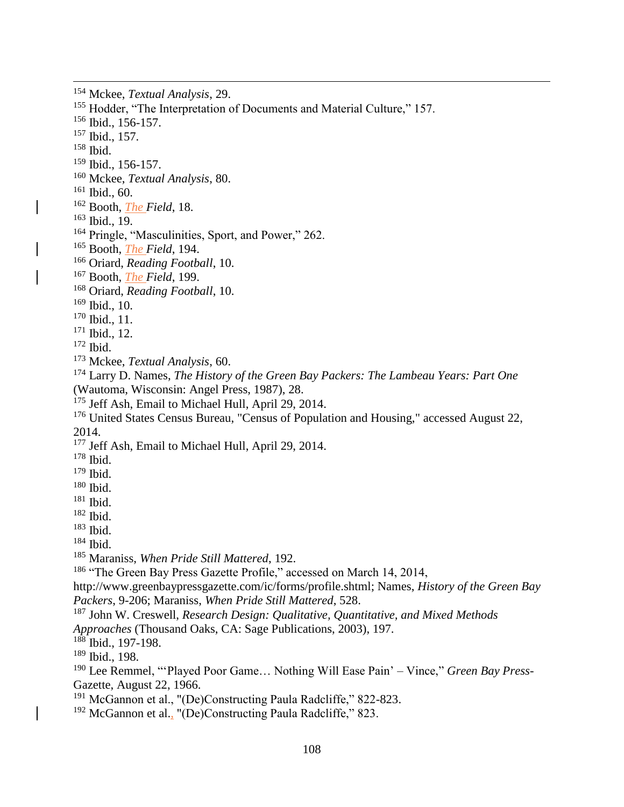Mckee, *Textual Analysis*, 29.

<sup>155</sup> Hodder, "The Interpretation of Documents and Material Culture," 157.

Ibid., 156-157.

Ibid., 157.

Ibid.

 $\overline{a}$ 

Ibid., 156-157.

Mckee, *Textual Analysis*, 80.

Ibid., 60.

Booth, *The Field*, 18.

Ibid., 19.

Pringle, "Masculinities, Sport, and Power," 262.

Booth, *The Field*, 194.

Oriard, *Reading Football*, 10.

Booth, *The Field*, 199.

Oriard, *Reading Football*, 10.

Ibid., 10.

Ibid., 11.

Ibid., 12.

Ibid.

Mckee, *Textual Analysis*, 60.

 Larry D. Names, *The History of the Green Bay Packers: The Lambeau Years: Part One*  (Wautoma, Wisconsin: Angel Press, 1987), 28.

<sup>175</sup> Jeff Ash, Email to Michael Hull, April 29, 2014.

<sup>176</sup> [United States Census Bureau,](https://en.wikipedia.org/wiki/United_States_Census_Bureau) ["Census of Population and Housing,"](http://www.census.gov/prod/www/decennial.html) accessed August 22, 2014.

<sup>177</sup> Jeff Ash, Email to Michael Hull, April 29, 2014.

Ibid.

Ibid.

Ibid.

Ibid.

Ibid.

Ibid.

Ibid.

Maraniss, *When Pride Still Mattered*, 192.

<sup>186</sup> "The Green Bay Press Gazette Profile," accessed on March 14, 2014,

http://www.greenbaypressgazette.com/ic/forms/profile.shtml; Names, *History of the Green Bay Packers*, 9-206; Maraniss, *When Pride Still Mattered*, 528.

John W. Creswell, *Research Design: Qualitative, Quantitative, and Mixed Methods* 

*Approaches* (Thousand Oaks, CA: Sage Publications, 2003), 197.

Ibid., 197-198.

Ibid., 198.

 Lee Remmel, "'Played Poor Game… Nothing Will Ease Pain' – Vince," *Green Bay Press-*Gazette, August 22, 1966.

<sup>191</sup> McGannon et al., "(De)Constructing Paula Radcliffe," 822-823.

<sup>192</sup> McGannon et al., "(De)Constructing Paula Radcliffe," 823.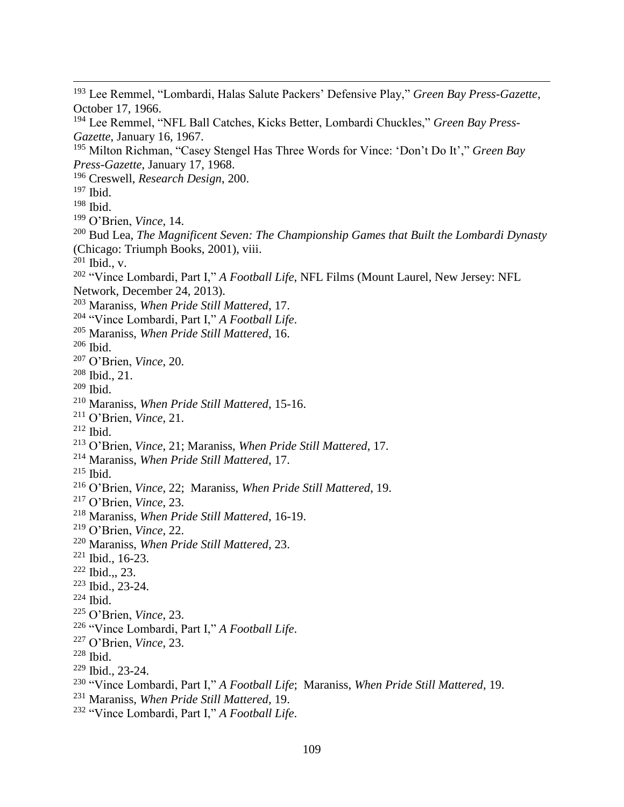$\overline{a}$  Lee Remmel, "Lombardi, Halas Salute Packers' Defensive Play," *Green Bay Press-Gazette*, October 17, 1966. Lee Remmel, "NFL Ball Catches, Kicks Better, Lombardi Chuckles," *Green Bay Press-Gazette*, January 16, 1967. Milton Richman, "Casey Stengel Has Three Words for Vince: 'Don't Do It'," *Green Bay Press-Gazette*, January 17, 1968. Creswell, *Research Design*, 200. Ibid. Ibid. O'Brien, *Vince,* 14. Bud Lea, *The Magnificent Seven: The Championship Games that Built the Lombardi Dynasty* (Chicago: Triumph Books, 2001), viii. Ibid., v. "Vince Lombardi, Part I," *A Football Life*, NFL Films (Mount Laurel, New Jersey: NFL Network, December 24, 2013). Maraniss, *When Pride Still Mattered*, 17. "Vince Lombardi, Part I," *A Football Life*. Maraniss, *When Pride Still Mattered*, 16. Ibid. O'Brien, *Vince*, 20. Ibid., 21. Ibid. Maraniss, *When Pride Still Mattered*, 15-16. O'Brien, *Vince*, 21. Ibid. O'Brien, *Vince*, 21; Maraniss, *When Pride Still Mattered*, 17. Maraniss, *When Pride Still Mattered*, 17. Ibid. O'Brien, *Vince*, 22; Maraniss, *When Pride Still Mattered*, 19. O'Brien, *Vince*, 23. Maraniss, *When Pride Still Mattered*, 16-19. O'Brien, *Vince*, 22. Maraniss, *When Pride Still Mattered*, 23. Ibid., 16-23. Ibid.,, 23. Ibid., 23-24. Ibid. O'Brien, *Vince*, 23. "Vince Lombardi, Part I," *A Football Life*. O'Brien, *Vince*, 23. Ibid. Ibid., 23-24. "Vince Lombardi, Part I," *A Football Life*; Maraniss, *When Pride Still Mattered*, 19. Maraniss, *When Pride Still Mattered*, 19.

"Vince Lombardi, Part I," *A Football Life*.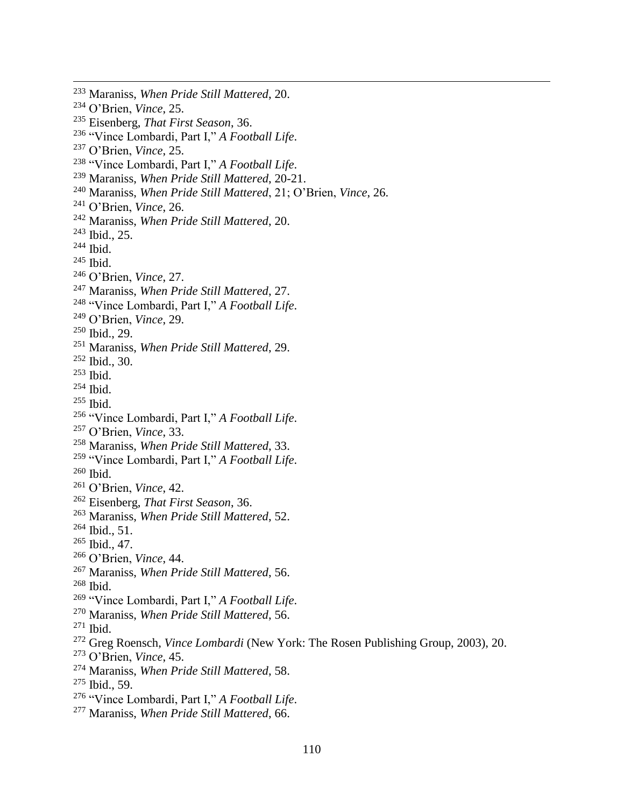Maraniss, *When Pride Still Mattered*, 20. O'Brien, *Vince*, 25. Eisenberg, *That First Season*, 36. "Vince Lombardi, Part I," *A Football Life*. O'Brien, *Vince*, 25. "Vince Lombardi, Part I," *A Football Life*. Maraniss, *When Pride Still Mattered*, 20-21. Maraniss, *When Pride Still Mattered*, 21; O'Brien, *Vince*, 26. O'Brien, *Vince*, 26. Maraniss, *When Pride Still Mattered*, 20.  $^{243}$  Ibid., 25. Ibid. Ibid. O'Brien, *Vince*, 27. Maraniss, *When Pride Still Mattered*, 27. "Vince Lombardi, Part I," *A Football Life*. O'Brien, *Vince*, 29. Ibid., 29. Maraniss, *When Pride Still Mattered*, 29. Ibid., 30. Ibid. Ibid. Ibid. "Vince Lombardi, Part I," *A Football Life*. O'Brien, *Vince*, 33. Maraniss, *When Pride Still Mattered*, 33. "Vince Lombardi, Part I," *A Football Life*. Ibid. O'Brien, *Vince*, 42. Eisenberg, *That First Season*, 36. Maraniss, *When Pride Still Mattered*, 52. Ibid., 51. Ibid., 47. O'Brien, *Vince*, 44. Maraniss, *When Pride Still Mattered*, 56. Ibid. "Vince Lombardi, Part I," *A Football Life*. Maraniss, *When Pride Still Mattered*, 56. Ibid. Greg Roensch, *Vince Lombardi* (New York: The Rosen Publishing Group, 2003), 20. O'Brien, *Vince*, 45. Maraniss, *When Pride Still Mattered*, 58. Ibid., 59. "Vince Lombardi, Part I," *A Football Life*.

 $\overline{a}$ 

Maraniss, *When Pride Still Mattered*, 66.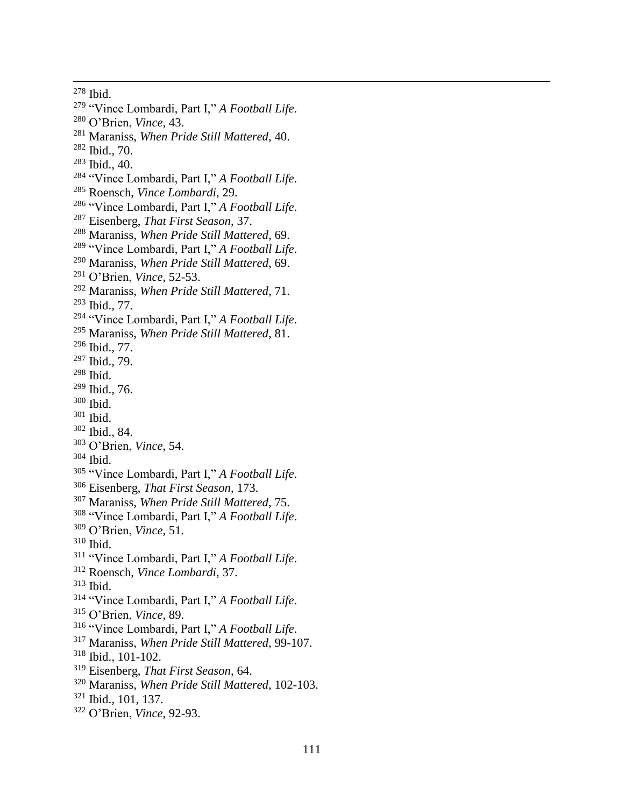Ibid.

- "Vince Lombardi, Part I," *A Football Life*.
- O'Brien, *Vince*, 43.
- Maraniss, *When Pride Still Mattered*, 40.
- Ibid., 70.
- Ibid., 40.
- "Vince Lombardi, Part I," *A Football Life*.
- Roensch, *Vince Lombardi*, 29.
- "Vince Lombardi, Part I," *A Football Life*.
- Eisenberg, *That First Season*, 37.
- Maraniss, *When Pride Still Mattered*, 69.
- "Vince Lombardi, Part I," *A Football Life*.
- Maraniss, *When Pride Still Mattered*, 69.
- O'Brien, *Vince*, 52-53.
- Maraniss, *When Pride Still Mattered*, 71.
- Ibid., 77.
- "Vince Lombardi, Part I," *A Football Life*.
- Maraniss, *When Pride Still Mattered*, 81.
- Ibid., 77.
- Ibid., 79.
- Ibid.
- Ibid., 76.
- Ibid.
- Ibid.
- Ibid., 84.
- O'Brien, *Vince*, 54.
- Ibid.
- "Vince Lombardi, Part I," *A Football Life*.
- Eisenberg, *That First Season*, 173.
- Maraniss, *When Pride Still Mattered*, 75.
- "Vince Lombardi, Part I," *A Football Life*.
- O'Brien, *Vince*, 51.
- Ibid.
- "Vince Lombardi, Part I," *A Football Life*.
- Roensch, *Vince Lombardi*, 37.
- Ibid.
- "Vince Lombardi, Part I," *A Football Life*.
- O'Brien, *Vince*, 89.
- "Vince Lombardi, Part I," *A Football Life*.
- Maraniss, *When Pride Still Mattered*, 99-107.
- Ibid., 101-102.
- Eisenberg, *That First Season*, 64.
- Maraniss, *When Pride Still Mattered*, 102-103.
- Ibid., 101, 137.
- O'Brien, *Vince*, 92-93.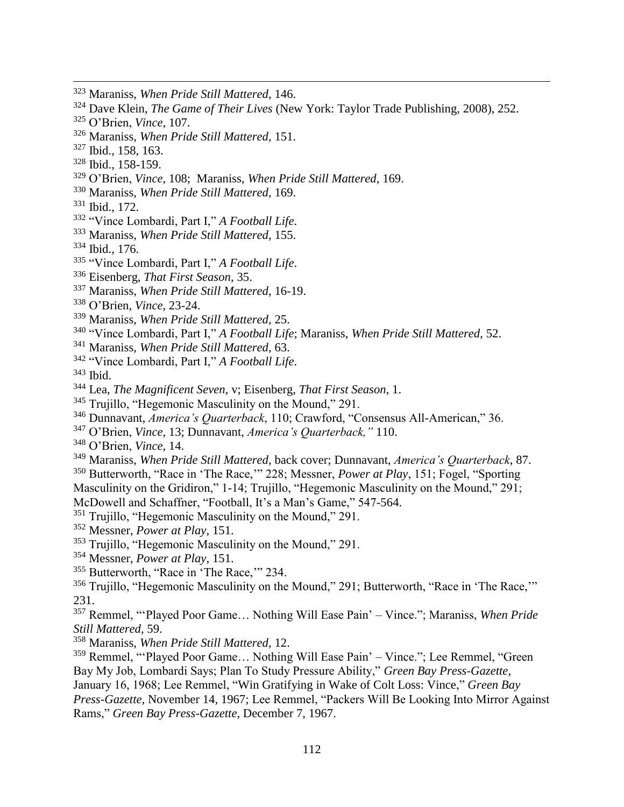- Maraniss, *When Pride Still Mattered*, 146.
- Dave Klein, *The Game of Their Lives* (New York: Taylor Trade Publishing, 2008), 252.
- O'Brien, *Vince*, 107.
- Maraniss, *When Pride Still Mattered*, 151.
- Ibid., 158, 163.

- Ibid., 158-159.
- O'Brien, *Vince*, 108; Maraniss, *When Pride Still Mattered*, 169.
- Maraniss, *When Pride Still Mattered*, 169.
- Ibid., 172.
- "Vince Lombardi, Part I," *A Football Life*.
- Maraniss, *When Pride Still Mattered*, 155.
- Ibid., 176.
- "Vince Lombardi, Part I," *A Football Life*.
- Eisenberg, *That First Season*, 35.
- Maraniss, *When Pride Still Mattered*, 16-19.
- O'Brien, *Vince*, 23-24.
- Maraniss, *When Pride Still Mattered*, 25.
- "Vince Lombardi, Part I," *A Football Life*; Maraniss, *When Pride Still Mattered*, 52.
- Maraniss, *When Pride Still Mattered*, 63.
- "Vince Lombardi, Part I," *A Football Life*.

Ibid.

- Lea, *The Magnificent Seven*, v; Eisenberg, *That First Season*, 1.
- <sup>345</sup> Trujillo, "Hegemonic Masculinity on the Mound," 291.
- Dunnavant, *America's Quarterback*, 110; Crawford, "Consensus All-American," 36.
- O'Brien, *Vince,* 13; Dunnavant, *America's Quarterback,"* 110.
- O'Brien, *Vince*, 14.
- Maraniss, *When Pride Still Mattered*, back cover; Dunnavant, *America's Quarterback*, 87.

 Butterworth, "Race in 'The Race,'" 228; Messner, *Power at Play*, 151; Fogel, "Sporting Masculinity on the Gridiron," 1-14; Trujillo, "Hegemonic Masculinity on the Mound," 291;

McDowell and Schaffner, "Football, It's a Man's Game," 547-564.

Trujillo, "Hegemonic Masculinity on the Mound," 291.

- Messner, *Power at Play*, 151.
- Trujillo, "Hegemonic Masculinity on the Mound," 291.
- Messner, *Power at Play*, 151.
- <sup>355</sup> Butterworth, "Race in 'The Race," 234.
- <sup>356</sup> Trujillo, "Hegemonic Masculinity on the Mound," 291; Butterworth, "Race in 'The Race."" 231.

 Remmel, "'Played Poor Game… Nothing Will Ease Pain' – Vince."; Maraniss, *When Pride Still Mattered*, 59.

Maraniss, *When Pride Still Mattered*, 12.

<sup>359</sup> Remmel, "'Played Poor Game... Nothing Will Ease Pain' – Vince."; Lee Remmel, "Green Bay My Job, Lombardi Says; Plan To Study Pressure Ability," *Green Bay Press-Gazette*,

January 16, 1968; Lee Remmel, "Win Gratifying in Wake of Colt Loss: Vince," *Green Bay Press-Gazette*, November 14, 1967; Lee Remmel, "Packers Will Be Looking Into Mirror Against Rams," *Green Bay Press-Gazette*, December 7, 1967.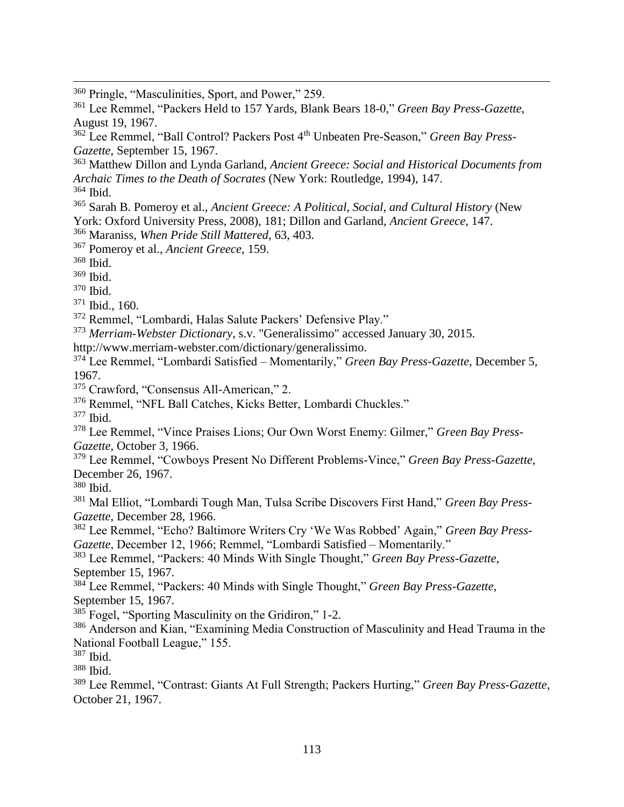Pringle, "Masculinities, Sport, and Power," 259.

 Lee Remmel, "Packers Held to 157 Yards, Blank Bears 18-0," *Green Bay Press-Gazette*, August 19, 1967.

 Lee Remmel, "Ball Control? Packers Post 4th Unbeaten Pre-Season," *Green Bay Press-Gazette*, September 15, 1967.

 Matthew Dillon and Lynda Garland, *Ancient Greece: Social and Historical Documents from Archaic Times to the Death of Socrates* (New York: Routledge, 1994), 147. Ibid.

 Sarah B. Pomeroy et al., *Ancient Greece: A Political, Social, and Cultural History* (New York: Oxford University Press, 2008), 181; Dillon and Garland, *Ancient Greece*, 147.

Maraniss, *When Pride Still Mattered*, 63, 403.

Pomeroy et al., *Ancient Greece*, 159.

Ibid.

 $\overline{a}$ 

Ibid.

Ibid.

Ibid., 160.

Remmel, "Lombardi, Halas Salute Packers' Defensive Play."

*Merriam-Webster Dictionary*, s.v. "Generalissimo" accessed January 30, 2015.

http://www.merriam-webster.com/dictionary/generalissimo.

 Lee Remmel, "Lombardi Satisfied – Momentarily," *Green Bay Press-Gazette*, December 5, 1967.

Crawford, "Consensus All-American," 2.

Remmel, "NFL Ball Catches, Kicks Better, Lombardi Chuckles."

Ibid.

 Lee Remmel, "Vince Praises Lions; Our Own Worst Enemy: Gilmer," *Green Bay Press-Gazette*, October 3, 1966.

 Lee Remmel, "Cowboys Present No Different Problems-Vince," *Green Bay Press-Gazette*, December 26, 1967.

Ibid.

 Mal Elliot, "Lombardi Tough Man, Tulsa Scribe Discovers First Hand," *Green Bay Press-Gazette*, December 28, 1966.

 Lee Remmel, "Echo? Baltimore Writers Cry 'We Was Robbed' Again," *Green Bay Press-Gazette*, December 12, 1966; Remmel, "Lombardi Satisfied – Momentarily."

 Lee Remmel, "Packers: 40 Minds With Single Thought," *Green Bay Press-Gazette*, September 15, 1967.

 Lee Remmel, "Packers: 40 Minds with Single Thought," *Green Bay Press-Gazette*, September 15, 1967.

<sup>385</sup> Fogel, "Sporting Masculinity on the Gridiron," 1-2.

<sup>386</sup> Anderson and Kian, "Examining Media Construction of Masculinity and Head Trauma in the National Football League," 155.

Ibid.

Ibid.

 Lee Remmel, "Contrast: Giants At Full Strength; Packers Hurting," *Green Bay Press-Gazette*, October 21, 1967.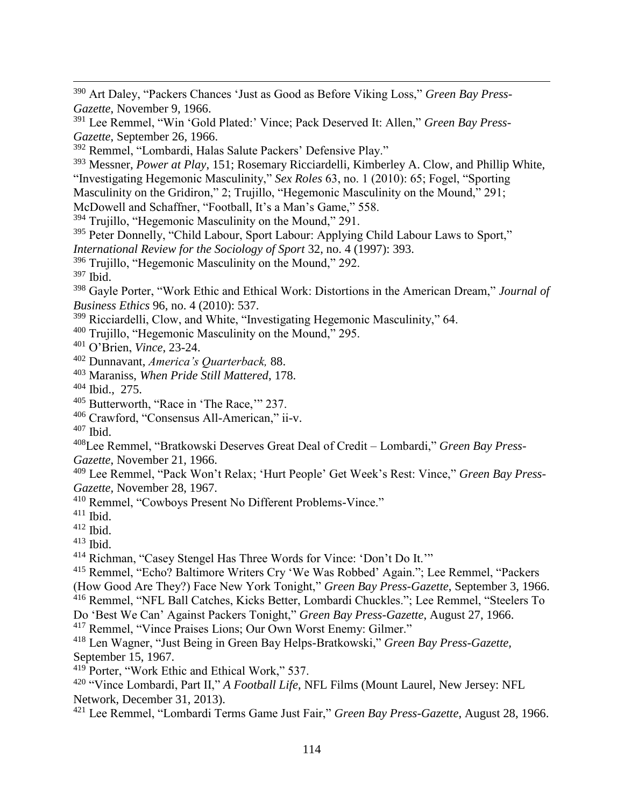Art Daley, "Packers Chances 'Just as Good as Before Viking Loss," *Green Bay Press-Gazette*, November 9, 1966.

 Lee Remmel, "Win 'Gold Plated:' Vince; Pack Deserved It: Allen," *Green Bay Press-Gazette*, September 26, 1966.

Remmel, "Lombardi, Halas Salute Packers' Defensive Play."

 Messner, *Power at Play*, 151; Rosemary Ricciardelli, Kimberley A. Clow, and Phillip White, "Investigating Hegemonic Masculinity," *Sex Roles* 63, no. 1 (2010): 65; Fogel, "Sporting

Masculinity on the Gridiron," 2; Trujillo, "Hegemonic Masculinity on the Mound," 291;

McDowell and Schaffner, "Football, It's a Man's Game," 558.

Trujillo, "Hegemonic Masculinity on the Mound," 291.

<sup>395</sup> Peter Donnelly, "Child Labour, Sport Labour: Applying Child Labour Laws to Sport," *International Review for the Sociology of Sport* 32, no. 4 (1997): 393.

Trujillo, "Hegemonic Masculinity on the Mound," 292.

Ibid.

 $\overline{a}$ 

 Gayle Porter, "Work Ethic and Ethical Work: Distortions in the American Dream," *Journal of Business Ethics* 96, no. 4 (2010): 537.

Ricciardelli, Clow, and White, "Investigating Hegemonic Masculinity," 64.

Trujillo, "Hegemonic Masculinity on the Mound," 295.

O'Brien, *Vince*, 23-24.

Dunnavant, *America's Quarterback,* 88.

Maraniss, *When Pride Still Mattered*, 178.

Ibid., 275.

Butterworth, "Race in 'The Race,'" 237.

Crawford, "Consensus All-American," ii-v.

Ibid.

Lee Remmel, "Bratkowski Deserves Great Deal of Credit – Lombardi," *Green Bay Press-*

*Gazette*, November 21, 1966.

 Lee Remmel, "Pack Won't Relax; 'Hurt People' Get Week's Rest: Vince," *Green Bay Press-Gazette,* November 28, 1967.

Remmel, "Cowboys Present No Different Problems-Vince."

Ibid.

Ibid.

Ibid.

Richman, "Casey Stengel Has Three Words for Vince: 'Don't Do It.'"

 Remmel, "Echo? Baltimore Writers Cry 'We Was Robbed' Again."; Lee Remmel, "Packers (How Good Are They?) Face New York Tonight," *Green Bay Press-Gazette*, September 3, 1966.

Remmel, "NFL Ball Catches, Kicks Better, Lombardi Chuckles."; Lee Remmel, "Steelers To

Do 'Best We Can' Against Packers Tonight," *Green Bay Press-Gazette*, August 27, 1966.

Remmel, "Vince Praises Lions; Our Own Worst Enemy: Gilmer."

 Len Wagner, "Just Being in Green Bay Helps-Bratkowski," *Green Bay Press-Gazette,*  September 15, 1967.

Porter, "Work Ethic and Ethical Work," 537.

 "Vince Lombardi, Part II," *A Football Life*, NFL Films (Mount Laurel, New Jersey: NFL Network, December 31, 2013).

Lee Remmel, "Lombardi Terms Game Just Fair," *Green Bay Press-Gazette*, August 28, 1966.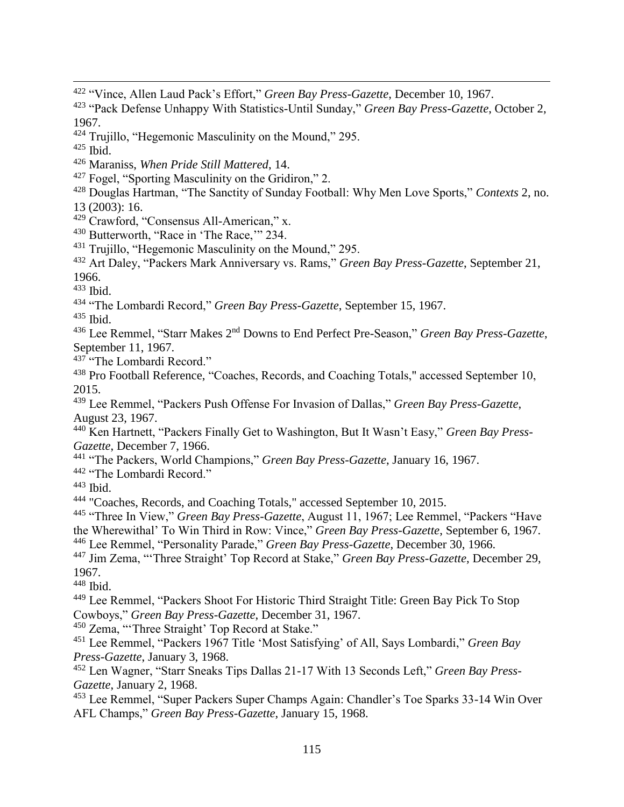- "Vince, Allen Laud Pack's Effort," *Green Bay Press-Gazette*, December 10, 1967.
- "Pack Defense Unhappy With Statistics-Until Sunday," *Green Bay Press-Gazette*, October 2, 1967.
- Trujillo, "Hegemonic Masculinity on the Mound," 295.
- Ibid.

- Maraniss, *When Pride Still Mattered*, 14.
- Fogel, "Sporting Masculinity on the Gridiron," 2.
- Douglas Hartman, "The Sanctity of Sunday Football: Why Men Love Sports," *Contexts* 2, no. 13 (2003): 16.
- Crawford, "Consensus All-American," x.
- Butterworth, "Race in 'The Race,'" 234.
- Trujillo, "Hegemonic Masculinity on the Mound," 295.
- Art Daley, "Packers Mark Anniversary vs. Rams," *Green Bay Press-Gazette*, September 21, 1966.
- Ibid.
- "The Lombardi Record," *Green Bay Press-Gazette*, September 15, 1967.
- Ibid.
- Lee Remmel, "Starr Makes 2nd Downs to End Perfect Pre-Season," *Green Bay Press-Gazette*, September 11, 1967.
- 437<sup>c</sup> The Lombardi Record."
- Pro Football Reference, "Coaches, Records, and Coaching Totals," accessed September 10, 2015.
- Lee Remmel, "Packers Push Offense For Invasion of Dallas," *Green Bay Press-Gazette*, August 23, 1967.
- Ken Hartnett, "Packers Finally Get to Washington, But It Wasn't Easy," *Green Bay Press-Gazette*, December 7, 1966.
- "The Packers, World Champions," *Green Bay Press-Gazette*, January 16, 1967.
- "The Lombardi Record."
- Ibid.
- "Coaches, Records, and Coaching Totals," accessed September 10, 2015.
- "Three In View," *Green Bay Press-Gazette*, August 11, 1967; Lee Remmel, "Packers "Have
- the Wherewithal' To Win Third in Row: Vince," *Green Bay Press-Gazette*, September 6, 1967.
- Lee Remmel, "Personality Parade," *Green Bay Press-Gazette*, December 30, 1966.
- Jim Zema, "'Three Straight' Top Record at Stake," *Green Bay Press-Gazette*, December 29, 1967.
- Ibid.
- Lee Remmel, "Packers Shoot For Historic Third Straight Title: Green Bay Pick To Stop Cowboys," *Green Bay Press-Gazette*, December 31, 1967.
- <sup>450</sup> Zema, "Three Straight' Top Record at Stake."
- Lee Remmel, "Packers 1967 Title 'Most Satisfying' of All, Says Lombardi," *Green Bay Press-Gazette*, January 3, 1968.
- Len Wagner, "Starr Sneaks Tips Dallas 21-17 With 13 Seconds Left," *Green Bay Press-Gazette*, January 2, 1968.
- Lee Remmel, "Super Packers Super Champs Again: Chandler's Toe Sparks 33-14 Win Over AFL Champs," *Green Bay Press-Gazette*, January 15, 1968.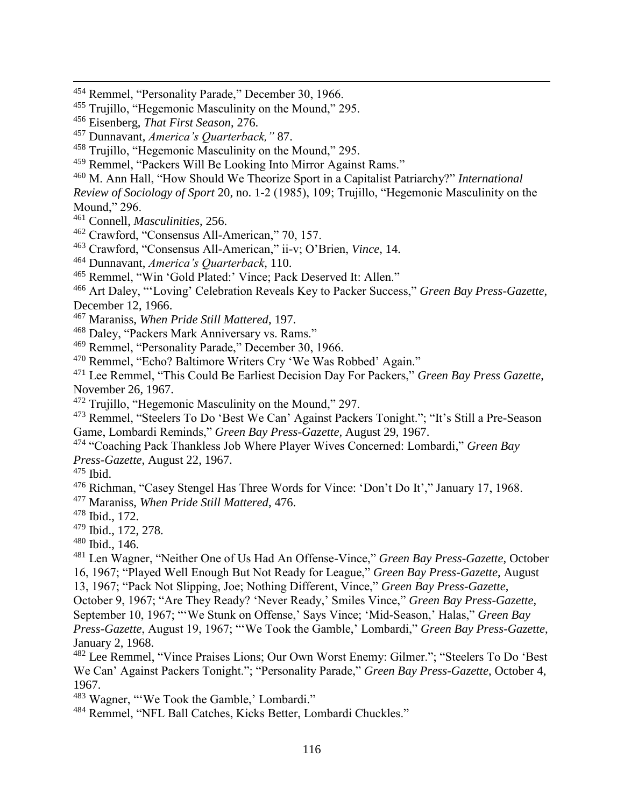- Trujillo, "Hegemonic Masculinity on the Mound," 295.
- Remmel, "Packers Will Be Looking Into Mirror Against Rams."
- M. Ann Hall, "How Should We Theorize Sport in a Capitalist Patriarchy?" *International*

*Review of Sociology of Sport* 20, no. 1-2 (1985), 109; Trujillo, "Hegemonic Masculinity on the Mound," 296.

- Connell, *Masculinities*, 256.
- Crawford, "Consensus All-American," 70, 157.
- Crawford, "Consensus All-American," ii-v; O'Brien, *Vince*, 14.
- Dunnavant, *America's Quarterback*, 110.
- Remmel, "Win 'Gold Plated:' Vince; Pack Deserved It: Allen."
- Art Daley, "'Loving' Celebration Reveals Key to Packer Success," *Green Bay Press-Gazette*, December 12, 1966.
- Maraniss, *When Pride Still Mattered*, 197.
- Daley, "Packers Mark Anniversary vs. Rams."
- Remmel, "Personality Parade," December 30, 1966.
- Remmel, "Echo? Baltimore Writers Cry 'We Was Robbed' Again."
- Lee Remmel, "This Could Be Earliest Decision Day For Packers," *Green Bay Press Gazette*, November 26, 1967.
- Trujillo, "Hegemonic Masculinity on the Mound," 297.
- Remmel, "Steelers To Do 'Best We Can' Against Packers Tonight."; "It's Still a Pre-Season Game, Lombardi Reminds," *Green Bay Press-Gazette,* August 29, 1967.
- "Coaching Pack Thankless Job Where Player Wives Concerned: Lombardi," *Green Bay Press-Gazette*, August 22, 1967.
- Ibid.

 $\overline{a}$ 

Richman, "Casey Stengel Has Three Words for Vince: 'Don't Do It'," January 17, 1968.

Maraniss, *When Pride Still Mattered*, 476.

- Ibid., 172.
- Ibid., 172, 278.
- Ibid., 146.

 Len Wagner, "Neither One of Us Had An Offense-Vince," *Green Bay Press-Gazette*, October 16, 1967; "Played Well Enough But Not Ready for League," *Green Bay Press-Gazette*, August

- 13, 1967; "Pack Not Slipping, Joe; Nothing Different, Vince," *Green Bay Press-Gazette*,
- October 9, 1967; "Are They Ready? 'Never Ready,' Smiles Vince," *Green Bay Press-Gazette*,

September 10, 1967; "'We Stunk on Offense,' Says Vince; 'Mid-Season,' Halas," *Green Bay* 

*Press-Gazette*, August 19, 1967; "'We Took the Gamble,' Lombardi," *Green Bay Press-Gazette*, January 2, 1968.

 Lee Remmel, "Vince Praises Lions; Our Own Worst Enemy: Gilmer."; "Steelers To Do 'Best We Can' Against Packers Tonight."; "Personality Parade," *Green Bay Press-Gazette*, October 4, 1967.

<sup>483</sup> Wagner, "'We Took the Gamble,' Lombardi."

Remmel, "NFL Ball Catches, Kicks Better, Lombardi Chuckles."

<sup>&</sup>lt;sup>454</sup> Remmel, "Personality Parade," December 30, 1966.

Trujillo, "Hegemonic Masculinity on the Mound," 295.

Eisenberg, *That First Season*, 276.

Dunnavant, *America's Quarterback,"* 87.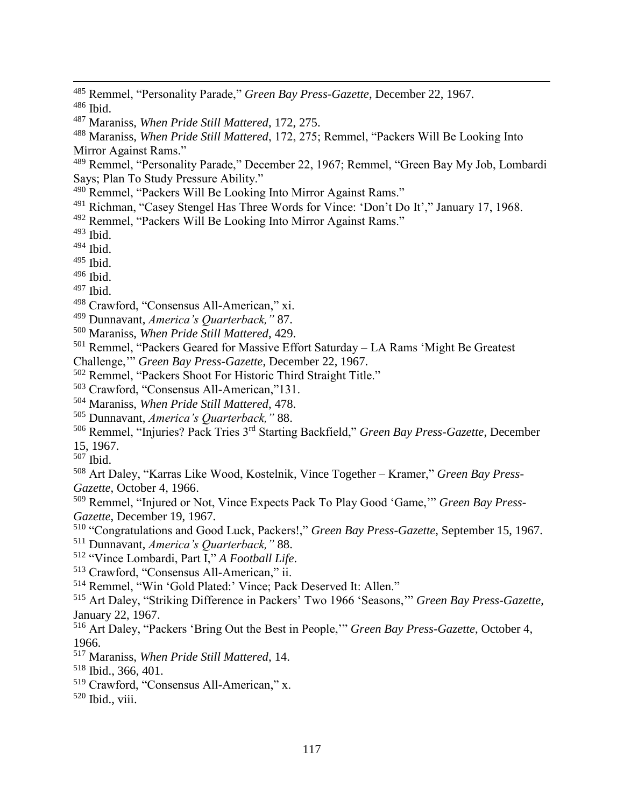- Maraniss, *When Pride Still Mattered*, 172, 275.
- Maraniss, *When Pride Still Mattered*, 172, 275; Remmel, "Packers Will Be Looking Into Mirror Against Rams."
- Remmel, "Personality Parade," December 22, 1967; Remmel, "Green Bay My Job, Lombardi Says; Plan To Study Pressure Ability."
- Remmel, "Packers Will Be Looking Into Mirror Against Rams."
- Richman, "Casey Stengel Has Three Words for Vince: 'Don't Do It'," January 17, 1968.
- Remmel, "Packers Will Be Looking Into Mirror Against Rams."
- Ibid.

- Ibid.
- Ibid.
- Ibid.
- Ibid.
- Crawford, "Consensus All-American," xi.
- Dunnavant, *America's Quarterback,"* 87.
- Maraniss, *When Pride Still Mattered*, 429.
- Remmel, "Packers Geared for Massive Effort Saturday LA Rams 'Might Be Greatest
- Challenge,'" *Green Bay Press-Gazette*, December 22, 1967.
- Remmel, "Packers Shoot For Historic Third Straight Title."
- Crawford, "Consensus All-American,"131.
- Maraniss, *When Pride Still Mattered*, 478.
- Dunnavant, *America's Quarterback,"* 88.

Remmel, "Injuries? Pack Tries 3rd Starting Backfield," *Green Bay Press-Gazette*, December

- 15, 1967.
- Ibid.

 Art Daley, "Karras Like Wood, Kostelnik, Vince Together – Kramer," *Green Bay Press-Gazette*, October 4, 1966.

 Remmel, "Injured or Not, Vince Expects Pack To Play Good 'Game,'" *Green Bay Press-Gazette*, December 19, 1967.

- "Congratulations and Good Luck, Packers!," *Green Bay Press-Gazette*, September 15, 1967.
- Dunnavant, *America's Quarterback,"* 88.
- "Vince Lombardi, Part I," *A Football Life*.
- Crawford, "Consensus All-American," ii.
- Remmel, "Win 'Gold Plated:' Vince; Pack Deserved It: Allen."

 Art Daley, "Striking Difference in Packers' Two 1966 'Seasons,'" *Green Bay Press-Gazette*, January 22, 1967.

- Art Daley, "Packers 'Bring Out the Best in People,'" *Green Bay Press-Gazette*, October 4, 1966.
- Maraniss, *When Pride Still Mattered*, 14.
- Ibid., 366, 401.
- Crawford, "Consensus All-American," x.
- Ibid., viii.

 Remmel, "Personality Parade," *Green Bay Press-Gazette*, December 22, 1967. Ibid.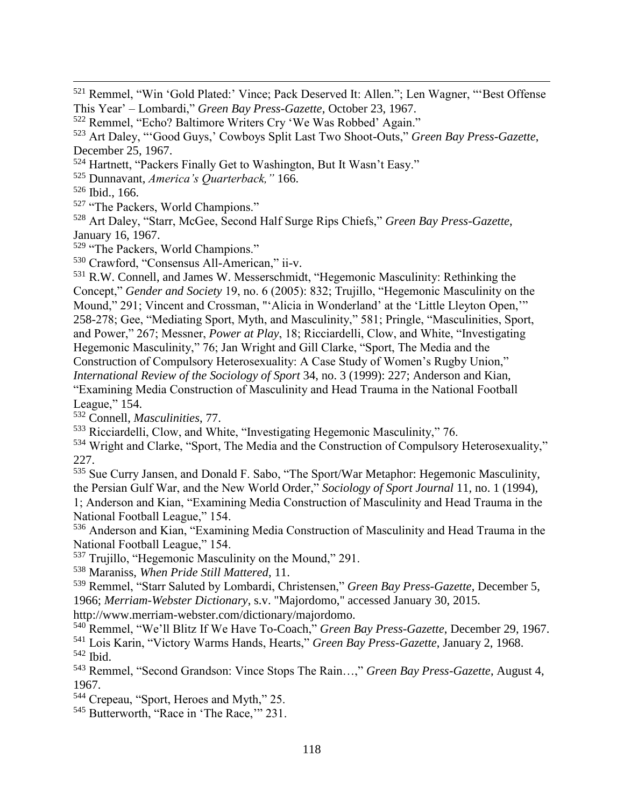<sup>521</sup> Remmel, "Win 'Gold Plated:' Vince; Pack Deserved It: Allen."; Len Wagner, "'Best Offense This Year' – Lombardi," *Green Bay Press-Gazette*, October 23, 1967.

- <sup>524</sup> Hartnett, "Packers Finally Get to Washington, But It Wasn't Easy."
- <sup>525</sup> Dunnavant, *America's Quarterback,"* 166.
- $526$  Ibid., 166.

 $\overline{a}$ 

- <sup>527</sup> "The Packers, World Champions."
- <sup>528</sup> Art Daley, "Starr, McGee, Second Half Surge Rips Chiefs," *Green Bay Press-Gazette*, January 16, 1967.

<sup>529</sup> "The Packers, World Champions."

<sup>530</sup> Crawford, "Consensus All-American," ii-v.

<sup>531</sup> R.W. Connell, and James W. Messerschmidt, "Hegemonic Masculinity: Rethinking the Concept," *Gender and Society* 19, no. 6 (2005): 832; Trujillo, "Hegemonic Masculinity on the Mound," 291; Vincent and Crossman, "'Alicia in Wonderland' at the 'Little Lleyton Open,'" 258-278; Gee, "Mediating Sport, Myth, and Masculinity," 581; Pringle, "Masculinities, Sport, and Power," 267; Messner, *Power at Play*, 18; Ricciardelli, Clow, and White, "Investigating Hegemonic Masculinity," 76; Jan Wright and Gill Clarke, "Sport, The Media and the Construction of Compulsory Heterosexuality: A Case Study of Women's Rugby Union," *International Review of the Sociology of Sport* 34, no. 3 (1999): 227; Anderson and Kian, "Examining Media Construction of Masculinity and Head Trauma in the National Football League," 154.

<sup>532</sup> Connell, *Masculinities*, 77.

- <sup>533</sup> Ricciardelli, Clow, and White, "Investigating Hegemonic Masculinity," 76.
- <sup>534</sup> Wright and Clarke, "Sport, The Media and the Construction of Compulsory Heterosexuality," 227.

<sup>535</sup> Sue Curry Jansen, and Donald F. Sabo, "The Sport/War Metaphor: Hegemonic Masculinity, the Persian Gulf War, and the New World Order," *Sociology of Sport Journal* 11, no. 1 (1994), 1; Anderson and Kian, "Examining Media Construction of Masculinity and Head Trauma in the National Football League," 154.

<sup>536</sup> Anderson and Kian, "Examining Media Construction of Masculinity and Head Trauma in the National Football League," 154.

<sup>537</sup> Trujillo, "Hegemonic Masculinity on the Mound," 291.

<sup>538</sup> Maraniss, *When Pride Still Mattered*, 11.

<sup>539</sup> Remmel, "Starr Saluted by Lombardi, Christensen," *Green Bay Press-Gazette*, December 5, 1966; *Merriam-Webster Dictionary*, s.v. "Majordomo," accessed January 30, 2015.

http://www.merriam-webster.com/dictionary/majordomo.

<sup>540</sup> Remmel, "We'll Blitz If We Have To-Coach," *Green Bay Press-Gazette*, December 29, 1967. <sup>541</sup> Lois Karin, "Victory Warms Hands, Hearts," *Green Bay Press-Gazette*, January 2, 1968. <sup>542</sup> Ibid.

<sup>543</sup> Remmel, "Second Grandson: Vince Stops The Rain…," *Green Bay Press-Gazette*, August 4, 1967.

<sup>544</sup> Crepeau, "Sport, Heroes and Myth," 25.

<sup>545</sup> Butterworth, "Race in 'The Race,'" 231.

<sup>522</sup> Remmel, "Echo? Baltimore Writers Cry 'We Was Robbed' Again."

<sup>523</sup> Art Daley, "'Good Guys,' Cowboys Split Last Two Shoot-Outs," *Green Bay Press-Gazette*, December 25, 1967.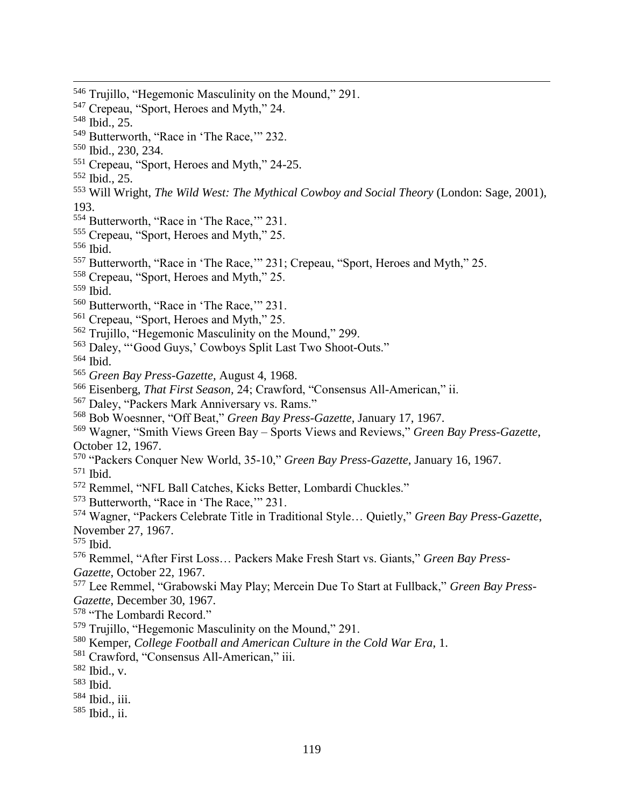<sup>546</sup> Trujillo, "Hegemonic Masculinity on the Mound," 291. Crepeau, "Sport, Heroes and Myth," 24. Ibid., 25. Butterworth, "Race in 'The Race,'" 232. Ibid., 230, 234. Crepeau, "Sport, Heroes and Myth," 24-25. Ibid., 25. Will Wright, *The Wild West: The Mythical Cowboy and Social Theory* (London: Sage, 2001), 193. <sup>554</sup> Butterworth, "Race in 'The Race," 231. Crepeau, "Sport, Heroes and Myth," 25. Ibid. Butterworth, "Race in 'The Race,'" 231; Crepeau, "Sport, Heroes and Myth," 25. Crepeau, "Sport, Heroes and Myth," 25. Ibid. Butterworth, "Race in 'The Race,'" 231. Crepeau, "Sport, Heroes and Myth," 25. Trujillo, "Hegemonic Masculinity on the Mound," 299. Daley, "'Good Guys,' Cowboys Split Last Two Shoot-Outs." Ibid. *Green Bay Press-Gazette,* August 4, 1968. Eisenberg, *That First Season,* 24; Crawford, "Consensus All-American," ii. Daley, "Packers Mark Anniversary vs. Rams." Bob Woesnner, "Off Beat," *Green Bay Press-Gazette*, January 17, 1967. Wagner, "Smith Views Green Bay – Sports Views and Reviews," *Green Bay Press-Gazette*, October 12, 1967. "Packers Conquer New World, 35-10," *Green Bay Press-Gazette*, January 16, 1967. Ibid. Remmel, "NFL Ball Catches, Kicks Better, Lombardi Chuckles." Butterworth, "Race in 'The Race,'" 231. Wagner, "Packers Celebrate Title in Traditional Style… Quietly," *Green Bay Press-Gazette*, November 27, 1967. Ibid. Remmel, "After First Loss… Packers Make Fresh Start vs. Giants," *Green Bay Press-Gazette*, October 22, 1967. Lee Remmel, "Grabowski May Play; Mercein Due To Start at Fullback," *Green Bay Press-Gazette*, December 30, 1967. "The Lombardi Record." Trujillo, "Hegemonic Masculinity on the Mound," 291. Kemper, *College Football and American Culture in the Cold War Era*, 1. Crawford, "Consensus All-American," iii. Ibid., v. Ibid. Ibid., iii. Ibid., ii.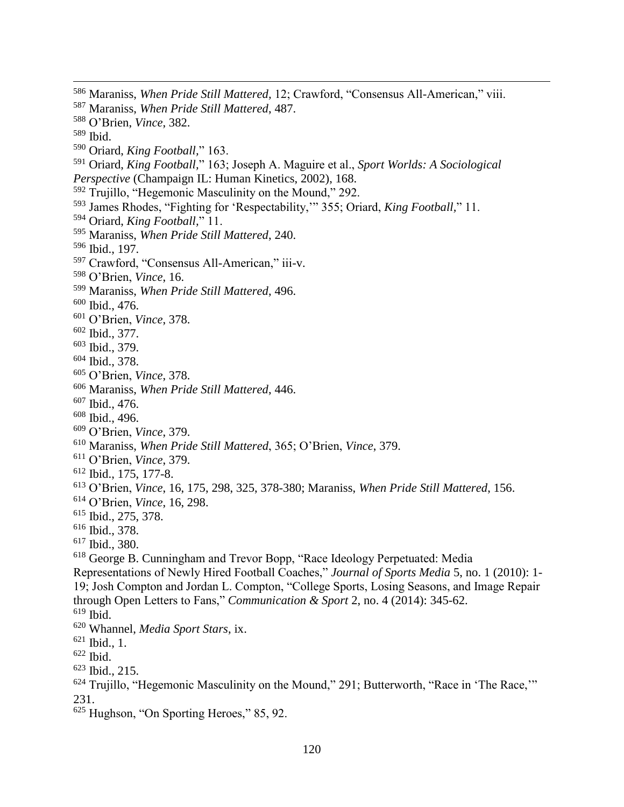- Maraniss, *When Pride Still Mattered,* 12; Crawford, "Consensus All-American," viii.
- Maraniss, *When Pride Still Mattered*, 487.
- O'Brien, *Vince*, 382.
- Ibid.

- Oriard, *King Football,*" 163.
- Oriard, *King Football,*" 163; Joseph A. Maguire et al., *Sport Worlds: A Sociological Perspective* (Champaign IL: Human Kinetics, 2002), 168.
- Trujillo, "Hegemonic Masculinity on the Mound," 292.
- James Rhodes, "Fighting for 'Respectability,'" 355; Oriard, *King Football,*" 11.
- Oriard, *King Football,*" 11.
- Maraniss, *When Pride Still Mattered*, 240.
- Ibid., 197.
- Crawford, "Consensus All-American," iii-v.
- O'Brien, *Vince*, 16.
- Maraniss, *When Pride Still Mattered*, 496.
- Ibid., 476.
- O'Brien, *Vince*, 378.
- Ibid., 377.
- Ibid., 379.
- Ibid., 378.
- O'Brien, *Vince*, 378.
- Maraniss, *When Pride Still Mattered*, 446.
- Ibid., 476.
- Ibid., 496.
- O'Brien, *Vince*, 379.
- Maraniss, *When Pride Still Mattered*, 365; O'Brien, *Vince*, 379.
- O'Brien, *Vince*, 379.
- Ibid., 175, 177-8.
- O'Brien, *Vince*, 16, 175, 298, 325, 378-380; Maraniss, *When Pride Still Mattered*, 156.
- O'Brien, *Vince*, 16, 298.
- Ibid., 275, 378.
- Ibid., 378.
- Ibid., 380.
- George B. Cunningham and Trevor Bopp, "Race Ideology Perpetuated: Media
- Representations of Newly Hired Football Coaches," *Journal of Sports Media* 5, no. 1 (2010): 1- 19; Josh Compton and Jordan L. Compton, "College Sports, Losing Seasons, and Image Repair through Open Letters to Fans," *Communication & Sport* 2, no. 4 (2014): 345-62.
- Ibid.
- Whannel, *Media Sport Stars*, ix.
- Ibid., 1.
- Ibid.
- Ibid., 215.
- Trujillo, "Hegemonic Masculinity on the Mound," 291; Butterworth, "Race in 'The Race,'" 231.
- $\frac{625}{625}$  Hughson, "On Sporting Heroes," 85, 92.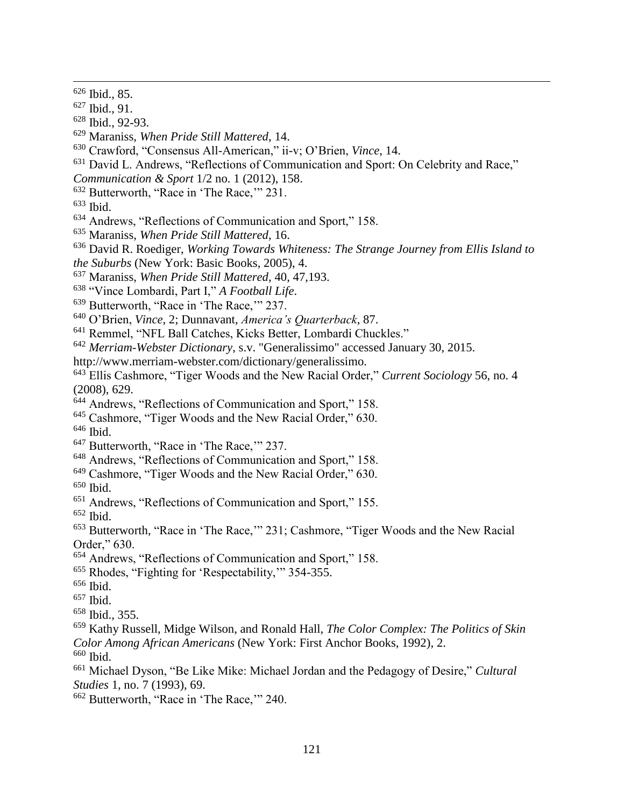- Ibid., 91.
- Ibid., 92-93.
- Maraniss, *When Pride Still Mattered*, 14.
- Crawford, "Consensus All-American," ii-v; O'Brien, *Vince*, 14.
- <sup>631</sup> David L. Andrews, "Reflections of Communication and Sport: On Celebrity and Race,"
- *Communication & Sport* 1/2 no. 1 (2012), 158.
- Butterworth, "Race in 'The Race,'" 231.
- Ibid.
- Andrews, "Reflections of Communication and Sport," 158.
- Maraniss, *When Pride Still Mattered*, 16.
- David R. Roediger, *Working Towards Whiteness: The Strange Journey from Ellis Island to*
- *the Suburbs* (New York: Basic Books, 2005), 4.
- Maraniss, *When Pride Still Mattered*, 40, 47,193.
- "Vince Lombardi, Part I," *A Football Life*.
- <sup>639</sup> Butterworth, "Race in 'The Race," 237.
- O'Brien, *Vince*, 2; Dunnavant, *America's Quarterback*, 87.
- Remmel, "NFL Ball Catches, Kicks Better, Lombardi Chuckles."
- *Merriam-Webster Dictionary*, s.v. "Generalissimo" accessed January 30, 2015.
- http://www.merriam-webster.com/dictionary/generalissimo.
- Ellis Cashmore, "Tiger Woods and the New Racial Order," *Current Sociology* 56, no. 4 (2008), 629.
- <sup>644</sup> Andrews, "Reflections of Communication and Sport," 158.
- Cashmore, "Tiger Woods and the New Racial Order," 630.
- Ibid.
- <sup>647</sup> Butterworth, "Race in 'The Race," 237.
- Andrews, "Reflections of Communication and Sport," 158.
- Cashmore, "Tiger Woods and the New Racial Order," 630.
- Ibid.
- Andrews, "Reflections of Communication and Sport," 155.
- Ibid.
- Butterworth, "Race in 'The Race,'" 231; Cashmore, "Tiger Woods and the New Racial Order," 630.
- Andrews, "Reflections of Communication and Sport," 158.
- Rhodes, "Fighting for 'Respectability,'" 354-355.
- Ibid.
- Ibid.
- Ibid., 355.
- Kathy Russell, Midge Wilson, and Ronald Hall, *The Color Complex: The Politics of Skin Color Among African Americans* (New York: First Anchor Books, 1992), 2. Ibid.
- 
- Michael Dyson, "Be Like Mike: Michael Jordan and the Pedagogy of Desire," *Cultural Studies* 1, no. 7 (1993), 69.
- Butterworth, "Race in 'The Race,'" 240.

Ibid., 85.